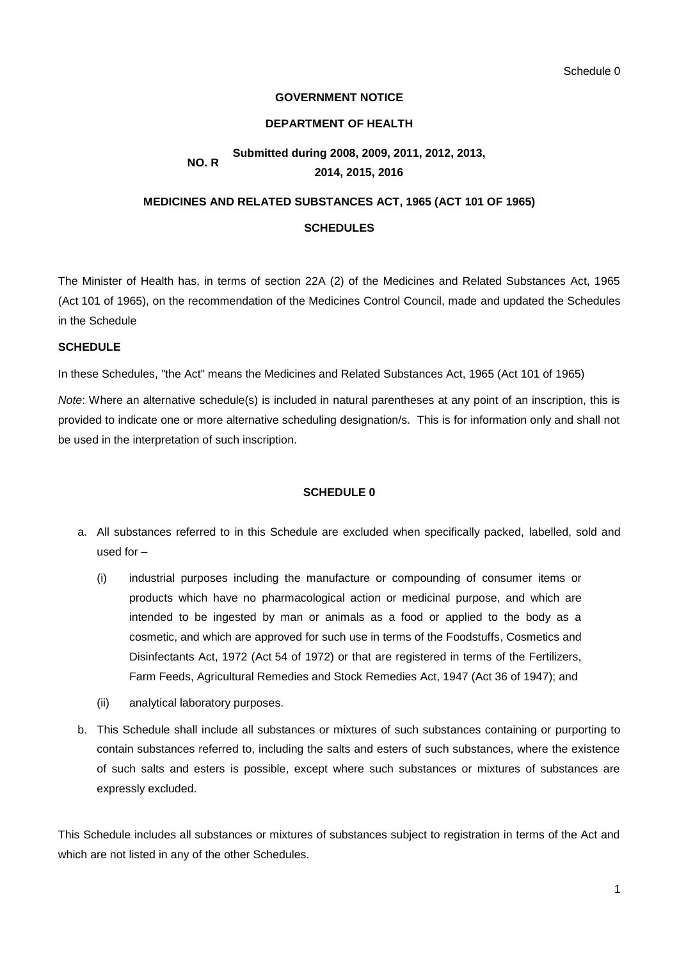## **GOVERNMENT NOTICE**

#### **DEPARTMENT OF HEALTH**

#### **NO. R Submitted during 2008, 2009, 2011, 2012, 2013, 2014, 2015, 2016**

# **MEDICINES AND RELATED SUBSTANCES ACT, 1965 (ACT 101 OF 1965) SCHEDULES**

The Minister of Health has, in terms of section 22A (2) of the Medicines and Related Substances Act, 1965 (Act 101 of 1965), on the recommendation of the Medicines Control Council, made and updated the Schedules in the Schedule

## **SCHEDULE**

In these Schedules, "the Act" means the Medicines and Related Substances Act, 1965 (Act 101 of 1965)

*Note*: Where an alternative schedule(s) is included in natural parentheses at any point of an inscription, this is provided to indicate one or more alternative scheduling designation/s. This is for information only and shall not be used in the interpretation of such inscription.

## **SCHEDULE 0**

- a. All substances referred to in this Schedule are excluded when specifically packed, labelled, sold and used for –
	- (i) industrial purposes including the manufacture or compounding of consumer items or products which have no pharmacological action or medicinal purpose, and which are intended to be ingested by man or animals as a food or applied to the body as a cosmetic, and which are approved for such use in terms of the Foodstuffs, Cosmetics and Disinfectants Act, 1972 (Act 54 of 1972) or that are registered in terms of the Fertilizers, Farm Feeds, Agricultural Remedies and Stock Remedies Act, 1947 (Act 36 of 1947); and
	- (ii) analytical laboratory purposes.
- b. This Schedule shall include all substances or mixtures of such substances containing or purporting to contain substances referred to, including the salts and esters of such substances, where the existence of such salts and esters is possible, except where such substances or mixtures of substances are expressly excluded.

This Schedule includes all substances or mixtures of substances subject to registration in terms of the Act and which are not listed in any of the other Schedules.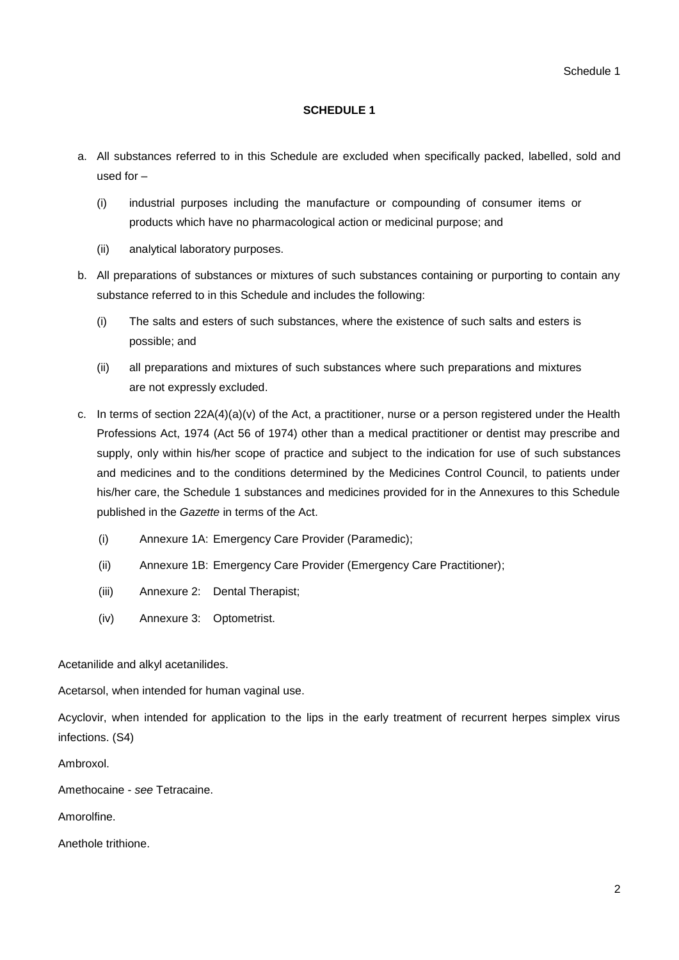## **SCHEDULE 1**

- a. All substances referred to in this Schedule are excluded when specifically packed, labelled, sold and used for –
	- (i) industrial purposes including the manufacture or compounding of consumer items or products which have no pharmacological action or medicinal purpose; and
	- (ii) analytical laboratory purposes.
- b. All preparations of substances or mixtures of such substances containing or purporting to contain any substance referred to in this Schedule and includes the following:
	- (i) The salts and esters of such substances, where the existence of such salts and esters is possible; and
	- (ii) all preparations and mixtures of such substances where such preparations and mixtures are not expressly excluded.
- c. In terms of section  $22A(4)(a)(v)$  of the Act, a practitioner, nurse or a person registered under the Health Professions Act, 1974 (Act 56 of 1974) other than a medical practitioner or dentist may prescribe and supply, only within his/her scope of practice and subject to the indication for use of such substances and medicines and to the conditions determined by the Medicines Control Council, to patients under his/her care, the Schedule 1 substances and medicines provided for in the Annexures to this Schedule published in the *Gazette* in terms of the Act.
	- (i) Annexure 1A: Emergency Care Provider (Paramedic);
	- (ii) Annexure 1B: Emergency Care Provider (Emergency Care Practitioner);
	- (iii) Annexure 2: Dental Therapist;
	- (iv) Annexure 3: Optometrist.

Acetanilide and alkyl acetanilides.

Acetarsol, when intended for human vaginal use.

Acyclovir, when intended for application to the lips in the early treatment of recurrent herpes simplex virus infections. (S4)

Ambroxol.

Amethocaine - *see* Tetracaine.

Amorolfine.

Anethole trithione.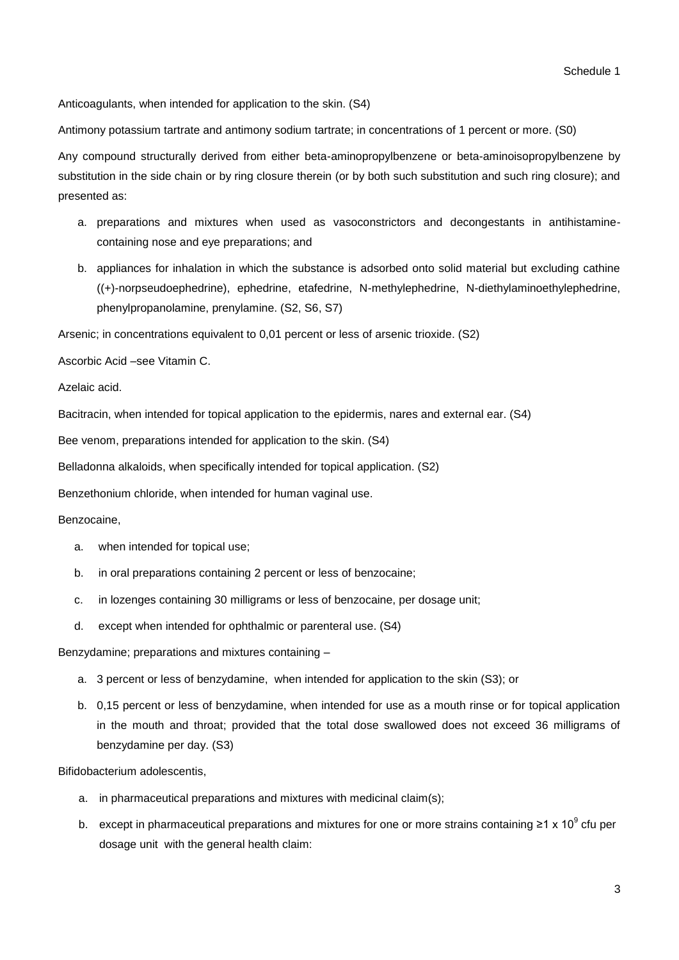Anticoagulants, when intended for application to the skin. (S4)

Antimony potassium tartrate and antimony sodium tartrate; in concentrations of 1 percent or more. (S0)

Any compound structurally derived from either beta-aminopropylbenzene or beta-aminoisopropylbenzene by substitution in the side chain or by ring closure therein (or by both such substitution and such ring closure); and presented as:

- a. preparations and mixtures when used as vasoconstrictors and decongestants in antihistaminecontaining nose and eye preparations; and
- b. appliances for inhalation in which the substance is adsorbed onto solid material but excluding cathine ((+)-norpseudoephedrine), ephedrine, etafedrine, N-methylephedrine, N-diethylaminoethylephedrine, phenylpropanolamine, prenylamine. (S2, S6, S7)

Arsenic; in concentrations equivalent to 0,01 percent or less of arsenic trioxide. (S2)

Ascorbic Acid –see Vitamin C.

Azelaic acid.

Bacitracin, when intended for topical application to the epidermis, nares and external ear. (S4)

Bee venom, preparations intended for application to the skin. (S4)

Belladonna alkaloids, when specifically intended for topical application. (S2)

Benzethonium chloride, when intended for human vaginal use.

#### Benzocaine,

- a. when intended for topical use;
- b. in oral preparations containing 2 percent or less of benzocaine;
- c. in lozenges containing 30 milligrams or less of benzocaine, per dosage unit;
- d. except when intended for ophthalmic or parenteral use. (S4)

Benzydamine; preparations and mixtures containing –

- a. 3 percent or less of benzydamine, when intended for application to the skin (S3); or
- b. 0,15 percent or less of benzydamine, when intended for use as a mouth rinse or for topical application in the mouth and throat; provided that the total dose swallowed does not exceed 36 milligrams of benzydamine per day. (S3)

Bifidobacterium adolescentis,

- a. in pharmaceutical preparations and mixtures with medicinal claim(s);
- b. except in pharmaceutical preparations and mixtures for one or more strains containing ≥1 x 10<sup>9</sup> cfu per dosage unit with the general health claim: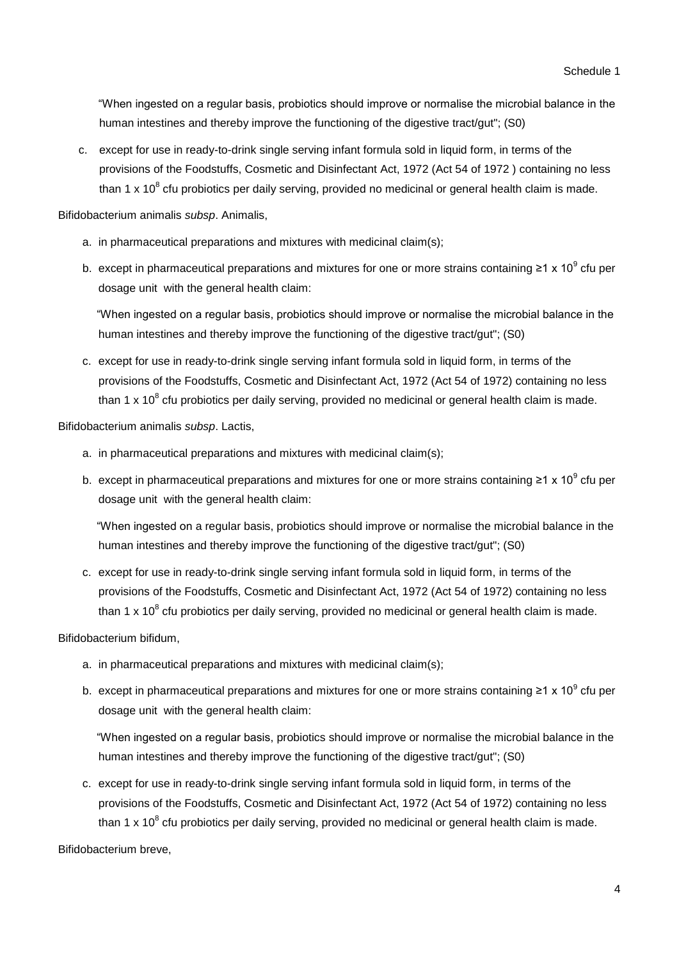"When ingested on a regular basis, probiotics should improve or normalise the microbial balance in the human intestines and thereby improve the functioning of the digestive tract/gut"; (S0)

c. except for use in ready-to-drink single serving infant formula sold in liquid form, in terms of the provisions of the Foodstuffs, Cosmetic and Disinfectant Act, 1972 (Act 54 of 1972 ) containing no less than 1 x 10<sup>8</sup> cfu probiotics per daily serving, provided no medicinal or general health claim is made.

Bifidobacterium animalis *subsp*. Animalis,

- a. in pharmaceutical preparations and mixtures with medicinal claim(s);
- b. except in pharmaceutical preparations and mixtures for one or more strains containing ≥1 x 10<sup>9</sup> cfu per dosage unit with the general health claim:

"When ingested on a regular basis, probiotics should improve or normalise the microbial balance in the human intestines and thereby improve the functioning of the digestive tract/gut"; (S0)

c. except for use in ready-to-drink single serving infant formula sold in liquid form, in terms of the provisions of the Foodstuffs, Cosmetic and Disinfectant Act, 1972 (Act 54 of 1972) containing no less than 1 x 10<sup>8</sup> cfu probiotics per daily serving, provided no medicinal or general health claim is made.

Bifidobacterium animalis *subsp*. Lactis,

- a. in pharmaceutical preparations and mixtures with medicinal claim(s);
- b. except in pharmaceutical preparations and mixtures for one or more strains containing ≥1 x 10<sup>9</sup> cfu per dosage unit with the general health claim:

"When ingested on a regular basis, probiotics should improve or normalise the microbial balance in the human intestines and thereby improve the functioning of the digestive tract/gut"; (S0)

c. except for use in ready-to-drink single serving infant formula sold in liquid form, in terms of the provisions of the Foodstuffs, Cosmetic and Disinfectant Act, 1972 (Act 54 of 1972) containing no less than 1 x 10<sup>8</sup> cfu probiotics per daily serving, provided no medicinal or general health claim is made.

Bifidobacterium bifidum,

- a. in pharmaceutical preparations and mixtures with medicinal claim(s);
- b. except in pharmaceutical preparations and mixtures for one or more strains containing ≥1 x 10<sup>9</sup> cfu per dosage unit with the general health claim:

"When ingested on a regular basis, probiotics should improve or normalise the microbial balance in the human intestines and thereby improve the functioning of the digestive tract/gut"; (S0)

c. except for use in ready-to-drink single serving infant formula sold in liquid form, in terms of the provisions of the Foodstuffs, Cosmetic and Disinfectant Act, 1972 (Act 54 of 1972) containing no less than 1 x 10<sup>8</sup> cfu probiotics per daily serving, provided no medicinal or general health claim is made.

Bifidobacterium breve,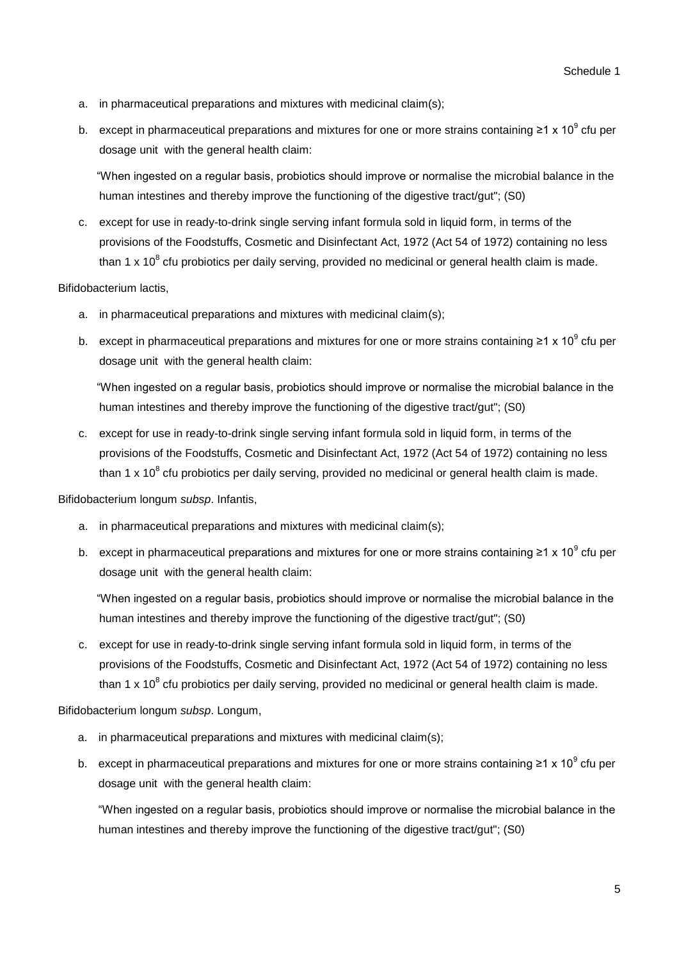- a. in pharmaceutical preparations and mixtures with medicinal claim(s);
- b. except in pharmaceutical preparations and mixtures for one or more strains containing ≥1 x 10<sup>9</sup> cfu per dosage unit with the general health claim:

"When ingested on a regular basis, probiotics should improve or normalise the microbial balance in the human intestines and thereby improve the functioning of the digestive tract/gut"; (S0)

c. except for use in ready-to-drink single serving infant formula sold in liquid form, in terms of the provisions of the Foodstuffs, Cosmetic and Disinfectant Act, 1972 (Act 54 of 1972) containing no less than 1 x 10<sup>8</sup> cfu probiotics per daily serving, provided no medicinal or general health claim is made.

#### Bifidobacterium lactis,

- a. in pharmaceutical preparations and mixtures with medicinal claim(s);
- b. except in pharmaceutical preparations and mixtures for one or more strains containing ≥1 x 10<sup>9</sup> cfu per dosage unit with the general health claim:

"When ingested on a regular basis, probiotics should improve or normalise the microbial balance in the human intestines and thereby improve the functioning of the digestive tract/gut"; (S0)

c. except for use in ready-to-drink single serving infant formula sold in liquid form, in terms of the provisions of the Foodstuffs, Cosmetic and Disinfectant Act, 1972 (Act 54 of 1972) containing no less than 1 x 10<sup>8</sup> cfu probiotics per daily serving, provided no medicinal or general health claim is made.

Bifidobacterium longum *subsp*. Infantis,

- a. in pharmaceutical preparations and mixtures with medicinal claim(s);
- b. except in pharmaceutical preparations and mixtures for one or more strains containing ≥1 x 10<sup>9</sup> cfu per dosage unit with the general health claim:

"When ingested on a regular basis, probiotics should improve or normalise the microbial balance in the human intestines and thereby improve the functioning of the digestive tract/gut"; (S0)

c. except for use in ready-to-drink single serving infant formula sold in liquid form, in terms of the provisions of the Foodstuffs, Cosmetic and Disinfectant Act, 1972 (Act 54 of 1972) containing no less than 1 x 10<sup>8</sup> cfu probiotics per daily serving, provided no medicinal or general health claim is made.

Bifidobacterium longum *subsp*. Longum,

- a. in pharmaceutical preparations and mixtures with medicinal claim(s);
- b. except in pharmaceutical preparations and mixtures for one or more strains containing ≥1 x 10<sup>9</sup> cfu per dosage unit with the general health claim:

"When ingested on a regular basis, probiotics should improve or normalise the microbial balance in the human intestines and thereby improve the functioning of the digestive tract/gut"; (S0)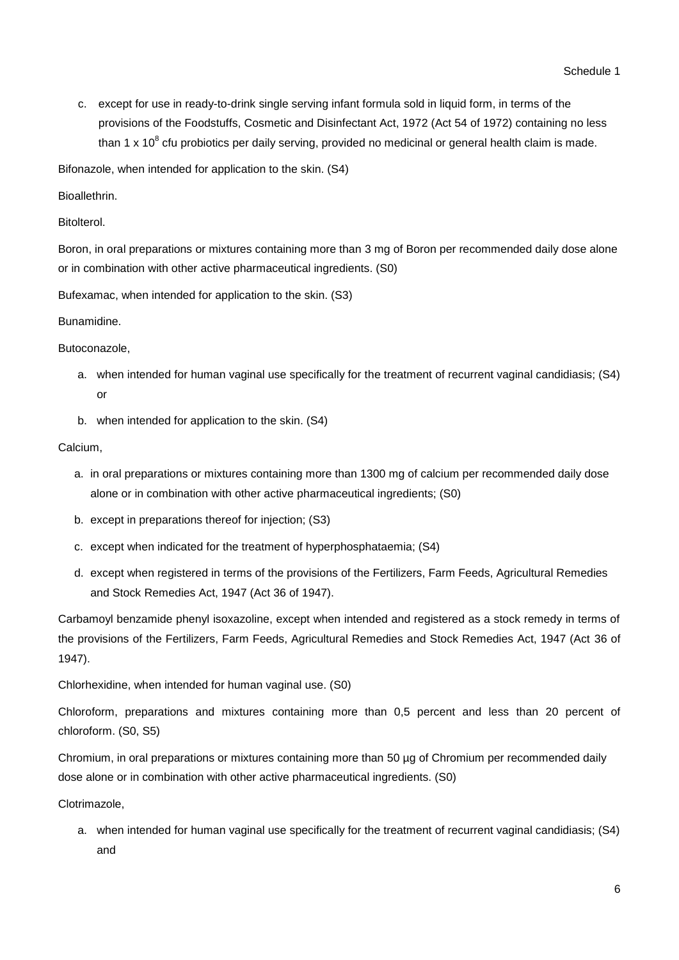c. except for use in ready-to-drink single serving infant formula sold in liquid form, in terms of the provisions of the Foodstuffs, Cosmetic and Disinfectant Act, 1972 (Act 54 of 1972) containing no less than 1 x 10<sup>8</sup> cfu probiotics per daily serving, provided no medicinal or general health claim is made.

Bifonazole, when intended for application to the skin. (S4)

**Bioallethrin** 

Bitolterol.

Boron, in oral preparations or mixtures containing more than 3 mg of Boron per recommended daily dose alone or in combination with other active pharmaceutical ingredients. (S0)

Bufexamac, when intended for application to the skin. (S3)

Bunamidine.

Butoconazole,

- a. when intended for human vaginal use specifically for the treatment of recurrent vaginal candidiasis; (S4) or
- b. when intended for application to the skin. (S4)

Calcium,

- a. in oral preparations or mixtures containing more than 1300 mg of calcium per recommended daily dose alone or in combination with other active pharmaceutical ingredients; (S0)
- b. except in preparations thereof for injection; (S3)
- c. except when indicated for the treatment of hyperphosphataemia; (S4)
- d. except when registered in terms of the provisions of the Fertilizers, Farm Feeds, Agricultural Remedies and Stock Remedies Act, 1947 (Act 36 of 1947).

Carbamoyl benzamide phenyl isoxazoline, except when intended and registered as a stock remedy in terms of the provisions of the Fertilizers, Farm Feeds, Agricultural Remedies and Stock Remedies Act, 1947 (Act 36 of 1947).

Chlorhexidine, when intended for human vaginal use. (S0)

Chloroform, preparations and mixtures containing more than 0,5 percent and less than 20 percent of chloroform. (S0, S5)

Chromium, in oral preparations or mixtures containing more than 50 µg of Chromium per recommended daily dose alone or in combination with other active pharmaceutical ingredients. (S0)

Clotrimazole,

a. when intended for human vaginal use specifically for the treatment of recurrent vaginal candidiasis; (S4) and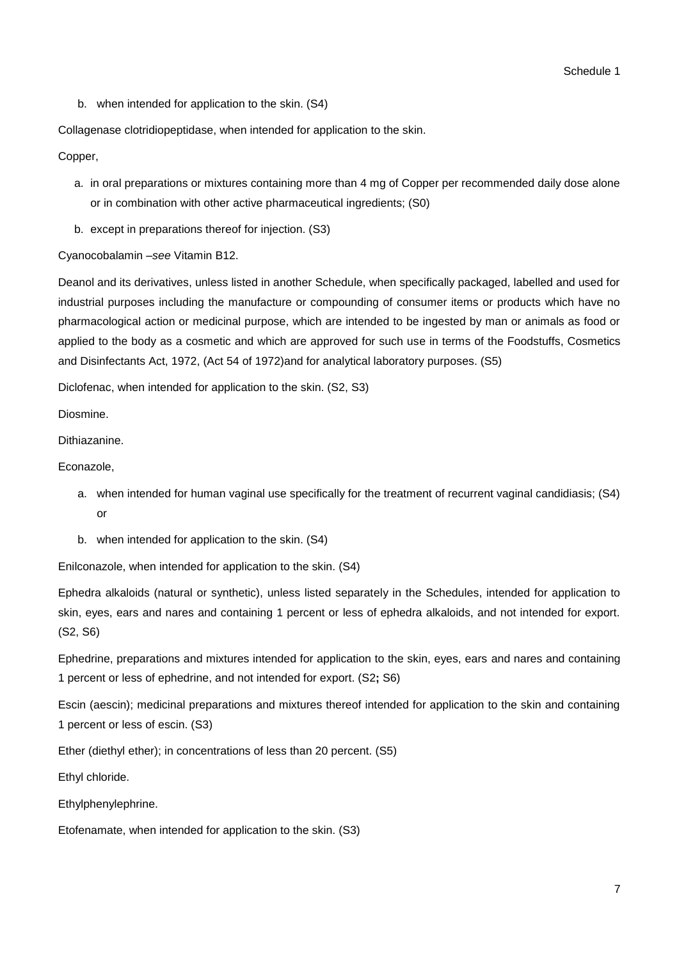b. when intended for application to the skin. (S4)

Collagenase clotridiopeptidase, when intended for application to the skin.

Copper,

- a. in oral preparations or mixtures containing more than 4 mg of Copper per recommended daily dose alone or in combination with other active pharmaceutical ingredients; (S0)
- b. except in preparations thereof for injection. (S3)

Cyanocobalamin –*see* Vitamin B12.

Deanol and its derivatives, unless listed in another Schedule, when specifically packaged, labelled and used for industrial purposes including the manufacture or compounding of consumer items or products which have no pharmacological action or medicinal purpose, which are intended to be ingested by man or animals as food or applied to the body as a cosmetic and which are approved for such use in terms of the Foodstuffs, Cosmetics and Disinfectants Act, 1972, (Act 54 of 1972)and for analytical laboratory purposes. (S5)

Diclofenac, when intended for application to the skin. (S2, S3)

Diosmine.

Dithiazanine.

Econazole,

- a. when intended for human vaginal use specifically for the treatment of recurrent vaginal candidiasis; (S4) or
- b. when intended for application to the skin. (S4)

Enilconazole, when intended for application to the skin. (S4)

Ephedra alkaloids (natural or synthetic), unless listed separately in the Schedules, intended for application to skin, eyes, ears and nares and containing 1 percent or less of ephedra alkaloids, and not intended for export. (S2, S6)

Ephedrine, preparations and mixtures intended for application to the skin, eyes, ears and nares and containing 1 percent or less of ephedrine, and not intended for export. (S2**;** S6)

Escin (aescin); medicinal preparations and mixtures thereof intended for application to the skin and containing 1 percent or less of escin. (S3)

Ether (diethyl ether); in concentrations of less than 20 percent. (S5)

Ethyl chloride.

Ethylphenylephrine.

Etofenamate, when intended for application to the skin. (S3)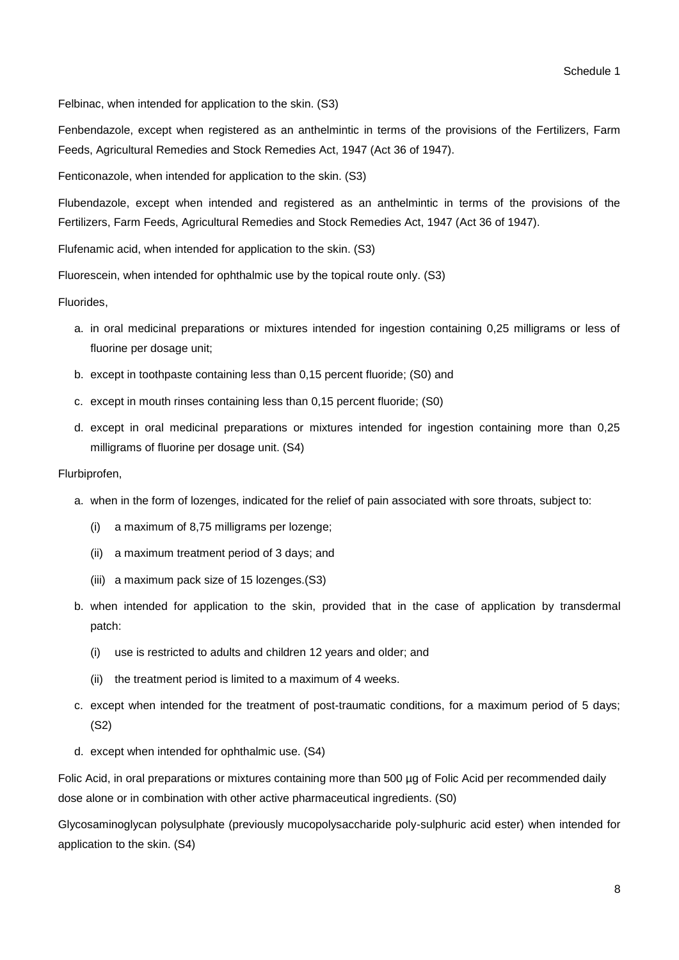Felbinac, when intended for application to the skin. (S3)

Fenbendazole, except when registered as an anthelmintic in terms of the provisions of the Fertilizers, Farm Feeds, Agricultural Remedies and Stock Remedies Act, 1947 (Act 36 of 1947).

Fenticonazole, when intended for application to the skin. (S3)

Flubendazole, except when intended and registered as an anthelmintic in terms of the provisions of the Fertilizers, Farm Feeds, Agricultural Remedies and Stock Remedies Act, 1947 (Act 36 of 1947).

Flufenamic acid, when intended for application to the skin. (S3)

Fluorescein, when intended for ophthalmic use by the topical route only. (S3)

Fluorides,

- a. in oral medicinal preparations or mixtures intended for ingestion containing 0,25 milligrams or less of fluorine per dosage unit;
- b. except in toothpaste containing less than 0,15 percent fluoride; (S0) and
- c. except in mouth rinses containing less than 0,15 percent fluoride; (S0)
- d. except in oral medicinal preparations or mixtures intended for ingestion containing more than 0,25 milligrams of fluorine per dosage unit. (S4)

#### Flurbiprofen,

- a. when in the form of lozenges, indicated for the relief of pain associated with sore throats, subject to:
	- (i) a maximum of 8,75 milligrams per lozenge;
	- (ii) a maximum treatment period of 3 days; and
	- (iii) a maximum pack size of 15 lozenges.(S3)
- b. when intended for application to the skin, provided that in the case of application by transdermal patch:
	- (i) use is restricted to adults and children 12 years and older; and
	- (ii) the treatment period is limited to a maximum of 4 weeks.
- c. except when intended for the treatment of post-traumatic conditions, for a maximum period of 5 days; (S2)
- d. except when intended for ophthalmic use. (S4)

Folic Acid, in oral preparations or mixtures containing more than 500 µg of Folic Acid per recommended daily dose alone or in combination with other active pharmaceutical ingredients. (S0)

Glycosaminoglycan polysulphate (previously mucopolysaccharide poly-sulphuric acid ester) when intended for application to the skin. (S4)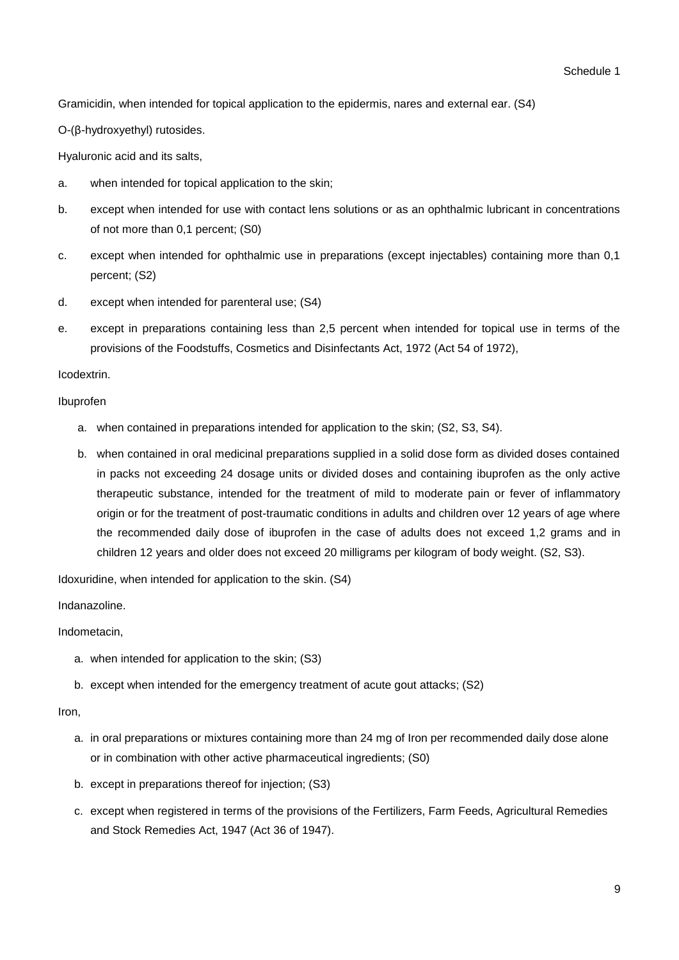Gramicidin, when intended for topical application to the epidermis, nares and external ear. (S4)

O-(β-hydroxyethyl) rutosides.

Hyaluronic acid and its salts,

- a. when intended for topical application to the skin;
- b. except when intended for use with contact lens solutions or as an ophthalmic lubricant in concentrations of not more than 0,1 percent; (S0)
- c. except when intended for ophthalmic use in preparations (except injectables) containing more than 0,1 percent; (S2)
- d. except when intended for parenteral use; (S4)
- e. except in preparations containing less than 2,5 percent when intended for topical use in terms of the provisions of the Foodstuffs, Cosmetics and Disinfectants Act, 1972 (Act 54 of 1972),

Icodextrin.

#### Ibuprofen

- a. when contained in preparations intended for application to the skin; (S2, S3, S4).
- b. when contained in oral medicinal preparations supplied in a solid dose form as divided doses contained in packs not exceeding 24 dosage units or divided doses and containing ibuprofen as the only active therapeutic substance, intended for the treatment of mild to moderate pain or fever of inflammatory origin or for the treatment of post-traumatic conditions in adults and children over 12 years of age where the recommended daily dose of ibuprofen in the case of adults does not exceed 1,2 grams and in children 12 years and older does not exceed 20 milligrams per kilogram of body weight. (S2, S3).

Idoxuridine, when intended for application to the skin. (S4)

Indanazoline.

Indometacin,

- a. when intended for application to the skin; (S3)
- b. except when intended for the emergency treatment of acute gout attacks; (S2)

Iron,

- a. in oral preparations or mixtures containing more than 24 mg of Iron per recommended daily dose alone or in combination with other active pharmaceutical ingredients; (S0)
- b. except in preparations thereof for injection; (S3)
- c. except when registered in terms of the provisions of the Fertilizers, Farm Feeds, Agricultural Remedies and Stock Remedies Act, 1947 (Act 36 of 1947).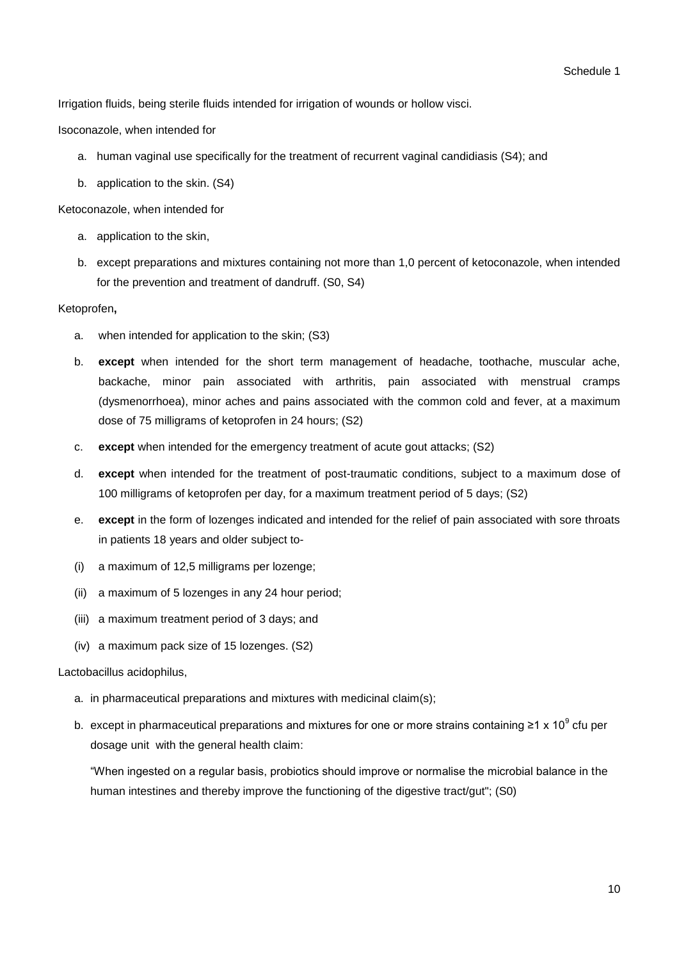Irrigation fluids, being sterile fluids intended for irrigation of wounds or hollow visci.

Isoconazole, when intended for

- a. human vaginal use specifically for the treatment of recurrent vaginal candidiasis (S4); and
- b. application to the skin. (S4)

Ketoconazole, when intended for

- a. application to the skin,
- b. except preparations and mixtures containing not more than 1,0 percent of ketoconazole, when intended for the prevention and treatment of dandruff. (S0, S4)

#### Ketoprofen**,**

- a. when intended for application to the skin; (S3)
- b. **except** when intended for the short term management of headache, toothache, muscular ache, backache, minor pain associated with arthritis, pain associated with menstrual cramps (dysmenorrhoea), minor aches and pains associated with the common cold and fever, at a maximum dose of 75 milligrams of ketoprofen in 24 hours; (S2)
- c. **except** when intended for the emergency treatment of acute gout attacks; (S2)
- d. **except** when intended for the treatment of post-traumatic conditions, subject to a maximum dose of 100 milligrams of ketoprofen per day, for a maximum treatment period of 5 days; (S2)
- e. **except** in the form of lozenges indicated and intended for the relief of pain associated with sore throats in patients 18 years and older subject to-
- (i) a maximum of 12,5 milligrams per lozenge;
- (ii) a maximum of 5 lozenges in any 24 hour period;
- (iii) a maximum treatment period of 3 days; and
- (iv) a maximum pack size of 15 lozenges. (S2)

#### Lactobacillus acidophilus,

- a. in pharmaceutical preparations and mixtures with medicinal claim(s);
- b. except in pharmaceutical preparations and mixtures for one or more strains containing ≥1 x 10<sup>9</sup> cfu per dosage unit with the general health claim:

"When ingested on a regular basis, probiotics should improve or normalise the microbial balance in the human intestines and thereby improve the functioning of the digestive tract/gut"; (S0)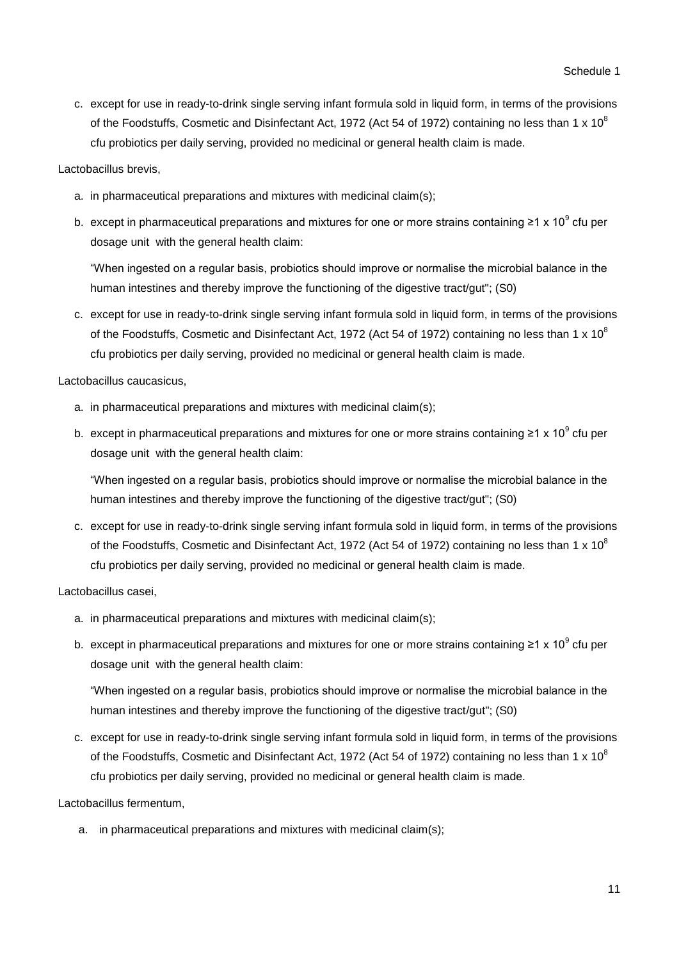c. except for use in ready-to-drink single serving infant formula sold in liquid form, in terms of the provisions of the Foodstuffs, Cosmetic and Disinfectant Act, 1972 (Act 54 of 1972) containing no less than 1 x 10 $^8$ cfu probiotics per daily serving, provided no medicinal or general health claim is made.

## Lactobacillus brevis,

- a. in pharmaceutical preparations and mixtures with medicinal claim(s);
- b. except in pharmaceutical preparations and mixtures for one or more strains containing ≥1 x 10<sup>9</sup> cfu per dosage unit with the general health claim:

"When ingested on a regular basis, probiotics should improve or normalise the microbial balance in the human intestines and thereby improve the functioning of the digestive tract/gut"; (S0)

c. except for use in ready-to-drink single serving infant formula sold in liquid form, in terms of the provisions of the Foodstuffs, Cosmetic and Disinfectant Act, 1972 (Act 54 of 1972) containing no less than 1 x 10 $^8$ cfu probiotics per daily serving, provided no medicinal or general health claim is made.

Lactobacillus caucasicus,

- a. in pharmaceutical preparations and mixtures with medicinal claim(s);
- b. except in pharmaceutical preparations and mixtures for one or more strains containing ≥1 x 10<sup>9</sup> cfu per dosage unit with the general health claim:

"When ingested on a regular basis, probiotics should improve or normalise the microbial balance in the human intestines and thereby improve the functioning of the digestive tract/gut"; (S0)

c. except for use in ready-to-drink single serving infant formula sold in liquid form, in terms of the provisions of the Foodstuffs, Cosmetic and Disinfectant Act, 1972 (Act 54 of 1972) containing no less than 1 x 10 $^8$ cfu probiotics per daily serving, provided no medicinal or general health claim is made.

## Lactobacillus casei,

- a. in pharmaceutical preparations and mixtures with medicinal claim(s);
- b. except in pharmaceutical preparations and mixtures for one or more strains containing ≥1 x 10<sup>9</sup> cfu per dosage unit with the general health claim:

"When ingested on a regular basis, probiotics should improve or normalise the microbial balance in the human intestines and thereby improve the functioning of the digestive tract/gut"; (S0)

c. except for use in ready-to-drink single serving infant formula sold in liquid form, in terms of the provisions of the Foodstuffs, Cosmetic and Disinfectant Act, 1972 (Act 54 of 1972) containing no less than 1 x 10 $^8$ cfu probiotics per daily serving, provided no medicinal or general health claim is made.

Lactobacillus fermentum,

a. in pharmaceutical preparations and mixtures with medicinal claim(s);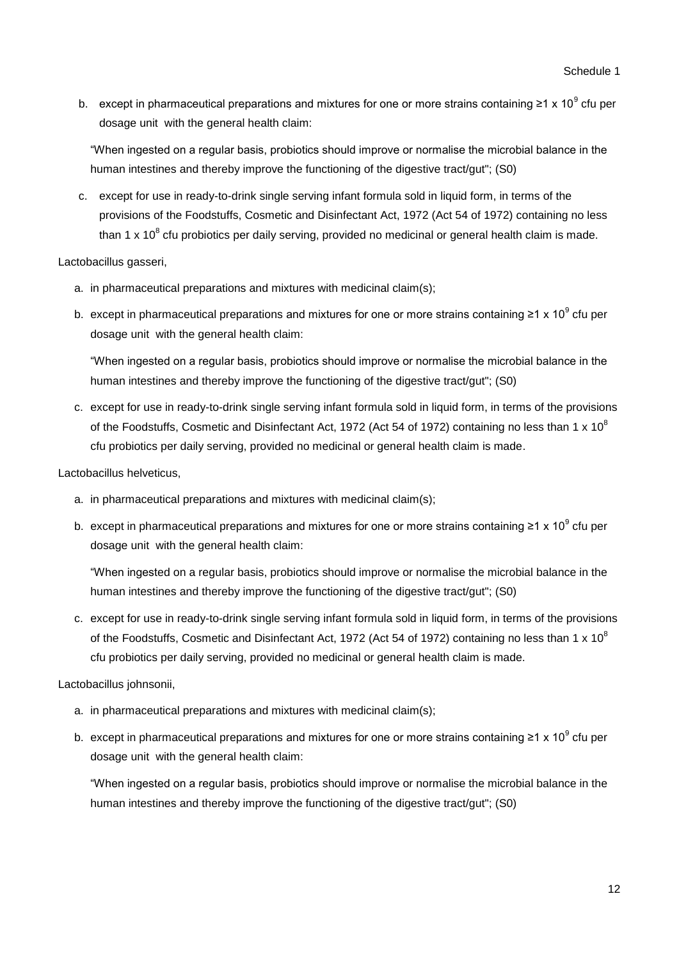b. except in pharmaceutical preparations and mixtures for one or more strains containing ≥1 x 10<sup>9</sup> cfu per dosage unit with the general health claim:

"When ingested on a regular basis, probiotics should improve or normalise the microbial balance in the human intestines and thereby improve the functioning of the digestive tract/gut"; (S0)

c. except for use in ready-to-drink single serving infant formula sold in liquid form, in terms of the provisions of the Foodstuffs, Cosmetic and Disinfectant Act, 1972 (Act 54 of 1972) containing no less than 1 x 10<sup>8</sup> cfu probiotics per daily serving, provided no medicinal or general health claim is made.

Lactobacillus gasseri,

- a. in pharmaceutical preparations and mixtures with medicinal claim(s);
- b. except in pharmaceutical preparations and mixtures for one or more strains containing ≥1 x 10<sup>9</sup> cfu per dosage unit with the general health claim:

"When ingested on a regular basis, probiotics should improve or normalise the microbial balance in the human intestines and thereby improve the functioning of the digestive tract/gut"; (S0)

c. except for use in ready-to-drink single serving infant formula sold in liquid form, in terms of the provisions of the Foodstuffs, Cosmetic and Disinfectant Act, 1972 (Act 54 of 1972) containing no less than 1 x 10<sup>8</sup> cfu probiotics per daily serving, provided no medicinal or general health claim is made.

Lactobacillus helveticus,

- a. in pharmaceutical preparations and mixtures with medicinal claim(s);
- b. except in pharmaceutical preparations and mixtures for one or more strains containing ≥1 x 10<sup>9</sup> cfu per dosage unit with the general health claim:

"When ingested on a regular basis, probiotics should improve or normalise the microbial balance in the human intestines and thereby improve the functioning of the digestive tract/gut"; (S0)

c. except for use in ready-to-drink single serving infant formula sold in liquid form, in terms of the provisions of the Foodstuffs, Cosmetic and Disinfectant Act, 1972 (Act 54 of 1972) containing no less than 1 x 10<sup>8</sup> cfu probiotics per daily serving, provided no medicinal or general health claim is made.

Lactobacillus johnsonii,

- a. in pharmaceutical preparations and mixtures with medicinal claim(s);
- b. except in pharmaceutical preparations and mixtures for one or more strains containing ≥1 x 10<sup>9</sup> cfu per dosage unit with the general health claim:

"When ingested on a regular basis, probiotics should improve or normalise the microbial balance in the human intestines and thereby improve the functioning of the digestive tract/gut"; (S0)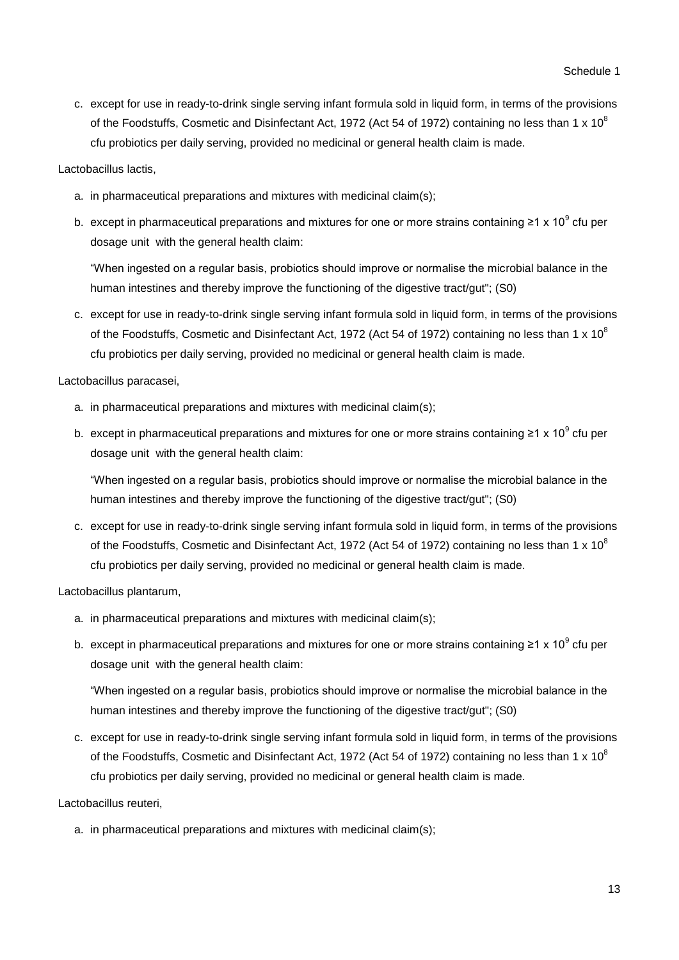c. except for use in ready-to-drink single serving infant formula sold in liquid form, in terms of the provisions of the Foodstuffs, Cosmetic and Disinfectant Act, 1972 (Act 54 of 1972) containing no less than 1 x 10 $^8$ cfu probiotics per daily serving, provided no medicinal or general health claim is made.

## Lactobacillus lactis,

- a. in pharmaceutical preparations and mixtures with medicinal claim(s);
- b. except in pharmaceutical preparations and mixtures for one or more strains containing ≥1 x 10<sup>9</sup> cfu per dosage unit with the general health claim:

"When ingested on a regular basis, probiotics should improve or normalise the microbial balance in the human intestines and thereby improve the functioning of the digestive tract/gut"; (S0)

c. except for use in ready-to-drink single serving infant formula sold in liquid form, in terms of the provisions of the Foodstuffs, Cosmetic and Disinfectant Act, 1972 (Act 54 of 1972) containing no less than 1 x 10 $^8$ cfu probiotics per daily serving, provided no medicinal or general health claim is made.

Lactobacillus paracasei,

- a. in pharmaceutical preparations and mixtures with medicinal claim(s);
- b. except in pharmaceutical preparations and mixtures for one or more strains containing ≥1 x 10<sup>9</sup> cfu per dosage unit with the general health claim:

"When ingested on a regular basis, probiotics should improve or normalise the microbial balance in the human intestines and thereby improve the functioning of the digestive tract/gut"; (S0)

c. except for use in ready-to-drink single serving infant formula sold in liquid form, in terms of the provisions of the Foodstuffs, Cosmetic and Disinfectant Act, 1972 (Act 54 of 1972) containing no less than 1 x 10 $^8$ cfu probiotics per daily serving, provided no medicinal or general health claim is made.

Lactobacillus plantarum,

- a. in pharmaceutical preparations and mixtures with medicinal claim(s);
- b. except in pharmaceutical preparations and mixtures for one or more strains containing ≥1 x 10<sup>9</sup> cfu per dosage unit with the general health claim:

"When ingested on a regular basis, probiotics should improve or normalise the microbial balance in the human intestines and thereby improve the functioning of the digestive tract/gut"; (S0)

c. except for use in ready-to-drink single serving infant formula sold in liquid form, in terms of the provisions of the Foodstuffs, Cosmetic and Disinfectant Act, 1972 (Act 54 of 1972) containing no less than 1 x 10 $^8$ cfu probiotics per daily serving, provided no medicinal or general health claim is made.

Lactobacillus reuteri,

a. in pharmaceutical preparations and mixtures with medicinal claim(s);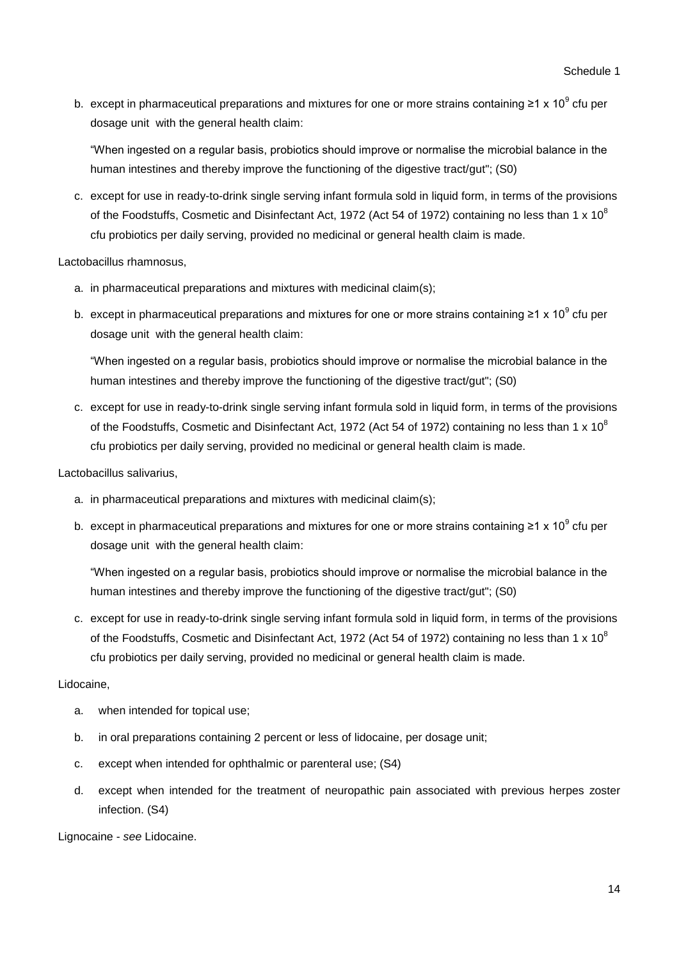b. except in pharmaceutical preparations and mixtures for one or more strains containing ≥1 x 10<sup>9</sup> cfu per dosage unit with the general health claim:

"When ingested on a regular basis, probiotics should improve or normalise the microbial balance in the human intestines and thereby improve the functioning of the digestive tract/gut"; (S0)

c. except for use in ready-to-drink single serving infant formula sold in liquid form, in terms of the provisions of the Foodstuffs, Cosmetic and Disinfectant Act, 1972 (Act 54 of 1972) containing no less than 1 x 10<sup>8</sup> cfu probiotics per daily serving, provided no medicinal or general health claim is made.

Lactobacillus rhamnosus,

- a. in pharmaceutical preparations and mixtures with medicinal claim(s);
- b. except in pharmaceutical preparations and mixtures for one or more strains containing ≥1 x 10<sup>9</sup> cfu per dosage unit with the general health claim:

"When ingested on a regular basis, probiotics should improve or normalise the microbial balance in the human intestines and thereby improve the functioning of the digestive tract/gut"; (S0)

c. except for use in ready-to-drink single serving infant formula sold in liquid form, in terms of the provisions of the Foodstuffs, Cosmetic and Disinfectant Act, 1972 (Act 54 of 1972) containing no less than 1 x 10<sup>8</sup> cfu probiotics per daily serving, provided no medicinal or general health claim is made.

Lactobacillus salivarius,

- a. in pharmaceutical preparations and mixtures with medicinal claim(s);
- b. except in pharmaceutical preparations and mixtures for one or more strains containing ≥1 x 10<sup>9</sup> cfu per dosage unit with the general health claim:

"When ingested on a regular basis, probiotics should improve or normalise the microbial balance in the human intestines and thereby improve the functioning of the digestive tract/gut"; (S0)

c. except for use in ready-to-drink single serving infant formula sold in liquid form, in terms of the provisions of the Foodstuffs, Cosmetic and Disinfectant Act, 1972 (Act 54 of 1972) containing no less than 1 x 10<sup>8</sup> cfu probiotics per daily serving, provided no medicinal or general health claim is made.

## Lidocaine,

- a. when intended for topical use;
- b. in oral preparations containing 2 percent or less of lidocaine, per dosage unit;
- c. except when intended for ophthalmic or parenteral use; (S4)
- d. except when intended for the treatment of neuropathic pain associated with previous herpes zoster infection. (S4)

Lignocaine - *see* Lidocaine.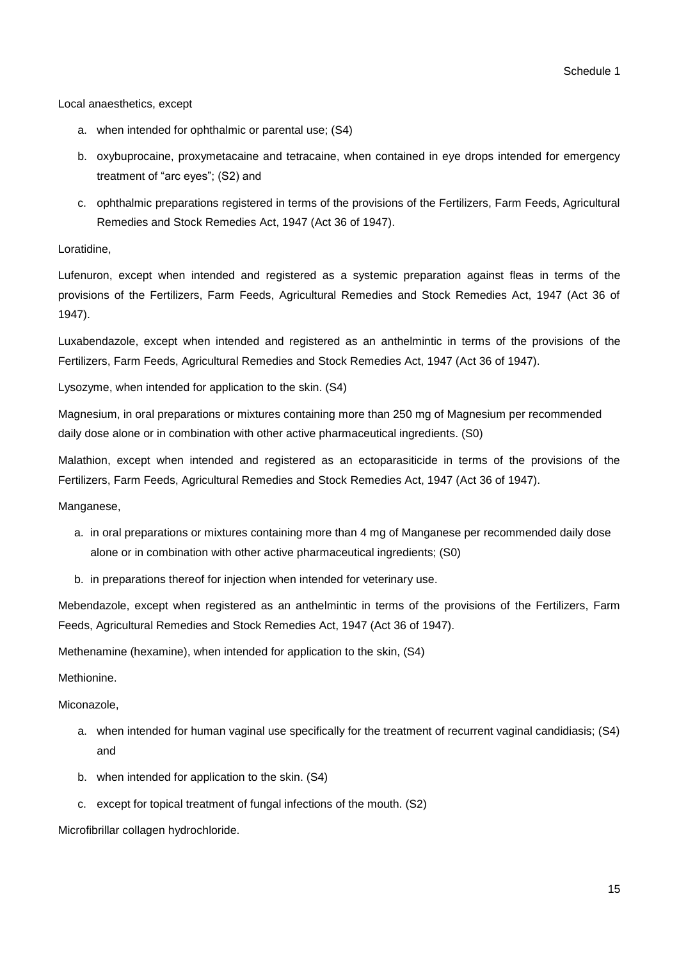Local anaesthetics, except

- a. when intended for ophthalmic or parental use; (S4)
- b. oxybuprocaine, proxymetacaine and tetracaine, when contained in eye drops intended for emergency treatment of "arc eyes"; (S2) and
- c. ophthalmic preparations registered in terms of the provisions of the Fertilizers, Farm Feeds, Agricultural Remedies and Stock Remedies Act, 1947 (Act 36 of 1947).

Loratidine,

Lufenuron, except when intended and registered as a systemic preparation against fleas in terms of the provisions of the Fertilizers, Farm Feeds, Agricultural Remedies and Stock Remedies Act, 1947 (Act 36 of 1947).

Luxabendazole, except when intended and registered as an anthelmintic in terms of the provisions of the Fertilizers, Farm Feeds, Agricultural Remedies and Stock Remedies Act, 1947 (Act 36 of 1947).

Lysozyme, when intended for application to the skin. (S4)

Magnesium, in oral preparations or mixtures containing more than 250 mg of Magnesium per recommended daily dose alone or in combination with other active pharmaceutical ingredients. (S0)

Malathion, except when intended and registered as an ectoparasiticide in terms of the provisions of the Fertilizers, Farm Feeds, Agricultural Remedies and Stock Remedies Act, 1947 (Act 36 of 1947).

Manganese,

- a. in oral preparations or mixtures containing more than 4 mg of Manganese per recommended daily dose alone or in combination with other active pharmaceutical ingredients; (S0)
- b. in preparations thereof for injection when intended for veterinary use.

Mebendazole, except when registered as an anthelmintic in terms of the provisions of the Fertilizers, Farm Feeds, Agricultural Remedies and Stock Remedies Act, 1947 (Act 36 of 1947).

Methenamine (hexamine), when intended for application to the skin, (S4)

Methionine.

Miconazole,

- a. when intended for human vaginal use specifically for the treatment of recurrent vaginal candidiasis; (S4) and
- b. when intended for application to the skin. (S4)
- c. except for topical treatment of fungal infections of the mouth. (S2)

Microfibrillar collagen hydrochloride.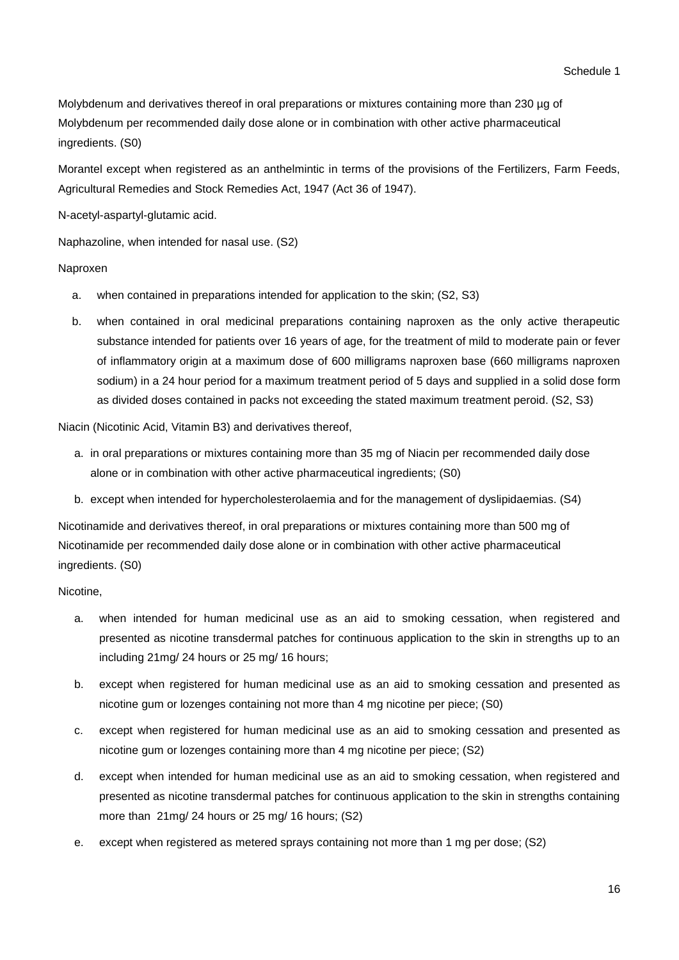Molybdenum and derivatives thereof in oral preparations or mixtures containing more than 230 µg of Molybdenum per recommended daily dose alone or in combination with other active pharmaceutical ingredients. (S0)

Morantel except when registered as an anthelmintic in terms of the provisions of the Fertilizers, Farm Feeds, Agricultural Remedies and Stock Remedies Act, 1947 (Act 36 of 1947).

N-acetyl-aspartyl-glutamic acid.

Naphazoline, when intended for nasal use. (S2)

Naproxen

- a. when contained in preparations intended for application to the skin; (S2, S3)
- b. when contained in oral medicinal preparations containing naproxen as the only active therapeutic substance intended for patients over 16 years of age, for the treatment of mild to moderate pain or fever of inflammatory origin at a maximum dose of 600 milligrams naproxen base (660 milligrams naproxen sodium) in a 24 hour period for a maximum treatment period of 5 days and supplied in a solid dose form as divided doses contained in packs not exceeding the stated maximum treatment peroid. (S2, S3)

Niacin (Nicotinic Acid, Vitamin B3) and derivatives thereof,

- a. in oral preparations or mixtures containing more than 35 mg of Niacin per recommended daily dose alone or in combination with other active pharmaceutical ingredients; (S0)
- b. except when intended for hypercholesterolaemia and for the management of dyslipidaemias. (S4)

Nicotinamide and derivatives thereof, in oral preparations or mixtures containing more than 500 mg of Nicotinamide per recommended daily dose alone or in combination with other active pharmaceutical ingredients. (S0)

Nicotine,

- a. when intended for human medicinal use as an aid to smoking cessation, when registered and presented as nicotine transdermal patches for continuous application to the skin in strengths up to an including 21mg/ 24 hours or 25 mg/ 16 hours;
- b. except when registered for human medicinal use as an aid to smoking cessation and presented as nicotine gum or lozenges containing not more than 4 mg nicotine per piece; (S0)
- c. except when registered for human medicinal use as an aid to smoking cessation and presented as nicotine gum or lozenges containing more than 4 mg nicotine per piece; (S2)
- d. except when intended for human medicinal use as an aid to smoking cessation, when registered and presented as nicotine transdermal patches for continuous application to the skin in strengths containing more than 21mg/ 24 hours or 25 mg/ 16 hours; (S2)
- e. except when registered as metered sprays containing not more than 1 mg per dose; (S2)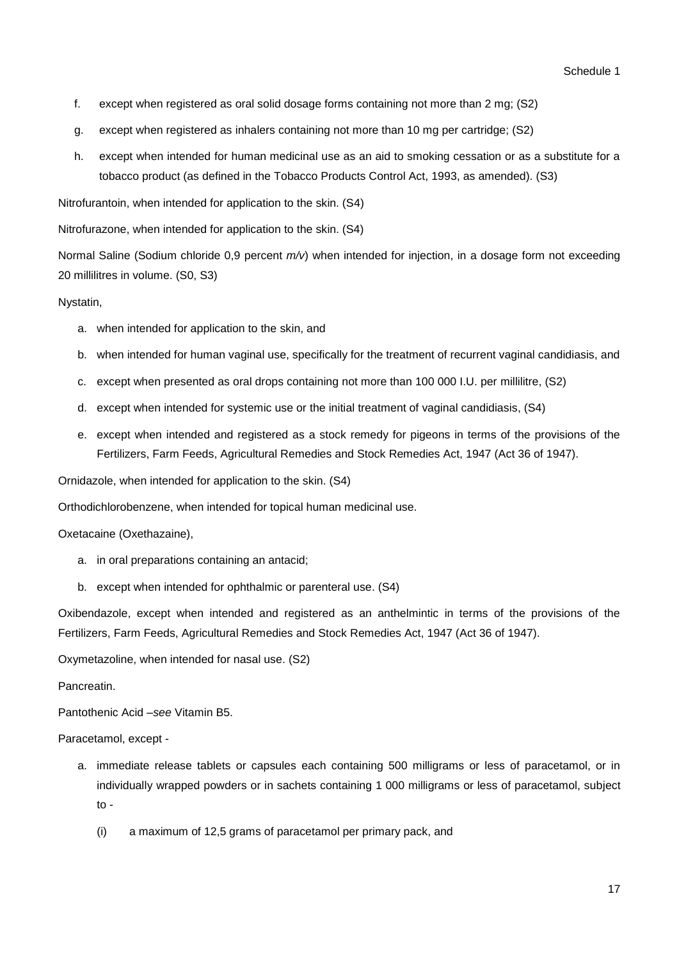- f. except when registered as oral solid dosage forms containing not more than 2 mg; (S2)
- g. except when registered as inhalers containing not more than 10 mg per cartridge; (S2)
- h. except when intended for human medicinal use as an aid to smoking cessation or as a substitute for a tobacco product (as defined in the Tobacco Products Control Act, 1993, as amended). (S3)

Nitrofurantoin, when intended for application to the skin. (S4)

Nitrofurazone, when intended for application to the skin. (S4)

Normal Saline (Sodium chloride 0,9 percent *m/v*) when intended for injection, in a dosage form not exceeding 20 millilitres in volume. (S0, S3)

## Nystatin,

- a. when intended for application to the skin, and
- b. when intended for human vaginal use, specifically for the treatment of recurrent vaginal candidiasis, and
- c. except when presented as oral drops containing not more than 100 000 I.U. per millilitre, (S2)
- d. except when intended for systemic use or the initial treatment of vaginal candidiasis, (S4)
- e. except when intended and registered as a stock remedy for pigeons in terms of the provisions of the Fertilizers, Farm Feeds, Agricultural Remedies and Stock Remedies Act, 1947 (Act 36 of 1947).

Ornidazole, when intended for application to the skin. (S4)

Orthodichlorobenzene, when intended for topical human medicinal use.

#### Oxetacaine (Oxethazaine),

- a. in oral preparations containing an antacid;
- b. except when intended for ophthalmic or parenteral use. (S4)

Oxibendazole, except when intended and registered as an anthelmintic in terms of the provisions of the Fertilizers, Farm Feeds, Agricultural Remedies and Stock Remedies Act, 1947 (Act 36 of 1947).

Oxymetazoline, when intended for nasal use. (S2)

#### **Pancreatin**

Pantothenic Acid –*see* Vitamin B5.

Paracetamol, except -

- a. immediate release tablets or capsules each containing 500 milligrams or less of paracetamol, or in individually wrapped powders or in sachets containing 1 000 milligrams or less of paracetamol, subject to -
	- (i) a maximum of 12,5 grams of paracetamol per primary pack, and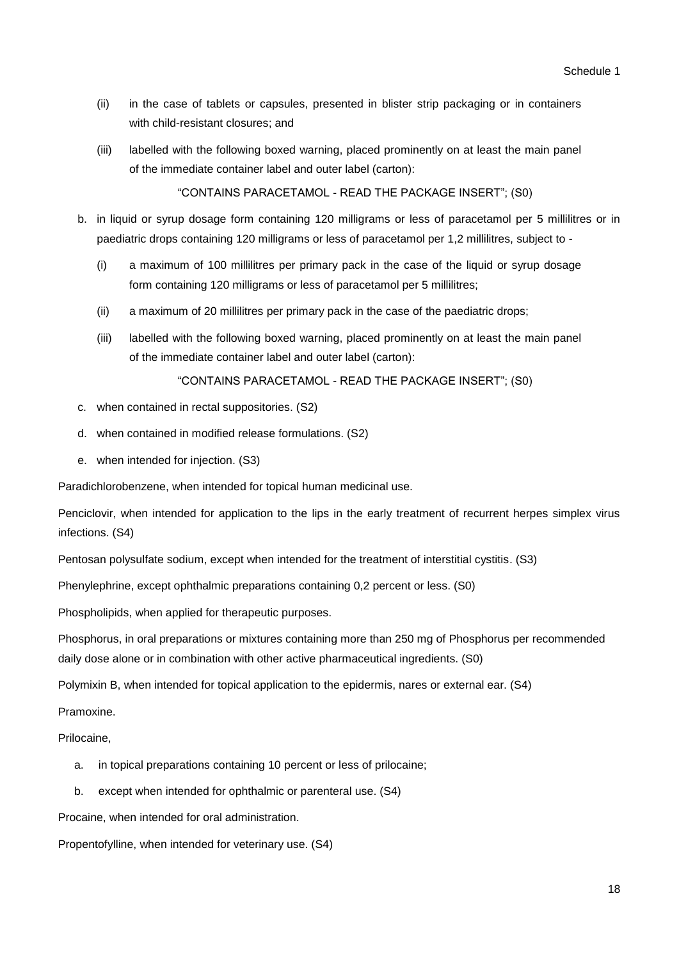- (ii) in the case of tablets or capsules, presented in blister strip packaging or in containers with child-resistant closures; and
- (iii) labelled with the following boxed warning, placed prominently on at least the main panel of the immediate container label and outer label (carton):

"CONTAINS PARACETAMOL - READ THE PACKAGE INSERT"; (S0)

- b. in liquid or syrup dosage form containing 120 milligrams or less of paracetamol per 5 millilitres or in paediatric drops containing 120 milligrams or less of paracetamol per 1,2 millilitres, subject to -
	- (i) a maximum of 100 millilitres per primary pack in the case of the liquid or syrup dosage form containing 120 milligrams or less of paracetamol per 5 millilitres;
	- (ii) a maximum of 20 millilitres per primary pack in the case of the paediatric drops;
	- (iii) labelled with the following boxed warning, placed prominently on at least the main panel of the immediate container label and outer label (carton):

"CONTAINS PARACETAMOL - READ THE PACKAGE INSERT"; (S0)

- c. when contained in rectal suppositories. (S2)
- d. when contained in modified release formulations. (S2)
- e. when intended for injection. (S3)

Paradichlorobenzene, when intended for topical human medicinal use.

Penciclovir, when intended for application to the lips in the early treatment of recurrent herpes simplex virus infections. (S4)

Pentosan polysulfate sodium, except when intended for the treatment of interstitial cystitis. (S3)

Phenylephrine, except ophthalmic preparations containing 0,2 percent or less. (S0)

Phospholipids, when applied for therapeutic purposes.

Phosphorus, in oral preparations or mixtures containing more than 250 mg of Phosphorus per recommended daily dose alone or in combination with other active pharmaceutical ingredients. (S0)

Polymixin B, when intended for topical application to the epidermis, nares or external ear. (S4)

Pramoxine.

Prilocaine,

- a. in topical preparations containing 10 percent or less of prilocaine;
- b. except when intended for ophthalmic or parenteral use. (S4)

Procaine, when intended for oral administration.

Propentofylline, when intended for veterinary use. (S4)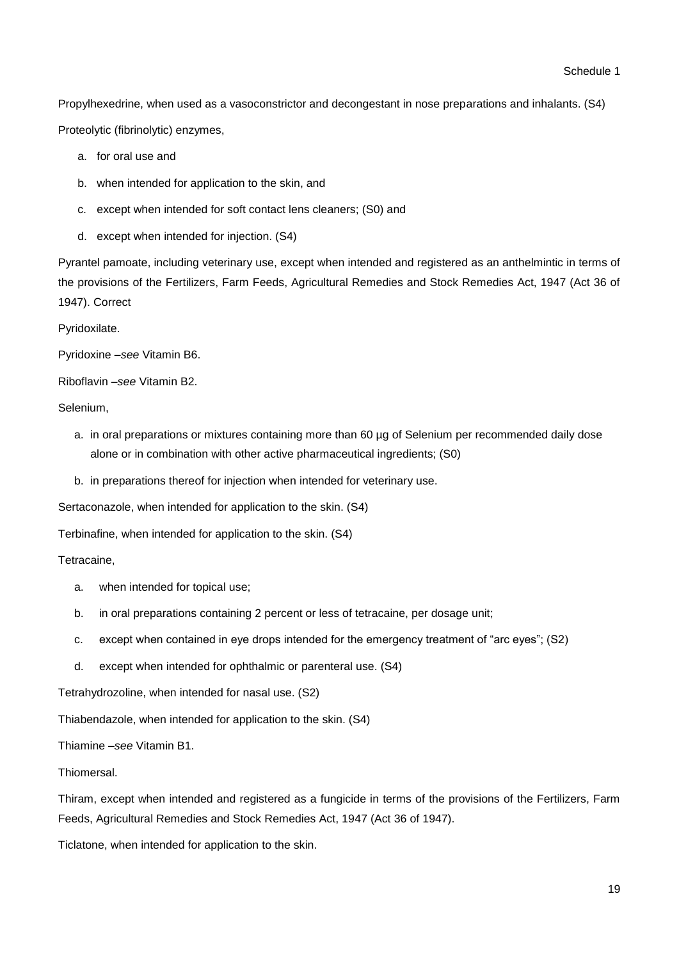Propylhexedrine, when used as a vasoconstrictor and decongestant in nose preparations and inhalants. (S4) Proteolytic (fibrinolytic) enzymes,

- a. for oral use and
- b. when intended for application to the skin, and
- c. except when intended for soft contact lens cleaners; (S0) and
- d. except when intended for injection. (S4)

Pyrantel pamoate, including veterinary use, except when intended and registered as an anthelmintic in terms of the provisions of the Fertilizers, Farm Feeds, Agricultural Remedies and Stock Remedies Act, 1947 (Act 36 of 1947). Correct

Pyridoxilate.

Pyridoxine –*see* Vitamin B6.

Riboflavin –*see* Vitamin B2.

Selenium,

- a. in oral preparations or mixtures containing more than 60 µg of Selenium per recommended daily dose alone or in combination with other active pharmaceutical ingredients; (S0)
- b. in preparations thereof for injection when intended for veterinary use.

Sertaconazole, when intended for application to the skin. (S4)

Terbinafine, when intended for application to the skin. (S4)

Tetracaine,

- a. when intended for topical use;
- b. in oral preparations containing 2 percent or less of tetracaine, per dosage unit;
- c. except when contained in eye drops intended for the emergency treatment of "arc eyes"; (S2)
- d. except when intended for ophthalmic or parenteral use. (S4)

Tetrahydrozoline, when intended for nasal use. (S2)

Thiabendazole, when intended for application to the skin. (S4)

Thiamine –*see* Vitamin B1.

**Thiomersal** 

Thiram, except when intended and registered as a fungicide in terms of the provisions of the Fertilizers, Farm Feeds, Agricultural Remedies and Stock Remedies Act, 1947 (Act 36 of 1947).

Ticlatone, when intended for application to the skin.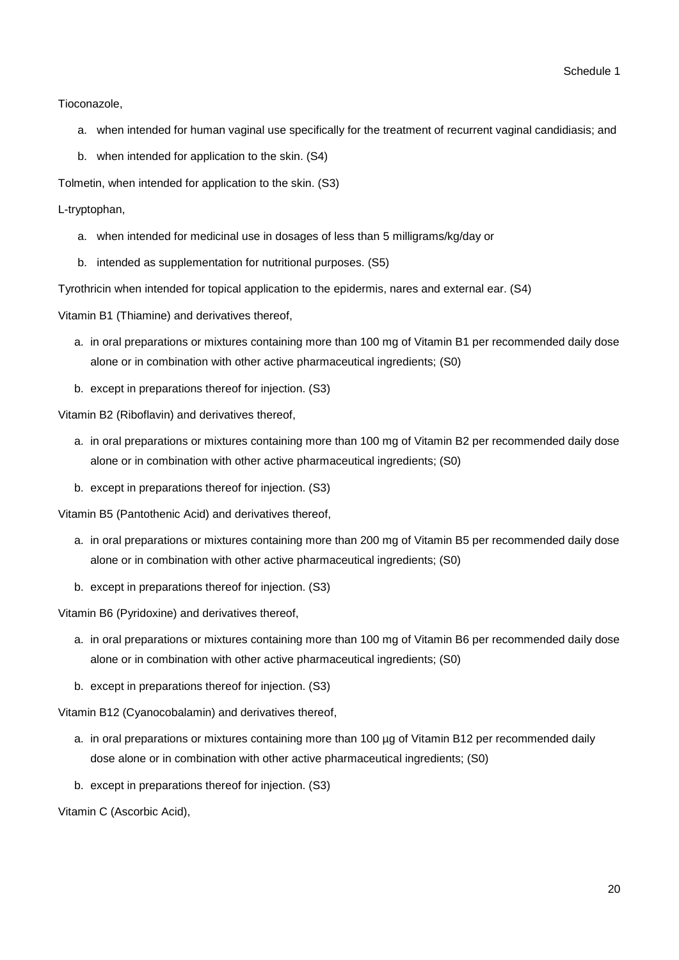Tioconazole,

- a. when intended for human vaginal use specifically for the treatment of recurrent vaginal candidiasis; and
- b. when intended for application to the skin. (S4)

Tolmetin, when intended for application to the skin. (S3)

L-tryptophan,

- a. when intended for medicinal use in dosages of less than 5 milligrams/kg/day or
- b. intended as supplementation for nutritional purposes. (S5)

Tyrothricin when intended for topical application to the epidermis, nares and external ear. (S4)

Vitamin B1 (Thiamine) and derivatives thereof,

- a. in oral preparations or mixtures containing more than 100 mg of Vitamin B1 per recommended daily dose alone or in combination with other active pharmaceutical ingredients; (S0)
- b. except in preparations thereof for injection. (S3)

Vitamin B2 (Riboflavin) and derivatives thereof,

- a. in oral preparations or mixtures containing more than 100 mg of Vitamin B2 per recommended daily dose alone or in combination with other active pharmaceutical ingredients; (S0)
- b. except in preparations thereof for injection. (S3)

Vitamin B5 (Pantothenic Acid) and derivatives thereof,

- a. in oral preparations or mixtures containing more than 200 mg of Vitamin B5 per recommended daily dose alone or in combination with other active pharmaceutical ingredients; (S0)
- b. except in preparations thereof for injection. (S3)

Vitamin B6 (Pyridoxine) and derivatives thereof,

- a. in oral preparations or mixtures containing more than 100 mg of Vitamin B6 per recommended daily dose alone or in combination with other active pharmaceutical ingredients; (S0)
- b. except in preparations thereof for injection. (S3)

Vitamin B12 (Cyanocobalamin) and derivatives thereof,

- a. in oral preparations or mixtures containing more than 100 µg of Vitamin B12 per recommended daily dose alone or in combination with other active pharmaceutical ingredients; (S0)
- b. except in preparations thereof for injection. (S3)

Vitamin C (Ascorbic Acid),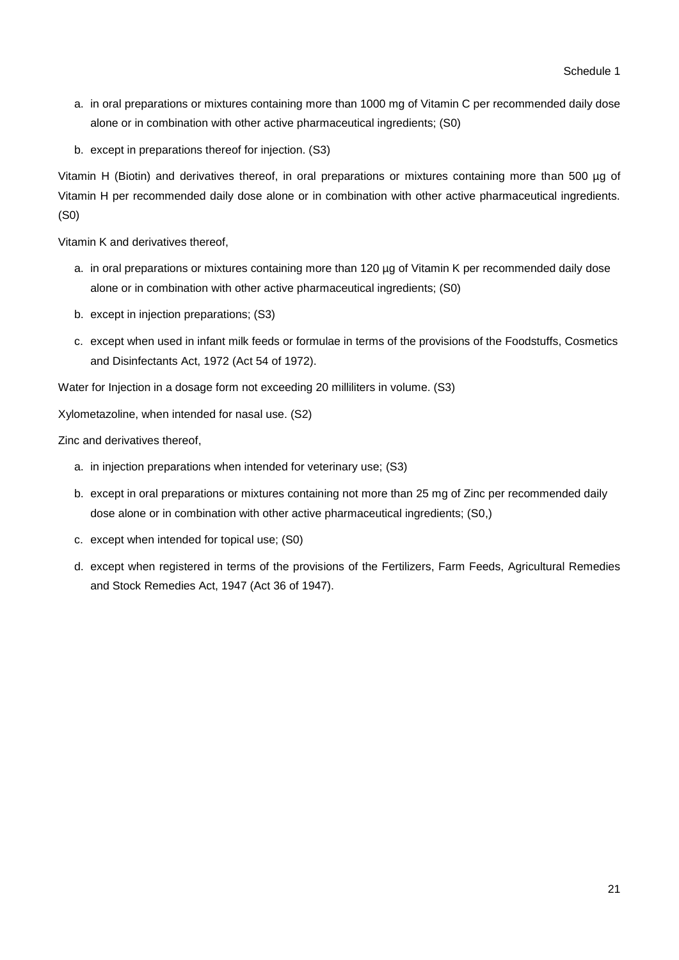- a. in oral preparations or mixtures containing more than 1000 mg of Vitamin C per recommended daily dose alone or in combination with other active pharmaceutical ingredients; (S0)
- b. except in preparations thereof for injection. (S3)

Vitamin H (Biotin) and derivatives thereof, in oral preparations or mixtures containing more than 500 µg of Vitamin H per recommended daily dose alone or in combination with other active pharmaceutical ingredients. (S0)

Vitamin K and derivatives thereof,

- a. in oral preparations or mixtures containing more than 120 µg of Vitamin K per recommended daily dose alone or in combination with other active pharmaceutical ingredients; (S0)
- b. except in injection preparations; (S3)
- c. except when used in infant milk feeds or formulae in terms of the provisions of the Foodstuffs, Cosmetics and Disinfectants Act, 1972 (Act 54 of 1972).

Water for Injection in a dosage form not exceeding 20 milliliters in volume. (S3)

Xylometazoline, when intended for nasal use. (S2)

Zinc and derivatives thereof,

- a. in injection preparations when intended for veterinary use; (S3)
- b. except in oral preparations or mixtures containing not more than 25 mg of Zinc per recommended daily dose alone or in combination with other active pharmaceutical ingredients; (S0,)
- c. except when intended for topical use; (S0)
- d. except when registered in terms of the provisions of the Fertilizers, Farm Feeds, Agricultural Remedies and Stock Remedies Act, 1947 (Act 36 of 1947).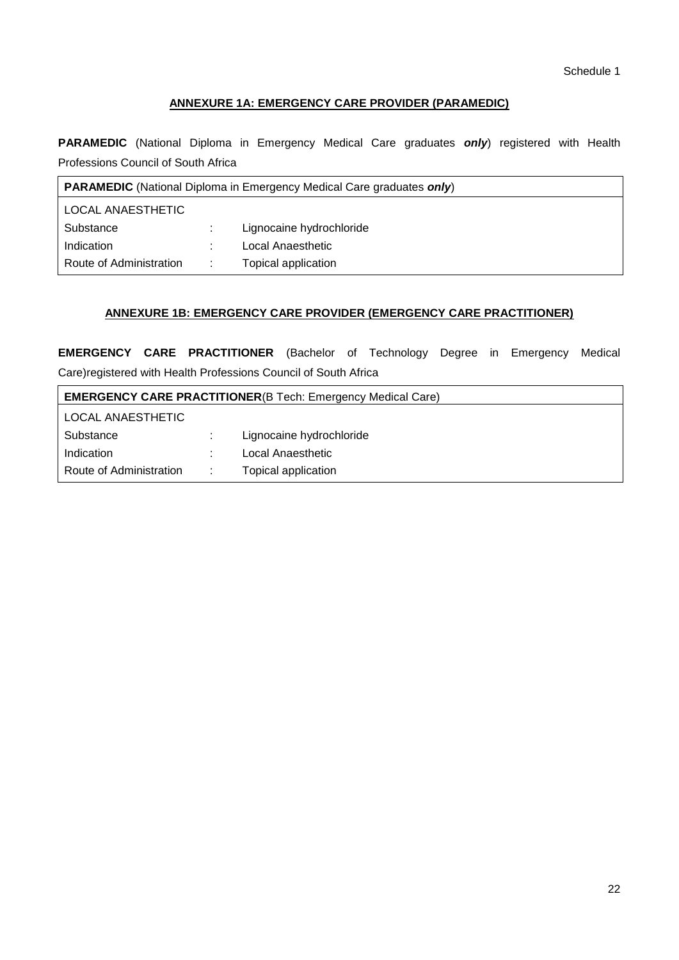## **ANNEXURE 1A: EMERGENCY CARE PROVIDER (PARAMEDIC)**

**PARAMEDIC** (National Diploma in Emergency Medical Care graduates *only*) registered with Health Professions Council of South Africa

| <b>PARAMEDIC</b> (National Diploma in Emergency Medical Care graduates only) |   |                          |  |  |  |
|------------------------------------------------------------------------------|---|--------------------------|--|--|--|
| <b>LOCAL ANAESTHETIC</b>                                                     |   |                          |  |  |  |
| Substance                                                                    |   | Lignocaine hydrochloride |  |  |  |
| Indication                                                                   |   | Local Anaesthetic        |  |  |  |
| Route of Administration                                                      | ÷ | Topical application      |  |  |  |

## **ANNEXURE 1B: EMERGENCY CARE PROVIDER (EMERGENCY CARE PRACTITIONER)**

**EMERGENCY CARE PRACTITIONER** (Bachelor of Technology Degree in Emergency Medical Care)registered with Health Professions Council of South Africa

| <b>EMERGENCY CARE PRACTITIONER(B Tech: Emergency Medical Care)</b> |  |                          |  |  |  |
|--------------------------------------------------------------------|--|--------------------------|--|--|--|
| LOCAL ANAESTHETIC                                                  |  |                          |  |  |  |
| Substance                                                          |  | Lignocaine hydrochloride |  |  |  |
| Indication                                                         |  | Local Anaesthetic        |  |  |  |
| Route of Administration                                            |  | Topical application      |  |  |  |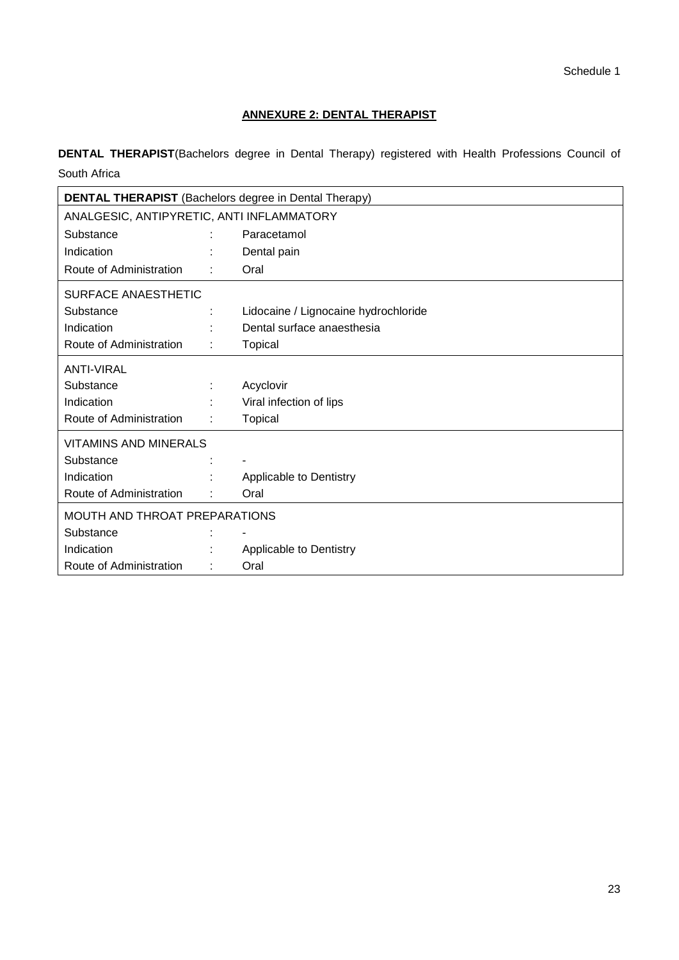## **ANNEXURE 2: DENTAL THERAPIST**

**DENTAL THERAPIST**(Bachelors degree in Dental Therapy) registered with Health Professions Council of South Africa

|                                           | <b>DENTAL THERAPIST</b> (Bachelors degree in Dental Therapy) |                                      |  |  |  |  |
|-------------------------------------------|--------------------------------------------------------------|--------------------------------------|--|--|--|--|
| ANALGESIC, ANTIPYRETIC, ANTI INFLAMMATORY |                                                              |                                      |  |  |  |  |
| Substance                                 |                                                              | Paracetamol                          |  |  |  |  |
| Indication                                |                                                              | Dental pain                          |  |  |  |  |
| Route of Administration                   |                                                              | Oral                                 |  |  |  |  |
| SURFACE ANAESTHETIC                       |                                                              |                                      |  |  |  |  |
| Substance                                 |                                                              | Lidocaine / Lignocaine hydrochloride |  |  |  |  |
| Indication                                |                                                              | Dental surface anaesthesia           |  |  |  |  |
| Route of Administration                   |                                                              | Topical                              |  |  |  |  |
| <b>ANTI-VIRAL</b>                         |                                                              |                                      |  |  |  |  |
| Substance                                 |                                                              | Acyclovir                            |  |  |  |  |
| Indication                                |                                                              | Viral infection of lips              |  |  |  |  |
| Route of Administration                   |                                                              | Topical                              |  |  |  |  |
| VITAMINS AND MINERALS                     |                                                              |                                      |  |  |  |  |
| Substance                                 |                                                              |                                      |  |  |  |  |
| Indication                                |                                                              | Applicable to Dentistry              |  |  |  |  |
| Route of Administration                   |                                                              | Oral                                 |  |  |  |  |
| MOUTH AND THROAT PREPARATIONS             |                                                              |                                      |  |  |  |  |
| Substance                                 |                                                              |                                      |  |  |  |  |
| Indication                                |                                                              | Applicable to Dentistry              |  |  |  |  |
| Route of Administration                   |                                                              | Oral                                 |  |  |  |  |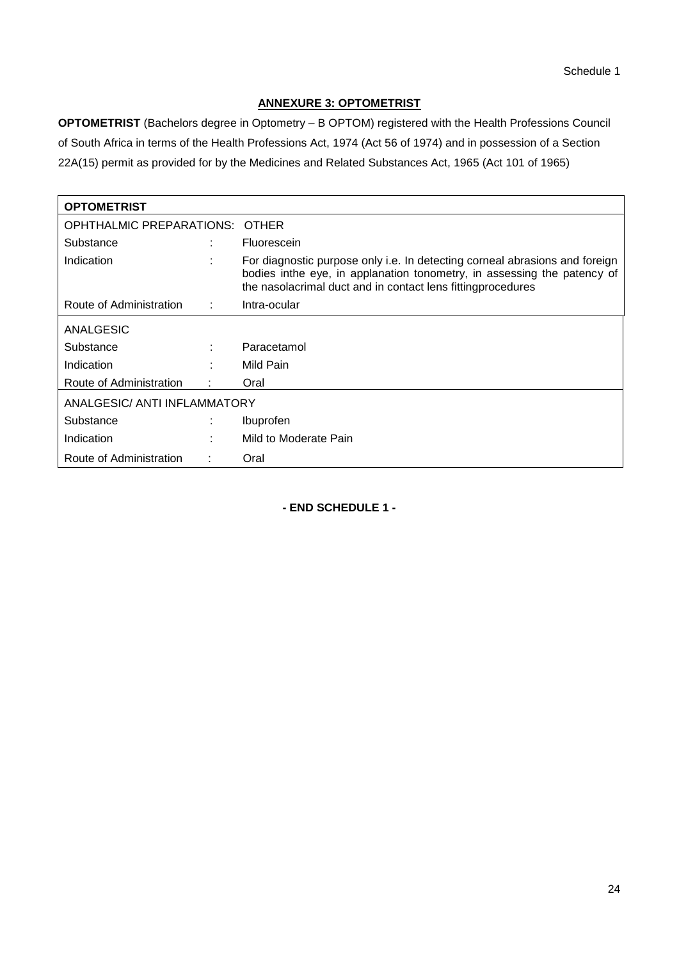## **ANNEXURE 3: OPTOMETRIST**

**OPTOMETRIST** (Bachelors degree in Optometry – B OPTOM) registered with the Health Professions Council of South Africa in terms of the Health Professions Act, 1974 (Act 56 of 1974) and in possession of a Section 22A(15) permit as provided for by the Medicines and Related Substances Act, 1965 (Act 101 of 1965)

| <b>OPTOMETRIST</b>          |    |                                                                                                                                                                                                                        |  |  |  |
|-----------------------------|----|------------------------------------------------------------------------------------------------------------------------------------------------------------------------------------------------------------------------|--|--|--|
| OPHTHALMIC PREPARATIONS:    |    | <b>OTHER</b>                                                                                                                                                                                                           |  |  |  |
| Substance                   |    | Fluorescein                                                                                                                                                                                                            |  |  |  |
| Indication                  | ٠  | For diagnostic purpose only i.e. In detecting corneal abrasions and foreign<br>bodies inthe eye, in applanation tonometry, in assessing the patency of<br>the nasolacrimal duct and in contact lens fitting procedures |  |  |  |
| Route of Administration     | л. | Intra-ocular                                                                                                                                                                                                           |  |  |  |
| ANALGESIC                   |    |                                                                                                                                                                                                                        |  |  |  |
| Substance                   |    | Paracetamol                                                                                                                                                                                                            |  |  |  |
| Indication                  |    | Mild Pain                                                                                                                                                                                                              |  |  |  |
| Route of Administration     |    | Oral                                                                                                                                                                                                                   |  |  |  |
| ANALGESIC/ANTI INFLAMMATORY |    |                                                                                                                                                                                                                        |  |  |  |
| Substance                   |    | Ibuprofen                                                                                                                                                                                                              |  |  |  |
| Indication                  | ۰. | Mild to Moderate Pain                                                                                                                                                                                                  |  |  |  |
| Route of Administration     |    | Oral                                                                                                                                                                                                                   |  |  |  |

**- END SCHEDULE 1 -**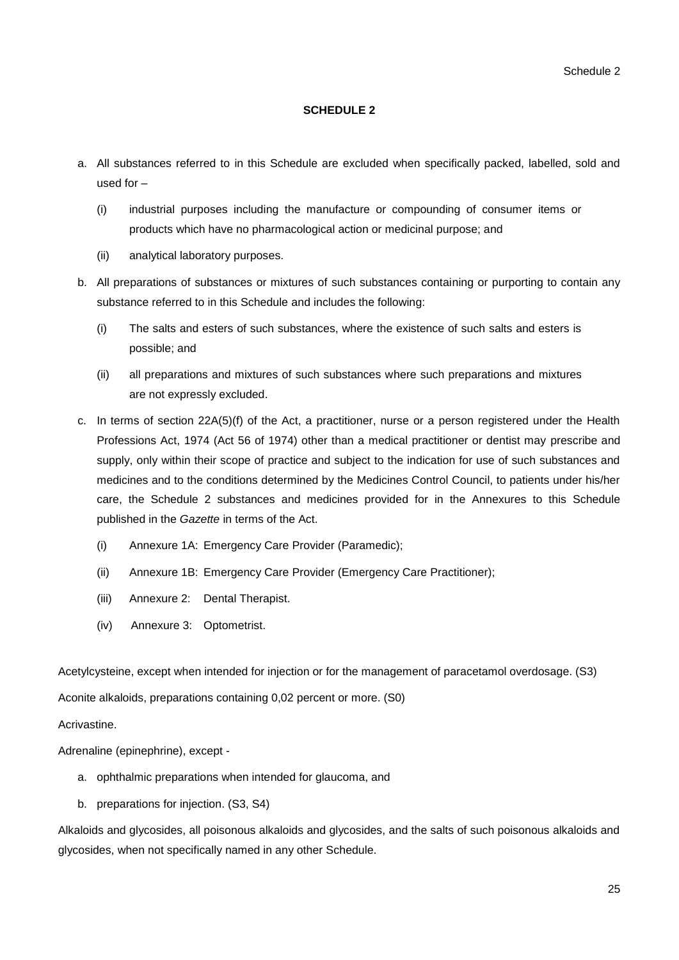## **SCHEDULE 2**

- a. All substances referred to in this Schedule are excluded when specifically packed, labelled, sold and used for –
	- (i) industrial purposes including the manufacture or compounding of consumer items or products which have no pharmacological action or medicinal purpose; and
	- (ii) analytical laboratory purposes.
- b. All preparations of substances or mixtures of such substances containing or purporting to contain any substance referred to in this Schedule and includes the following:
	- (i) The salts and esters of such substances, where the existence of such salts and esters is possible; and
	- (ii) all preparations and mixtures of such substances where such preparations and mixtures are not expressly excluded.
- c. In terms of section 22A(5)(f) of the Act, a practitioner, nurse or a person registered under the Health Professions Act, 1974 (Act 56 of 1974) other than a medical practitioner or dentist may prescribe and supply, only within their scope of practice and subject to the indication for use of such substances and medicines and to the conditions determined by the Medicines Control Council, to patients under his/her care, the Schedule 2 substances and medicines provided for in the Annexures to this Schedule published in the *Gazette* in terms of the Act.
	- (i) Annexure 1A: Emergency Care Provider (Paramedic);
	- (ii) Annexure 1B: Emergency Care Provider (Emergency Care Practitioner);
	- (iii) Annexure 2: Dental Therapist.
	- (iv) Annexure 3: Optometrist.

Acetylcysteine, except when intended for injection or for the management of paracetamol overdosage. (S3)

Aconite alkaloids, preparations containing 0,02 percent or more. (S0)

## Acrivastine.

Adrenaline (epinephrine), except -

- a. ophthalmic preparations when intended for glaucoma, and
- b. preparations for injection. (S3, S4)

Alkaloids and glycosides, all poisonous alkaloids and glycosides, and the salts of such poisonous alkaloids and glycosides, when not specifically named in any other Schedule.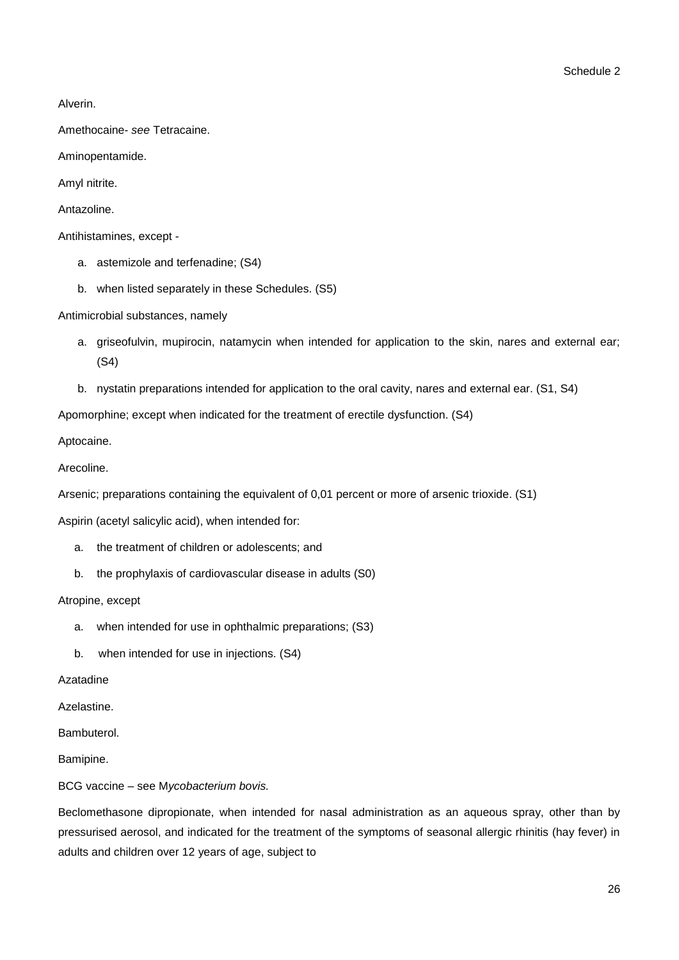Alverin.

Amethocaine- *see* Tetracaine.

Aminopentamide.

Amyl nitrite.

Antazoline.

Antihistamines, except -

- a. astemizole and terfenadine; (S4)
- b. when listed separately in these Schedules. (S5)

Antimicrobial substances, namely

- a. griseofulvin, mupirocin, natamycin when intended for application to the skin, nares and external ear; (S4)
- b. nystatin preparations intended for application to the oral cavity, nares and external ear. (S1, S4)

Apomorphine; except when indicated for the treatment of erectile dysfunction. (S4)

Aptocaine.

Arecoline.

Arsenic; preparations containing the equivalent of 0,01 percent or more of arsenic trioxide. (S1)

Aspirin (acetyl salicylic acid), when intended for:

- a. the treatment of children or adolescents; and
- b. the prophylaxis of cardiovascular disease in adults (S0)

Atropine, except

- a. when intended for use in ophthalmic preparations; (S3)
- b. when intended for use in injections. (S4)

Azatadine

Azelastine.

Bambuterol.

Bamipine.

BCG vaccine – see M*ycobacterium bovis.*

Beclomethasone dipropionate, when intended for nasal administration as an aqueous spray, other than by pressurised aerosol, and indicated for the treatment of the symptoms of seasonal allergic rhinitis (hay fever) in adults and children over 12 years of age, subject to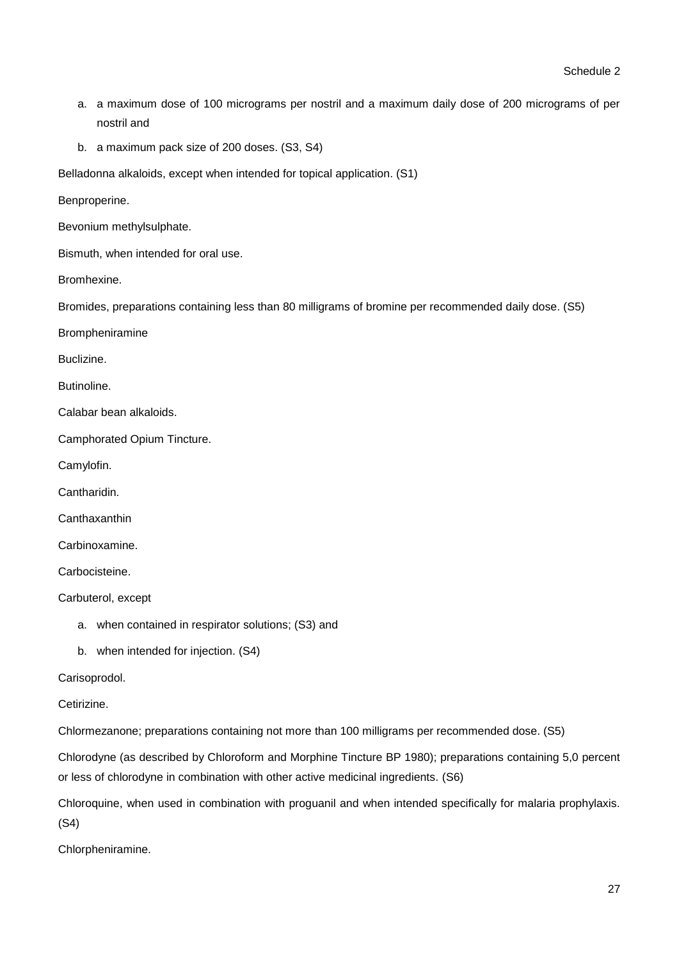- a. a maximum dose of 100 micrograms per nostril and a maximum daily dose of 200 micrograms of per nostril and
- b. a maximum pack size of 200 doses. (S3, S4)

Belladonna alkaloids, except when intended for topical application. (S1)

Benproperine.

Bevonium methylsulphate.

Bismuth, when intended for oral use.

Bromhexine.

Bromides, preparations containing less than 80 milligrams of bromine per recommended daily dose. (S5)

Brompheniramine

Buclizine.

**Butinoline** 

Calabar bean alkaloids.

Camphorated Opium Tincture.

Camylofin.

Cantharidin.

**Canthaxanthin** 

Carbinoxamine.

Carbocisteine.

Carbuterol, except

- a. when contained in respirator solutions; (S3) and
- b. when intended for injection. (S4)

Carisoprodol.

Cetirizine.

Chlormezanone; preparations containing not more than 100 milligrams per recommended dose. (S5)

Chlorodyne (as described by Chloroform and Morphine Tincture BP 1980); preparations containing 5,0 percent or less of chlorodyne in combination with other active medicinal ingredients. (S6)

Chloroquine, when used in combination with proguanil and when intended specifically for malaria prophylaxis. (S4)

Chlorpheniramine.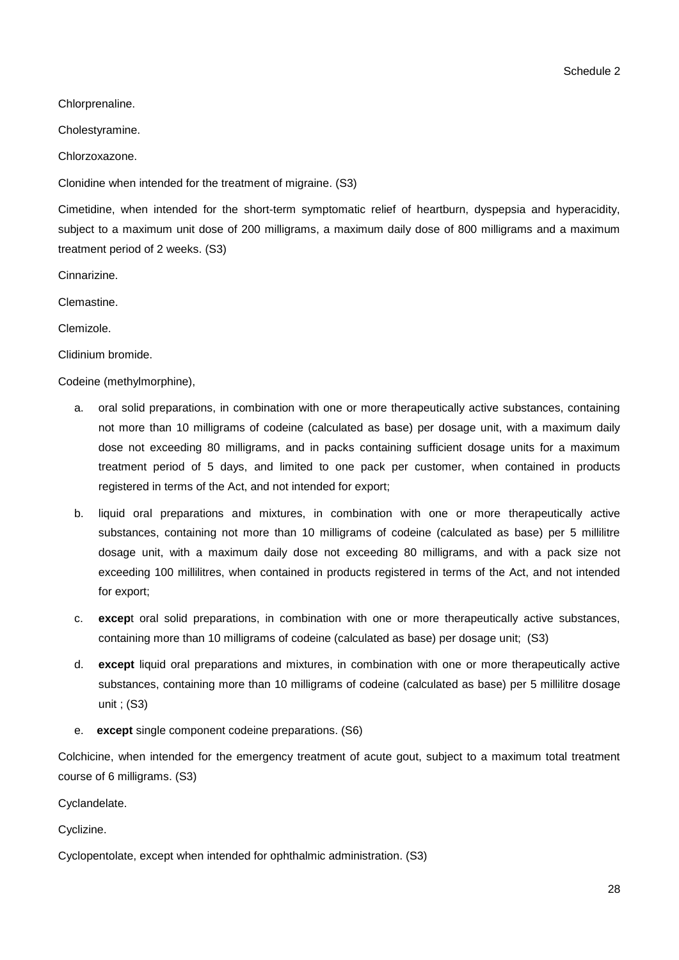Chlorprenaline.

Cholestyramine.

Chlorzoxazone.

Clonidine when intended for the treatment of migraine. (S3)

Cimetidine, when intended for the short-term symptomatic relief of heartburn, dyspepsia and hyperacidity, subject to a maximum unit dose of 200 milligrams, a maximum daily dose of 800 milligrams and a maximum treatment period of 2 weeks. (S3)

Cinnarizine.

Clemastine.

Clemizole.

Clidinium bromide.

Codeine (methylmorphine),

- a. oral solid preparations, in combination with one or more therapeutically active substances, containing not more than 10 milligrams of codeine (calculated as base) per dosage unit, with a maximum daily dose not exceeding 80 milligrams, and in packs containing sufficient dosage units for a maximum treatment period of 5 days, and limited to one pack per customer, when contained in products registered in terms of the Act, and not intended for export;
- b. liquid oral preparations and mixtures, in combination with one or more therapeutically active substances, containing not more than 10 milligrams of codeine (calculated as base) per 5 millilitre dosage unit, with a maximum daily dose not exceeding 80 milligrams, and with a pack size not exceeding 100 millilitres, when contained in products registered in terms of the Act, and not intended for export;
- c. **excep**t oral solid preparations, in combination with one or more therapeutically active substances, containing more than 10 milligrams of codeine (calculated as base) per dosage unit; (S3)
- d. **except** liquid oral preparations and mixtures, in combination with one or more therapeutically active substances, containing more than 10 milligrams of codeine (calculated as base) per 5 millilitre dosage unit ; (S3)
- e. **except** single component codeine preparations. (S6)

Colchicine, when intended for the emergency treatment of acute gout, subject to a maximum total treatment course of 6 milligrams. (S3)

Cyclandelate.

Cyclizine.

Cyclopentolate, except when intended for ophthalmic administration. (S3)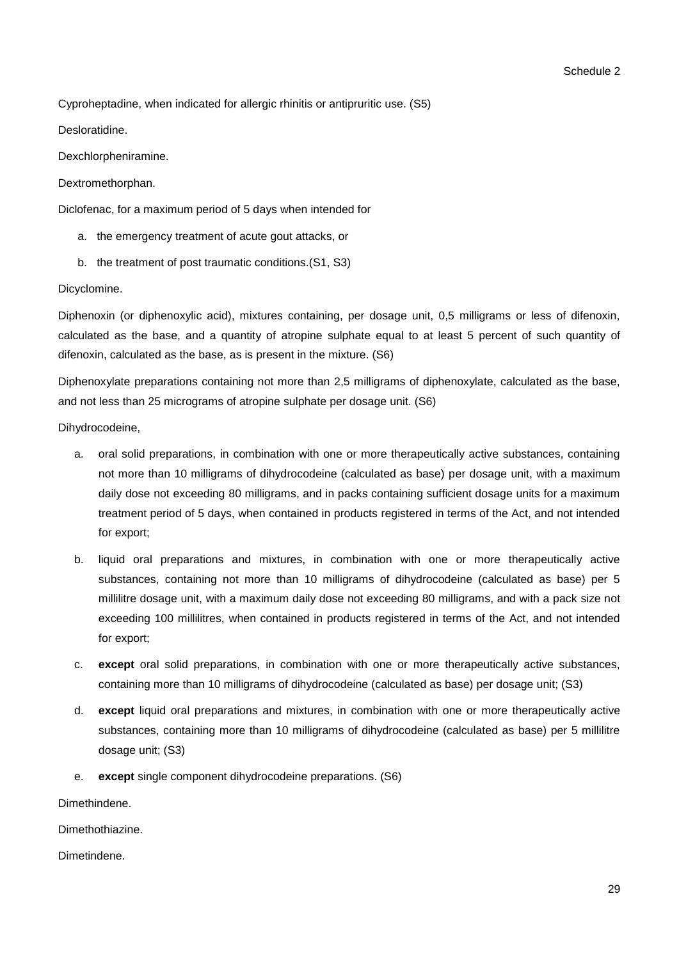Cyproheptadine, when indicated for allergic rhinitis or antipruritic use. (S5)

Desloratidine.

Dexchlorpheniramine.

Dextromethorphan.

Diclofenac, for a maximum period of 5 days when intended for

- a. the emergency treatment of acute gout attacks, or
- b. the treatment of post traumatic conditions.(S1, S3)

Dicyclomine.

Diphenoxin (or diphenoxylic acid), mixtures containing, per dosage unit, 0,5 milligrams or less of difenoxin, calculated as the base, and a quantity of atropine sulphate equal to at least 5 percent of such quantity of difenoxin, calculated as the base, as is present in the mixture. (S6)

Diphenoxylate preparations containing not more than 2,5 milligrams of diphenoxylate, calculated as the base, and not less than 25 micrograms of atropine sulphate per dosage unit. (S6)

Dihydrocodeine,

- a. oral solid preparations, in combination with one or more therapeutically active substances, containing not more than 10 milligrams of dihydrocodeine (calculated as base) per dosage unit, with a maximum daily dose not exceeding 80 milligrams, and in packs containing sufficient dosage units for a maximum treatment period of 5 days, when contained in products registered in terms of the Act, and not intended for export;
- b. liquid oral preparations and mixtures, in combination with one or more therapeutically active substances, containing not more than 10 milligrams of dihydrocodeine (calculated as base) per 5 millilitre dosage unit, with a maximum daily dose not exceeding 80 milligrams, and with a pack size not exceeding 100 millilitres, when contained in products registered in terms of the Act, and not intended for export;
- c. **except** oral solid preparations, in combination with one or more therapeutically active substances, containing more than 10 milligrams of dihydrocodeine (calculated as base) per dosage unit; (S3)
- d. **except** liquid oral preparations and mixtures, in combination with one or more therapeutically active substances, containing more than 10 milligrams of dihydrocodeine (calculated as base) per 5 millilitre dosage unit; (S3)
- e. **except** single component dihydrocodeine preparations. (S6)

Dimethindene.

Dimethothiazine.

Dimetindene.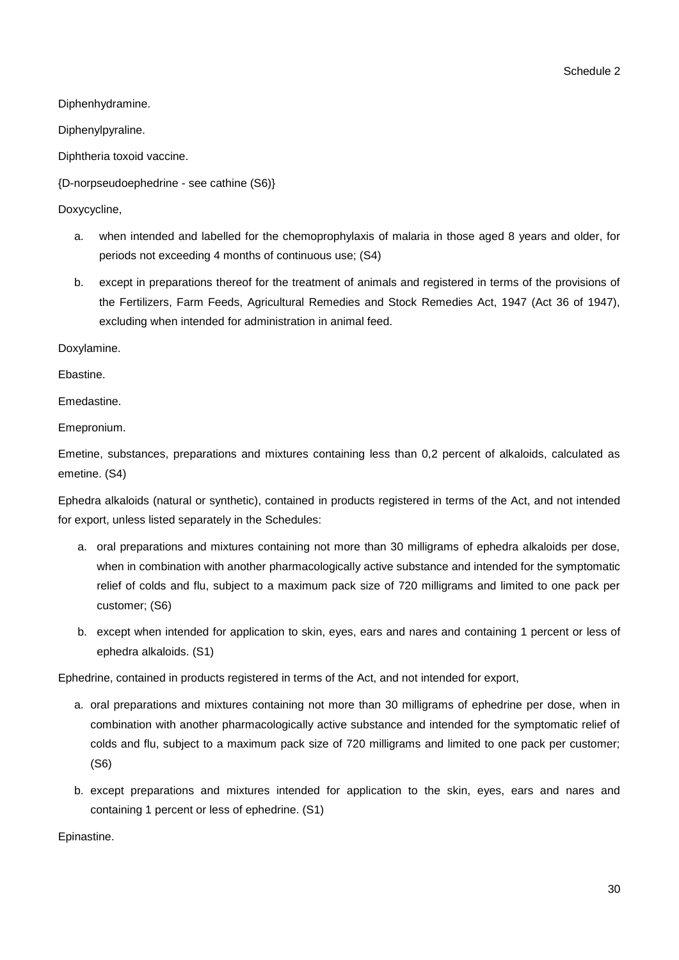Schedule 2

Diphenhydramine.

Diphenylpyraline.

Diphtheria toxoid vaccine.

{D-norpseudoephedrine - see cathine (S6)}

Doxycycline,

- a. when intended and labelled for the chemoprophylaxis of malaria in those aged 8 years and older, for periods not exceeding 4 months of continuous use; (S4)
- b. except in preparations thereof for the treatment of animals and registered in terms of the provisions of the Fertilizers, Farm Feeds, Agricultural Remedies and Stock Remedies Act, 1947 (Act 36 of 1947), excluding when intended for administration in animal feed.

Doxylamine.

Ebastine.

**Emedastine** 

Emepronium.

Emetine, substances, preparations and mixtures containing less than 0,2 percent of alkaloids, calculated as emetine. (S4)

Ephedra alkaloids (natural or synthetic), contained in products registered in terms of the Act, and not intended for export, unless listed separately in the Schedules:

- a. oral preparations and mixtures containing not more than 30 milligrams of ephedra alkaloids per dose, when in combination with another pharmacologically active substance and intended for the symptomatic relief of colds and flu, subject to a maximum pack size of 720 milligrams and limited to one pack per customer; (S6)
- b. except when intended for application to skin, eyes, ears and nares and containing 1 percent or less of ephedra alkaloids. (S1)

Ephedrine, contained in products registered in terms of the Act, and not intended for export,

- a. oral preparations and mixtures containing not more than 30 milligrams of ephedrine per dose, when in combination with another pharmacologically active substance and intended for the symptomatic relief of colds and flu, subject to a maximum pack size of 720 milligrams and limited to one pack per customer; (S6)
- b. except preparations and mixtures intended for application to the skin, eyes, ears and nares and containing 1 percent or less of ephedrine. (S1)

Epinastine.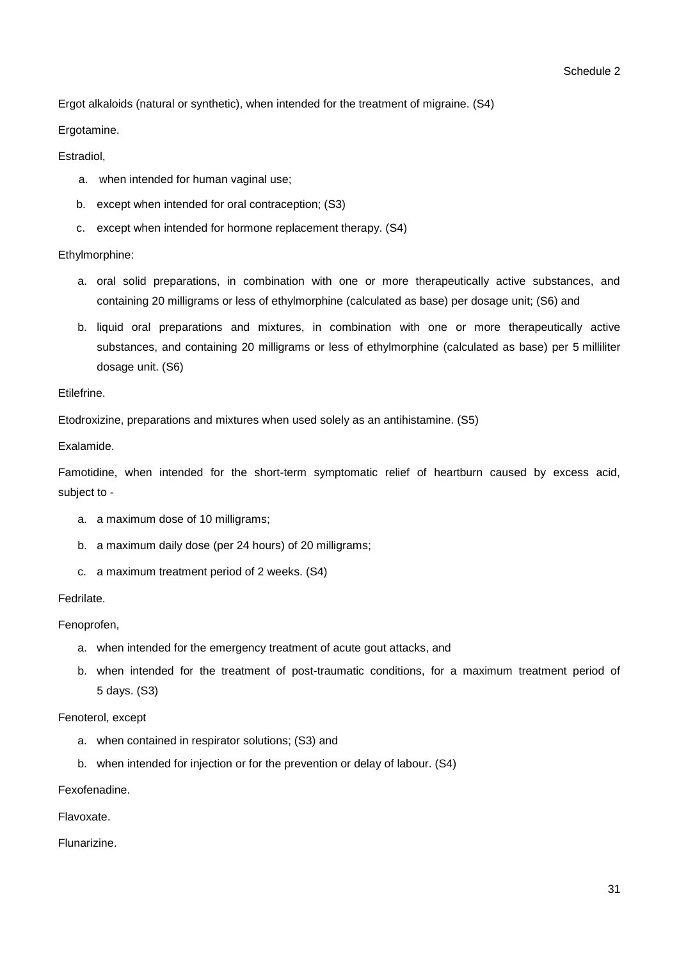Ergot alkaloids (natural or synthetic), when intended for the treatment of migraine. (S4)

Ergotamine.

Estradiol,

- a. when intended for human vaginal use;
- b. except when intended for oral contraception; (S3)
- c. except when intended for hormone replacement therapy. (S4)

## Ethylmorphine:

- a. oral solid preparations, in combination with one or more therapeutically active substances, and containing 20 milligrams or less of ethylmorphine (calculated as base) per dosage unit; (S6) and
- b. liquid oral preparations and mixtures, in combination with one or more therapeutically active substances, and containing 20 milligrams or less of ethylmorphine (calculated as base) per 5 milliliter dosage unit. (S6)

## Etilefrine.

Etodroxizine, preparations and mixtures when used solely as an antihistamine. (S5)

Exalamide.

Famotidine, when intended for the short-term symptomatic relief of heartburn caused by excess acid, subject to -

- a. a maximum dose of 10 milligrams;
- b. a maximum daily dose (per 24 hours) of 20 milligrams;
- c. a maximum treatment period of 2 weeks. (S4)

## Fedrilate.

Fenoprofen,

- a. when intended for the emergency treatment of acute gout attacks, and
- b. when intended for the treatment of post-traumatic conditions, for a maximum treatment period of 5 days. (S3)

Fenoterol, except

- a. when contained in respirator solutions; (S3) and
- b. when intended for injection or for the prevention or delay of labour. (S4)

Fexofenadine.

Flavoxate.

Flunarizine.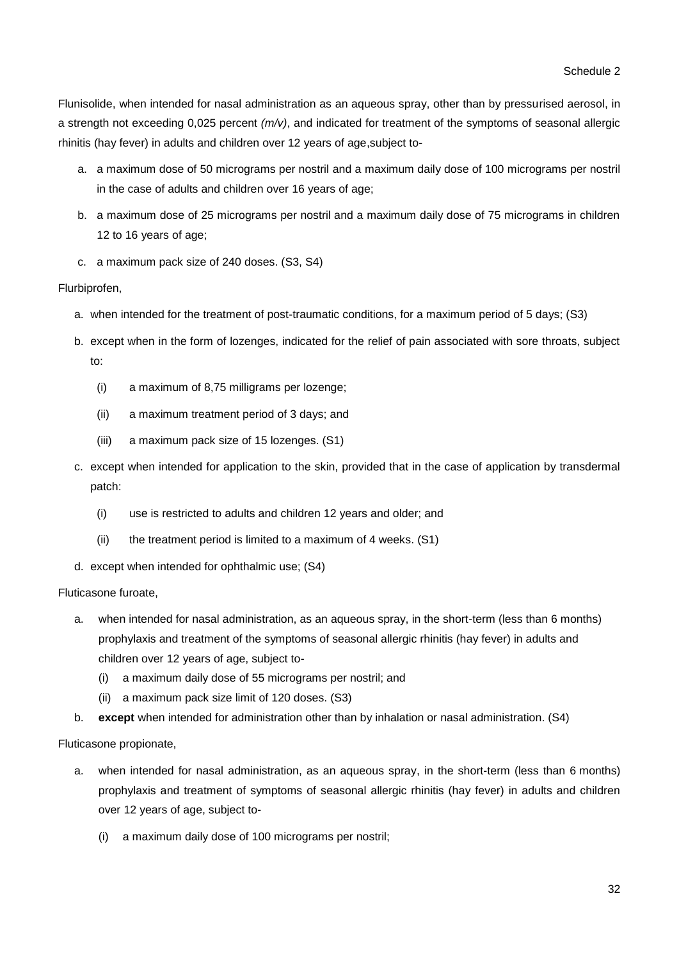Flunisolide, when intended for nasal administration as an aqueous spray, other than by pressurised aerosol, in a strength not exceeding 0,025 percent *(m/v)*, and indicated for treatment of the symptoms of seasonal allergic rhinitis (hay fever) in adults and children over 12 years of age,subject to-

- a. a maximum dose of 50 micrograms per nostril and a maximum daily dose of 100 micrograms per nostril in the case of adults and children over 16 years of age;
- b. a maximum dose of 25 micrograms per nostril and a maximum daily dose of 75 micrograms in children 12 to 16 years of age;
- c. a maximum pack size of 240 doses. (S3, S4)

## Flurbiprofen,

- a. when intended for the treatment of post-traumatic conditions, for a maximum period of 5 days; (S3)
- b. except when in the form of lozenges, indicated for the relief of pain associated with sore throats, subject to:
	- (i) a maximum of 8,75 milligrams per lozenge;
	- (ii) a maximum treatment period of 3 days; and
	- (iii) a maximum pack size of 15 lozenges. (S1)
- c. except when intended for application to the skin, provided that in the case of application by transdermal patch:
	- (i) use is restricted to adults and children 12 years and older; and
	- (ii) the treatment period is limited to a maximum of 4 weeks. (S1)
- d. except when intended for ophthalmic use; (S4)

## Fluticasone furoate,

- a. when intended for nasal administration, as an aqueous spray, in the short-term (less than 6 months) prophylaxis and treatment of the symptoms of seasonal allergic rhinitis (hay fever) in adults and children over 12 years of age, subject to-
	- (i) a maximum daily dose of 55 micrograms per nostril; and
	- (ii) a maximum pack size limit of 120 doses. (S3)
- b. **except** when intended for administration other than by inhalation or nasal administration. (S4)

Fluticasone propionate,

- a. when intended for nasal administration, as an aqueous spray, in the short-term (less than 6 months) prophylaxis and treatment of symptoms of seasonal allergic rhinitis (hay fever) in adults and children over 12 years of age, subject to-
	- (i) a maximum daily dose of 100 micrograms per nostril;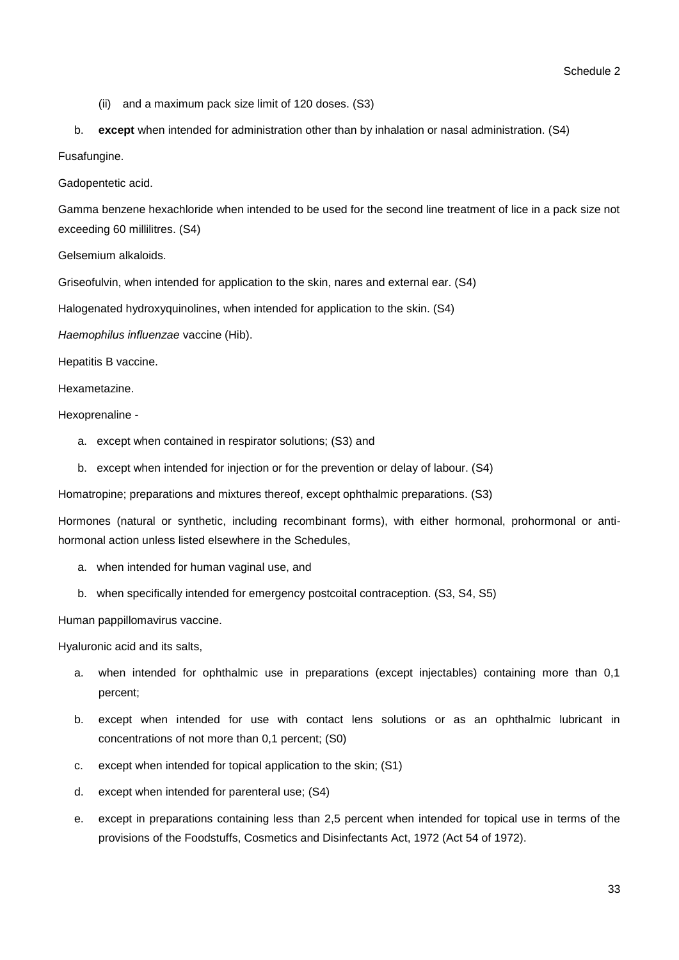- (ii) and a maximum pack size limit of 120 doses. (S3)
- b. **except** when intended for administration other than by inhalation or nasal administration. (S4)
- Fusafungine.

Gadopentetic acid.

Gamma benzene hexachloride when intended to be used for the second line treatment of lice in a pack size not exceeding 60 millilitres. (S4)

Gelsemium alkaloids.

Griseofulvin, when intended for application to the skin, nares and external ear. (S4)

Halogenated hydroxyquinolines, when intended for application to the skin. (S4)

*Haemophilus influenzae* vaccine (Hib).

Hepatitis B vaccine.

Hexametazine.

Hexoprenaline -

- a. except when contained in respirator solutions; (S3) and
- b. except when intended for injection or for the prevention or delay of labour. (S4)

Homatropine; preparations and mixtures thereof, except ophthalmic preparations. (S3)

Hormones (natural or synthetic, including recombinant forms), with either hormonal, prohormonal or antihormonal action unless listed elsewhere in the Schedules,

- a. when intended for human vaginal use, and
- b. when specifically intended for emergency postcoital contraception. (S3, S4, S5)

Human pappillomavirus vaccine.

Hyaluronic acid and its salts,

- a. when intended for ophthalmic use in preparations (except injectables) containing more than 0,1 percent;
- b. except when intended for use with contact lens solutions or as an ophthalmic lubricant in concentrations of not more than 0,1 percent; (S0)
- c. except when intended for topical application to the skin; (S1)
- d. except when intended for parenteral use; (S4)
- e. except in preparations containing less than 2,5 percent when intended for topical use in terms of the provisions of the Foodstuffs, Cosmetics and Disinfectants Act, 1972 (Act 54 of 1972).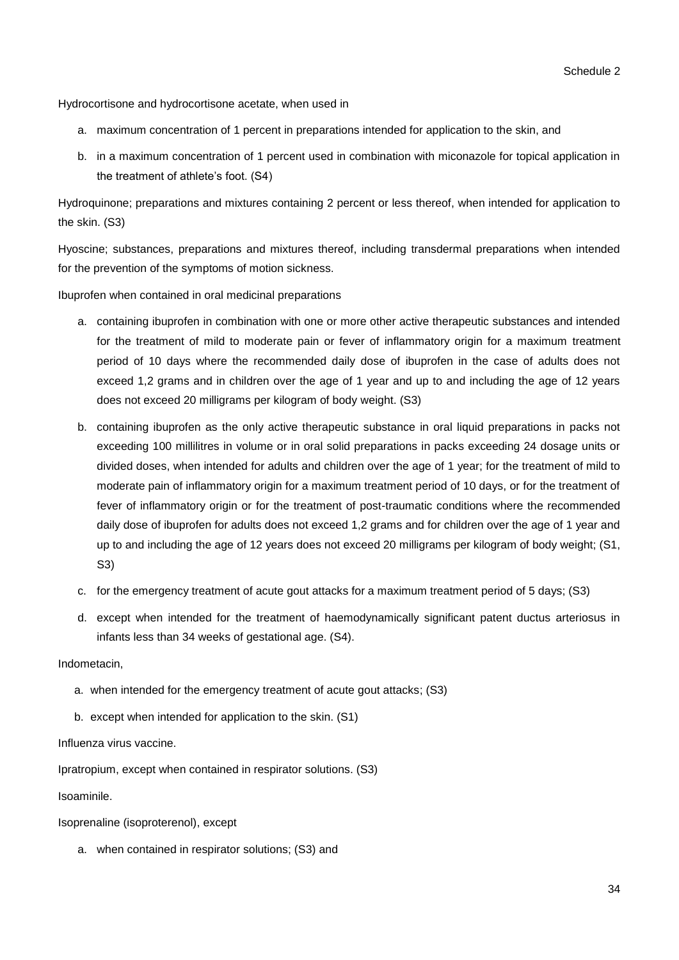Hydrocortisone and hydrocortisone acetate, when used in

- a. maximum concentration of 1 percent in preparations intended for application to the skin, and
- b. in a maximum concentration of 1 percent used in combination with miconazole for topical application in the treatment of athlete's foot. (S4)

Hydroquinone; preparations and mixtures containing 2 percent or less thereof, when intended for application to the skin. (S3)

Hyoscine; substances, preparations and mixtures thereof, including transdermal preparations when intended for the prevention of the symptoms of motion sickness.

Ibuprofen when contained in oral medicinal preparations

- a. containing ibuprofen in combination with one or more other active therapeutic substances and intended for the treatment of mild to moderate pain or fever of inflammatory origin for a maximum treatment period of 10 days where the recommended daily dose of ibuprofen in the case of adults does not exceed 1,2 grams and in children over the age of 1 year and up to and including the age of 12 years does not exceed 20 milligrams per kilogram of body weight. (S3)
- b. containing ibuprofen as the only active therapeutic substance in oral liquid preparations in packs not exceeding 100 millilitres in volume or in oral solid preparations in packs exceeding 24 dosage units or divided doses, when intended for adults and children over the age of 1 year; for the treatment of mild to moderate pain of inflammatory origin for a maximum treatment period of 10 days, or for the treatment of fever of inflammatory origin or for the treatment of post-traumatic conditions where the recommended daily dose of ibuprofen for adults does not exceed 1,2 grams and for children over the age of 1 year and up to and including the age of 12 years does not exceed 20 milligrams per kilogram of body weight; (S1, S3)
- c. for the emergency treatment of acute gout attacks for a maximum treatment period of 5 days; (S3)
- d. except when intended for the treatment of haemodynamically significant patent ductus arteriosus in infants less than 34 weeks of gestational age. (S4).

#### Indometacin,

- a. when intended for the emergency treatment of acute gout attacks; (S3)
- b. except when intended for application to the skin. (S1)

Influenza virus vaccine.

Ipratropium, except when contained in respirator solutions. (S3)

Isoaminile.

Isoprenaline (isoproterenol), except

a. when contained in respirator solutions; (S3) and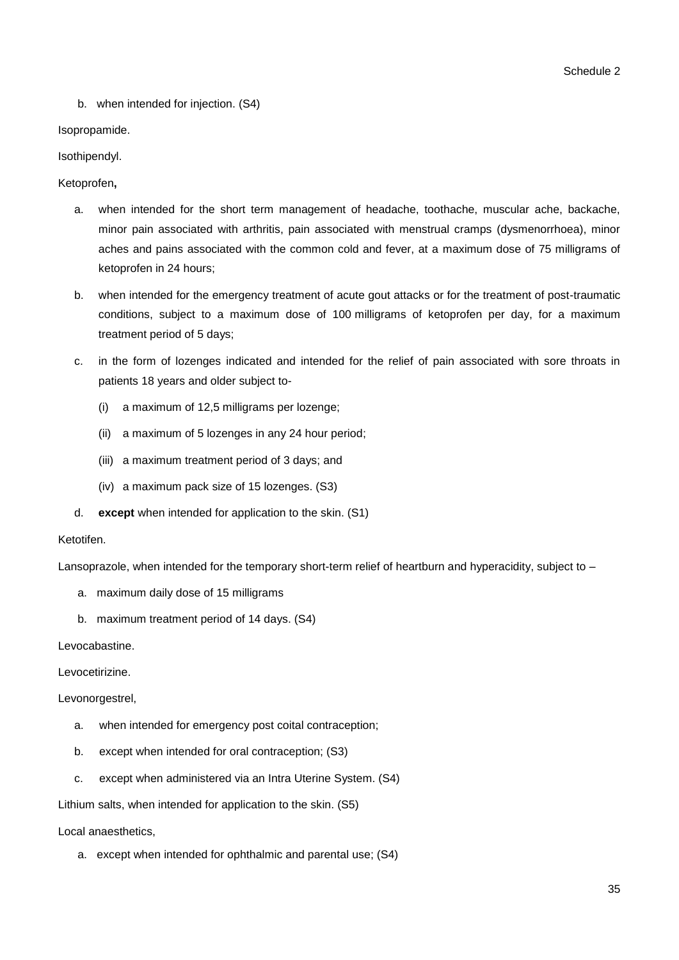b. when intended for injection. (S4)

## Isopropamide.

## Isothipendyl.

## Ketoprofen**,**

- a. when intended for the short term management of headache, toothache, muscular ache, backache, minor pain associated with arthritis, pain associated with menstrual cramps (dysmenorrhoea), minor aches and pains associated with the common cold and fever, at a maximum dose of 75 milligrams of ketoprofen in 24 hours;
- b. when intended for the emergency treatment of acute gout attacks or for the treatment of post-traumatic conditions, subject to a maximum dose of 100 milligrams of ketoprofen per day, for a maximum treatment period of 5 days;
- c. in the form of lozenges indicated and intended for the relief of pain associated with sore throats in patients 18 years and older subject to-
	- (i) a maximum of 12,5 milligrams per lozenge;
	- (ii) a maximum of 5 lozenges in any 24 hour period;
	- (iii) a maximum treatment period of 3 days; and
	- (iv) a maximum pack size of 15 lozenges. (S3)
- d. **except** when intended for application to the skin. (S1)

## Ketotifen.

Lansoprazole, when intended for the temporary short-term relief of heartburn and hyperacidity, subject to –

- a. maximum daily dose of 15 milligrams
- b. maximum treatment period of 14 days. (S4)

Levocabastine.

Levocetirizine.

Levonorgestrel,

- a. when intended for emergency post coital contraception;
- b. except when intended for oral contraception; (S3)
- c. except when administered via an Intra Uterine System. (S4)

Lithium salts, when intended for application to the skin. (S5)

Local anaesthetics,

a. except when intended for ophthalmic and parental use; (S4)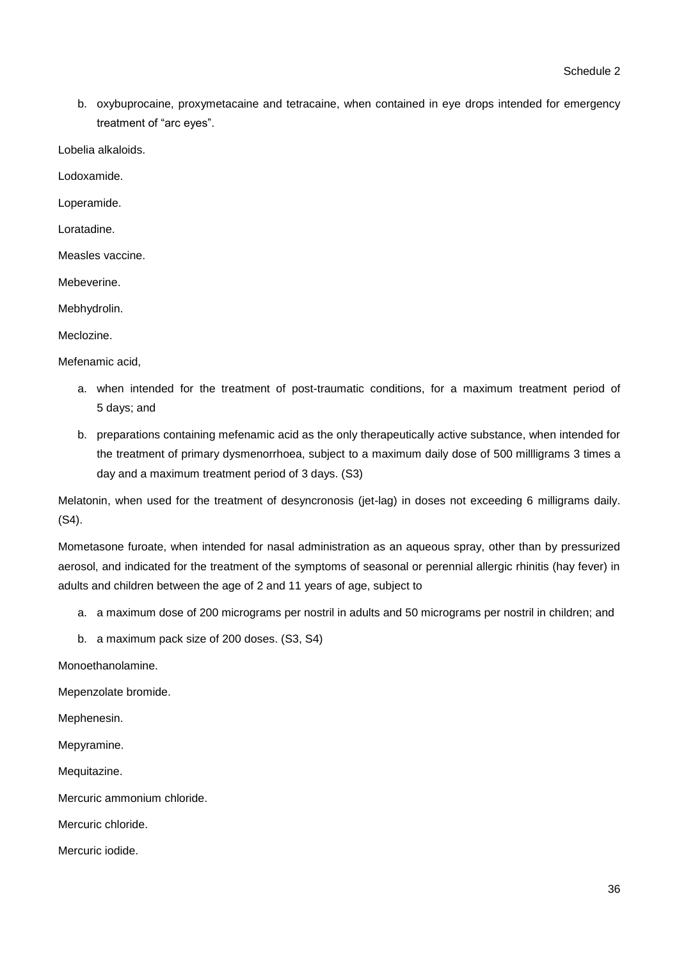b. oxybuprocaine, proxymetacaine and tetracaine, when contained in eye drops intended for emergency treatment of "arc eyes".

Lobelia alkaloids.

Lodoxamide.

Loperamide.

Loratadine.

Measles vaccine.

Mebeverine.

Mebhydrolin.

Meclozine.

Mefenamic acid,

- a. when intended for the treatment of post-traumatic conditions, for a maximum treatment period of 5 days; and
- b. preparations containing mefenamic acid as the only therapeutically active substance, when intended for the treatment of primary dysmenorrhoea, subject to a maximum daily dose of 500 millligrams 3 times a day and a maximum treatment period of 3 days. (S3)

Melatonin, when used for the treatment of desyncronosis (jet-lag) in doses not exceeding 6 milligrams daily. (S4).

Mometasone furoate, when intended for nasal administration as an aqueous spray, other than by pressurized aerosol, and indicated for the treatment of the symptoms of seasonal or perennial allergic rhinitis (hay fever) in adults and children between the age of 2 and 11 years of age, subject to

- a. a maximum dose of 200 micrograms per nostril in adults and 50 micrograms per nostril in children; and
- b. a maximum pack size of 200 doses. (S3, S4)

Monoethanolamine.

Mepenzolate bromide.

Mephenesin.

Mepyramine.

Mequitazine.

Mercuric ammonium chloride.

Mercuric chloride.

Mercuric iodide.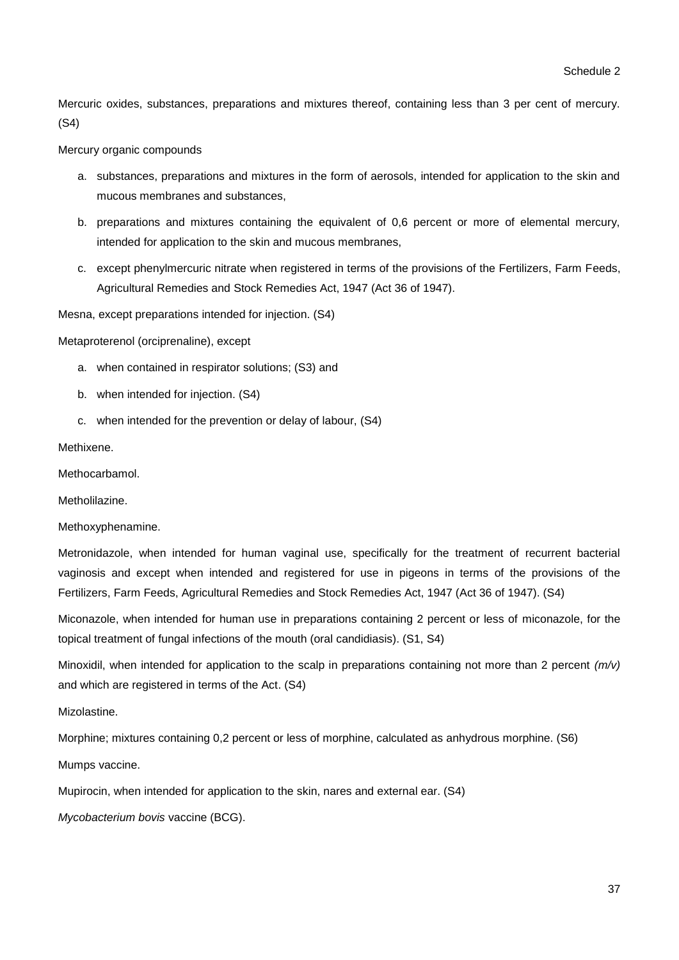Mercuric oxides, substances, preparations and mixtures thereof, containing less than 3 per cent of mercury. (S4)

### Mercury organic compounds

- a. substances, preparations and mixtures in the form of aerosols, intended for application to the skin and mucous membranes and substances,
- b. preparations and mixtures containing the equivalent of 0,6 percent or more of elemental mercury, intended for application to the skin and mucous membranes,
- c. except phenylmercuric nitrate when registered in terms of the provisions of the Fertilizers, Farm Feeds, Agricultural Remedies and Stock Remedies Act, 1947 (Act 36 of 1947).

Mesna, except preparations intended for injection. (S4)

Metaproterenol (orciprenaline), except

- a. when contained in respirator solutions; (S3) and
- b. when intended for injection. (S4)
- c. when intended for the prevention or delay of labour, (S4)

Methixene.

**Methocarbamol** 

Metholilazine.

Methoxyphenamine.

Metronidazole, when intended for human vaginal use, specifically for the treatment of recurrent bacterial vaginosis and except when intended and registered for use in pigeons in terms of the provisions of the Fertilizers, Farm Feeds, Agricultural Remedies and Stock Remedies Act, 1947 (Act 36 of 1947). (S4)

Miconazole, when intended for human use in preparations containing 2 percent or less of miconazole, for the topical treatment of fungal infections of the mouth (oral candidiasis). (S1, S4)

Minoxidil, when intended for application to the scalp in preparations containing not more than 2 percent *(m/v)* and which are registered in terms of the Act. (S4)

Mizolastine.

Morphine; mixtures containing 0,2 percent or less of morphine, calculated as anhydrous morphine. (S6)

Mumps vaccine.

Mupirocin, when intended for application to the skin, nares and external ear. (S4)

*Mycobacterium bovis* vaccine (BCG).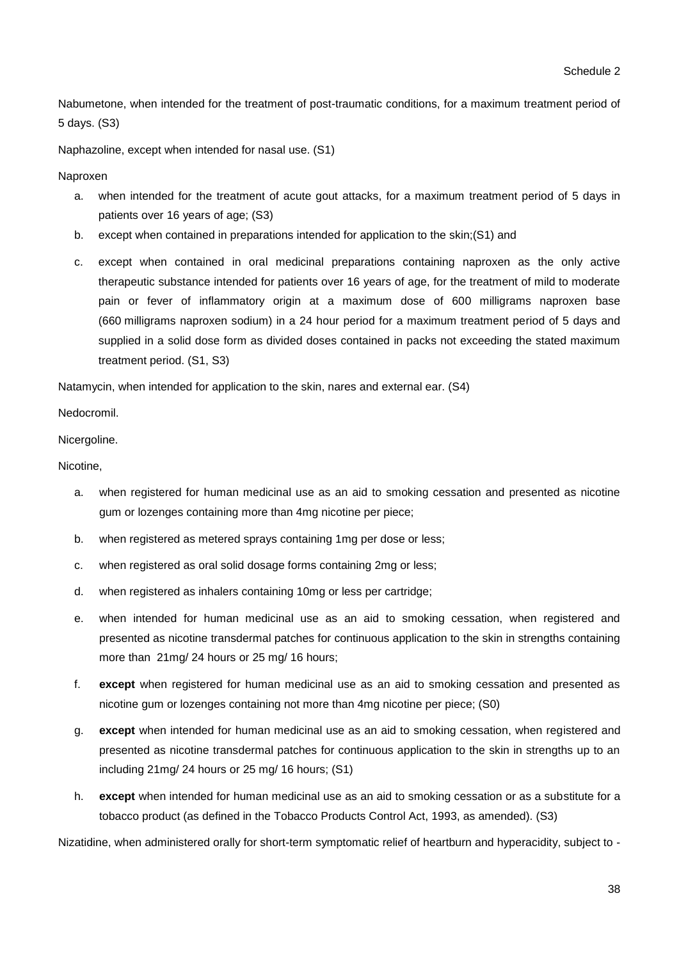Nabumetone, when intended for the treatment of post-traumatic conditions, for a maximum treatment period of 5 days. (S3)

Naphazoline, except when intended for nasal use. (S1)

Naproxen

- a. when intended for the treatment of acute gout attacks, for a maximum treatment period of 5 days in patients over 16 years of age; (S3)
- b. except when contained in preparations intended for application to the skin;(S1) and
- c. except when contained in oral medicinal preparations containing naproxen as the only active therapeutic substance intended for patients over 16 years of age, for the treatment of mild to moderate pain or fever of inflammatory origin at a maximum dose of 600 milligrams naproxen base (660 milligrams naproxen sodium) in a 24 hour period for a maximum treatment period of 5 days and supplied in a solid dose form as divided doses contained in packs not exceeding the stated maximum treatment period. (S1, S3)

Natamycin, when intended for application to the skin, nares and external ear. (S4)

Nedocromil.

Nicergoline.

Nicotine,

- a. when registered for human medicinal use as an aid to smoking cessation and presented as nicotine gum or lozenges containing more than 4mg nicotine per piece;
- b. when registered as metered sprays containing 1mg per dose or less;
- c. when registered as oral solid dosage forms containing 2mg or less;
- d. when registered as inhalers containing 10mg or less per cartridge;
- e. when intended for human medicinal use as an aid to smoking cessation, when registered and presented as nicotine transdermal patches for continuous application to the skin in strengths containing more than 21mg/ 24 hours or 25 mg/ 16 hours;
- f. **except** when registered for human medicinal use as an aid to smoking cessation and presented as nicotine gum or lozenges containing not more than 4mg nicotine per piece; (S0)
- g. **except** when intended for human medicinal use as an aid to smoking cessation, when registered and presented as nicotine transdermal patches for continuous application to the skin in strengths up to an including 21mg/ 24 hours or 25 mg/ 16 hours; (S1)
- h. **except** when intended for human medicinal use as an aid to smoking cessation or as a substitute for a tobacco product (as defined in the Tobacco Products Control Act, 1993, as amended). (S3)

Nizatidine, when administered orally for short-term symptomatic relief of heartburn and hyperacidity, subject to -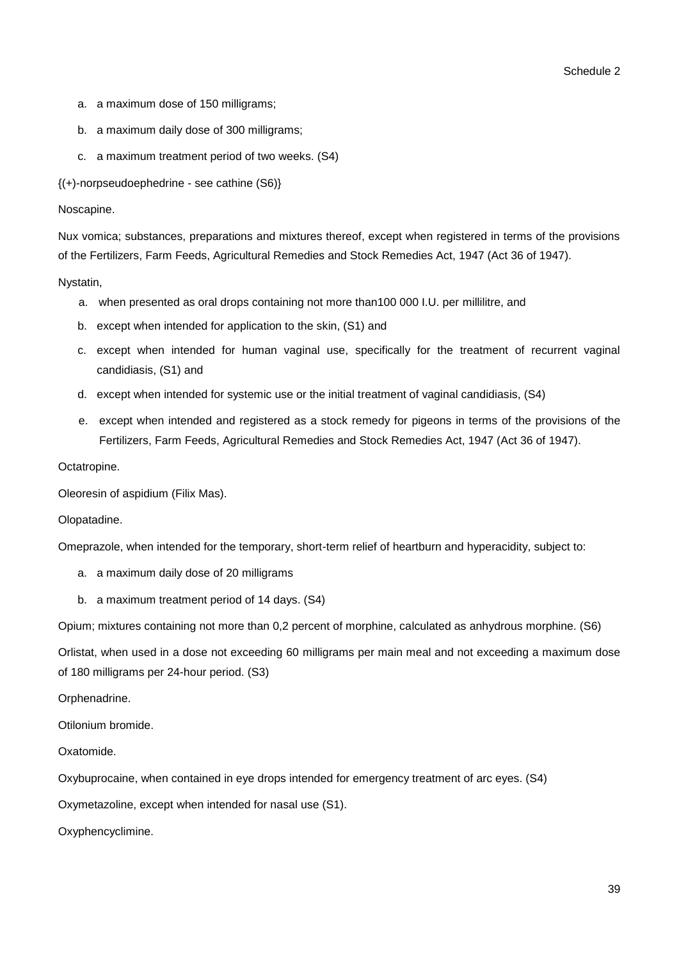- a. a maximum dose of 150 milligrams;
- b. a maximum daily dose of 300 milligrams;
- c. a maximum treatment period of two weeks. (S4)

{(+)-norpseudoephedrine - see cathine (S6)}

### Noscapine.

Nux vomica; substances, preparations and mixtures thereof, except when registered in terms of the provisions of the Fertilizers, Farm Feeds, Agricultural Remedies and Stock Remedies Act, 1947 (Act 36 of 1947).

Nystatin,

- a. when presented as oral drops containing not more than100 000 I.U. per millilitre, and
- b. except when intended for application to the skin, (S1) and
- c. except when intended for human vaginal use, specifically for the treatment of recurrent vaginal candidiasis, (S1) and
- d. except when intended for systemic use or the initial treatment of vaginal candidiasis, (S4)
- e. except when intended and registered as a stock remedy for pigeons in terms of the provisions of the Fertilizers, Farm Feeds, Agricultural Remedies and Stock Remedies Act, 1947 (Act 36 of 1947).

### Octatropine.

Oleoresin of aspidium (Filix Mas).

### Olopatadine.

Omeprazole, when intended for the temporary, short-term relief of heartburn and hyperacidity, subject to:

- a. a maximum daily dose of 20 milligrams
- b. a maximum treatment period of 14 days. (S4)

Opium; mixtures containing not more than 0,2 percent of morphine, calculated as anhydrous morphine. (S6)

Orlistat, when used in a dose not exceeding 60 milligrams per main meal and not exceeding a maximum dose of 180 milligrams per 24-hour period. (S3)

### Orphenadrine.

Otilonium bromide.

Oxatomide.

Oxybuprocaine, when contained in eye drops intended for emergency treatment of arc eyes. (S4)

Oxymetazoline, except when intended for nasal use (S1).

Oxyphencyclimine.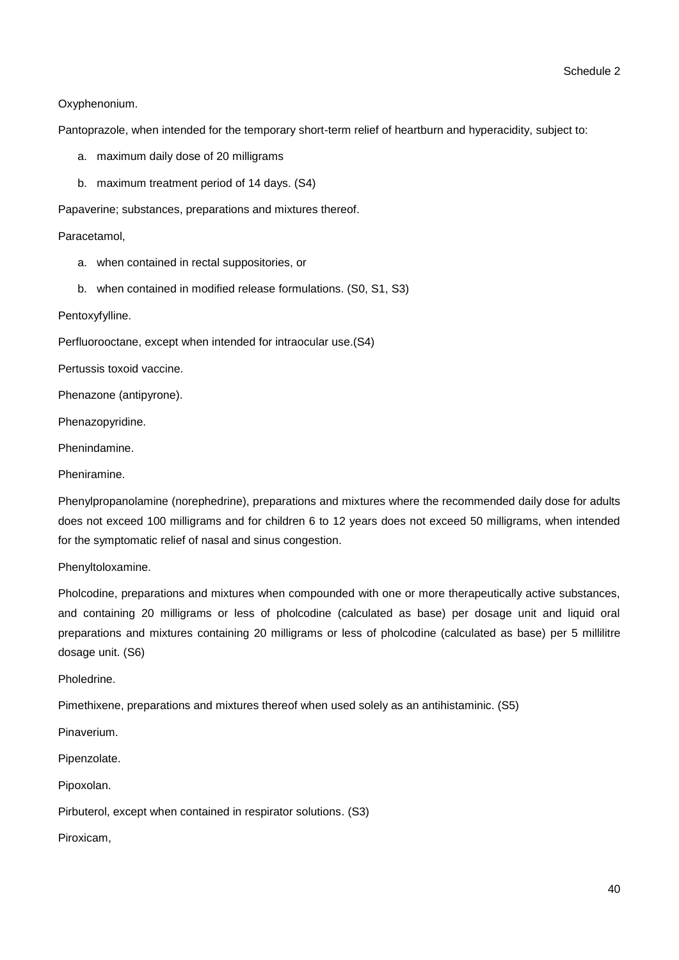### Oxyphenonium.

Pantoprazole, when intended for the temporary short-term relief of heartburn and hyperacidity, subject to:

- a. maximum daily dose of 20 milligrams
- b. maximum treatment period of 14 days. (S4)

Papaverine; substances, preparations and mixtures thereof.

Paracetamol,

- a. when contained in rectal suppositories, or
- b. when contained in modified release formulations. (S0, S1, S3)

Pentoxyfylline.

Perfluorooctane, except when intended for intraocular use.(S4)

Pertussis toxoid vaccine.

Phenazone (antipyrone).

Phenazopyridine.

Phenindamine.

Pheniramine.

Phenylpropanolamine (norephedrine), preparations and mixtures where the recommended daily dose for adults does not exceed 100 milligrams and for children 6 to 12 years does not exceed 50 milligrams, when intended for the symptomatic relief of nasal and sinus congestion.

Phenyltoloxamine.

Pholcodine, preparations and mixtures when compounded with one or more therapeutically active substances, and containing 20 milligrams or less of pholcodine (calculated as base) per dosage unit and liquid oral preparations and mixtures containing 20 milligrams or less of pholcodine (calculated as base) per 5 millilitre dosage unit. (S6)

Pholedrine.

Pimethixene, preparations and mixtures thereof when used solely as an antihistaminic. (S5)

Pinaverium.

Pipenzolate.

Pipoxolan.

Pirbuterol, except when contained in respirator solutions. (S3)

Piroxicam,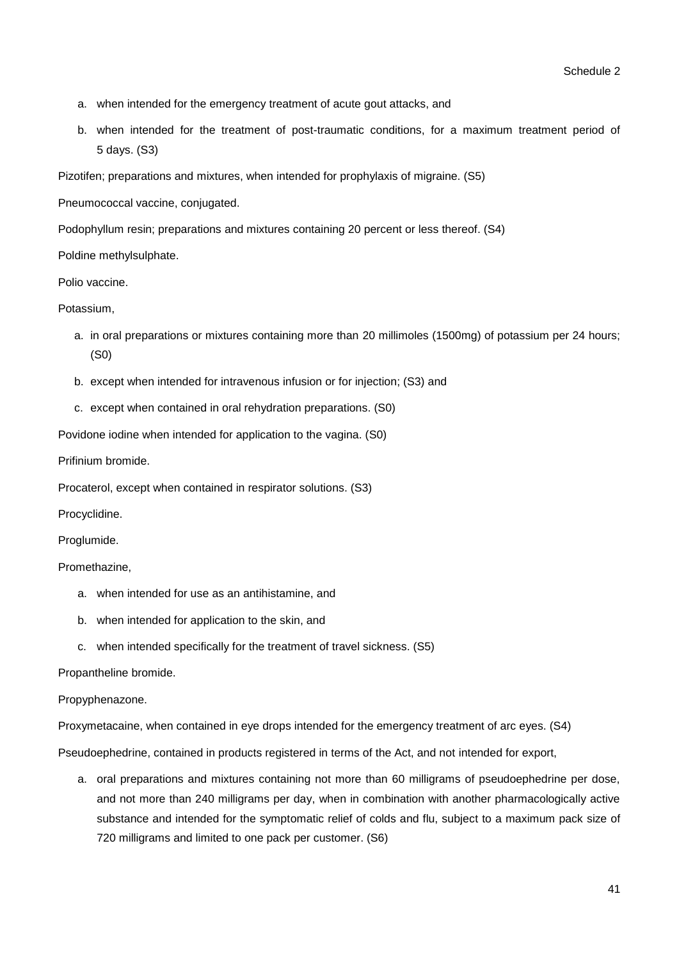- a. when intended for the emergency treatment of acute gout attacks, and
- b. when intended for the treatment of post-traumatic conditions, for a maximum treatment period of 5 days. (S3)

Pizotifen; preparations and mixtures, when intended for prophylaxis of migraine. (S5)

Pneumococcal vaccine, conjugated.

Podophyllum resin; preparations and mixtures containing 20 percent or less thereof. (S4)

Poldine methylsulphate.

Polio vaccine.

Potassium,

- a. in oral preparations or mixtures containing more than 20 millimoles (1500mg) of potassium per 24 hours; (S0)
- b. except when intended for intravenous infusion or for injection; (S3) and
- c. except when contained in oral rehydration preparations. (S0)

Povidone iodine when intended for application to the vagina. (S0)

Prifinium bromide.

Procaterol, except when contained in respirator solutions. (S3)

Procyclidine.

Proglumide.

### Promethazine,

- a. when intended for use as an antihistamine, and
- b. when intended for application to the skin, and
- c. when intended specifically for the treatment of travel sickness. (S5)

Propantheline bromide.

### Propyphenazone.

Proxymetacaine, when contained in eye drops intended for the emergency treatment of arc eyes. (S4)

Pseudoephedrine, contained in products registered in terms of the Act, and not intended for export,

a. oral preparations and mixtures containing not more than 60 milligrams of pseudoephedrine per dose, and not more than 240 milligrams per day, when in combination with another pharmacologically active substance and intended for the symptomatic relief of colds and flu, subject to a maximum pack size of 720 milligrams and limited to one pack per customer. (S6)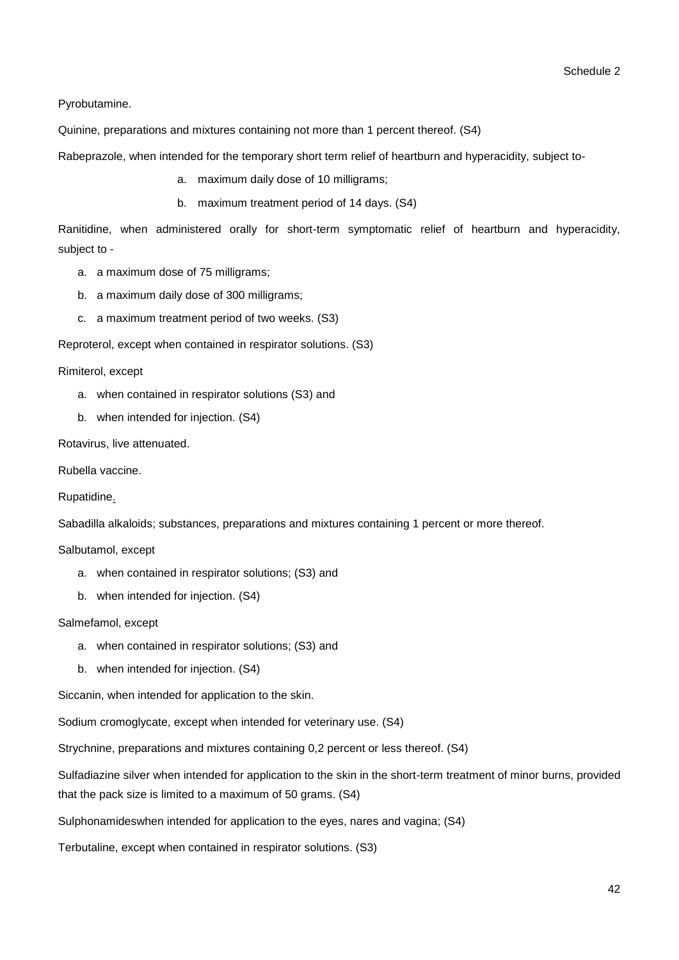Pyrobutamine.

Quinine, preparations and mixtures containing not more than 1 percent thereof. (S4)

Rabeprazole, when intended for the temporary short term relief of heartburn and hyperacidity, subject to-

- a. maximum daily dose of 10 milligrams;
- b. maximum treatment period of 14 days. (S4)

Ranitidine, when administered orally for short-term symptomatic relief of heartburn and hyperacidity, subject to -

- a. a maximum dose of 75 milligrams;
- b. a maximum daily dose of 300 milligrams;
- c. a maximum treatment period of two weeks. (S3)

Reproterol, except when contained in respirator solutions. (S3)

Rimiterol, except

- a. when contained in respirator solutions (S3) and
- b. when intended for injection. (S4)

Rotavirus, live attenuated.

Rubella vaccine.

Rupatidine.

Sabadilla alkaloids; substances, preparations and mixtures containing 1 percent or more thereof.

Salbutamol, except

- a. when contained in respirator solutions; (S3) and
- b. when intended for injection. (S4)

### Salmefamol, except

- a. when contained in respirator solutions; (S3) and
- b. when intended for injection. (S4)

Siccanin, when intended for application to the skin.

Sodium cromoglycate, except when intended for veterinary use. (S4)

Strychnine, preparations and mixtures containing 0,2 percent or less thereof. (S4)

Sulfadiazine silver when intended for application to the skin in the short-term treatment of minor burns, provided that the pack size is limited to a maximum of 50 grams. (S4)

Sulphonamideswhen intended for application to the eyes, nares and vagina; (S4)

Terbutaline, except when contained in respirator solutions. (S3)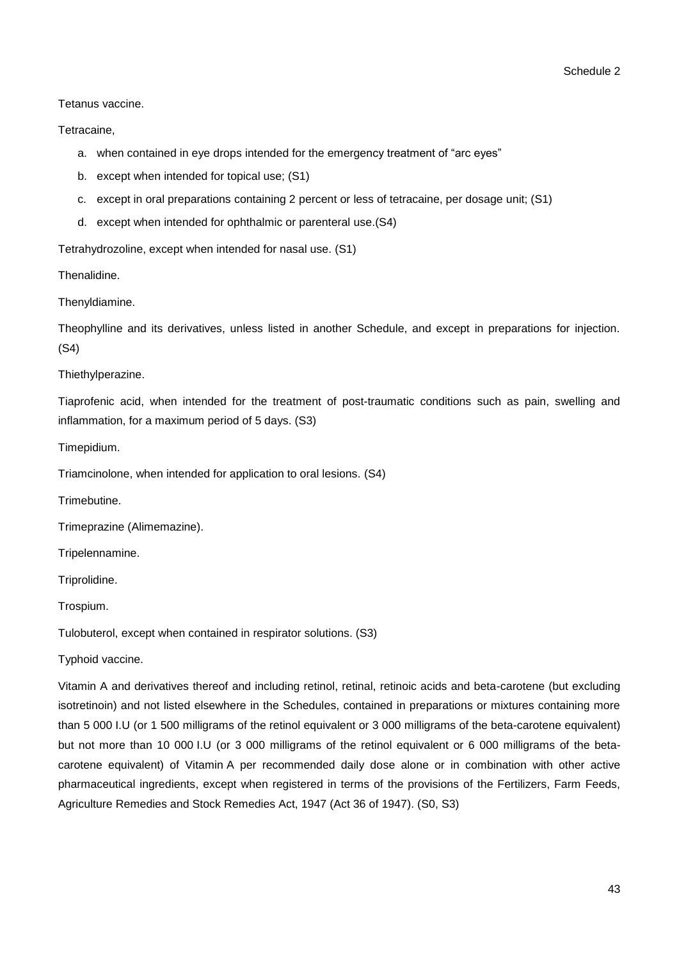Tetanus vaccine.

Tetracaine,

- a. when contained in eye drops intended for the emergency treatment of "arc eyes"
- b. except when intended for topical use; (S1)
- c. except in oral preparations containing 2 percent or less of tetracaine, per dosage unit; (S1)
- d. except when intended for ophthalmic or parenteral use.(S4)

Tetrahydrozoline, except when intended for nasal use. (S1)

Thenalidine.

Thenyldiamine.

Theophylline and its derivatives, unless listed in another Schedule, and except in preparations for injection. (S4)

Thiethylperazine.

Tiaprofenic acid, when intended for the treatment of post-traumatic conditions such as pain, swelling and inflammation, for a maximum period of 5 days. (S3)

Timepidium.

Triamcinolone, when intended for application to oral lesions. (S4)

Trimebutine.

Trimeprazine (Alimemazine).

Tripelennamine.

Triprolidine.

Trospium.

Tulobuterol, except when contained in respirator solutions. (S3)

Typhoid vaccine.

Vitamin A and derivatives thereof and including retinol, retinal, retinoic acids and beta-carotene (but excluding isotretinoin) and not listed elsewhere in the Schedules, contained in preparations or mixtures containing more than 5 000 I.U (or 1 500 milligrams of the retinol equivalent or 3 000 milligrams of the beta-carotene equivalent) but not more than 10 000 I.U (or 3 000 milligrams of the retinol equivalent or 6 000 milligrams of the betacarotene equivalent) of Vitamin A per recommended daily dose alone or in combination with other active pharmaceutical ingredients, except when registered in terms of the provisions of the Fertilizers, Farm Feeds, Agriculture Remedies and Stock Remedies Act, 1947 (Act 36 of 1947). (S0, S3)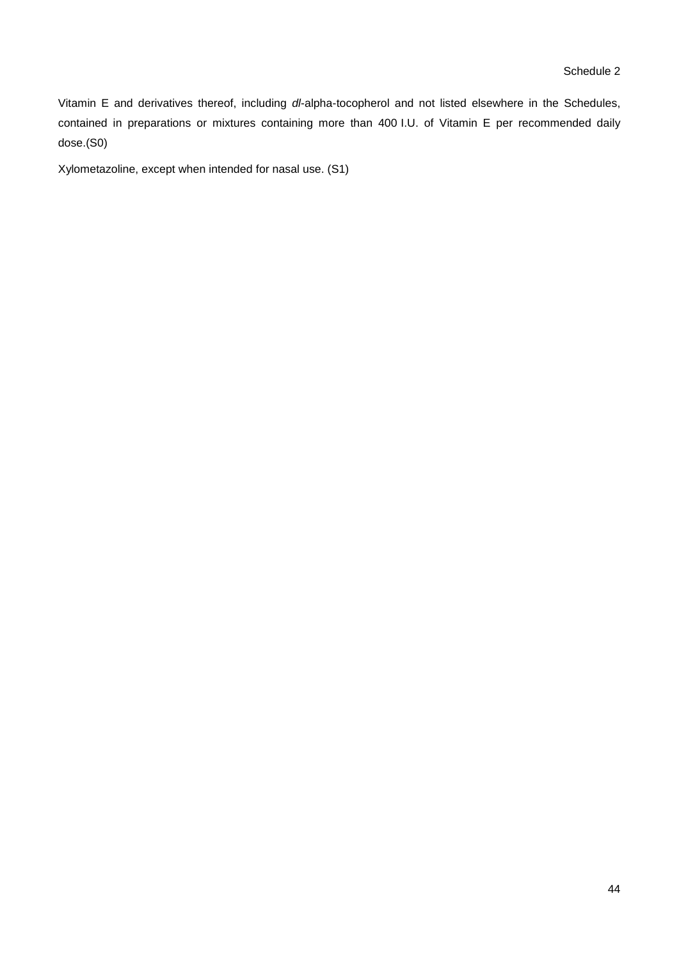Vitamin E and derivatives thereof, including *dl*-alpha-tocopherol and not listed elsewhere in the Schedules, contained in preparations or mixtures containing more than 400 I.U. of Vitamin E per recommended daily dose.(S0)

Xylometazoline, except when intended for nasal use. (S1)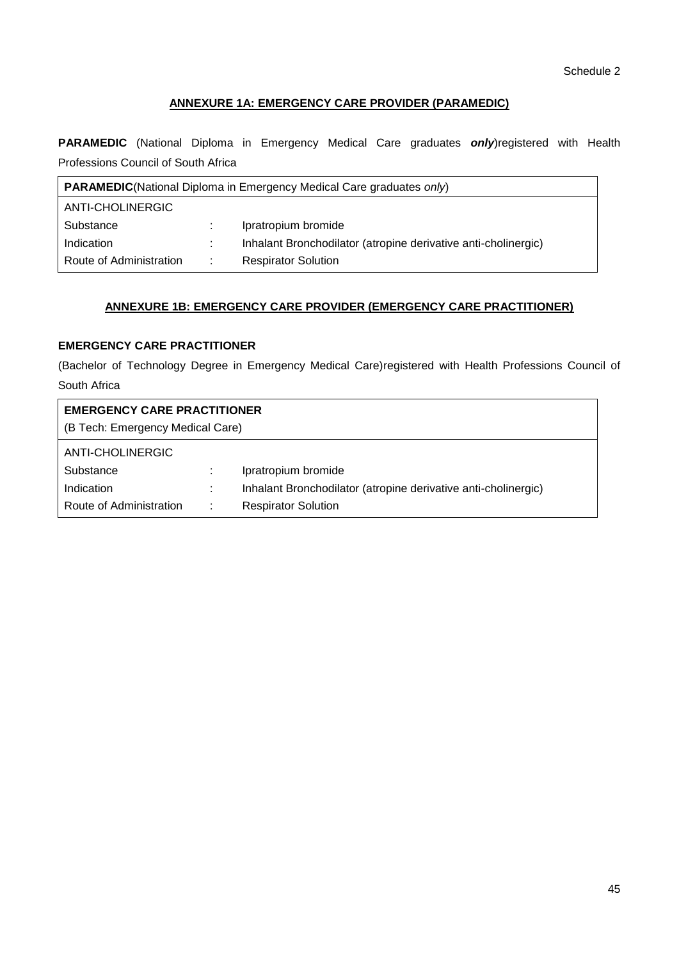### **ANNEXURE 1A: EMERGENCY CARE PROVIDER (PARAMEDIC)**

**PARAMEDIC** (National Diploma in Emergency Medical Care graduates *only*)registered with Health Professions Council of South Africa

| <b>PARAMEDIC</b> (National Diploma in Emergency Medical Care graduates only) |      |                                                                |
|------------------------------------------------------------------------------|------|----------------------------------------------------------------|
| ANTI-CHOLINERGIC                                                             |      |                                                                |
| Substance                                                                    |      | Ipratropium bromide                                            |
| Indication                                                                   |      | Inhalant Bronchodilator (atropine derivative anti-cholinergic) |
| Route of Administration                                                      | di l | <b>Respirator Solution</b>                                     |

### **ANNEXURE 1B: EMERGENCY CARE PROVIDER (EMERGENCY CARE PRACTITIONER)**

## **EMERGENCY CARE PRACTITIONER**

(Bachelor of Technology Degree in Emergency Medical Care)registered with Health Professions Council of South Africa

| <b>EMERGENCY CARE PRACTITIONER</b><br>(B Tech: Emergency Medical Care) |   |                                                                |
|------------------------------------------------------------------------|---|----------------------------------------------------------------|
| ANTI-CHOLINERGIC                                                       |   |                                                                |
| Substance                                                              |   | Ipratropium bromide                                            |
| Indication                                                             |   | Inhalant Bronchodilator (atropine derivative anti-cholinergic) |
| Route of Administration                                                | ÷ | <b>Respirator Solution</b>                                     |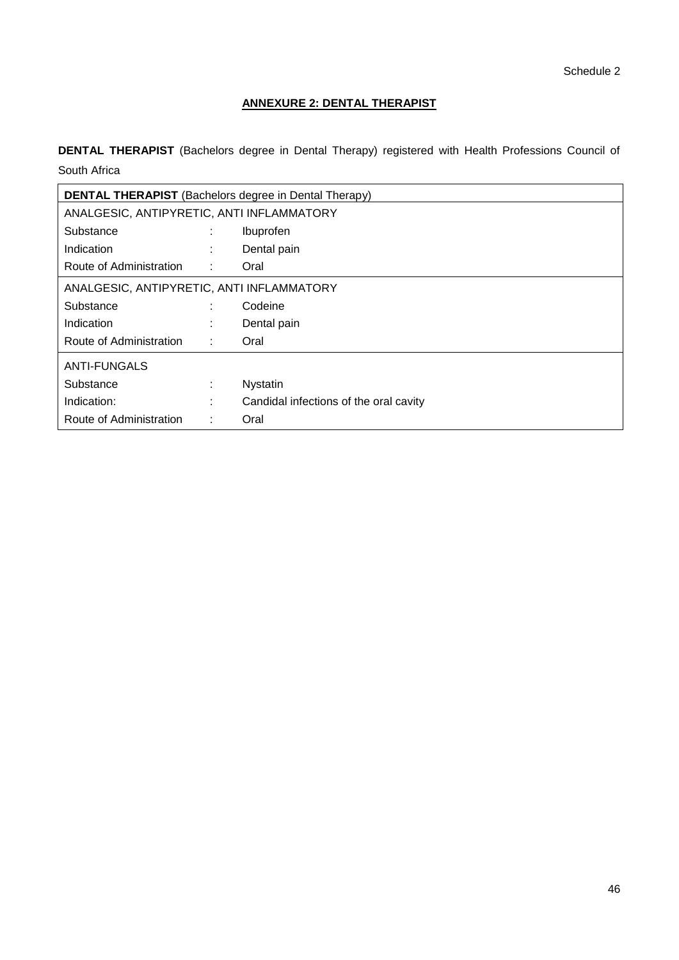# **ANNEXURE 2: DENTAL THERAPIST**

**DENTAL THERAPIST** (Bachelors degree in Dental Therapy) registered with Health Professions Council of South Africa

| <b>DENTAL THERAPIST</b> (Bachelors degree in Dental Therapy) |    |                                        |
|--------------------------------------------------------------|----|----------------------------------------|
| ANALGESIC, ANTIPYRETIC, ANTI INFLAMMATORY                    |    |                                        |
| Substance                                                    | ÷  | Ibuprofen                              |
| Indication                                                   |    | Dental pain                            |
| Route of Administration                                      | ÷  | Oral                                   |
| ANALGESIC, ANTIPYRETIC, ANTI INFLAMMATORY                    |    |                                        |
| Substance                                                    | ÷  | Codeine                                |
| Indication                                                   | ٠. | Dental pain                            |
| Route of Administration                                      | ÷. | Oral                                   |
| <b>ANTI-FUNGALS</b>                                          |    |                                        |
| Substance                                                    | ÷  | <b>Nystatin</b>                        |
| Indication:                                                  | ٠  | Candidal infections of the oral cavity |
| Route of Administration                                      | ÷  | Oral                                   |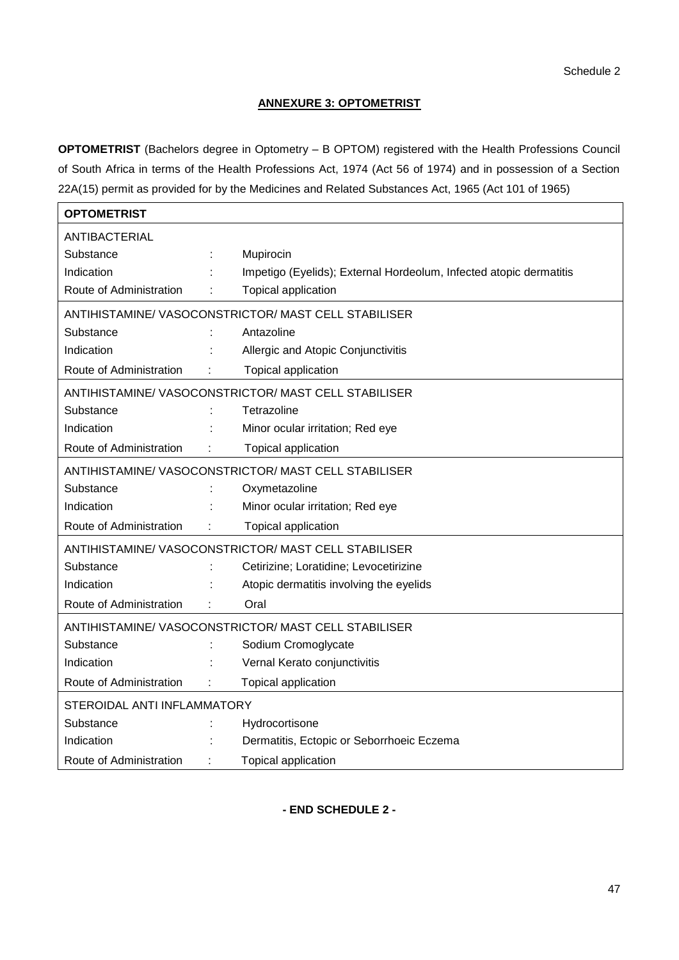### **ANNEXURE 3: OPTOMETRIST**

**OPTOMETRIST** (Bachelors degree in Optometry – B OPTOM) registered with the Health Professions Council of South Africa in terms of the Health Professions Act, 1974 (Act 56 of 1974) and in possession of a Section 22A(15) permit as provided for by the Medicines and Related Substances Act, 1965 (Act 101 of 1965)

| OPTOMETRIST                                        |  |                                                                    |
|----------------------------------------------------|--|--------------------------------------------------------------------|
| <b>ANTIBACTERIAL</b>                               |  |                                                                    |
| Substance                                          |  | Mupirocin                                                          |
| Indication                                         |  | Impetigo (Eyelids); External Hordeolum, Infected atopic dermatitis |
| Route of Administration                            |  | Topical application                                                |
| ANTIHISTAMINE/VASOCONSTRICTOR/MAST CELL STABILISER |  |                                                                    |
| Substance                                          |  | Antazoline                                                         |
| Indication                                         |  | Allergic and Atopic Conjunctivitis                                 |
| Route of Administration                            |  | Topical application                                                |
| ANTIHISTAMINE/VASOCONSTRICTOR/MAST CELL STABILISER |  |                                                                    |
| Substance                                          |  | Tetrazoline                                                        |
| Indication                                         |  | Minor ocular irritation; Red eye                                   |
| Route of Administration                            |  | Topical application                                                |
| ANTIHISTAMINE/VASOCONSTRICTOR/MAST CELL STABILISER |  |                                                                    |
| Substance                                          |  | Oxymetazoline                                                      |
| Indication                                         |  | Minor ocular irritation; Red eye                                   |
| Route of Administration                            |  | Topical application                                                |
|                                                    |  | ANTIHISTAMINE/VASOCONSTRICTOR/MAST CELL STABILISER                 |
| Substance                                          |  | Cetirizine; Loratidine; Levocetirizine                             |
| Indication                                         |  | Atopic dermatitis involving the eyelids                            |
| Route of Administration                            |  | Oral                                                               |
| ANTIHISTAMINE/VASOCONSTRICTOR/MAST CELL STABILISER |  |                                                                    |
| Substance                                          |  | Sodium Cromoglycate                                                |
| Indication                                         |  | Vernal Kerato conjunctivitis                                       |
| Route of Administration                            |  | Topical application                                                |
| STEROIDAL ANTI INFLAMMATORY                        |  |                                                                    |
| Substance                                          |  | Hydrocortisone                                                     |
| Indication                                         |  | Dermatitis, Ectopic or Seborrhoeic Eczema                          |
| Route of Administration                            |  | Topical application                                                |

**- END SCHEDULE 2 -**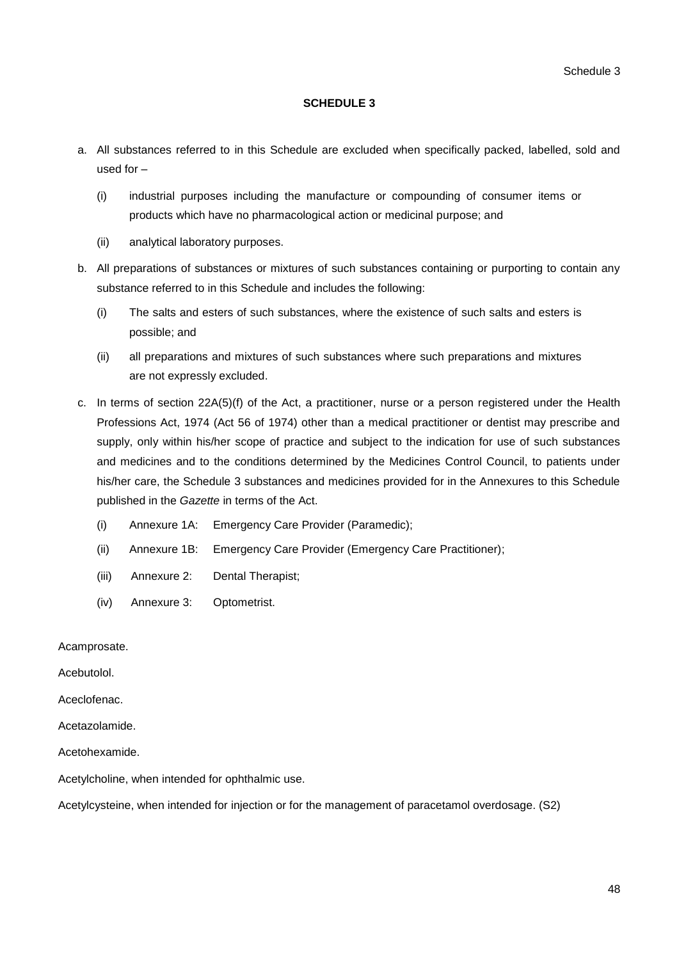### **SCHEDULE 3**

- a. All substances referred to in this Schedule are excluded when specifically packed, labelled, sold and used for –
	- (i) industrial purposes including the manufacture or compounding of consumer items or products which have no pharmacological action or medicinal purpose; and
	- (ii) analytical laboratory purposes.
- b. All preparations of substances or mixtures of such substances containing or purporting to contain any substance referred to in this Schedule and includes the following:
	- (i) The salts and esters of such substances, where the existence of such salts and esters is possible; and
	- (ii) all preparations and mixtures of such substances where such preparations and mixtures are not expressly excluded.
- c. In terms of section 22A(5)(f) of the Act, a practitioner, nurse or a person registered under the Health Professions Act, 1974 (Act 56 of 1974) other than a medical practitioner or dentist may prescribe and supply, only within his/her scope of practice and subject to the indication for use of such substances and medicines and to the conditions determined by the Medicines Control Council, to patients under his/her care, the Schedule 3 substances and medicines provided for in the Annexures to this Schedule published in the *Gazette* in terms of the Act.
	- (i) Annexure 1A: Emergency Care Provider (Paramedic);
	- (ii) Annexure 1B: Emergency Care Provider (Emergency Care Practitioner);
	- (iii) Annexure 2: Dental Therapist;
	- (iv) Annexure 3: Optometrist.

Acamprosate.

Acebutolol.

Aceclofenac.

Acetazolamide.

Acetohexamide.

Acetylcholine, when intended for ophthalmic use.

Acetylcysteine, when intended for injection or for the management of paracetamol overdosage. (S2)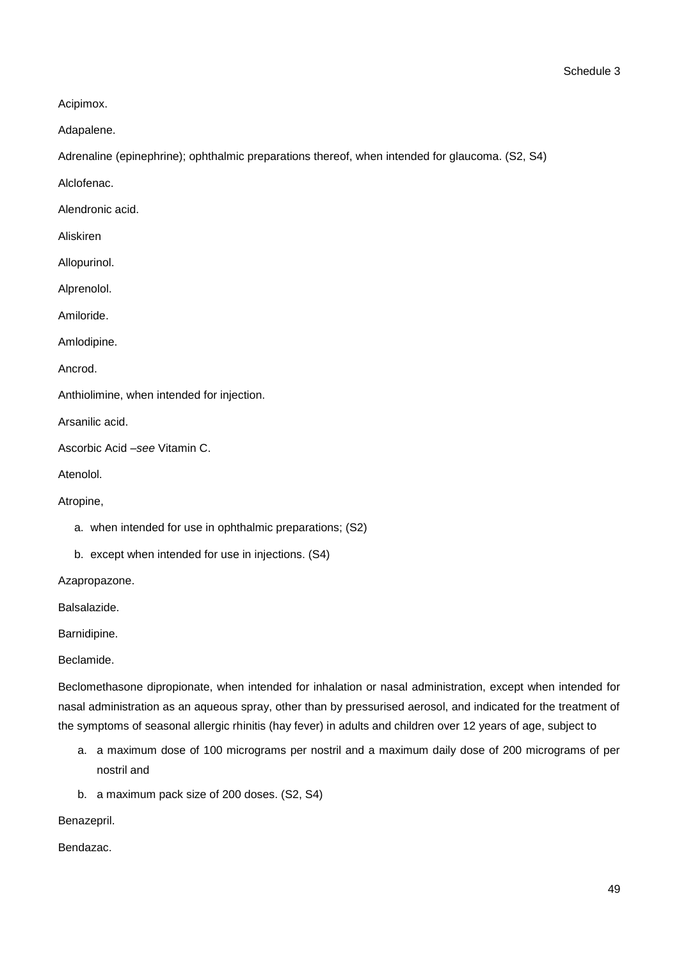Acipimox.

Adapalene.

Adrenaline (epinephrine); ophthalmic preparations thereof, when intended for glaucoma. (S2, S4)

Alclofenac.

Alendronic acid.

Aliskiren

Allopurinol.

Alprenolol.

Amiloride.

Amlodipine.

Ancrod.

Anthiolimine, when intended for injection.

Arsanilic acid.

Ascorbic Acid –*see* Vitamin C.

Atenolol.

Atropine,

- a. when intended for use in ophthalmic preparations; (S2)
- b. except when intended for use in injections. (S4)

Azapropazone.

Balsalazide.

Barnidipine.

Beclamide.

Beclomethasone dipropionate, when intended for inhalation or nasal administration, except when intended for nasal administration as an aqueous spray, other than by pressurised aerosol, and indicated for the treatment of the symptoms of seasonal allergic rhinitis (hay fever) in adults and children over 12 years of age, subject to

- a. a maximum dose of 100 micrograms per nostril and a maximum daily dose of 200 micrograms of per nostril and
- b. a maximum pack size of 200 doses. (S2, S4)

Benazepril.

Bendazac.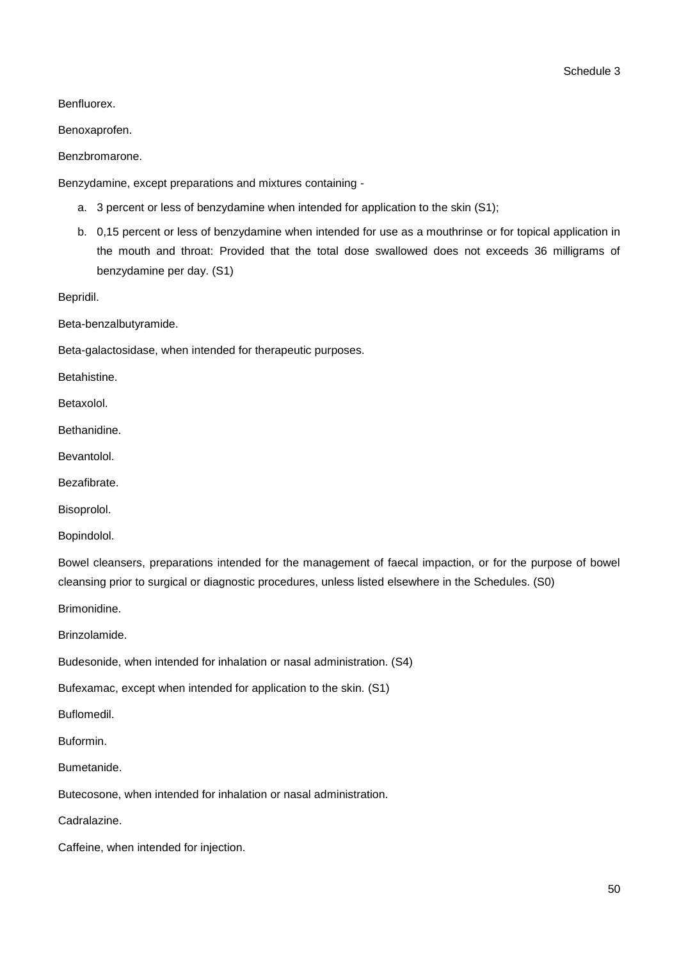Benfluorex.

Benoxaprofen.

Benzbromarone.

Benzydamine, except preparations and mixtures containing -

- a. 3 percent or less of benzydamine when intended for application to the skin (S1);
- b. 0,15 percent or less of benzydamine when intended for use as a mouthrinse or for topical application in the mouth and throat: Provided that the total dose swallowed does not exceeds 36 milligrams of benzydamine per day. (S1)

Bepridil.

Beta-benzalbutyramide.

Beta-galactosidase, when intended for therapeutic purposes.

Betahistine.

Betaxolol.

Bethanidine.

Bevantolol.

Bezafibrate.

Bisoprolol.

Bopindolol.

Bowel cleansers, preparations intended for the management of faecal impaction, or for the purpose of bowel cleansing prior to surgical or diagnostic procedures, unless listed elsewhere in the Schedules. (S0)

Brimonidine.

Brinzolamide.

Budesonide, when intended for inhalation or nasal administration. (S4)

Bufexamac, except when intended for application to the skin. (S1)

Buflomedil.

Buformin.

Bumetanide.

Butecosone, when intended for inhalation or nasal administration.

Cadralazine.

Caffeine, when intended for injection.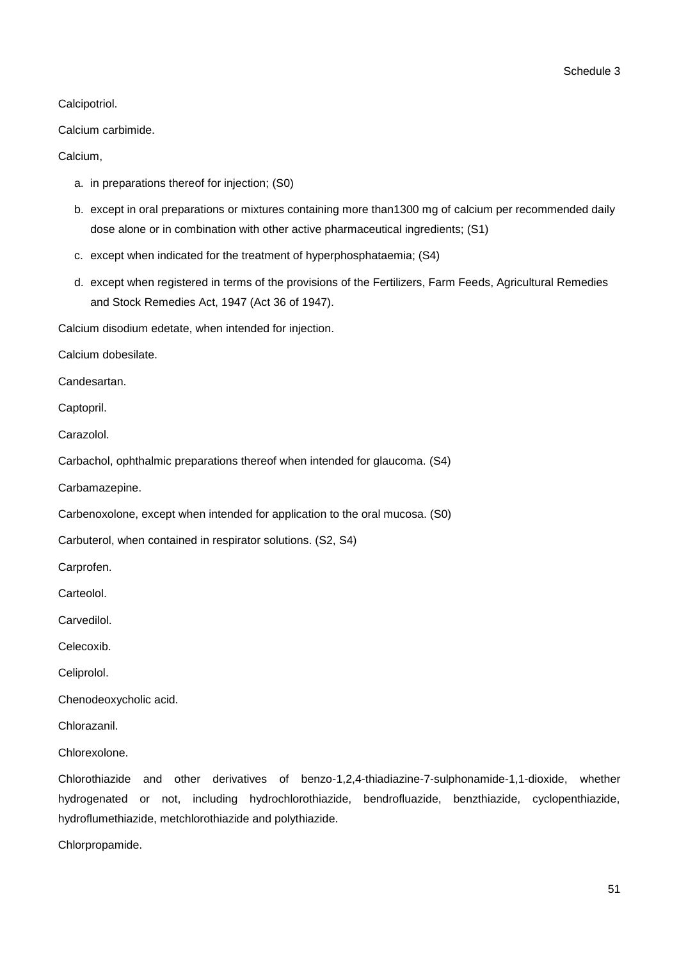Calcipotriol.

Calcium carbimide.

Calcium,

- a. in preparations thereof for injection; (S0)
- b. except in oral preparations or mixtures containing more than1300 mg of calcium per recommended daily dose alone or in combination with other active pharmaceutical ingredients; (S1)
- c. except when indicated for the treatment of hyperphosphataemia; (S4)
- d. except when registered in terms of the provisions of the Fertilizers, Farm Feeds, Agricultural Remedies and Stock Remedies Act, 1947 (Act 36 of 1947).

Calcium disodium edetate, when intended for injection.

Calcium dobesilate.

Candesartan.

Captopril.

Carazolol.

Carbachol, ophthalmic preparations thereof when intended for glaucoma. (S4)

Carbamazepine.

Carbenoxolone, except when intended for application to the oral mucosa. (S0)

Carbuterol, when contained in respirator solutions. (S2, S4)

Carprofen.

Carteolol.

Carvedilol.

Celecoxib.

Celiprolol.

Chenodeoxycholic acid.

Chlorazanil.

Chlorexolone.

Chlorothiazide and other derivatives of benzo-1,2,4-thiadiazine-7-sulphonamide-1,1-dioxide, whether hydrogenated or not, including hydrochlorothiazide, bendrofluazide, benzthiazide, cyclopenthiazide, hydroflumethiazide, metchlorothiazide and polythiazide.

Chlorpropamide.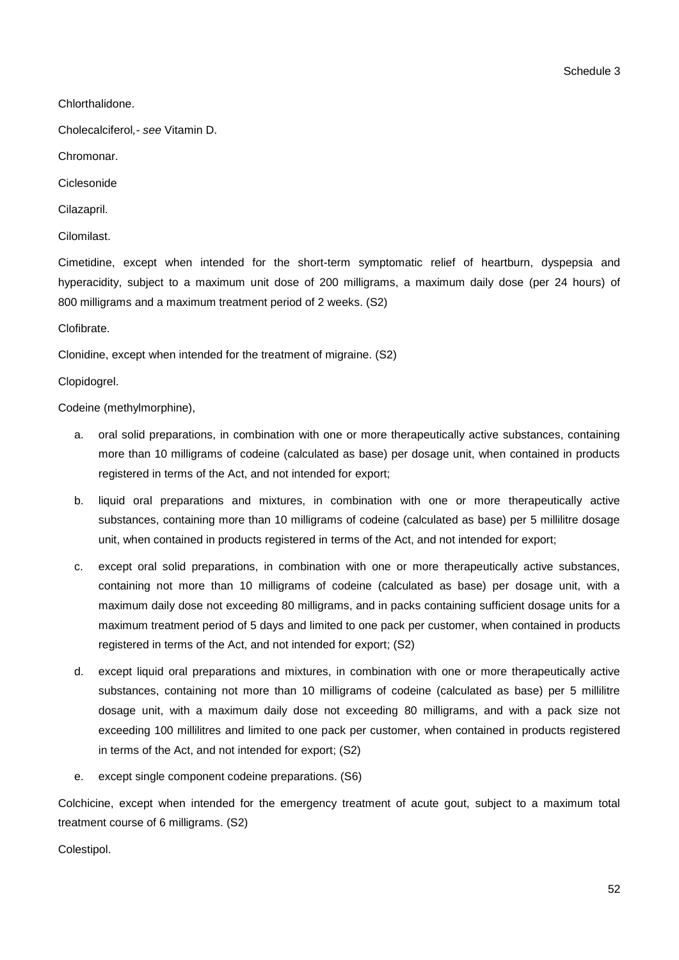Schedule 3

Chlorthalidone.

Cholecalciferol*,- see* Vitamin D.

Chromonar.

Ciclesonide

Cilazapril.

Cilomilast.

Cimetidine, except when intended for the short-term symptomatic relief of heartburn, dyspepsia and hyperacidity, subject to a maximum unit dose of 200 milligrams, a maximum daily dose (per 24 hours) of 800 milligrams and a maximum treatment period of 2 weeks. (S2)

Clofibrate.

Clonidine, except when intended for the treatment of migraine. (S2)

### Clopidogrel.

Codeine (methylmorphine),

- a. oral solid preparations, in combination with one or more therapeutically active substances, containing more than 10 milligrams of codeine (calculated as base) per dosage unit, when contained in products registered in terms of the Act, and not intended for export;
- b. liquid oral preparations and mixtures, in combination with one or more therapeutically active substances, containing more than 10 milligrams of codeine (calculated as base) per 5 millilitre dosage unit, when contained in products registered in terms of the Act, and not intended for export;
- c. except oral solid preparations, in combination with one or more therapeutically active substances, containing not more than 10 milligrams of codeine (calculated as base) per dosage unit, with a maximum daily dose not exceeding 80 milligrams, and in packs containing sufficient dosage units for a maximum treatment period of 5 days and limited to one pack per customer, when contained in products registered in terms of the Act, and not intended for export; (S2)
- d. except liquid oral preparations and mixtures, in combination with one or more therapeutically active substances, containing not more than 10 milligrams of codeine (calculated as base) per 5 millilitre dosage unit, with a maximum daily dose not exceeding 80 milligrams, and with a pack size not exceeding 100 millilitres and limited to one pack per customer, when contained in products registered in terms of the Act, and not intended for export; (S2)
- e. except single component codeine preparations. (S6)

Colchicine, except when intended for the emergency treatment of acute gout, subject to a maximum total treatment course of 6 milligrams. (S2)

Colestipol.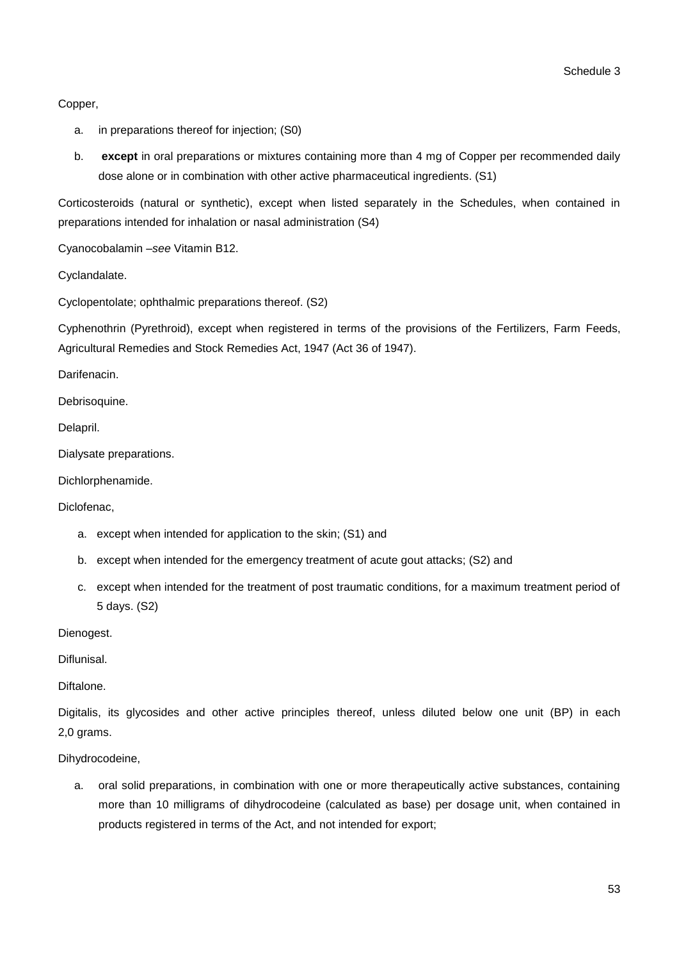Copper,

- a. in preparations thereof for injection; (S0)
- b. **except** in oral preparations or mixtures containing more than 4 mg of Copper per recommended daily dose alone or in combination with other active pharmaceutical ingredients. (S1)

Corticosteroids (natural or synthetic), except when listed separately in the Schedules, when contained in preparations intended for inhalation or nasal administration (S4)

Cyanocobalamin –*see* Vitamin B12.

Cyclandalate.

Cyclopentolate; ophthalmic preparations thereof. (S2)

Cyphenothrin (Pyrethroid), except when registered in terms of the provisions of the Fertilizers, Farm Feeds, Agricultural Remedies and Stock Remedies Act, 1947 (Act 36 of 1947).

Darifenacin.

Debrisoquine.

Delapril.

Dialysate preparations.

Dichlorphenamide.

Diclofenac,

- a. except when intended for application to the skin; (S1) and
- b. except when intended for the emergency treatment of acute gout attacks; (S2) and
- c. except when intended for the treatment of post traumatic conditions, for a maximum treatment period of 5 days. (S2)

Dienogest.

Diflunisal.

Diftalone.

Digitalis, its glycosides and other active principles thereof, unless diluted below one unit (BP) in each 2,0 grams.

Dihydrocodeine,

a. oral solid preparations, in combination with one or more therapeutically active substances, containing more than 10 milligrams of dihydrocodeine (calculated as base) per dosage unit, when contained in products registered in terms of the Act, and not intended for export;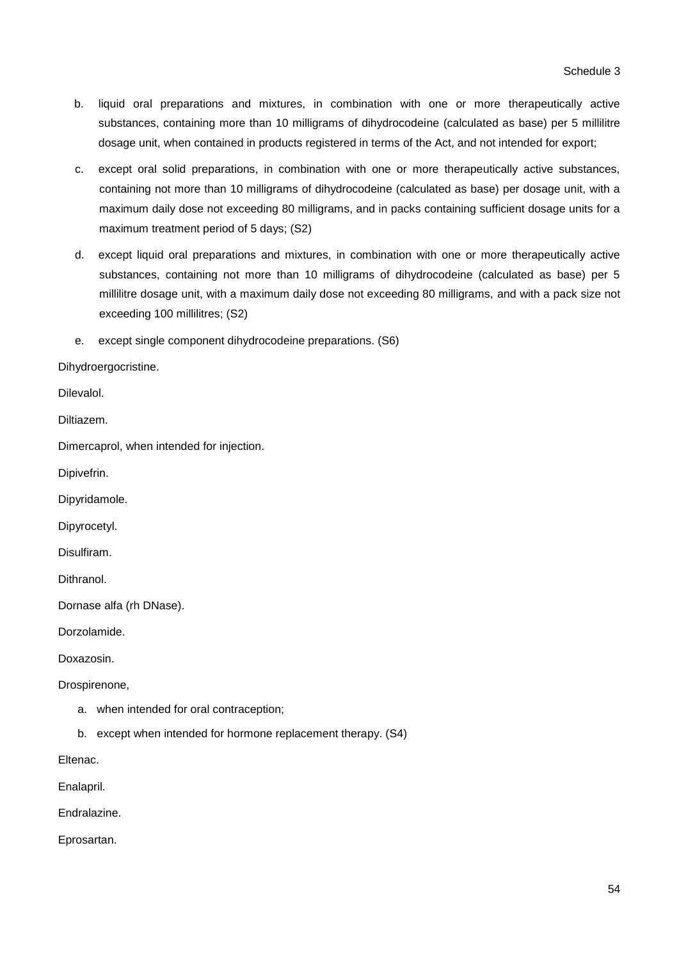- b. liquid oral preparations and mixtures, in combination with one or more therapeutically active substances, containing more than 10 milligrams of dihydrocodeine (calculated as base) per 5 millilitre dosage unit, when contained in products registered in terms of the Act, and not intended for export;
- c. except oral solid preparations, in combination with one or more therapeutically active substances, containing not more than 10 milligrams of dihydrocodeine (calculated as base) per dosage unit, with a maximum daily dose not exceeding 80 milligrams, and in packs containing sufficient dosage units for a maximum treatment period of 5 days; (S2)
- d. except liquid oral preparations and mixtures, in combination with one or more therapeutically active substances, containing not more than 10 milligrams of dihydrocodeine (calculated as base) per 5 millilitre dosage unit, with a maximum daily dose not exceeding 80 milligrams, and with a pack size not exceeding 100 millilitres; (S2)
- e. except single component dihydrocodeine preparations. (S6)

Dihydroergocristine.

Dilevalol.

Diltiazem.

Dimercaprol, when intended for injection.

Dipivefrin.

Dipyridamole.

Dipyrocetyl.

Disulfiram.

Dithranol.

Dornase alfa (rh DNase).

Dorzolamide.

Doxazosin.

Drospirenone,

- a. when intended for oral contraception;
- b. except when intended for hormone replacement therapy. (S4)

Eltenac.

Enalapril.

Endralazine.

Eprosartan.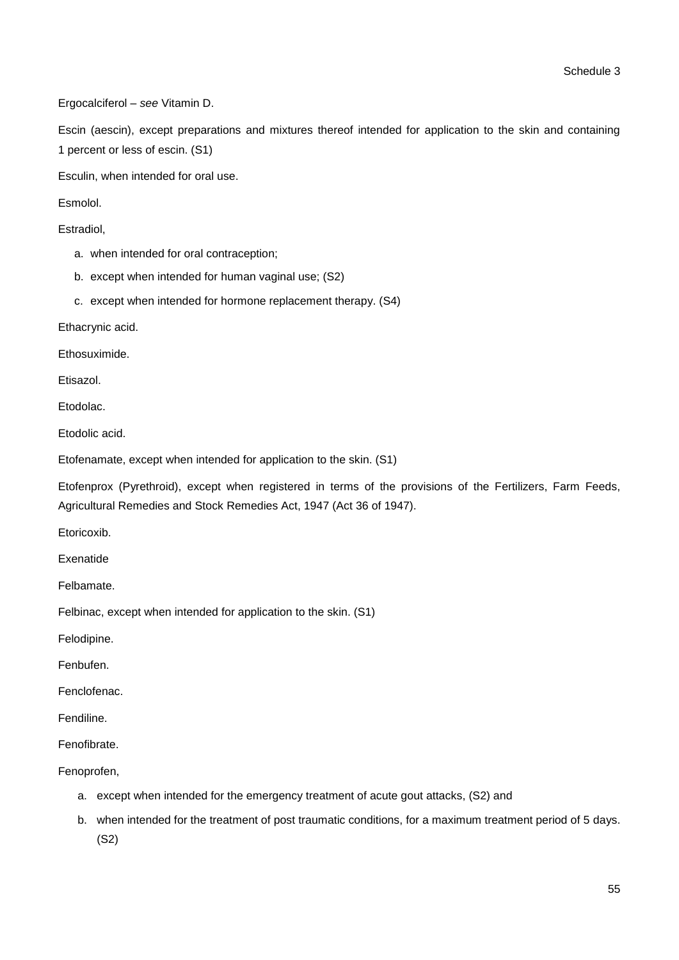Ergocalciferol – *see* Vitamin D.

Escin (aescin), except preparations and mixtures thereof intended for application to the skin and containing 1 percent or less of escin. (S1)

Esculin, when intended for oral use.

Esmolol.

Estradiol,

- a. when intended for oral contraception;
- b. except when intended for human vaginal use; (S2)
- c. except when intended for hormone replacement therapy. (S4)

Ethacrynic acid.

Ethosuximide.

Etisazol.

Etodolac.

Etodolic acid.

Etofenamate, except when intended for application to the skin. (S1)

Etofenprox (Pyrethroid), except when registered in terms of the provisions of the Fertilizers, Farm Feeds, Agricultural Remedies and Stock Remedies Act, 1947 (Act 36 of 1947).

Etoricoxib.

Exenatide

Felbamate.

Felbinac, except when intended for application to the skin. (S1)

Felodipine.

Fenbufen.

Fenclofenac.

Fendiline.

Fenofibrate.

Fenoprofen,

- a. except when intended for the emergency treatment of acute gout attacks, (S2) and
- b. when intended for the treatment of post traumatic conditions, for a maximum treatment period of 5 days. (S2)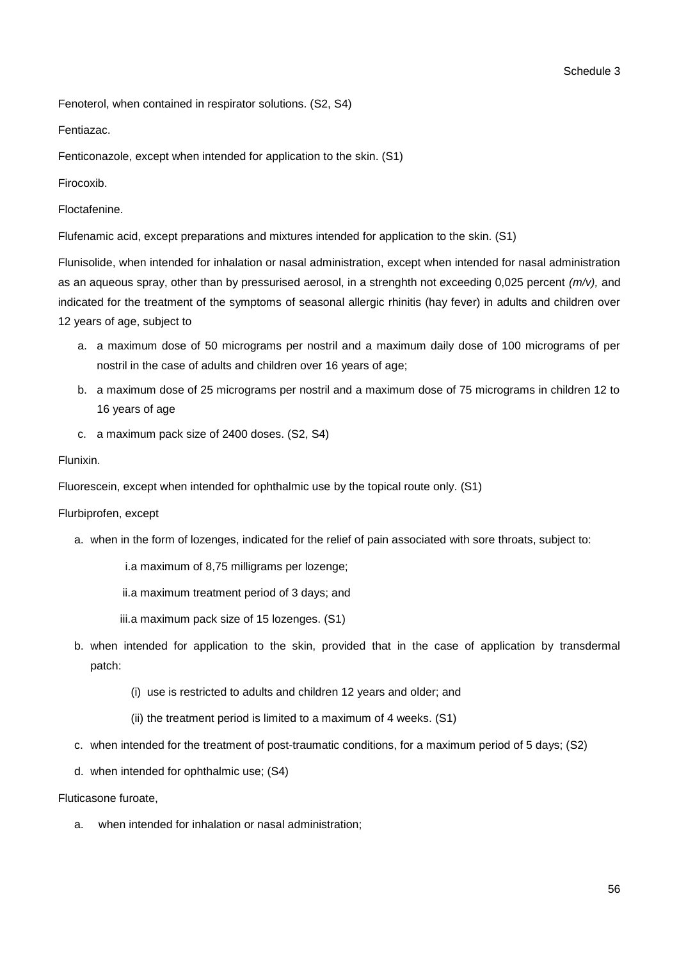Fenoterol, when contained in respirator solutions. (S2, S4)

Fentiazac.

Fenticonazole, except when intended for application to the skin. (S1)

Firocoxib.

Floctafenine.

Flufenamic acid, except preparations and mixtures intended for application to the skin. (S1)

Flunisolide, when intended for inhalation or nasal administration, except when intended for nasal administration as an aqueous spray, other than by pressurised aerosol, in a strenghth not exceeding 0,025 percent *(m/v),* and indicated for the treatment of the symptoms of seasonal allergic rhinitis (hay fever) in adults and children over 12 years of age, subject to

- a. a maximum dose of 50 micrograms per nostril and a maximum daily dose of 100 micrograms of per nostril in the case of adults and children over 16 years of age;
- b. a maximum dose of 25 micrograms per nostril and a maximum dose of 75 micrograms in children 12 to 16 years of age
- c. a maximum pack size of 2400 doses. (S2, S4)

### Flunixin.

Fluorescein, except when intended for ophthalmic use by the topical route only. (S1)

### Flurbiprofen, except

a. when in the form of lozenges, indicated for the relief of pain associated with sore throats, subject to:

i.a maximum of 8,75 milligrams per lozenge;

ii.a maximum treatment period of 3 days; and

iii.a maximum pack size of 15 lozenges. (S1)

- b. when intended for application to the skin, provided that in the case of application by transdermal patch:
	- (i) use is restricted to adults and children 12 years and older; and
	- (ii) the treatment period is limited to a maximum of 4 weeks. (S1)
- c. when intended for the treatment of post-traumatic conditions, for a maximum period of 5 days; (S2)
- d. when intended for ophthalmic use; (S4)

Fluticasone furoate,

a. when intended for inhalation or nasal administration;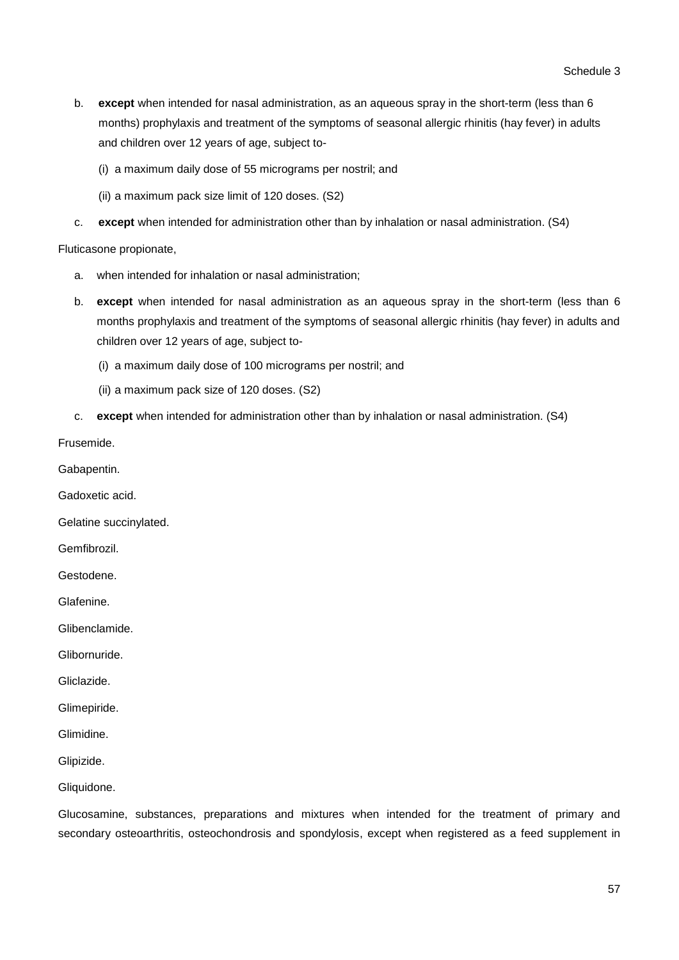- b. **except** when intended for nasal administration, as an aqueous spray in the short-term (less than 6 months) prophylaxis and treatment of the symptoms of seasonal allergic rhinitis (hay fever) in adults and children over 12 years of age, subject to-
	- (i) a maximum daily dose of 55 micrograms per nostril; and
	- (ii) a maximum pack size limit of 120 doses. (S2)
- c. **except** when intended for administration other than by inhalation or nasal administration. (S4)

Fluticasone propionate,

- a. when intended for inhalation or nasal administration;
- b. **except** when intended for nasal administration as an aqueous spray in the short-term (less than 6 months prophylaxis and treatment of the symptoms of seasonal allergic rhinitis (hay fever) in adults and children over 12 years of age, subject to-
	- (i) a maximum daily dose of 100 micrograms per nostril; and
	- (ii) a maximum pack size of 120 doses. (S2)
- c. **except** when intended for administration other than by inhalation or nasal administration. (S4)

Frusemide.

Gabapentin.

Gadoxetic acid.

Gelatine succinylated.

Gemfibrozil.

Gestodene.

Glafenine.

Glibenclamide.

Glibornuride.

Gliclazide.

Glimepiride.

Glimidine.

Glipizide.

Gliquidone.

Glucosamine, substances, preparations and mixtures when intended for the treatment of primary and secondary osteoarthritis, osteochondrosis and spondylosis, except when registered as a feed supplement in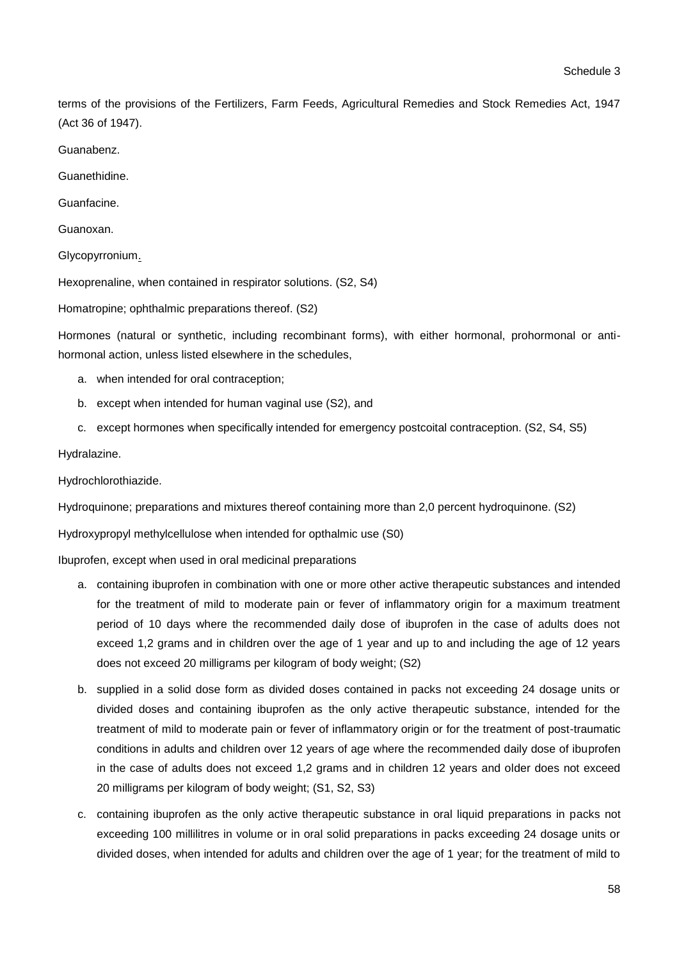terms of the provisions of the Fertilizers, Farm Feeds, Agricultural Remedies and Stock Remedies Act, 1947 (Act 36 of 1947).

Guanabenz.

Guanethidine.

Guanfacine.

Guanoxan.

Glycopyrronium.

Hexoprenaline, when contained in respirator solutions. (S2, S4)

Homatropine; ophthalmic preparations thereof. (S2)

Hormones (natural or synthetic, including recombinant forms), with either hormonal, prohormonal or antihormonal action, unless listed elsewhere in the schedules,

- a. when intended for oral contraception;
- b. except when intended for human vaginal use (S2), and
- c. except hormones when specifically intended for emergency postcoital contraception. (S2, S4, S5)

Hydralazine.

Hydrochlorothiazide.

Hydroquinone; preparations and mixtures thereof containing more than 2,0 percent hydroquinone. (S2)

Hydroxypropyl methylcellulose when intended for opthalmic use (S0)

Ibuprofen, except when used in oral medicinal preparations

- a. containing ibuprofen in combination with one or more other active therapeutic substances and intended for the treatment of mild to moderate pain or fever of inflammatory origin for a maximum treatment period of 10 days where the recommended daily dose of ibuprofen in the case of adults does not exceed 1,2 grams and in children over the age of 1 year and up to and including the age of 12 years does not exceed 20 milligrams per kilogram of body weight; (S2)
- b. supplied in a solid dose form as divided doses contained in packs not exceeding 24 dosage units or divided doses and containing ibuprofen as the only active therapeutic substance, intended for the treatment of mild to moderate pain or fever of inflammatory origin or for the treatment of post-traumatic conditions in adults and children over 12 years of age where the recommended daily dose of ibuprofen in the case of adults does not exceed 1,2 grams and in children 12 years and older does not exceed 20 milligrams per kilogram of body weight; (S1, S2, S3)
- c. containing ibuprofen as the only active therapeutic substance in oral liquid preparations in packs not exceeding 100 millilitres in volume or in oral solid preparations in packs exceeding 24 dosage units or divided doses, when intended for adults and children over the age of 1 year; for the treatment of mild to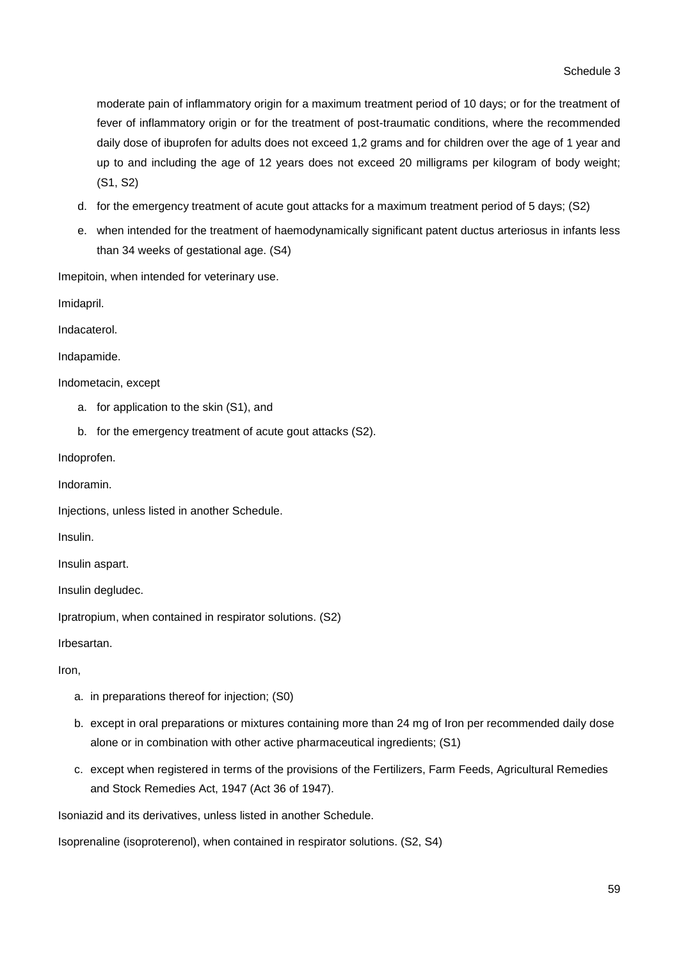moderate pain of inflammatory origin for a maximum treatment period of 10 days; or for the treatment of fever of inflammatory origin or for the treatment of post-traumatic conditions, where the recommended daily dose of ibuprofen for adults does not exceed 1,2 grams and for children over the age of 1 year and up to and including the age of 12 years does not exceed 20 milligrams per kilogram of body weight; (S1, S2)

- d. for the emergency treatment of acute gout attacks for a maximum treatment period of 5 days; (S2)
- e. when intended for the treatment of haemodynamically significant patent ductus arteriosus in infants less than 34 weeks of gestational age. (S4)

Imepitoin, when intended for veterinary use.

Imidapril.

Indacaterol.

Indapamide.

Indometacin, except

- a. for application to the skin (S1), and
- b. for the emergency treatment of acute gout attacks (S2).

Indoprofen.

Indoramin.

Injections, unless listed in another Schedule.

Insulin.

Insulin aspart.

Insulin degludec.

Ipratropium, when contained in respirator solutions. (S2)

Irbesartan.

Iron,

- a. in preparations thereof for injection; (S0)
- b. except in oral preparations or mixtures containing more than 24 mg of Iron per recommended daily dose alone or in combination with other active pharmaceutical ingredients; (S1)
- c. except when registered in terms of the provisions of the Fertilizers, Farm Feeds, Agricultural Remedies and Stock Remedies Act, 1947 (Act 36 of 1947).

Isoniazid and its derivatives, unless listed in another Schedule.

Isoprenaline (isoproterenol), when contained in respirator solutions. (S2, S4)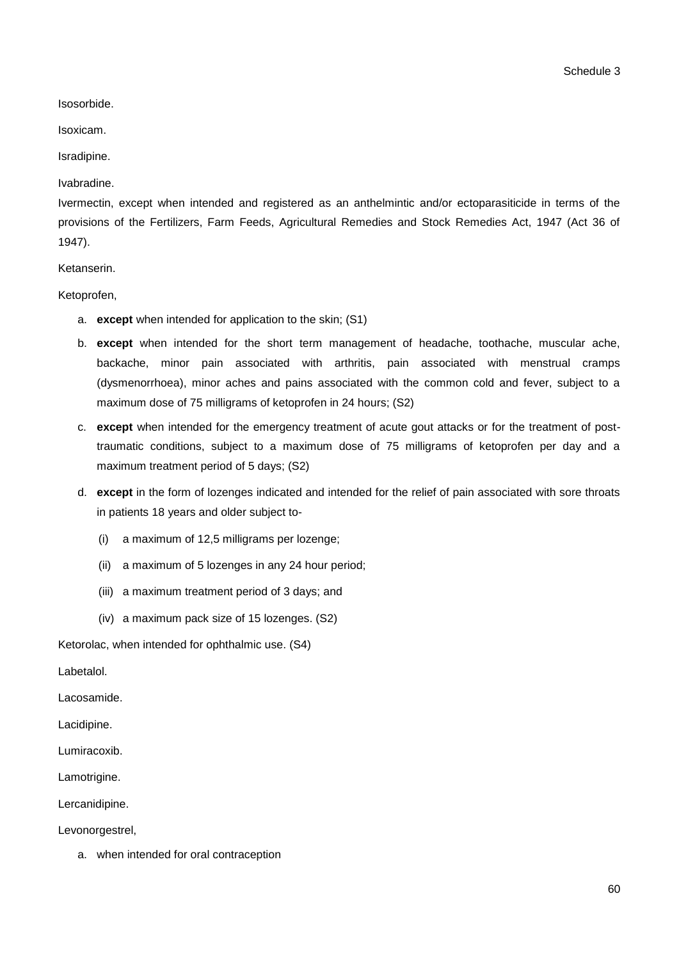Schedule 3

Isosorbide.

Isoxicam.

Isradipine.

Ivabradine.

Ivermectin, except when intended and registered as an anthelmintic and/or ectoparasiticide in terms of the provisions of the Fertilizers, Farm Feeds, Agricultural Remedies and Stock Remedies Act, 1947 (Act 36 of 1947).

Ketanserin.

Ketoprofen,

- a. **except** when intended for application to the skin; (S1)
- b. **except** when intended for the short term management of headache, toothache, muscular ache, backache, minor pain associated with arthritis, pain associated with menstrual cramps (dysmenorrhoea), minor aches and pains associated with the common cold and fever, subject to a maximum dose of 75 milligrams of ketoprofen in 24 hours; (S2)
- c. **except** when intended for the emergency treatment of acute gout attacks or for the treatment of posttraumatic conditions, subject to a maximum dose of 75 milligrams of ketoprofen per day and a maximum treatment period of 5 days; (S2)
- d. **except** in the form of lozenges indicated and intended for the relief of pain associated with sore throats in patients 18 years and older subject to-
	- (i) a maximum of 12,5 milligrams per lozenge;
	- (ii) a maximum of 5 lozenges in any 24 hour period;
	- (iii) a maximum treatment period of 3 days; and
	- (iv) a maximum pack size of 15 lozenges. (S2)

Ketorolac, when intended for ophthalmic use. (S4)

Labetalol.

Lacosamide.

Lacidipine.

Lumiracoxib.

Lamotrigine.

Lercanidipine.

Levonorgestrel,

a. when intended for oral contraception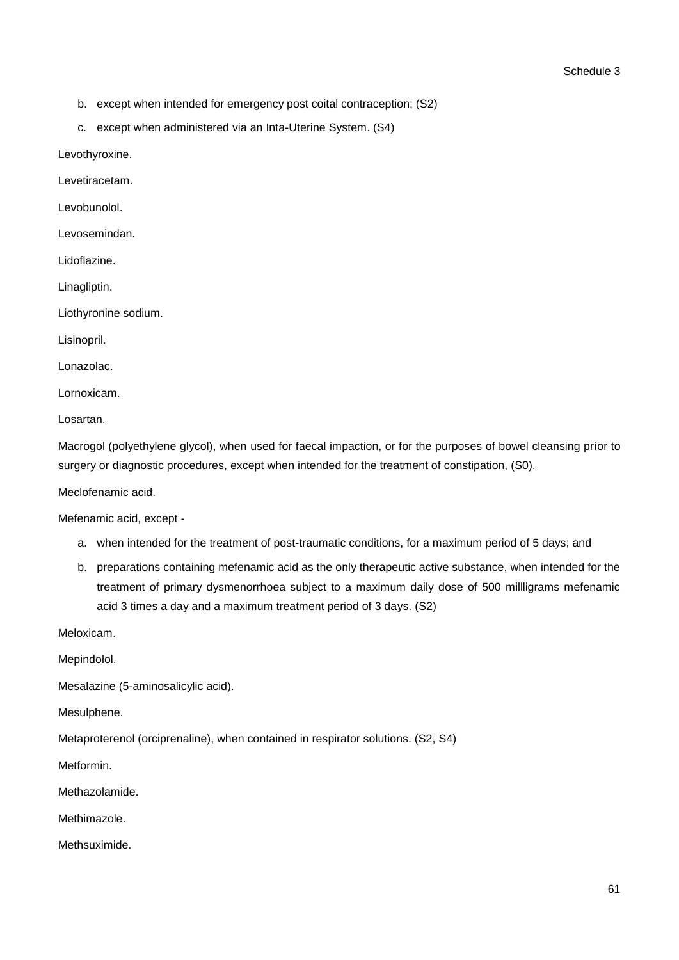- b. except when intended for emergency post coital contraception; (S2)
- c. except when administered via an Inta-Uterine System. (S4)

Levothyroxine.

Levetiracetam.

Levobunolol.

Levosemindan.

Lidoflazine.

Linagliptin.

Liothyronine sodium.

Lisinopril.

Lonazolac.

Lornoxicam.

Losartan.

Macrogol (polyethylene glycol), when used for faecal impaction, or for the purposes of bowel cleansing prior to surgery or diagnostic procedures, except when intended for the treatment of constipation, (S0).

Meclofenamic acid.

Mefenamic acid, except -

- a. when intended for the treatment of post-traumatic conditions, for a maximum period of 5 days; and
- b. preparations containing mefenamic acid as the only therapeutic active substance, when intended for the treatment of primary dysmenorrhoea subject to a maximum daily dose of 500 millligrams mefenamic acid 3 times a day and a maximum treatment period of 3 days. (S2)

Meloxicam.

Mepindolol.

Mesalazine (5-aminosalicylic acid).

Mesulphene.

Metaproterenol (orciprenaline), when contained in respirator solutions. (S2, S4)

Metformin.

Methazolamide.

Methimazole.

Methsuximide.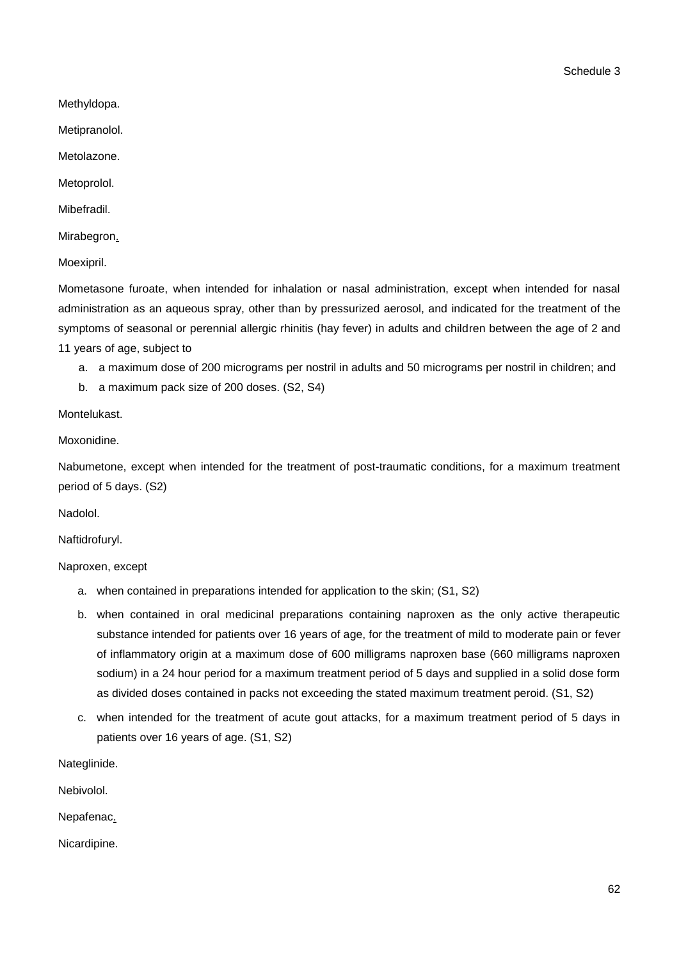Schedule 3

Methyldopa.

Metipranolol.

Metolazone.

Metoprolol.

Mibefradil.

Mirabegron.

Moexipril.

Mometasone furoate, when intended for inhalation or nasal administration, except when intended for nasal administration as an aqueous spray, other than by pressurized aerosol, and indicated for the treatment of the symptoms of seasonal or perennial allergic rhinitis (hay fever) in adults and children between the age of 2 and 11 years of age, subject to

a. a maximum dose of 200 micrograms per nostril in adults and 50 micrograms per nostril in children; and

b. a maximum pack size of 200 doses. (S2, S4)

Montelukast.

Moxonidine.

Nabumetone, except when intended for the treatment of post-traumatic conditions, for a maximum treatment period of 5 days. (S2)

Nadolol.

Naftidrofuryl.

Naproxen, except

- a. when contained in preparations intended for application to the skin; (S1, S2)
- b. when contained in oral medicinal preparations containing naproxen as the only active therapeutic substance intended for patients over 16 years of age, for the treatment of mild to moderate pain or fever of inflammatory origin at a maximum dose of 600 milligrams naproxen base (660 milligrams naproxen sodium) in a 24 hour period for a maximum treatment period of 5 days and supplied in a solid dose form as divided doses contained in packs not exceeding the stated maximum treatment peroid. (S1, S2)
- c. when intended for the treatment of acute gout attacks, for a maximum treatment period of 5 days in patients over 16 years of age. (S1, S2)

Nateglinide.

Nebivolol.

Nepafenac.

Nicardipine.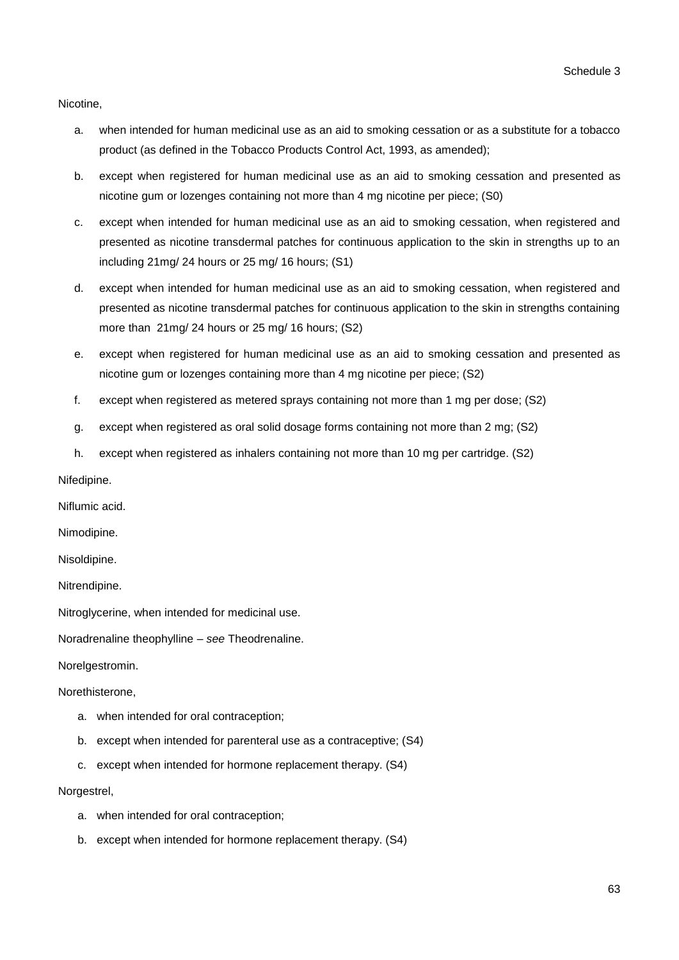Nicotine,

- a. when intended for human medicinal use as an aid to smoking cessation or as a substitute for a tobacco product (as defined in the Tobacco Products Control Act, 1993, as amended);
- b. except when registered for human medicinal use as an aid to smoking cessation and presented as nicotine gum or lozenges containing not more than 4 mg nicotine per piece; (S0)
- c. except when intended for human medicinal use as an aid to smoking cessation, when registered and presented as nicotine transdermal patches for continuous application to the skin in strengths up to an including 21mg/ 24 hours or 25 mg/ 16 hours; (S1)
- d. except when intended for human medicinal use as an aid to smoking cessation, when registered and presented as nicotine transdermal patches for continuous application to the skin in strengths containing more than 21mg/ 24 hours or 25 mg/ 16 hours; (S2)
- e. except when registered for human medicinal use as an aid to smoking cessation and presented as nicotine gum or lozenges containing more than 4 mg nicotine per piece; (S2)
- f. except when registered as metered sprays containing not more than 1 mg per dose; (S2)
- g. except when registered as oral solid dosage forms containing not more than 2 mg; (S2)
- h. except when registered as inhalers containing not more than 10 mg per cartridge. (S2)

Nifedipine.

Niflumic acid.

Nimodipine.

Nisoldipine.

Nitrendipine.

Nitroglycerine, when intended for medicinal use.

Noradrenaline theophylline – *see* Theodrenaline.

Norelgestromin.

Norethisterone,

- a. when intended for oral contraception;
- b. except when intended for parenteral use as a contraceptive; (S4)
- c. except when intended for hormone replacement therapy. (S4)

#### Norgestrel,

- a. when intended for oral contraception;
- b. except when intended for hormone replacement therapy. (S4)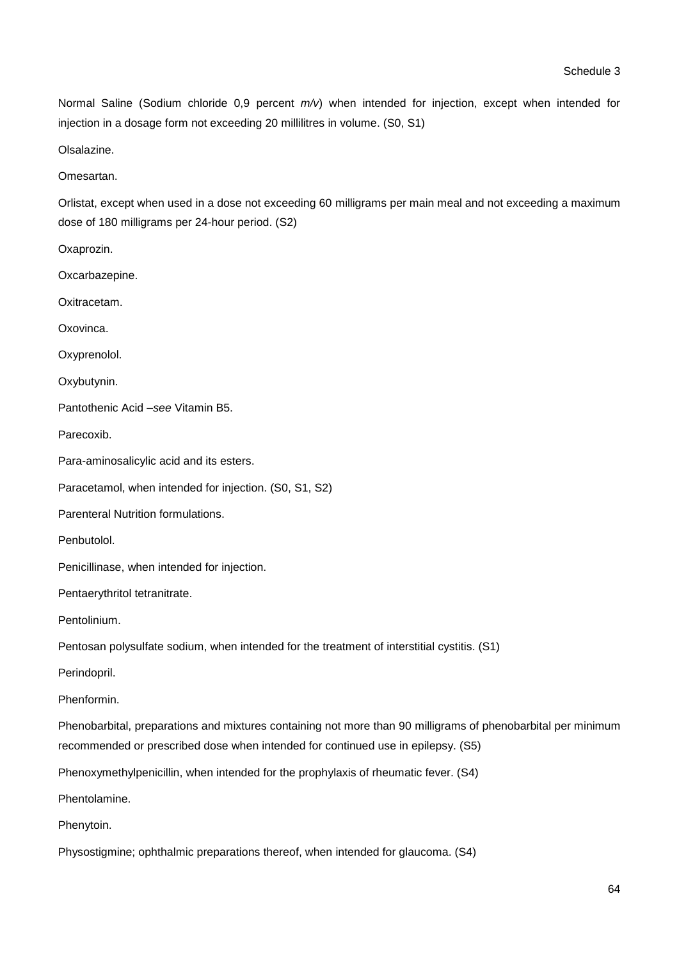Normal Saline (Sodium chloride 0,9 percent *m/v*) when intended for injection, except when intended for injection in a dosage form not exceeding 20 millilitres in volume. (S0, S1)

Olsalazine.

Omesartan.

Oxaprozin.

Orlistat, except when used in a dose not exceeding 60 milligrams per main meal and not exceeding a maximum dose of 180 milligrams per 24-hour period. (S2)

| Oxcarbazepine.                                                                                                                                                                                   |
|--------------------------------------------------------------------------------------------------------------------------------------------------------------------------------------------------|
| Oxitracetam.                                                                                                                                                                                     |
| Oxovinca.                                                                                                                                                                                        |
| Oxyprenolol.                                                                                                                                                                                     |
| Oxybutynin.                                                                                                                                                                                      |
| Pantothenic Acid -see Vitamin B5.                                                                                                                                                                |
| Parecoxib.                                                                                                                                                                                       |
| Para-aminosalicylic acid and its esters.                                                                                                                                                         |
| Paracetamol, when intended for injection. (S0, S1, S2)                                                                                                                                           |
| Parenteral Nutrition formulations.                                                                                                                                                               |
| Penbutolol.                                                                                                                                                                                      |
| Penicillinase, when intended for injection.                                                                                                                                                      |
| Pentaerythritol tetranitrate.                                                                                                                                                                    |
| Pentolinium.                                                                                                                                                                                     |
| Pentosan polysulfate sodium, when intended for the treatment of interstitial cystitis. (S1)                                                                                                      |
| Perindopril.                                                                                                                                                                                     |
| Phenformin.                                                                                                                                                                                      |
| Phenobarbital, preparations and mixtures containing not more than 90 milligrams of phenobarbital per minimum<br>recommended or prescribed dose when intended for continued use in epilepsy. (S5) |
| Phenoxymethylpenicillin, when intended for the prophylaxis of rheumatic fever. (S4)                                                                                                              |
| Phentolamine.                                                                                                                                                                                    |
| Phenytoin.                                                                                                                                                                                       |
| Physostigmine; ophthalmic preparations thereof, when intended for glaucoma. (S4)                                                                                                                 |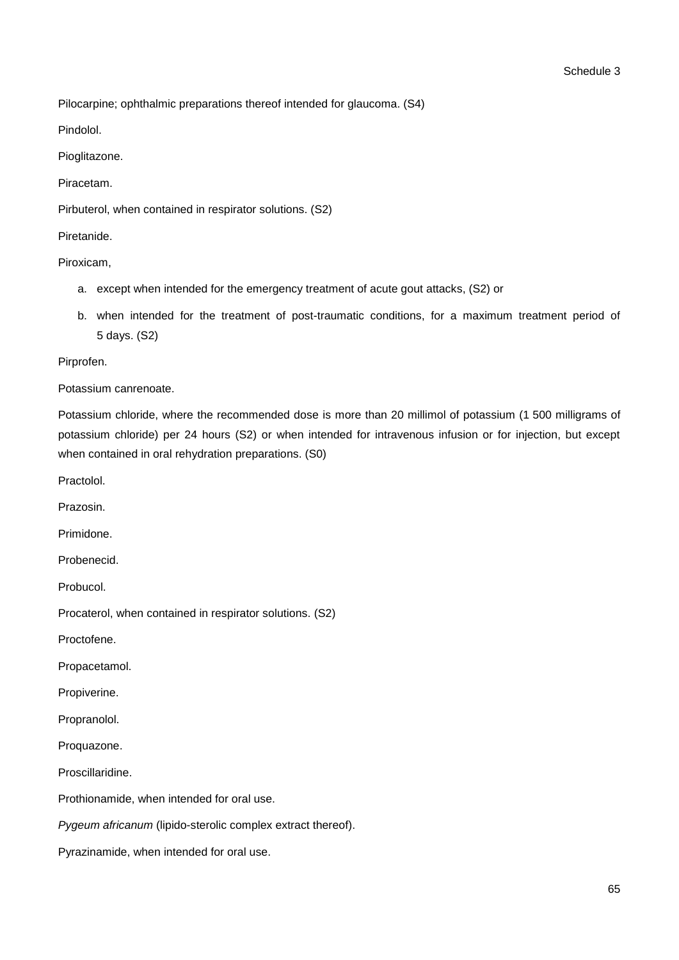Pilocarpine; ophthalmic preparations thereof intended for glaucoma. (S4)

Pindolol.

Pioglitazone.

Piracetam.

Pirbuterol, when contained in respirator solutions. (S2)

Piretanide.

Piroxicam,

- a. except when intended for the emergency treatment of acute gout attacks, (S2) or
- b. when intended for the treatment of post-traumatic conditions, for a maximum treatment period of 5 days. (S2)

Pirprofen.

Potassium canrenoate.

Potassium chloride, where the recommended dose is more than 20 millimol of potassium (1 500 milligrams of potassium chloride) per 24 hours (S2) or when intended for intravenous infusion or for injection, but except when contained in oral rehydration preparations. (S0)

Practolol.

Prazosin.

Primidone.

Probenecid.

Probucol.

Procaterol, when contained in respirator solutions. (S2)

Proctofene.

Propacetamol.

Propiverine.

Propranolol.

Proquazone.

Proscillaridine.

Prothionamide, when intended for oral use.

*Pygeum africanum* (lipido-sterolic complex extract thereof).

Pyrazinamide, when intended for oral use.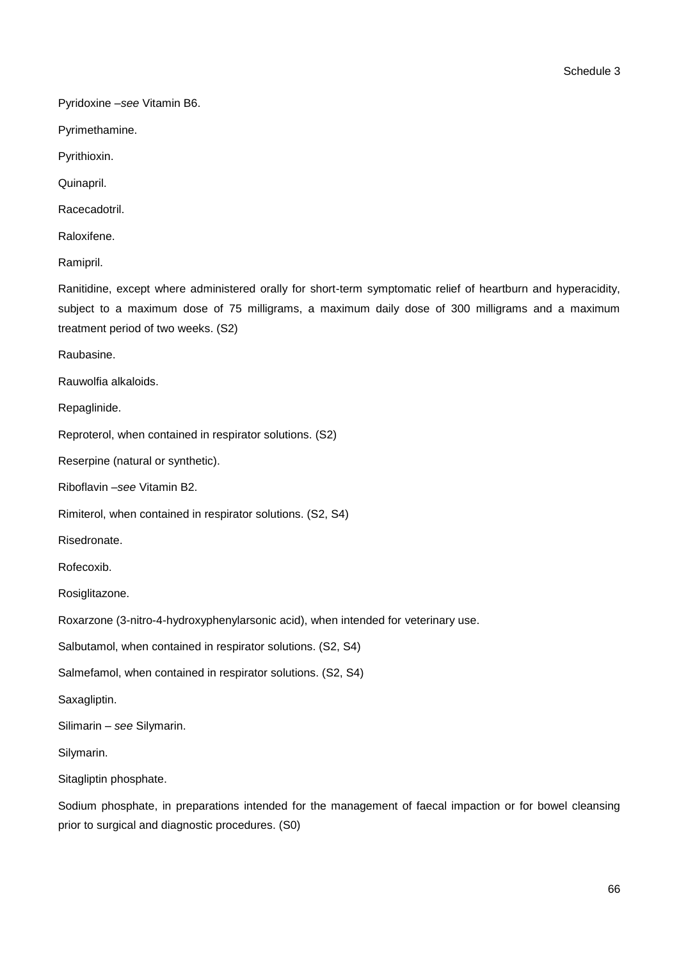Schedule 3

Pyridoxine –*see* Vitamin B6.

Pyrimethamine.

Pyrithioxin.

Quinapril.

Racecadotril.

Raloxifene.

Ramipril.

Ranitidine, except where administered orally for short-term symptomatic relief of heartburn and hyperacidity, subject to a maximum dose of 75 milligrams, a maximum daily dose of 300 milligrams and a maximum treatment period of two weeks. (S2)

Raubasine.

Rauwolfia alkaloids.

Repaglinide.

Reproterol, when contained in respirator solutions. (S2)

Reserpine (natural or synthetic).

Riboflavin –*see* Vitamin B2.

Rimiterol, when contained in respirator solutions. (S2, S4)

Risedronate.

Rofecoxib.

Rosiglitazone.

Roxarzone (3-nitro-4-hydroxyphenylarsonic acid), when intended for veterinary use.

Salbutamol, when contained in respirator solutions. (S2, S4)

Salmefamol, when contained in respirator solutions. (S2, S4)

Saxagliptin.

Silimarin – *see* Silymarin.

Silymarin.

Sitagliptin phosphate.

Sodium phosphate, in preparations intended for the management of faecal impaction or for bowel cleansing prior to surgical and diagnostic procedures. (S0)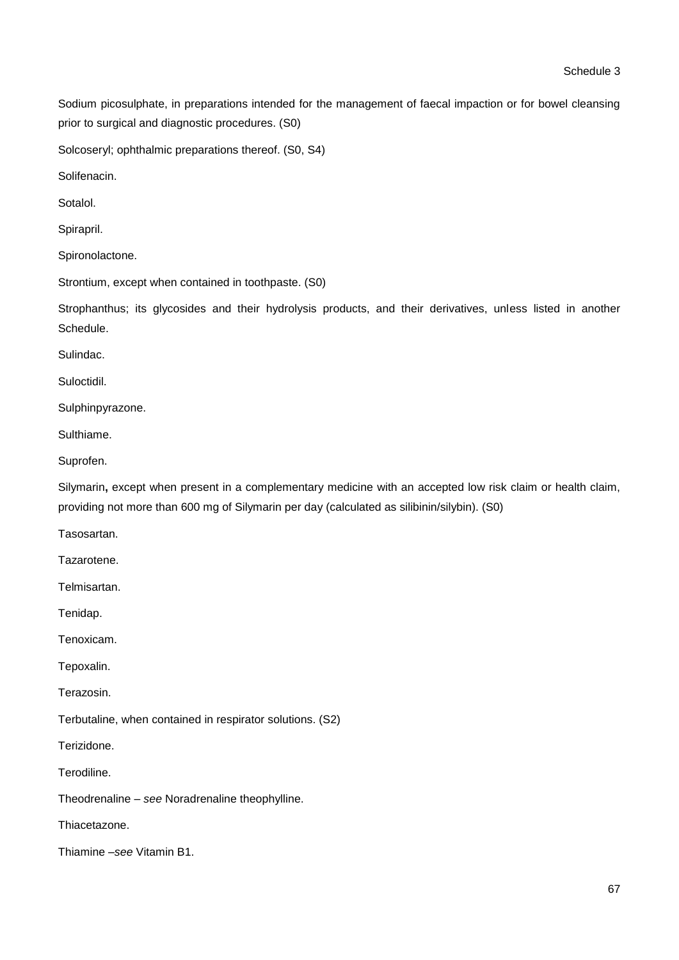Sodium picosulphate, in preparations intended for the management of faecal impaction or for bowel cleansing prior to surgical and diagnostic procedures. (S0)

Solcoseryl; ophthalmic preparations thereof. (S0, S4)

Solifenacin.

Sotalol.

Spirapril.

Spironolactone.

Strontium, except when contained in toothpaste. (S0)

Strophanthus; its glycosides and their hydrolysis products, and their derivatives, unless listed in another Schedule.

Sulindac.

Suloctidil.

Sulphinpyrazone.

Sulthiame.

Suprofen.

Silymarin, except when present in a complementary medicine with an accepted low risk claim or health claim, providing not more than 600 mg of Silymarin per day (calculated as silibinin/silybin). (S0)

Tasosartan.

Tazarotene.

Telmisartan.

Tenidap.

Tenoxicam.

Tepoxalin.

Terazosin.

Terbutaline, when contained in respirator solutions. (S2)

Terizidone.

**Terodiline** 

Theodrenaline *– see* Noradrenaline theophylline.

Thiacetazone.

Thiamine –*see* Vitamin B1.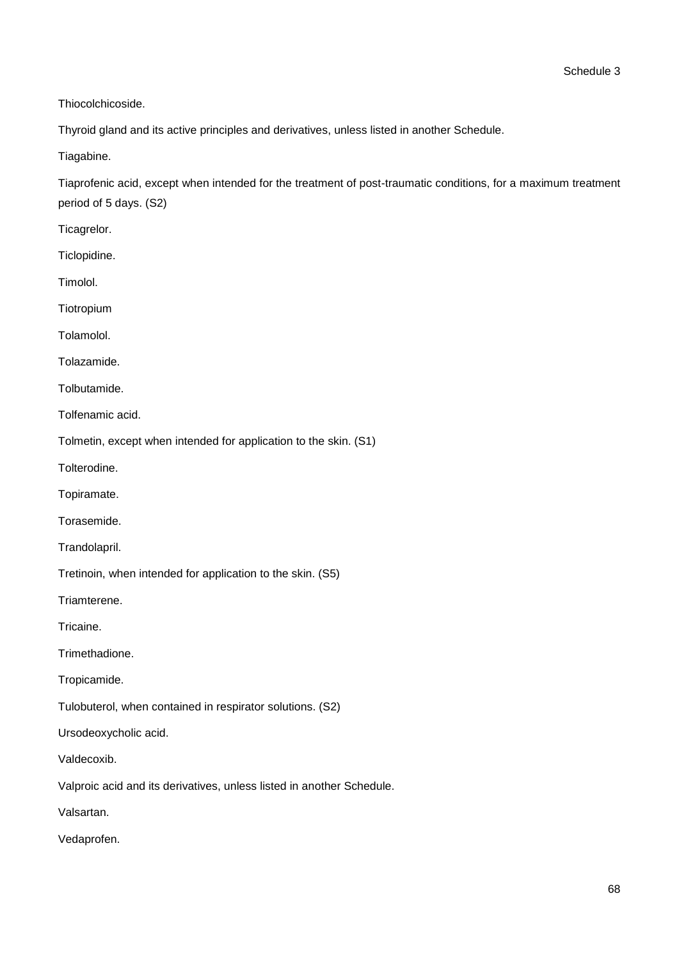Thiocolchicoside.

Thyroid gland and its active principles and derivatives, unless listed in another Schedule.

Tiagabine.

Tiaprofenic acid, except when intended for the treatment of post-traumatic conditions, for a maximum treatment period of 5 days. (S2)

Ticagrelor.

Ticlopidine.

Timolol.

Tiotropium

Tolamolol.

Tolazamide.

Tolbutamide.

Tolfenamic acid.

Tolmetin, except when intended for application to the skin. (S1)

Tolterodine.

Topiramate.

Torasemide.

Trandolapril.

Tretinoin, when intended for application to the skin. (S5)

Triamterene.

Tricaine.

Trimethadione.

Tropicamide.

Tulobuterol, when contained in respirator solutions. (S2)

Ursodeoxycholic acid.

Valdecoxib.

Valproic acid and its derivatives, unless listed in another Schedule.

Valsartan.

Vedaprofen.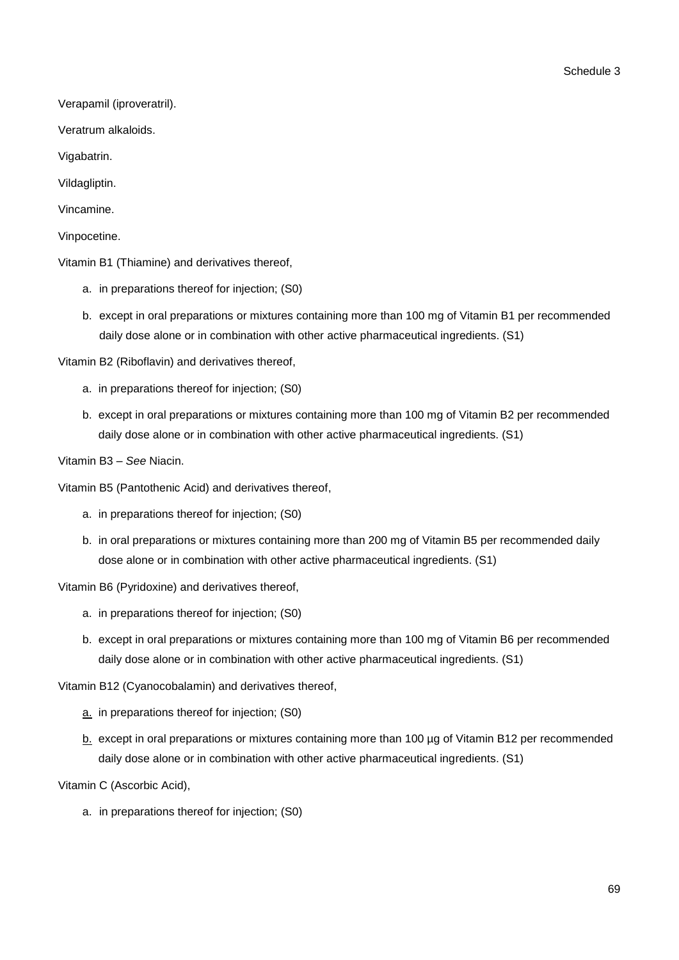Verapamil (iproveratril).

Veratrum alkaloids.

Vigabatrin.

Vildagliptin.

Vincamine.

Vinpocetine.

Vitamin B1 (Thiamine) and derivatives thereof,

- a. in preparations thereof for injection; (S0)
- b. except in oral preparations or mixtures containing more than 100 mg of Vitamin B1 per recommended daily dose alone or in combination with other active pharmaceutical ingredients. (S1)

Vitamin B2 (Riboflavin) and derivatives thereof,

- a. in preparations thereof for injection; (S0)
- b. except in oral preparations or mixtures containing more than 100 mg of Vitamin B2 per recommended daily dose alone or in combination with other active pharmaceutical ingredients. (S1)

Vitamin B3 – *See* Niacin.

Vitamin B5 (Pantothenic Acid) and derivatives thereof,

- a. in preparations thereof for injection; (S0)
- b. in oral preparations or mixtures containing more than 200 mg of Vitamin B5 per recommended daily dose alone or in combination with other active pharmaceutical ingredients. (S1)

Vitamin B6 (Pyridoxine) and derivatives thereof,

- a. in preparations thereof for injection; (S0)
- b. except in oral preparations or mixtures containing more than 100 mg of Vitamin B6 per recommended daily dose alone or in combination with other active pharmaceutical ingredients. (S1)

Vitamin B12 (Cyanocobalamin) and derivatives thereof,

- a. in preparations thereof for injection; (S0)
- b. except in oral preparations or mixtures containing more than 100 µg of Vitamin B12 per recommended daily dose alone or in combination with other active pharmaceutical ingredients. (S1)

Vitamin C (Ascorbic Acid),

a. in preparations thereof for injection; (S0)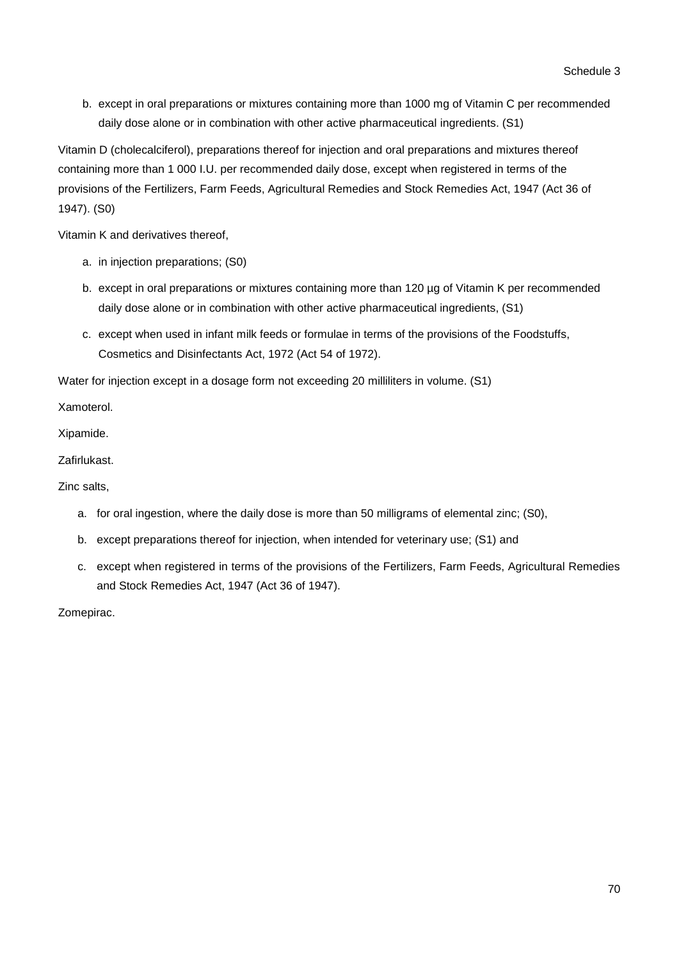b. except in oral preparations or mixtures containing more than 1000 mg of Vitamin C per recommended daily dose alone or in combination with other active pharmaceutical ingredients. (S1)

Vitamin D (cholecalciferol), preparations thereof for injection and oral preparations and mixtures thereof containing more than 1 000 I.U. per recommended daily dose, except when registered in terms of the provisions of the Fertilizers, Farm Feeds, Agricultural Remedies and Stock Remedies Act, 1947 (Act 36 of 1947). (S0)

Vitamin K and derivatives thereof,

- a. in injection preparations; (S0)
- b. except in oral preparations or mixtures containing more than 120 µg of Vitamin K per recommended daily dose alone or in combination with other active pharmaceutical ingredients, (S1)
- c. except when used in infant milk feeds or formulae in terms of the provisions of the Foodstuffs, Cosmetics and Disinfectants Act, 1972 (Act 54 of 1972).

Water for injection except in a dosage form not exceeding 20 milliliters in volume. (S1)

Xamoterol.

Xipamide.

Zafirlukast.

Zinc salts,

- a. for oral ingestion, where the daily dose is more than 50 milligrams of elemental zinc; (S0),
- b. except preparations thereof for injection, when intended for veterinary use; (S1) and
- c. except when registered in terms of the provisions of the Fertilizers, Farm Feeds, Agricultural Remedies and Stock Remedies Act, 1947 (Act 36 of 1947).

Zomepirac.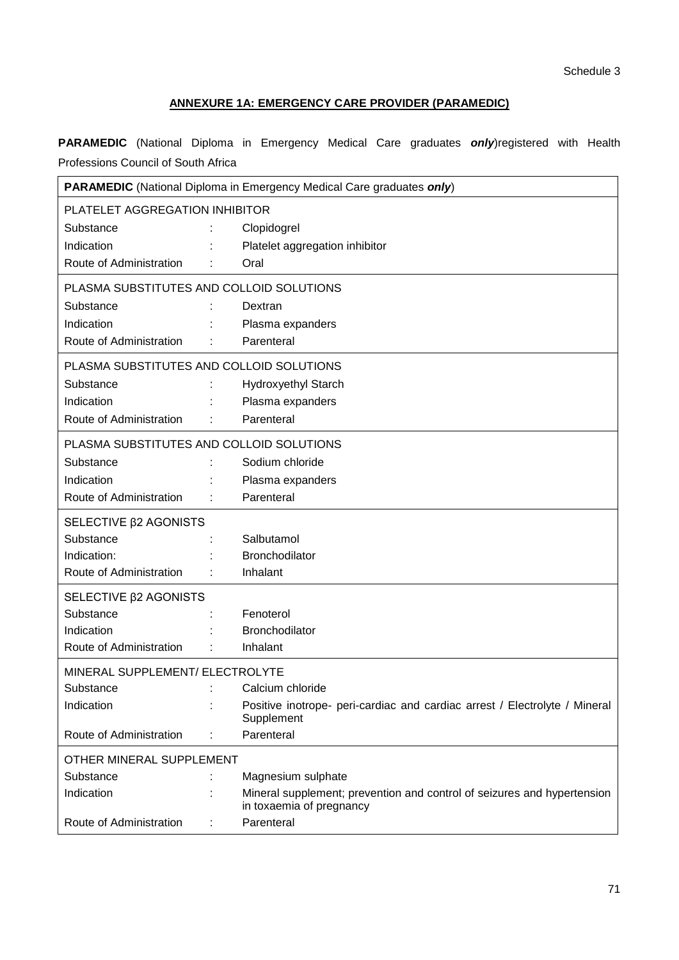# **ANNEXURE 1A: EMERGENCY CARE PROVIDER (PARAMEDIC)**

**PARAMEDIC** (National Diploma in Emergency Medical Care graduates *only*)registered with Health Professions Council of South Africa

| <b>PARAMEDIC</b> (National Diploma in Emergency Medical Care graduates only) |  |                                                                                                     |
|------------------------------------------------------------------------------|--|-----------------------------------------------------------------------------------------------------|
| PLATELET AGGREGATION INHIBITOR                                               |  |                                                                                                     |
| Substance                                                                    |  | Clopidogrel                                                                                         |
| Indication                                                                   |  | Platelet aggregation inhibitor                                                                      |
| Route of Administration                                                      |  | Oral                                                                                                |
| PLASMA SUBSTITUTES AND COLLOID SOLUTIONS                                     |  |                                                                                                     |
| Substance                                                                    |  | Dextran                                                                                             |
| Indication                                                                   |  | Plasma expanders                                                                                    |
| Route of Administration                                                      |  | Parenteral                                                                                          |
| PLASMA SUBSTITUTES AND COLLOID SOLUTIONS                                     |  |                                                                                                     |
| Substance                                                                    |  | <b>Hydroxyethyl Starch</b>                                                                          |
| Indication                                                                   |  | Plasma expanders                                                                                    |
| Route of Administration                                                      |  | Parenteral                                                                                          |
| PLASMA SUBSTITUTES AND COLLOID SOLUTIONS                                     |  |                                                                                                     |
| Substance                                                                    |  | Sodium chloride                                                                                     |
| Indication                                                                   |  | Plasma expanders                                                                                    |
| Route of Administration                                                      |  | Parenteral                                                                                          |
| SELECTIVE β2 AGONISTS                                                        |  |                                                                                                     |
| Substance                                                                    |  | Salbutamol                                                                                          |
| Indication:                                                                  |  | Bronchodilator                                                                                      |
| Route of Administration                                                      |  | Inhalant                                                                                            |
| SELECTIVE $\beta$ 2 AGONISTS                                                 |  |                                                                                                     |
| Substance                                                                    |  | Fenoterol                                                                                           |
| Indication                                                                   |  | Bronchodilator                                                                                      |
| Route of Administration                                                      |  | Inhalant                                                                                            |
| MINERAL SUPPLEMENT/ ELECTROLYTE                                              |  |                                                                                                     |
| Substance                                                                    |  | Calcium chloride                                                                                    |
| Indication                                                                   |  | Positive inotrope- peri-cardiac and cardiac arrest / Electrolyte / Mineral<br>Supplement            |
| Route of Administration                                                      |  | Parenteral                                                                                          |
| OTHER MINERAL SUPPLEMENT                                                     |  |                                                                                                     |
| Substance                                                                    |  | Magnesium sulphate                                                                                  |
| Indication                                                                   |  | Mineral supplement; prevention and control of seizures and hypertension<br>in toxaemia of pregnancy |
| Route of Administration                                                      |  | Parenteral                                                                                          |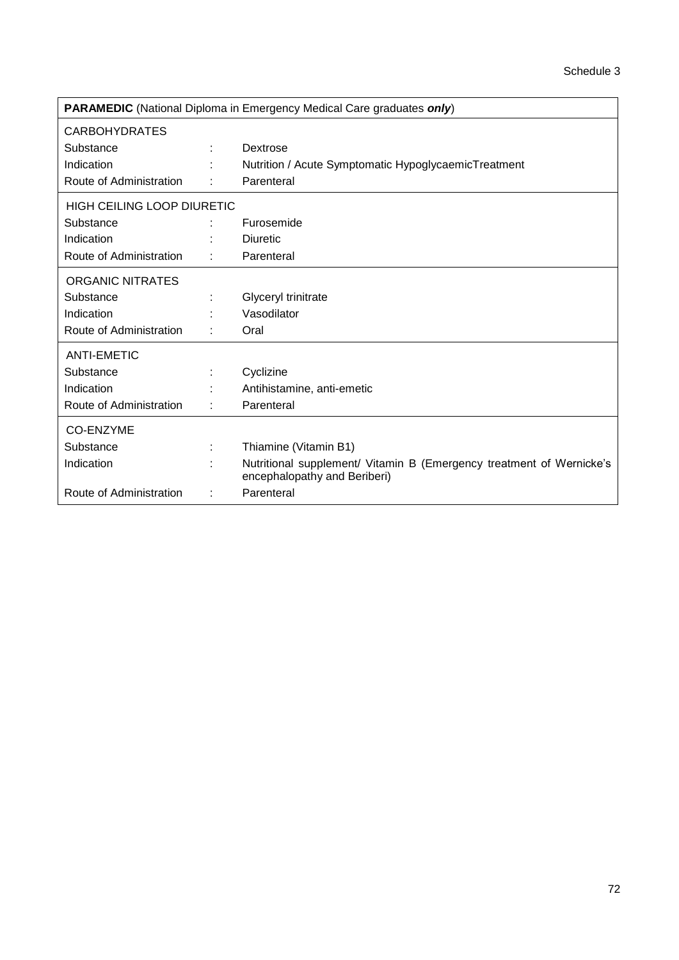| <b>PARAMEDIC</b> (National Diploma in Emergency Medical Care graduates only) |  |                                                                                                      |  |
|------------------------------------------------------------------------------|--|------------------------------------------------------------------------------------------------------|--|
| <b>CARBOHYDRATES</b>                                                         |  |                                                                                                      |  |
| Substance                                                                    |  | Dextrose                                                                                             |  |
| Indication                                                                   |  | Nutrition / Acute Symptomatic HypoglycaemicTreatment                                                 |  |
| Route of Administration                                                      |  | Parenteral                                                                                           |  |
| HIGH CEILING LOOP DIURETIC                                                   |  |                                                                                                      |  |
| Substance                                                                    |  | Furosemide                                                                                           |  |
| Indication                                                                   |  | <b>Diuretic</b>                                                                                      |  |
| Route of Administration                                                      |  | Parenteral                                                                                           |  |
| <b>ORGANIC NITRATES</b>                                                      |  |                                                                                                      |  |
| Substance                                                                    |  | Glyceryl trinitrate                                                                                  |  |
| Indication                                                                   |  | Vasodilator                                                                                          |  |
| Route of Administration                                                      |  | Oral                                                                                                 |  |
| <b>ANTI-EMETIC</b>                                                           |  |                                                                                                      |  |
| Substance                                                                    |  | Cyclizine                                                                                            |  |
| Indication                                                                   |  | Antihistamine, anti-emetic                                                                           |  |
| Route of Administration                                                      |  | Parenteral                                                                                           |  |
| <b>CO-ENZYME</b>                                                             |  |                                                                                                      |  |
| Substance                                                                    |  | Thiamine (Vitamin B1)                                                                                |  |
| Indication                                                                   |  | Nutritional supplement/ Vitamin B (Emergency treatment of Wernicke's<br>encephalopathy and Beriberi) |  |
| Route of Administration                                                      |  | Parenteral                                                                                           |  |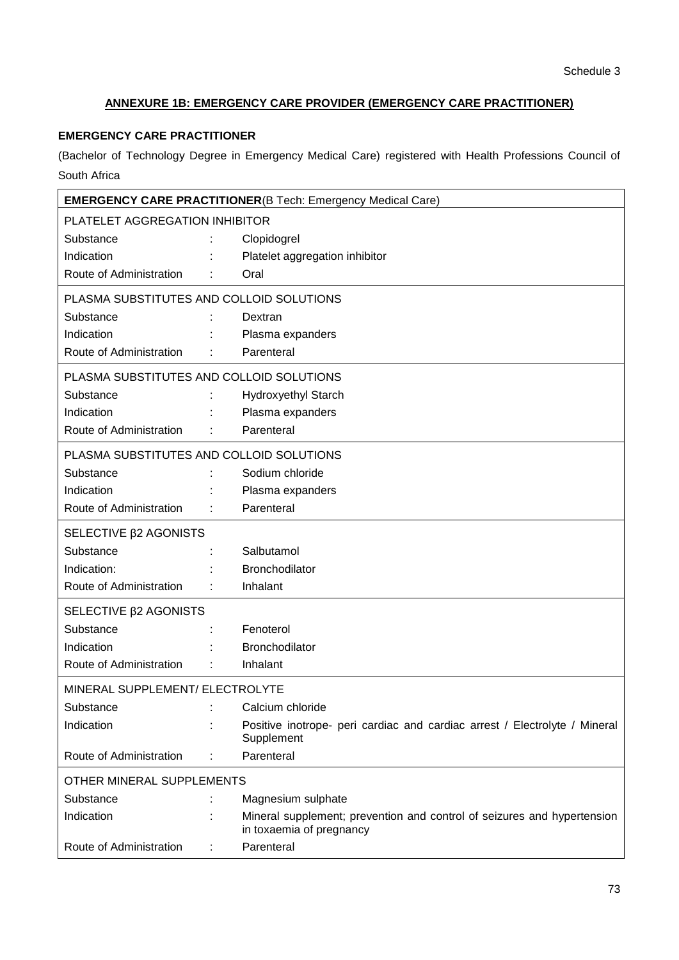# **ANNEXURE 1B: EMERGENCY CARE PROVIDER (EMERGENCY CARE PRACTITIONER)**

## **EMERGENCY CARE PRACTITIONER**

(Bachelor of Technology Degree in Emergency Medical Care) registered with Health Professions Council of South Africa

|                                          |  | <b>EMERGENCY CARE PRACTITIONER(B Tech: Emergency Medical Care)</b>                                  |  |  |  |  |
|------------------------------------------|--|-----------------------------------------------------------------------------------------------------|--|--|--|--|
| PLATELET AGGREGATION INHIBITOR           |  |                                                                                                     |  |  |  |  |
| Substance                                |  | Clopidogrel                                                                                         |  |  |  |  |
| Indication                               |  | Platelet aggregation inhibitor                                                                      |  |  |  |  |
| Route of Administration                  |  | Oral                                                                                                |  |  |  |  |
| PLASMA SUBSTITUTES AND COLLOID SOLUTIONS |  |                                                                                                     |  |  |  |  |
| Substance                                |  | Dextran                                                                                             |  |  |  |  |
| Indication                               |  | Plasma expanders                                                                                    |  |  |  |  |
| Route of Administration                  |  | Parenteral                                                                                          |  |  |  |  |
| PLASMA SUBSTITUTES AND COLLOID SOLUTIONS |  |                                                                                                     |  |  |  |  |
| Substance                                |  | <b>Hydroxyethyl Starch</b>                                                                          |  |  |  |  |
| Indication                               |  | Plasma expanders                                                                                    |  |  |  |  |
| Route of Administration                  |  | Parenteral                                                                                          |  |  |  |  |
| PLASMA SUBSTITUTES AND COLLOID SOLUTIONS |  |                                                                                                     |  |  |  |  |
| Substance                                |  | Sodium chloride                                                                                     |  |  |  |  |
| Indication                               |  | Plasma expanders                                                                                    |  |  |  |  |
| Route of Administration                  |  | Parenteral                                                                                          |  |  |  |  |
| SELECTIVE <b><i>B2</i></b> AGONISTS      |  |                                                                                                     |  |  |  |  |
| Substance                                |  | Salbutamol                                                                                          |  |  |  |  |
| Indication:                              |  | Bronchodilator                                                                                      |  |  |  |  |
| Route of Administration                  |  | Inhalant                                                                                            |  |  |  |  |
| SELECTIVE β2 AGONISTS                    |  |                                                                                                     |  |  |  |  |
| Substance                                |  | Fenoterol                                                                                           |  |  |  |  |
| Indication                               |  | Bronchodilator                                                                                      |  |  |  |  |
| Route of Administration                  |  | Inhalant                                                                                            |  |  |  |  |
| MINERAL SUPPLEMENT/ ELECTROLYTE          |  |                                                                                                     |  |  |  |  |
| Substance                                |  | Calcium chloride                                                                                    |  |  |  |  |
| Indication                               |  | Positive inotrope- peri cardiac and cardiac arrest / Electrolyte / Mineral<br>Supplement            |  |  |  |  |
| Route of Administration                  |  | Parenteral                                                                                          |  |  |  |  |
| OTHER MINERAL SUPPLEMENTS                |  |                                                                                                     |  |  |  |  |
| Substance                                |  | Magnesium sulphate                                                                                  |  |  |  |  |
| Indication                               |  | Mineral supplement; prevention and control of seizures and hypertension<br>in toxaemia of pregnancy |  |  |  |  |
| Route of Administration                  |  | Parenteral                                                                                          |  |  |  |  |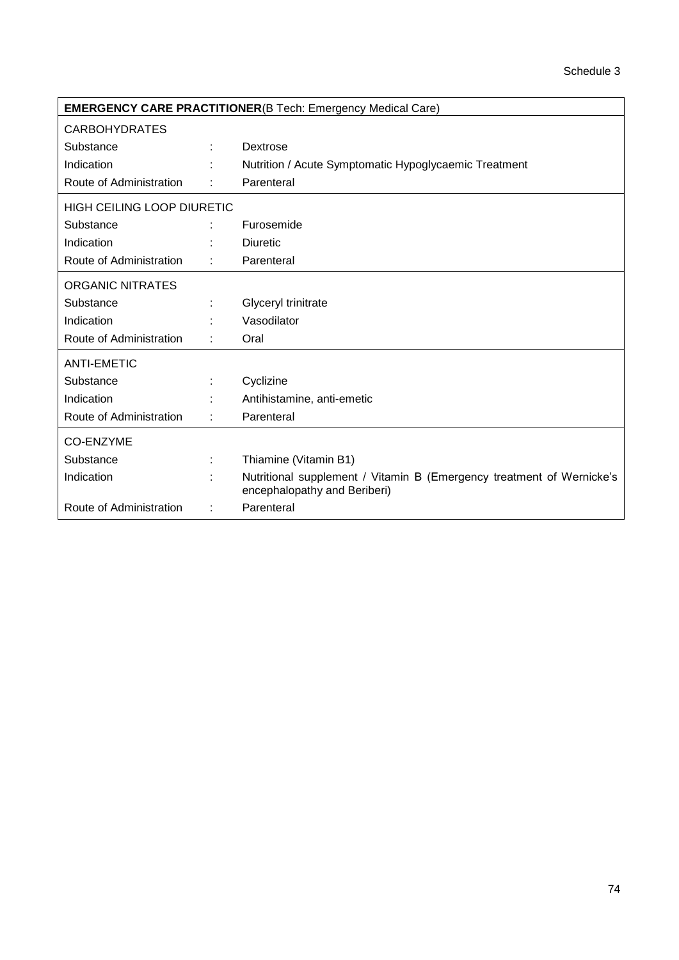| <b>EMERGENCY CARE PRACTITIONER(B Tech: Emergency Medical Care)</b> |   |                                                                                                       |  |  |  |  |
|--------------------------------------------------------------------|---|-------------------------------------------------------------------------------------------------------|--|--|--|--|
| <b>CARBOHYDRATES</b>                                               |   |                                                                                                       |  |  |  |  |
| Substance                                                          |   | Dextrose                                                                                              |  |  |  |  |
| Indication                                                         |   | Nutrition / Acute Symptomatic Hypoglycaemic Treatment                                                 |  |  |  |  |
| Route of Administration                                            |   | Parenteral                                                                                            |  |  |  |  |
| <b>HIGH CEILING LOOP DIURETIC</b>                                  |   |                                                                                                       |  |  |  |  |
| Substance                                                          |   | Furosemide                                                                                            |  |  |  |  |
| Indication                                                         |   | <b>Diuretic</b>                                                                                       |  |  |  |  |
| Route of Administration                                            |   | Parenteral                                                                                            |  |  |  |  |
| <b>ORGANIC NITRATES</b>                                            |   |                                                                                                       |  |  |  |  |
| Substance                                                          |   | Glyceryl trinitrate                                                                                   |  |  |  |  |
| Indication                                                         |   | Vasodilator                                                                                           |  |  |  |  |
| Route of Administration                                            |   | Oral                                                                                                  |  |  |  |  |
| ANTI-EMETIC                                                        |   |                                                                                                       |  |  |  |  |
| Substance                                                          |   | Cyclizine                                                                                             |  |  |  |  |
| Indication                                                         |   | Antihistamine, anti-emetic                                                                            |  |  |  |  |
| Route of Administration                                            |   | Parenteral                                                                                            |  |  |  |  |
| CO-ENZYME                                                          |   |                                                                                                       |  |  |  |  |
| Substance                                                          |   | Thiamine (Vitamin B1)                                                                                 |  |  |  |  |
| Indication                                                         |   | Nutritional supplement / Vitamin B (Emergency treatment of Wernicke's<br>encephalopathy and Beriberi) |  |  |  |  |
| Route of Administration                                            | ÷ | Parenteral                                                                                            |  |  |  |  |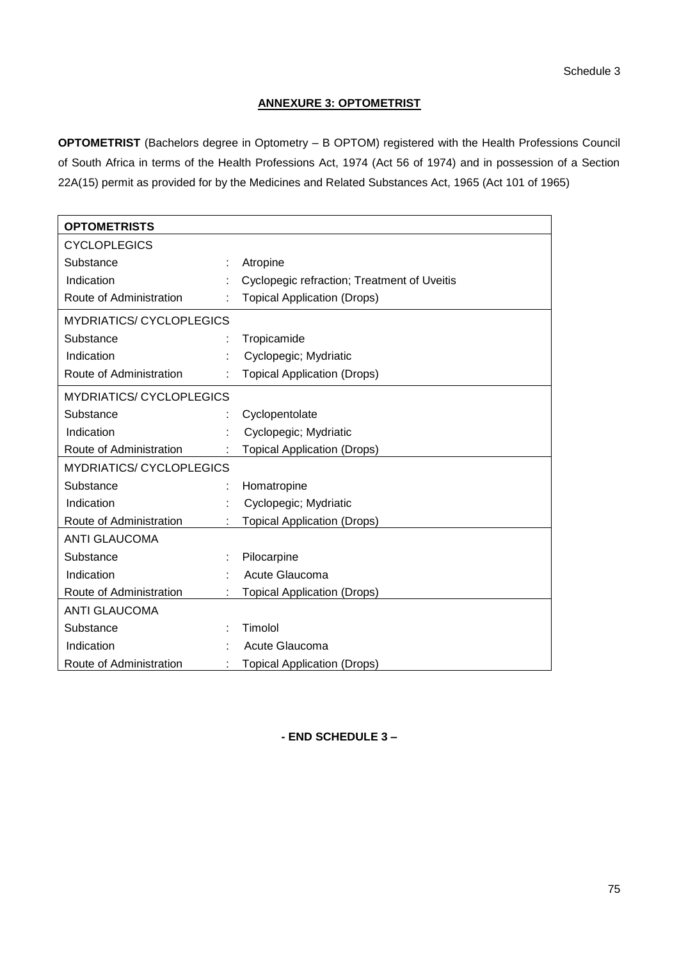## **ANNEXURE 3: OPTOMETRIST**

**OPTOMETRIST** (Bachelors degree in Optometry – B OPTOM) registered with the Health Professions Council of South Africa in terms of the Health Professions Act, 1974 (Act 56 of 1974) and in possession of a Section 22A(15) permit as provided for by the Medicines and Related Substances Act, 1965 (Act 101 of 1965)

| <b>OPTOMETRISTS</b>             |  |                                             |  |  |  |  |
|---------------------------------|--|---------------------------------------------|--|--|--|--|
| <b>CYCLOPLEGICS</b>             |  |                                             |  |  |  |  |
| Substance                       |  | Atropine                                    |  |  |  |  |
| Indication                      |  | Cyclopegic refraction; Treatment of Uveitis |  |  |  |  |
| Route of Administration         |  | <b>Topical Application (Drops)</b>          |  |  |  |  |
| <b>MYDRIATICS/ CYCLOPLEGICS</b> |  |                                             |  |  |  |  |
| Substance                       |  | Tropicamide                                 |  |  |  |  |
| Indication                      |  | Cyclopegic; Mydriatic                       |  |  |  |  |
| Route of Administration         |  | <b>Topical Application (Drops)</b>          |  |  |  |  |
| <b>MYDRIATICS/ CYCLOPLEGICS</b> |  |                                             |  |  |  |  |
| Substance                       |  | Cyclopentolate                              |  |  |  |  |
| Indication                      |  | Cyclopegic; Mydriatic                       |  |  |  |  |
| Route of Administration         |  | <b>Topical Application (Drops)</b>          |  |  |  |  |
| <b>MYDRIATICS/ CYCLOPLEGICS</b> |  |                                             |  |  |  |  |
| Substance                       |  | Homatropine                                 |  |  |  |  |
| Indication                      |  | Cyclopegic; Mydriatic                       |  |  |  |  |
| Route of Administration         |  | <b>Topical Application (Drops)</b>          |  |  |  |  |
| <b>ANTI GLAUCOMA</b>            |  |                                             |  |  |  |  |
| Substance                       |  | Pilocarpine                                 |  |  |  |  |
| Indication                      |  | Acute Glaucoma                              |  |  |  |  |
| Route of Administration         |  | <b>Topical Application (Drops)</b>          |  |  |  |  |
| <b>ANTI GLAUCOMA</b>            |  |                                             |  |  |  |  |
| Substance                       |  | Timolol                                     |  |  |  |  |
| Indication                      |  | Acute Glaucoma                              |  |  |  |  |
| Route of Administration         |  | <b>Topical Application (Drops)</b>          |  |  |  |  |

**- END SCHEDULE 3 –**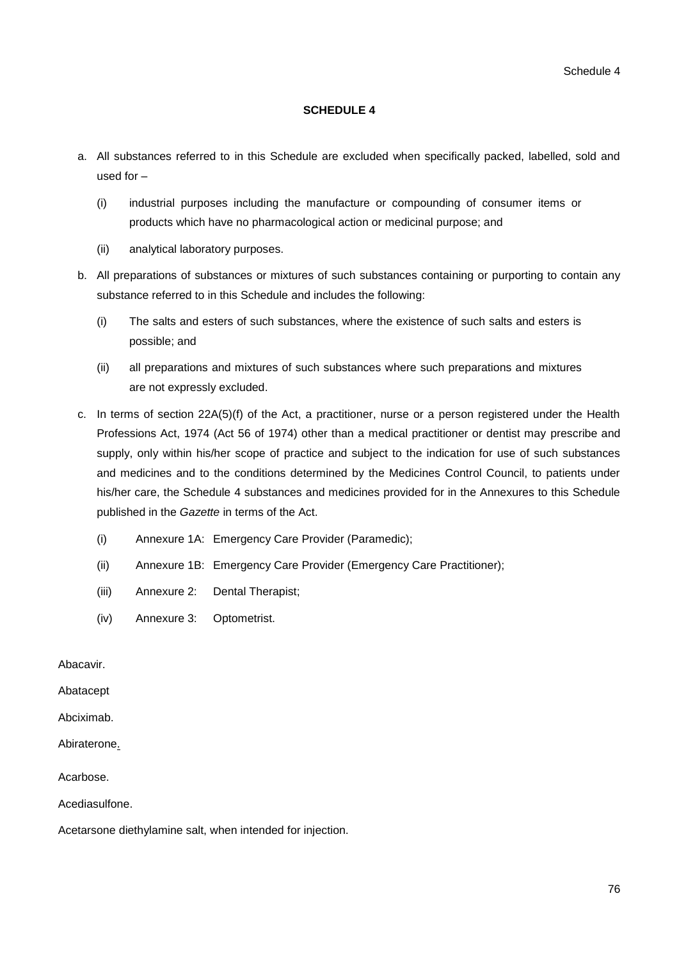#### **SCHEDULE 4**

- a. All substances referred to in this Schedule are excluded when specifically packed, labelled, sold and used for –
	- (i) industrial purposes including the manufacture or compounding of consumer items or products which have no pharmacological action or medicinal purpose; and
	- (ii) analytical laboratory purposes.
- b. All preparations of substances or mixtures of such substances containing or purporting to contain any substance referred to in this Schedule and includes the following:
	- (i) The salts and esters of such substances, where the existence of such salts and esters is possible; and
	- (ii) all preparations and mixtures of such substances where such preparations and mixtures are not expressly excluded.
- c. In terms of section 22A(5)(f) of the Act, a practitioner, nurse or a person registered under the Health Professions Act, 1974 (Act 56 of 1974) other than a medical practitioner or dentist may prescribe and supply, only within his/her scope of practice and subject to the indication for use of such substances and medicines and to the conditions determined by the Medicines Control Council, to patients under his/her care, the Schedule 4 substances and medicines provided for in the Annexures to this Schedule published in the *Gazette* in terms of the Act.
	- (i) Annexure 1A: Emergency Care Provider (Paramedic);
	- (ii) Annexure 1B: Emergency Care Provider (Emergency Care Practitioner);
	- (iii) Annexure 2: Dental Therapist;
	- (iv) Annexure 3: Optometrist.

Abacavir.

Abatacept

Abciximab.

Abiraterone.

#### Acarbose.

Acediasulfone.

Acetarsone diethylamine salt, when intended for injection.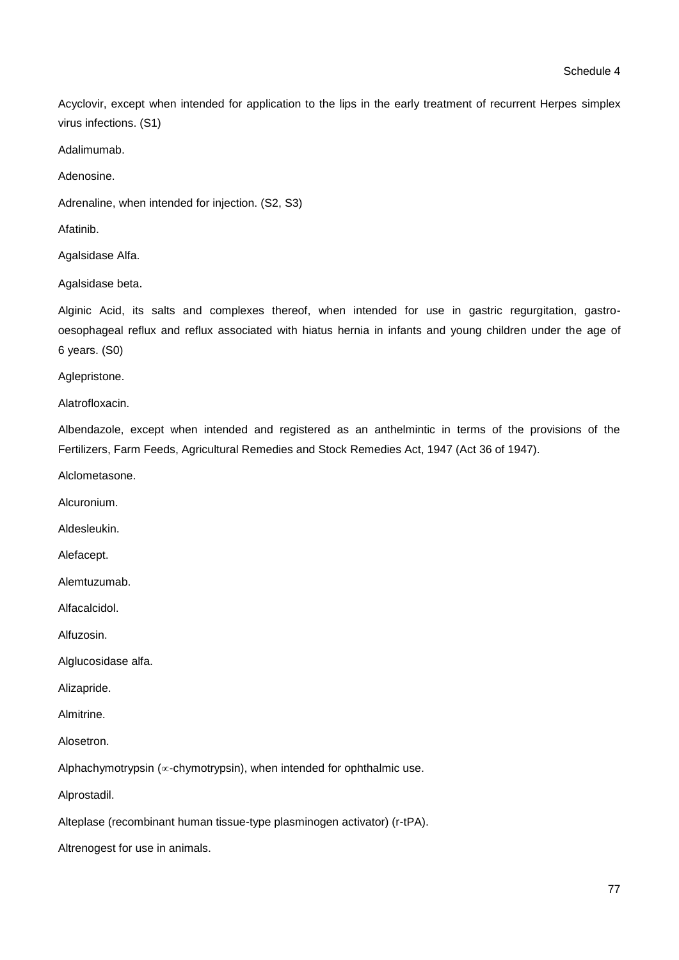Acyclovir, except when intended for application to the lips in the early treatment of recurrent Herpes simplex virus infections. (S1)

Adalimumab.

Adenosine.

Adrenaline, when intended for injection. (S2, S3)

Afatinib.

Agalsidase Alfa.

Agalsidase beta.

Alginic Acid, its salts and complexes thereof, when intended for use in gastric regurgitation, gastrooesophageal reflux and reflux associated with hiatus hernia in infants and young children under the age of 6 years. (S0)

Aglepristone.

Alatrofloxacin.

Albendazole, except when intended and registered as an anthelmintic in terms of the provisions of the Fertilizers, Farm Feeds, Agricultural Remedies and Stock Remedies Act, 1947 (Act 36 of 1947).

Alclometasone.

Alcuronium.

Aldesleukin.

Alefacept.

Alemtuzumab.

Alfacalcidol.

Alfuzosin.

Alglucosidase alfa.

Alizapride.

Almitrine.

Alosetron.

Alphachymotrypsin ( $\infty$ -chymotrypsin), when intended for ophthalmic use.

Alprostadil.

Alteplase (recombinant human tissue-type plasminogen activator) (r-tPA).

Altrenogest for use in animals.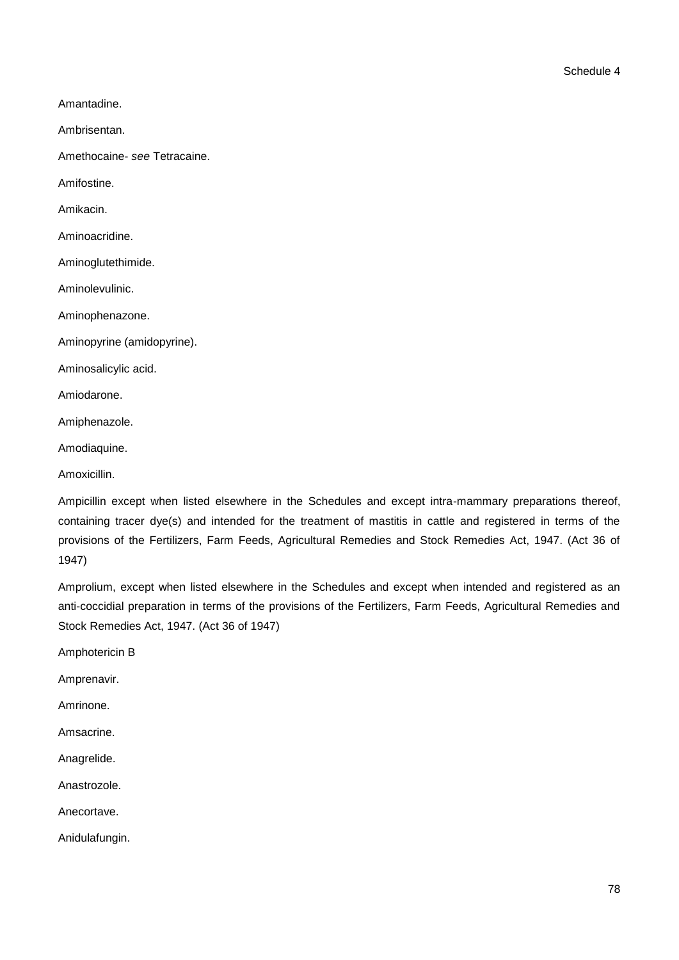Amantadine.

Ambrisentan.

Amethocaine- *see* Tetracaine.

Amifostine.

Amikacin.

Aminoacridine.

Aminoglutethimide.

Aminolevulinic.

Aminophenazone.

Aminopyrine (amidopyrine).

Aminosalicylic acid.

Amiodarone.

Amiphenazole.

Amodiaquine.

Amoxicillin.

Ampicillin except when listed elsewhere in the Schedules and except intra-mammary preparations thereof, containing tracer dye(s) and intended for the treatment of mastitis in cattle and registered in terms of the provisions of the Fertilizers, Farm Feeds, Agricultural Remedies and Stock Remedies Act, 1947. (Act 36 of 1947)

Amprolium, except when listed elsewhere in the Schedules and except when intended and registered as an anti-coccidial preparation in terms of the provisions of the Fertilizers, Farm Feeds, Agricultural Remedies and Stock Remedies Act, 1947. (Act 36 of 1947)

Amphotericin B

Amprenavir.

Amrinone.

Amsacrine.

Anagrelide.

Anastrozole.

Anecortave.

Anidulafungin.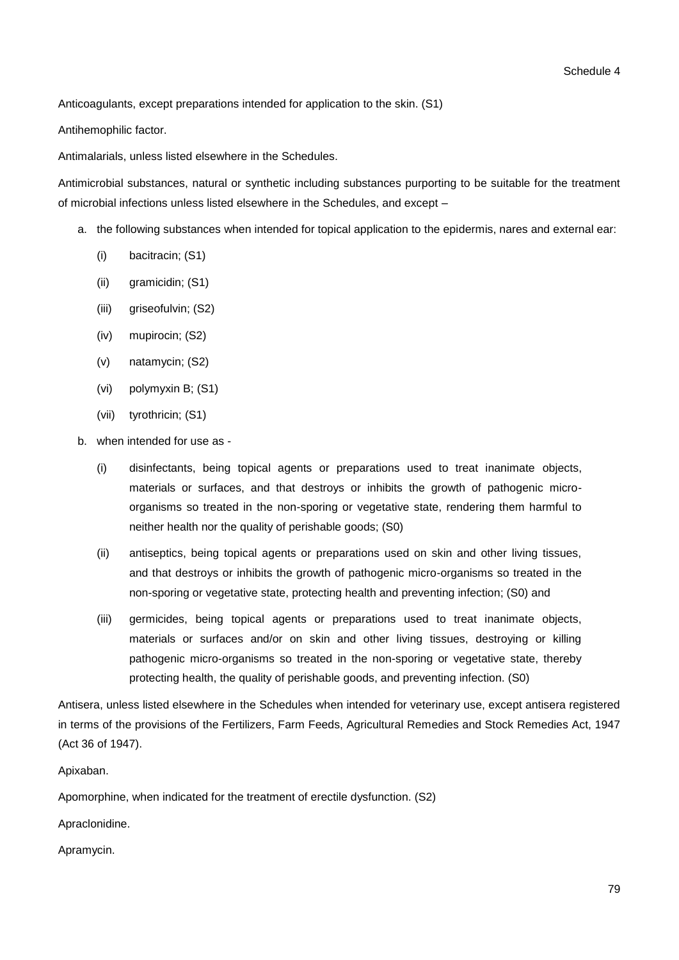Anticoagulants, except preparations intended for application to the skin. (S1)

Antihemophilic factor.

Antimalarials, unless listed elsewhere in the Schedules.

Antimicrobial substances, natural or synthetic including substances purporting to be suitable for the treatment of microbial infections unless listed elsewhere in the Schedules, and except –

- a. the following substances when intended for topical application to the epidermis, nares and external ear:
	- (i) bacitracin; (S1)
	- (ii) gramicidin; (S1)
	- (iii) griseofulvin; (S2)
	- (iv) mupirocin; (S2)
	- (v) natamycin; (S2)
	- (vi) polymyxin B; (S1)
	- (vii) tyrothricin; (S1)
- b. when intended for use as
	- (i) disinfectants, being topical agents or preparations used to treat inanimate objects, materials or surfaces, and that destroys or inhibits the growth of pathogenic microorganisms so treated in the non-sporing or vegetative state, rendering them harmful to neither health nor the quality of perishable goods; (S0)
	- (ii) antiseptics, being topical agents or preparations used on skin and other living tissues, and that destroys or inhibits the growth of pathogenic micro-organisms so treated in the non-sporing or vegetative state, protecting health and preventing infection; (S0) and
	- (iii) germicides, being topical agents or preparations used to treat inanimate objects, materials or surfaces and/or on skin and other living tissues, destroying or killing pathogenic micro-organisms so treated in the non-sporing or vegetative state, thereby protecting health, the quality of perishable goods, and preventing infection. (S0)

Antisera, unless listed elsewhere in the Schedules when intended for veterinary use, except antisera registered in terms of the provisions of the Fertilizers, Farm Feeds, Agricultural Remedies and Stock Remedies Act, 1947 (Act 36 of 1947).

Apixaban.

Apomorphine, when indicated for the treatment of erectile dysfunction. (S2)

Apraclonidine.

Apramycin.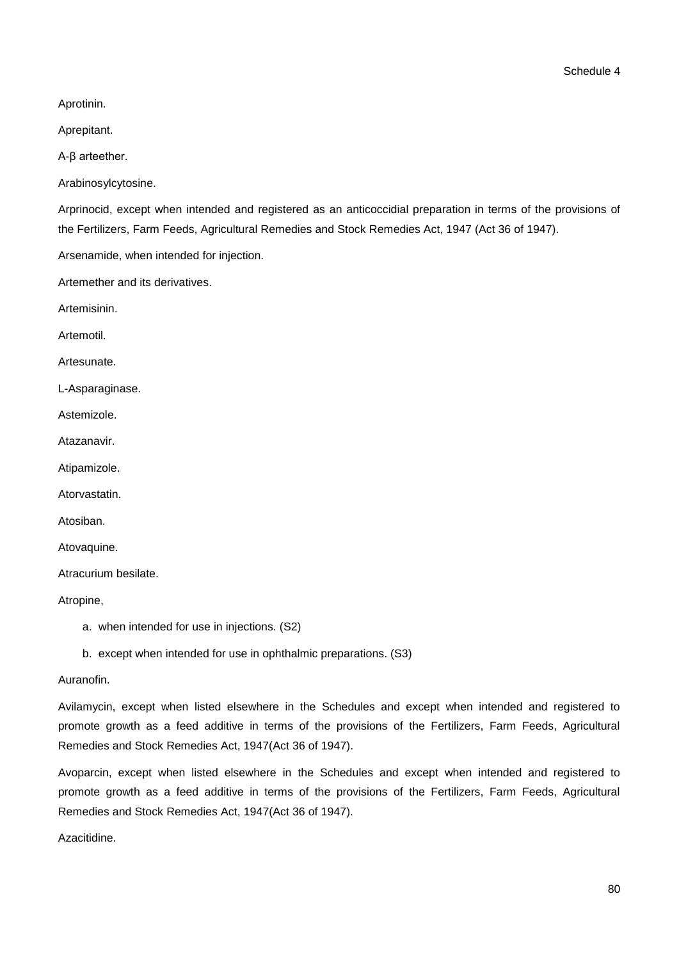Aprotinin.

Aprepitant.

Α-β arteether.

Arabinosylcytosine.

Arprinocid, except when intended and registered as an anticoccidial preparation in terms of the provisions of the Fertilizers, Farm Feeds, Agricultural Remedies and Stock Remedies Act, 1947 (Act 36 of 1947).

Arsenamide, when intended for injection.

Artemether and its derivatives.

Artemisinin.

Artemotil.

Artesunate.

L-Asparaginase.

Astemizole.

Atazanavir.

Atipamizole.

Atorvastatin.

Atosiban.

Atovaquine.

Atracurium besilate.

Atropine,

- a. when intended for use in injections. (S2)
- b. except when intended for use in ophthalmic preparations. (S3)

#### Auranofin.

Avilamycin, except when listed elsewhere in the Schedules and except when intended and registered to promote growth as a feed additive in terms of the provisions of the Fertilizers, Farm Feeds, Agricultural Remedies and Stock Remedies Act, 1947(Act 36 of 1947).

Avoparcin, except when listed elsewhere in the Schedules and except when intended and registered to promote growth as a feed additive in terms of the provisions of the Fertilizers, Farm Feeds, Agricultural Remedies and Stock Remedies Act, 1947(Act 36 of 1947).

Azacitidine.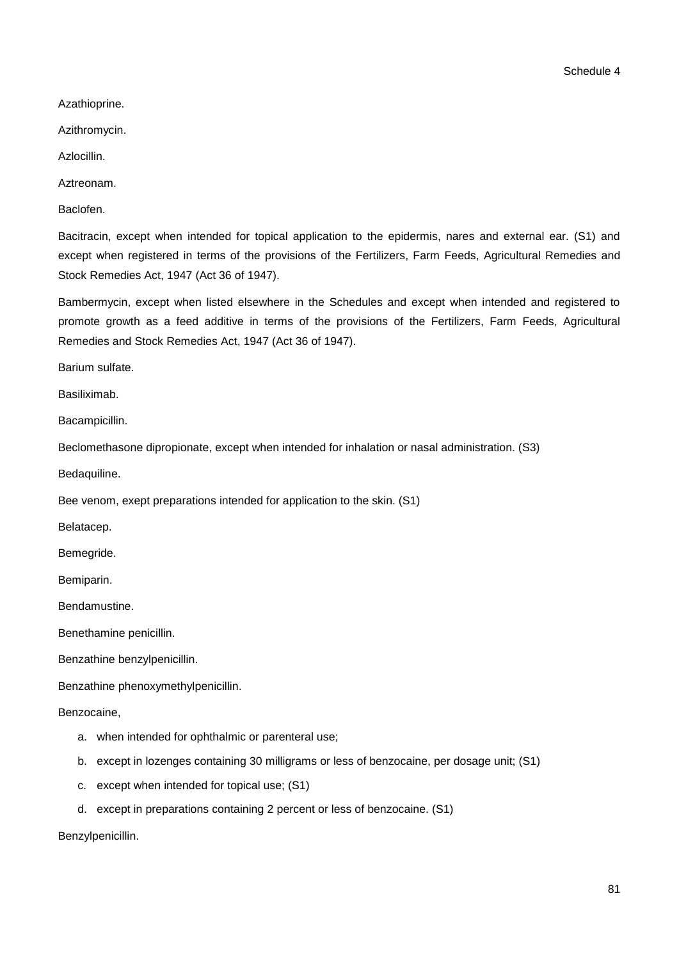Azathioprine.

Azithromycin.

Azlocillin.

Aztreonam.

Baclofen.

Bacitracin, except when intended for topical application to the epidermis, nares and external ear. (S1) and except when registered in terms of the provisions of the Fertilizers, Farm Feeds, Agricultural Remedies and Stock Remedies Act, 1947 (Act 36 of 1947).

Bambermycin, except when listed elsewhere in the Schedules and except when intended and registered to promote growth as a feed additive in terms of the provisions of the Fertilizers, Farm Feeds, Agricultural Remedies and Stock Remedies Act, 1947 (Act 36 of 1947).

Barium sulfate.

Basiliximab.

Bacampicillin.

Beclomethasone dipropionate, except when intended for inhalation or nasal administration. (S3)

Bedaquiline.

Bee venom, exept preparations intended for application to the skin. (S1)

Belatacep.

Bemegride.

Bemiparin.

Bendamustine.

Benethamine penicillin.

Benzathine benzylpenicillin.

Benzathine phenoxymethylpenicillin.

Benzocaine,

- a. when intended for ophthalmic or parenteral use;
- b. except in lozenges containing 30 milligrams or less of benzocaine, per dosage unit; (S1)
- c. except when intended for topical use; (S1)
- d. except in preparations containing 2 percent or less of benzocaine. (S1)

Benzylpenicillin.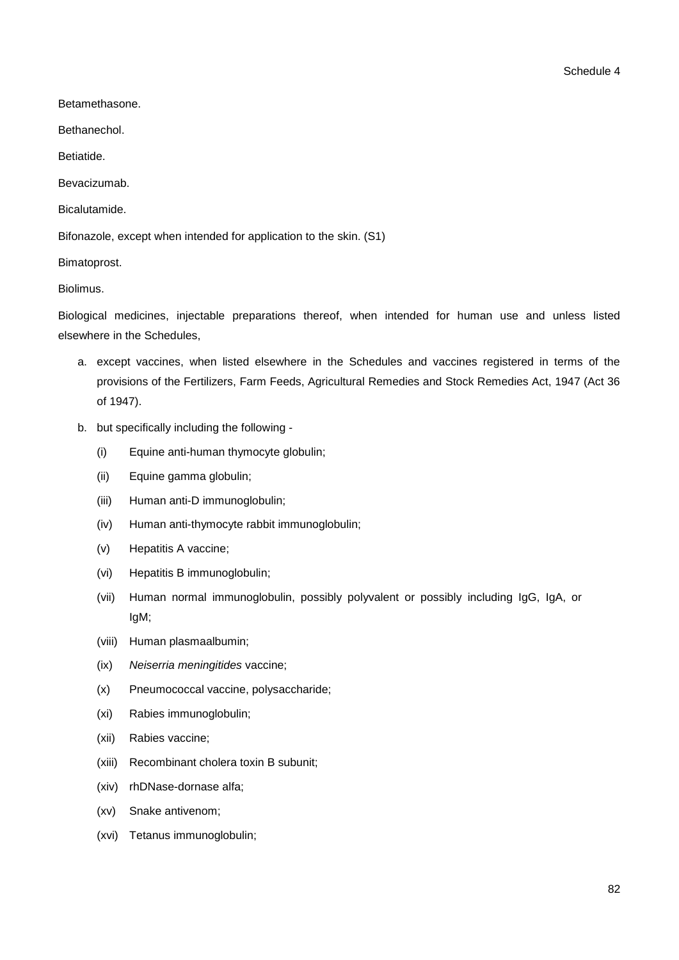Betamethasone.

Bethanechol.

Betiatide.

Bevacizumab.

Bicalutamide.

Bifonazole, except when intended for application to the skin. (S1)

Bimatoprost.

Biolimus.

Biological medicines, injectable preparations thereof, when intended for human use and unless listed elsewhere in the Schedules,

- a. except vaccines, when listed elsewhere in the Schedules and vaccines registered in terms of the provisions of the Fertilizers, Farm Feeds, Agricultural Remedies and Stock Remedies Act, 1947 (Act 36 of 1947).
- b. but specifically including the following
	- (i) Equine anti-human thymocyte globulin;
	- (ii) Equine gamma globulin;
	- (iii) Human anti-D immunoglobulin;
	- (iv) Human anti-thymocyte rabbit immunoglobulin;
	- (v) Hepatitis A vaccine;
	- (vi) Hepatitis B immunoglobulin;
	- (vii) Human normal immunoglobulin, possibly polyvalent or possibly including IgG, IgA, or IgM;
	- (viii) Human plasmaalbumin;
	- (ix) *Neiserria meningitides* vaccine;
	- (x) Pneumococcal vaccine, polysaccharide;
	- (xi) Rabies immunoglobulin;
	- (xii) Rabies vaccine;
	- (xiii) Recombinant cholera toxin B subunit;
	- (xiv) rhDNase-dornase alfa;
	- (xv) Snake antivenom;
	- (xvi) Tetanus immunoglobulin;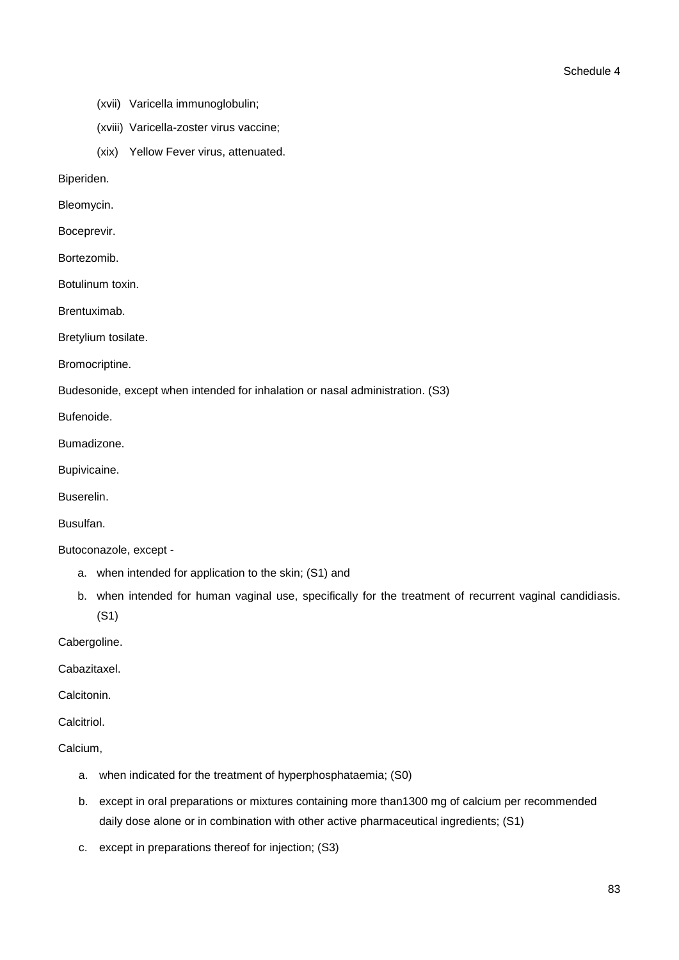- (xvii) Varicella immunoglobulin;
- (xviii) Varicella-zoster virus vaccine;
- (xix) Yellow Fever virus, attenuated.

Biperiden.

Bleomycin.

Boceprevir.

Bortezomib.

Botulinum toxin.

Brentuximab.

Bretylium tosilate.

Bromocriptine.

Budesonide, except when intended for inhalation or nasal administration. (S3)

Bufenoide.

Bumadizone.

Bupivicaine.

Buserelin.

Busulfan.

Butoconazole, except -

- a. when intended for application to the skin; (S1) and
- b. when intended for human vaginal use, specifically for the treatment of recurrent vaginal candidiasis. (S1)

Cabergoline.

Cabazitaxel.

**Calcitonin** 

Calcitriol.

Calcium,

- a. when indicated for the treatment of hyperphosphataemia; (S0)
- b. except in oral preparations or mixtures containing more than1300 mg of calcium per recommended daily dose alone or in combination with other active pharmaceutical ingredients; (S1)
- c. except in preparations thereof for injection; (S3)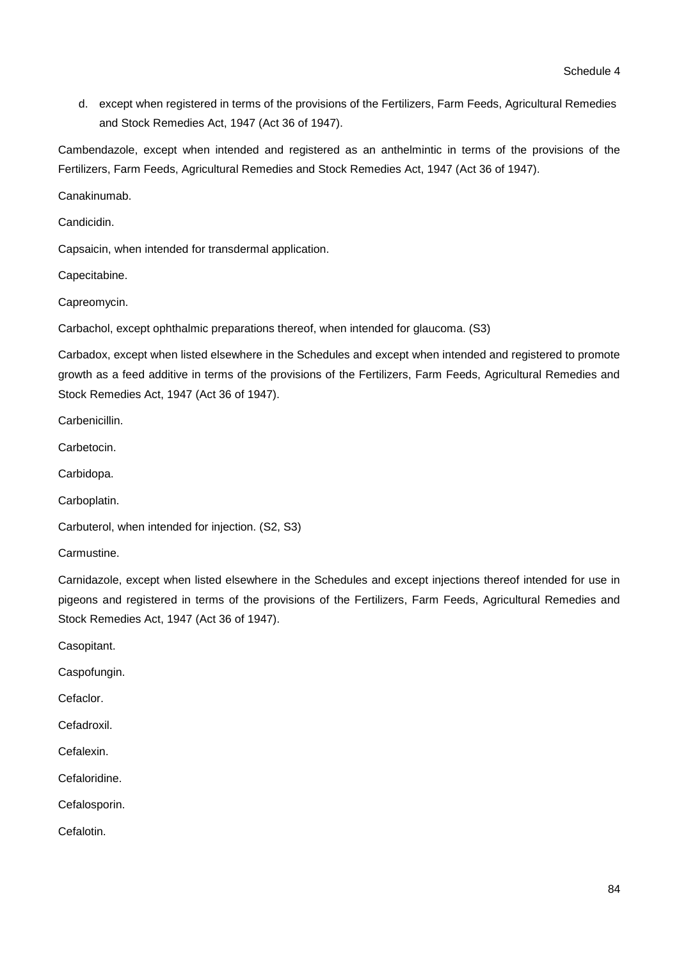d. except when registered in terms of the provisions of the Fertilizers, Farm Feeds, Agricultural Remedies and Stock Remedies Act, 1947 (Act 36 of 1947).

Cambendazole, except when intended and registered as an anthelmintic in terms of the provisions of the Fertilizers, Farm Feeds, Agricultural Remedies and Stock Remedies Act, 1947 (Act 36 of 1947).

Canakinumab.

Candicidin.

Capsaicin, when intended for transdermal application.

Capecitabine.

Capreomycin.

Carbachol, except ophthalmic preparations thereof, when intended for glaucoma. (S3)

Carbadox, except when listed elsewhere in the Schedules and except when intended and registered to promote growth as a feed additive in terms of the provisions of the Fertilizers, Farm Feeds, Agricultural Remedies and Stock Remedies Act, 1947 (Act 36 of 1947).

Carbenicillin.

Carbetocin.

Carbidopa.

Carboplatin.

Carbuterol, when intended for injection. (S2, S3)

Carmustine.

Carnidazole, except when listed elsewhere in the Schedules and except injections thereof intended for use in pigeons and registered in terms of the provisions of the Fertilizers, Farm Feeds, Agricultural Remedies and Stock Remedies Act, 1947 (Act 36 of 1947).

Casopitant.

Caspofungin.

Cefaclor.

Cefadroxil.

Cefalexin.

Cefaloridine.

Cefalosporin.

Cefalotin.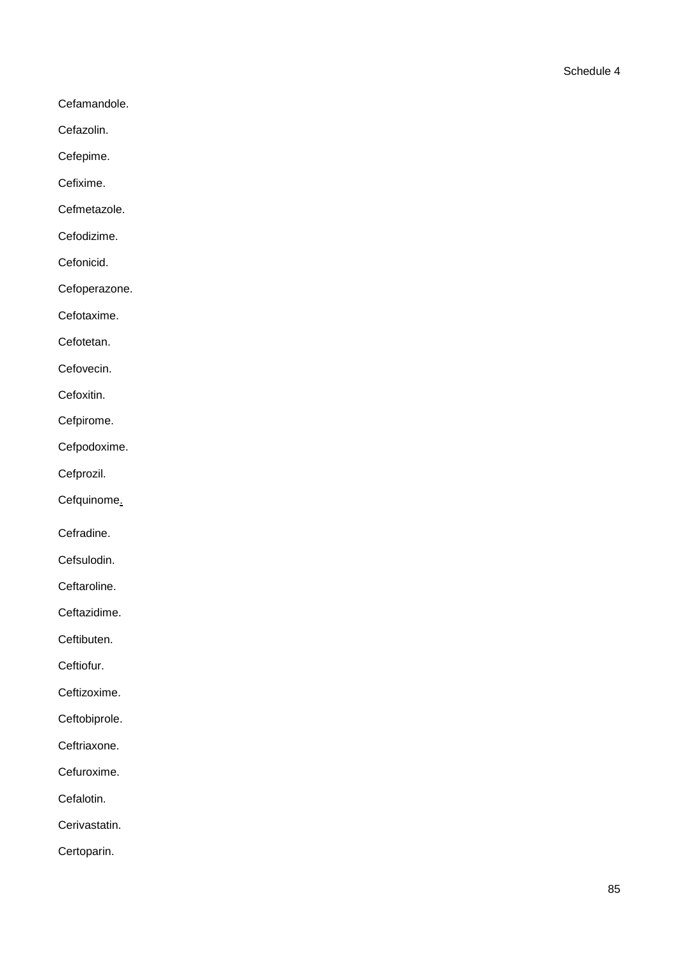- Cefamandole.
- Cefazolin.
- Cefepime.
- Cefixime.
- Cefmetazole.
- Cefodizime.
- Cefonicid.
- Cefoperazone.
- Cefotaxime.
- Cefotetan.
- Cefovecin.
- Cefoxitin.
- Cefpirome.
- Cefpodoxime.
- Cefprozil.
- Cefquinome.
- Cefradine.
- Cefsulodin.
- Ceftaroline.
- Ceftazidime.
- Ceftibuten.
- Ceftiofur.
- Ceftizoxime.
- Ceftobiprole.
- Ceftriaxone.
- Cefuroxime.
- Cefalotin.
- Cerivastatin.
- Certoparin.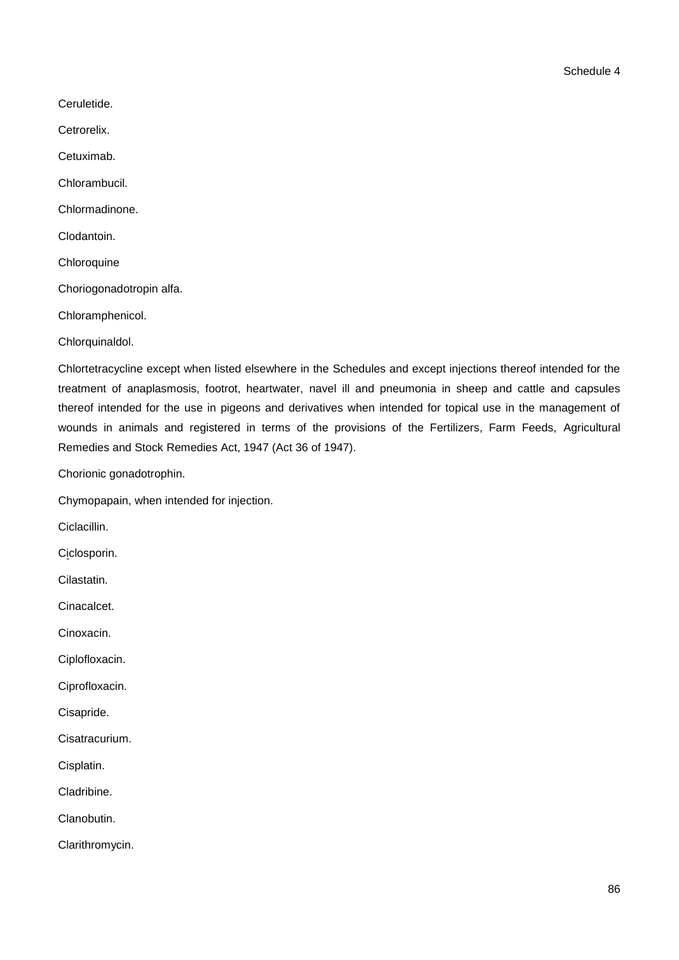Ceruletide.

Cetrorelix.

Cetuximab.

Chlorambucil.

Chlormadinone.

Clodantoin.

**Chloroquine** 

Choriogonadotropin alfa.

Chloramphenicol.

Chlorquinaldol.

Chlortetracycline except when listed elsewhere in the Schedules and except injections thereof intended for the treatment of anaplasmosis, footrot, heartwater, navel ill and pneumonia in sheep and cattle and capsules thereof intended for the use in pigeons and derivatives when intended for topical use in the management of wounds in animals and registered in terms of the provisions of the Fertilizers, Farm Feeds, Agricultural Remedies and Stock Remedies Act, 1947 (Act 36 of 1947).

Chorionic gonadotrophin.

Chymopapain, when intended for injection.

Ciclacillin.

Ciclosporin.

Cilastatin.

Cinacalcet.

Cinoxacin.

Ciplofloxacin.

Ciprofloxacin.

Cisapride.

Cisatracurium.

Cisplatin.

Cladribine.

Clanobutin.

Clarithromycin.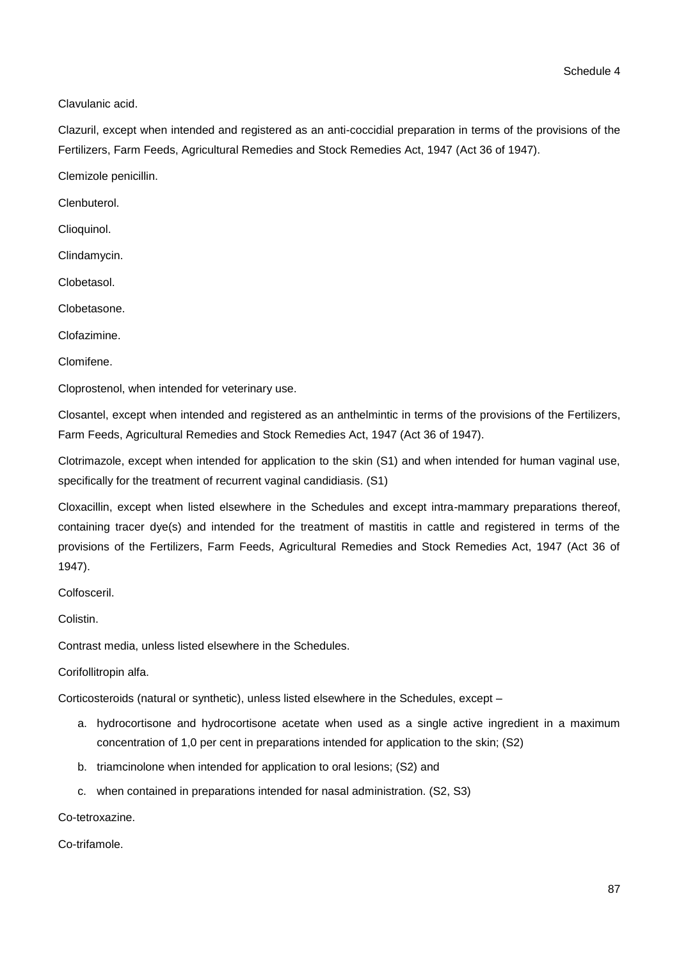Clavulanic acid.

Clazuril, except when intended and registered as an anti-coccidial preparation in terms of the provisions of the Fertilizers, Farm Feeds, Agricultural Remedies and Stock Remedies Act, 1947 (Act 36 of 1947).

Clemizole penicillin.

Clenbuterol.

Clioquinol.

Clindamycin.

Clobetasol.

Clobetasone.

Clofazimine.

Clomifene.

Cloprostenol, when intended for veterinary use.

Closantel, except when intended and registered as an anthelmintic in terms of the provisions of the Fertilizers, Farm Feeds, Agricultural Remedies and Stock Remedies Act, 1947 (Act 36 of 1947).

Clotrimazole, except when intended for application to the skin (S1) and when intended for human vaginal use, specifically for the treatment of recurrent vaginal candidiasis. (S1)

Cloxacillin, except when listed elsewhere in the Schedules and except intra-mammary preparations thereof, containing tracer dye(s) and intended for the treatment of mastitis in cattle and registered in terms of the provisions of the Fertilizers, Farm Feeds, Agricultural Remedies and Stock Remedies Act, 1947 (Act 36 of 1947).

Colfosceril.

Colistin.

Contrast media, unless listed elsewhere in the Schedules.

Corifollitropin alfa.

Corticosteroids (natural or synthetic), unless listed elsewhere in the Schedules, except –

- a. hydrocortisone and hydrocortisone acetate when used as a single active ingredient in a maximum concentration of 1,0 per cent in preparations intended for application to the skin; (S2)
- b. triamcinolone when intended for application to oral lesions; (S2) and
- c. when contained in preparations intended for nasal administration. (S2, S3)

Co-tetroxazine.

Co-trifamole.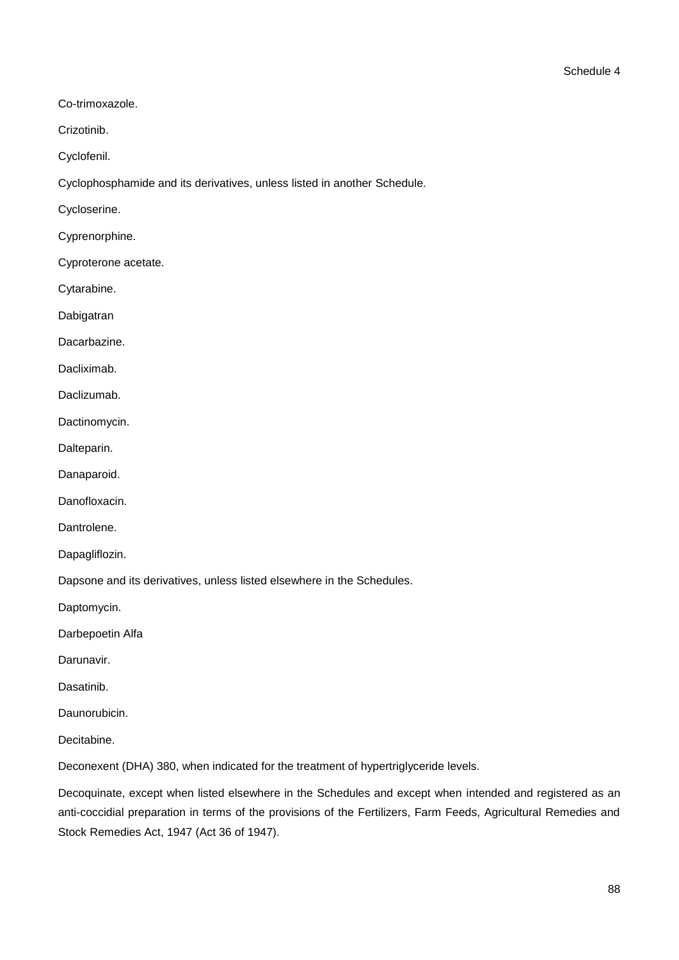Co-trimoxazole.

Crizotinib.

Cyclofenil.

Cyclophosphamide and its derivatives, unless listed in another Schedule.

Cycloserine.

Cyprenorphine.

Cyproterone acetate.

Cytarabine.

Dabigatran

Dacarbazine.

Dacliximab.

Daclizumab.

Dactinomycin.

Dalteparin.

Danaparoid.

Danofloxacin.

Dantrolene.

Dapagliflozin.

Dapsone and its derivatives, unless listed elsewhere in the Schedules.

Daptomycin.

Darbepoetin Alfa

Darunavir.

Dasatinib.

Daunorubicin.

Decitabine.

Deconexent (DHA) 380, when indicated for the treatment of hypertriglyceride levels.

Decoquinate, except when listed elsewhere in the Schedules and except when intended and registered as an anti-coccidial preparation in terms of the provisions of the Fertilizers, Farm Feeds, Agricultural Remedies and Stock Remedies Act, 1947 (Act 36 of 1947).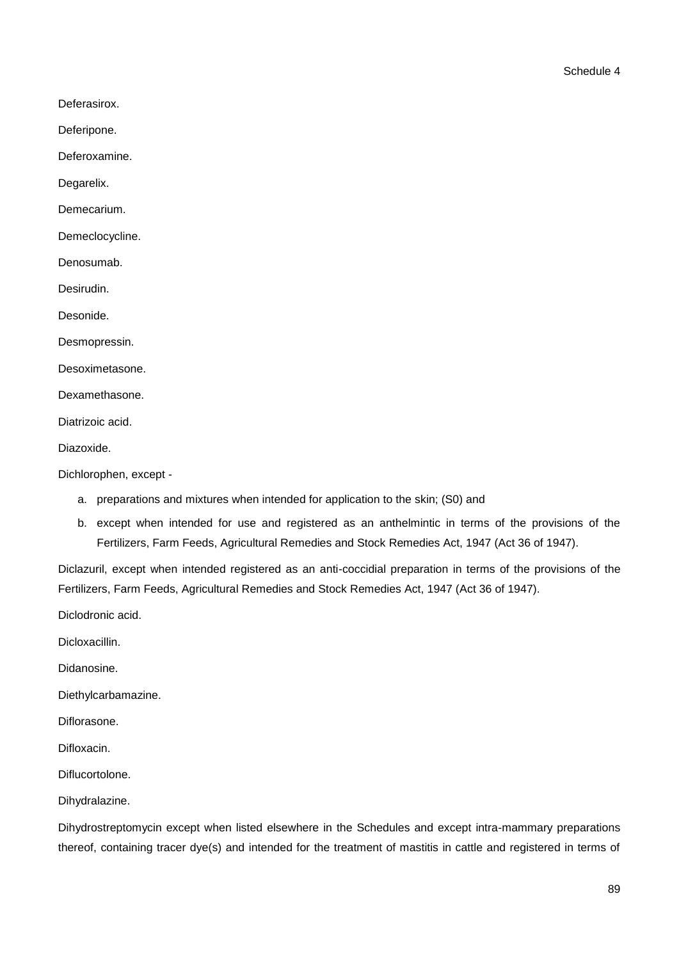- Deferasirox.
- Deferipone.

Deferoxamine.

Degarelix.

Demecarium.

Demeclocycline.

Denosumab.

Desirudin.

Desonide.

Desmopressin.

Desoximetasone.

Dexamethasone.

Diatrizoic acid.

Diazoxide.

Dichlorophen, except -

- a. preparations and mixtures when intended for application to the skin; (S0) and
- b. except when intended for use and registered as an anthelmintic in terms of the provisions of the Fertilizers, Farm Feeds, Agricultural Remedies and Stock Remedies Act, 1947 (Act 36 of 1947).

Diclazuril, except when intended registered as an anti-coccidial preparation in terms of the provisions of the Fertilizers, Farm Feeds, Agricultural Remedies and Stock Remedies Act, 1947 (Act 36 of 1947).

Diclodronic acid.

Dicloxacillin.

Didanosine.

Diethylcarbamazine.

Diflorasone.

Difloxacin.

Diflucortolone.

Dihydralazine.

Dihydrostreptomycin except when listed elsewhere in the Schedules and except intra-mammary preparations thereof, containing tracer dye(s) and intended for the treatment of mastitis in cattle and registered in terms of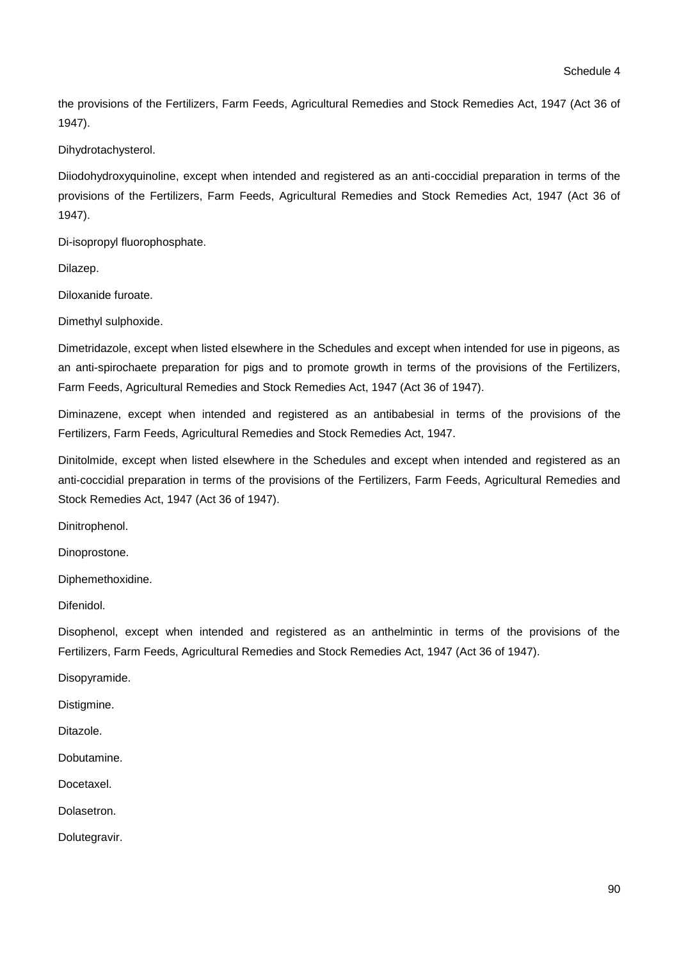the provisions of the Fertilizers, Farm Feeds, Agricultural Remedies and Stock Remedies Act, 1947 (Act 36 of 1947).

Dihydrotachysterol.

Diiodohydroxyquinoline, except when intended and registered as an anti-coccidial preparation in terms of the provisions of the Fertilizers, Farm Feeds, Agricultural Remedies and Stock Remedies Act, 1947 (Act 36 of 1947).

Di-isopropyl fluorophosphate.

Dilazep.

Diloxanide furoate.

Dimethyl sulphoxide.

Dimetridazole, except when listed elsewhere in the Schedules and except when intended for use in pigeons, as an anti-spirochaete preparation for pigs and to promote growth in terms of the provisions of the Fertilizers, Farm Feeds, Agricultural Remedies and Stock Remedies Act, 1947 (Act 36 of 1947).

Diminazene, except when intended and registered as an antibabesial in terms of the provisions of the Fertilizers, Farm Feeds, Agricultural Remedies and Stock Remedies Act, 1947.

Dinitolmide, except when listed elsewhere in the Schedules and except when intended and registered as an anti-coccidial preparation in terms of the provisions of the Fertilizers, Farm Feeds, Agricultural Remedies and Stock Remedies Act, 1947 (Act 36 of 1947).

Dinitrophenol.

Dinoprostone.

Diphemethoxidine.

Difenidol.

Disophenol, except when intended and registered as an anthelmintic in terms of the provisions of the Fertilizers, Farm Feeds, Agricultural Remedies and Stock Remedies Act, 1947 (Act 36 of 1947).

Disopyramide.

Distigmine.

Ditazole.

Dobutamine.

Docetaxel.

Dolasetron.

Dolutegravir.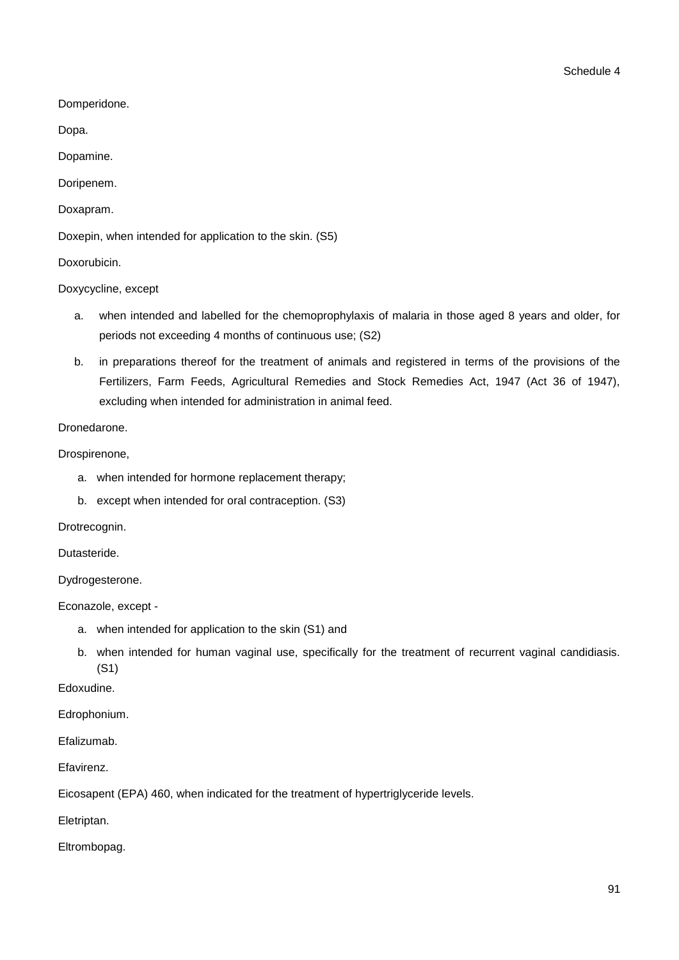Domperidone.

Dopa.

Dopamine.

Doripenem.

Doxapram.

Doxepin, when intended for application to the skin. (S5)

Doxorubicin.

Doxycycline, except

- a. when intended and labelled for the chemoprophylaxis of malaria in those aged 8 years and older, for periods not exceeding 4 months of continuous use; (S2)
- b. in preparations thereof for the treatment of animals and registered in terms of the provisions of the Fertilizers, Farm Feeds, Agricultural Remedies and Stock Remedies Act, 1947 (Act 36 of 1947), excluding when intended for administration in animal feed.

Dronedarone.

Drospirenone,

- a. when intended for hormone replacement therapy;
- b. except when intended for oral contraception. (S3)

Drotrecognin.

Dutasteride.

Dydrogesterone.

Econazole, except -

- a. when intended for application to the skin (S1) and
- b. when intended for human vaginal use, specifically for the treatment of recurrent vaginal candidiasis. (S1)

Edoxudine.

Edrophonium.

Efalizumab.

Efavirenz.

Eicosapent (EPA) 460, when indicated for the treatment of hypertriglyceride levels.

Eletriptan.

Eltrombopag.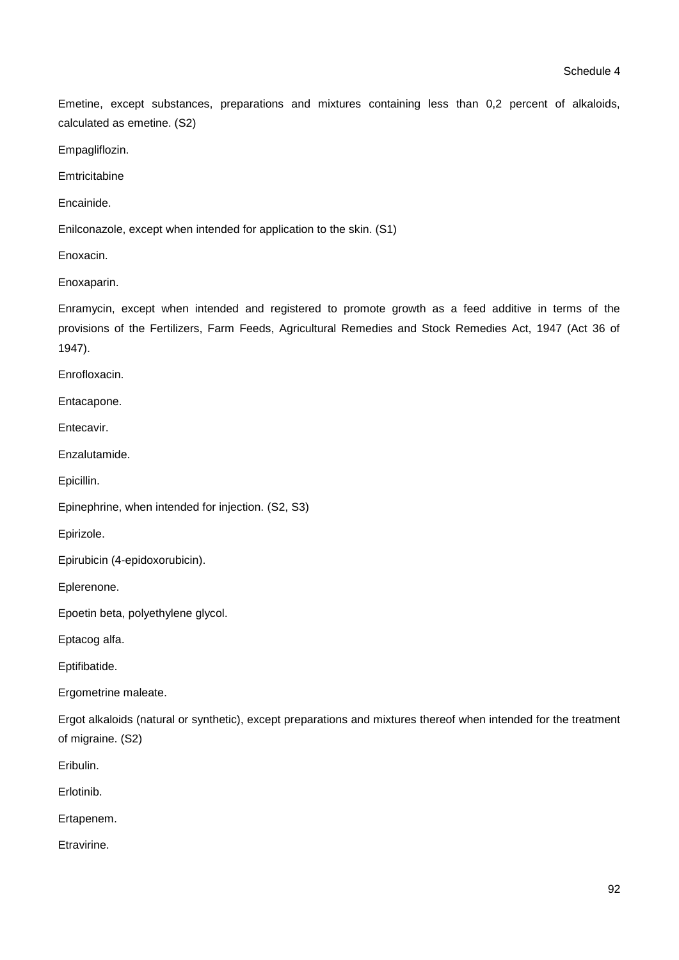Emetine, except substances, preparations and mixtures containing less than 0,2 percent of alkaloids, calculated as emetine. (S2)

Empagliflozin.

**Emtricitabine** 

Encainide.

Enilconazole, except when intended for application to the skin. (S1)

Enoxacin.

Enoxaparin.

Enramycin, except when intended and registered to promote growth as a feed additive in terms of the provisions of the Fertilizers, Farm Feeds, Agricultural Remedies and Stock Remedies Act, 1947 (Act 36 of 1947).

Enrofloxacin.

Entacapone.

Entecavir.

Enzalutamide.

Epicillin.

Epinephrine, when intended for injection. (S2, S3)

Epirizole.

Epirubicin (4-epidoxorubicin).

Eplerenone.

Epoetin beta, polyethylene glycol.

Eptacog alfa.

Eptifibatide.

Ergometrine maleate.

Ergot alkaloids (natural or synthetic), except preparations and mixtures thereof when intended for the treatment of migraine. (S2)

Eribulin.

Erlotinib.

Ertapenem.

**Etravirine**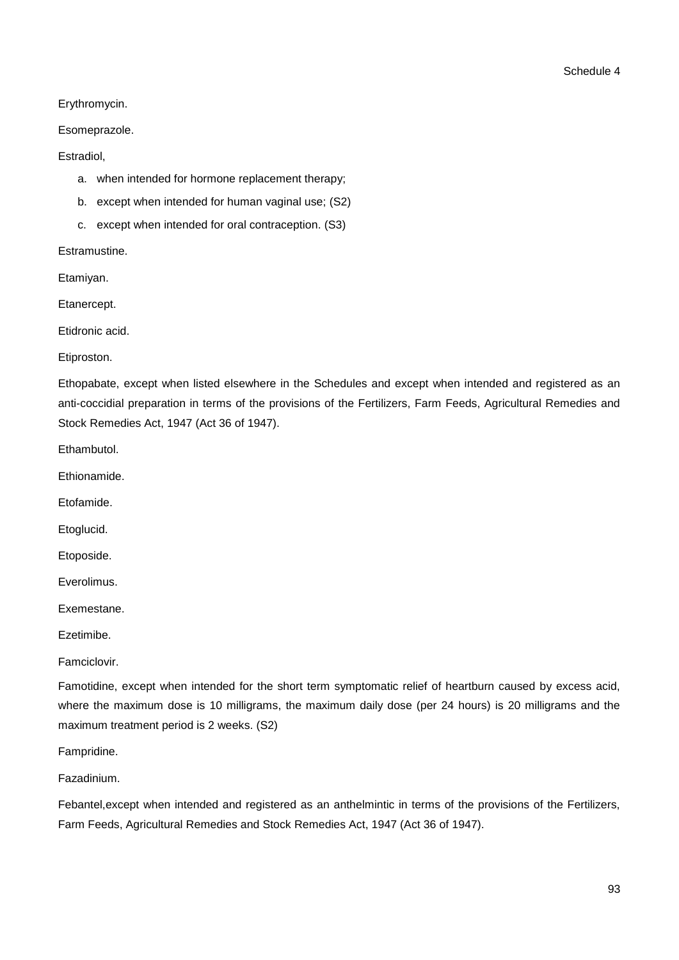## Erythromycin.

## Esomeprazole.

## Estradiol,

- a. when intended for hormone replacement therapy;
- b. except when intended for human vaginal use; (S2)
- c. except when intended for oral contraception. (S3)

Estramustine.

Etamiyan.

Etanercept.

Etidronic acid.

Etiproston.

Ethopabate, except when listed elsewhere in the Schedules and except when intended and registered as an anti-coccidial preparation in terms of the provisions of the Fertilizers, Farm Feeds, Agricultural Remedies and Stock Remedies Act, 1947 (Act 36 of 1947).

Ethambutol.

Ethionamide.

Etofamide.

Etoglucid.

Etoposide.

Everolimus.

Exemestane.

Ezetimibe.

Famciclovir.

Famotidine, except when intended for the short term symptomatic relief of heartburn caused by excess acid, where the maximum dose is 10 milligrams, the maximum daily dose (per 24 hours) is 20 milligrams and the maximum treatment period is 2 weeks. (S2)

Fampridine.

Fazadinium.

Febantel,except when intended and registered as an anthelmintic in terms of the provisions of the Fertilizers, Farm Feeds, Agricultural Remedies and Stock Remedies Act, 1947 (Act 36 of 1947).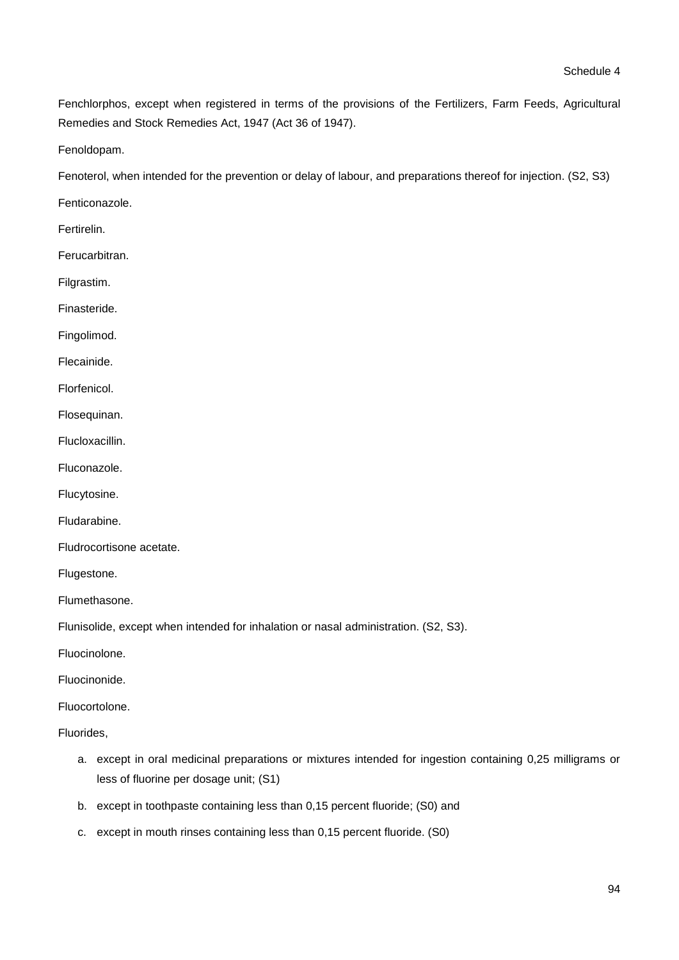Fenchlorphos, except when registered in terms of the provisions of the Fertilizers, Farm Feeds, Agricultural Remedies and Stock Remedies Act, 1947 (Act 36 of 1947).

Fenoldopam.

Fenoterol, when intended for the prevention or delay of labour, and preparations thereof for injection. (S2, S3)

Fenticonazole.

Fertirelin.

Ferucarbitran.

Filgrastim.

Finasteride.

Fingolimod.

Flecainide.

Florfenicol.

Flosequinan.

Flucloxacillin.

Fluconazole.

Flucytosine.

Fludarabine.

Fludrocortisone acetate.

Flugestone.

Flumethasone.

Flunisolide, except when intended for inhalation or nasal administration. (S2, S3).

Fluocinolone.

Fluocinonide.

Fluocortolone.

Fluorides,

- a. except in oral medicinal preparations or mixtures intended for ingestion containing 0,25 milligrams or less of fluorine per dosage unit; (S1)
- b. except in toothpaste containing less than 0,15 percent fluoride; (S0) and
- c. except in mouth rinses containing less than 0,15 percent fluoride. (S0)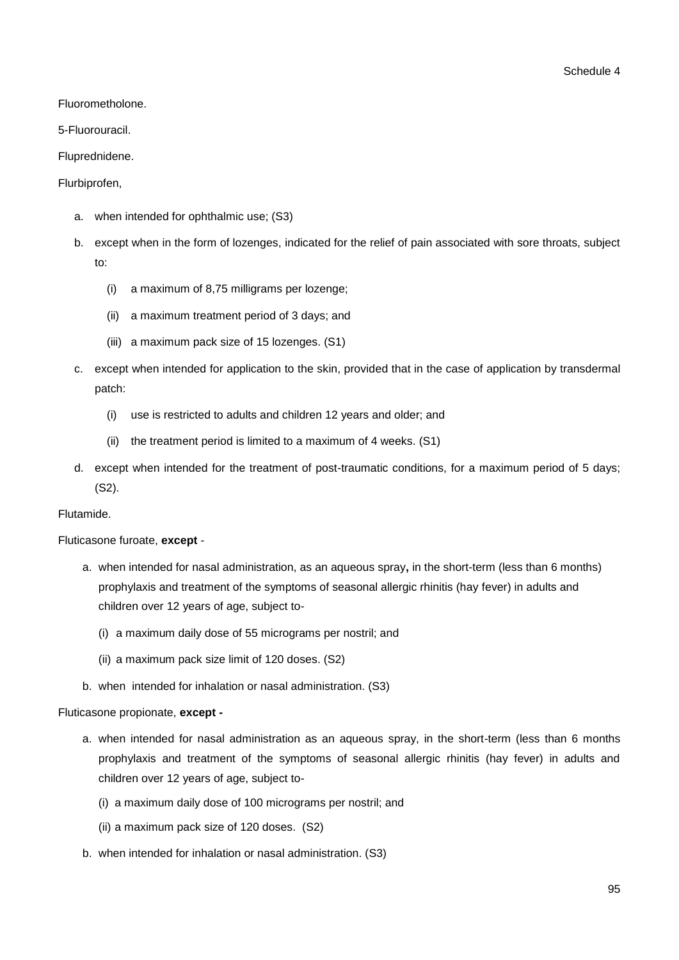Fluorometholone.

5-Fluorouracil.

Fluprednidene.

## Flurbiprofen,

- a. when intended for ophthalmic use; (S3)
- b. except when in the form of lozenges, indicated for the relief of pain associated with sore throats, subject to:
	- (i) a maximum of 8,75 milligrams per lozenge;
	- (ii) a maximum treatment period of 3 days; and
	- (iii) a maximum pack size of 15 lozenges. (S1)
- c. except when intended for application to the skin, provided that in the case of application by transdermal patch:
	- (i) use is restricted to adults and children 12 years and older; and
	- (ii) the treatment period is limited to a maximum of 4 weeks. (S1)
- d. except when intended for the treatment of post-traumatic conditions, for a maximum period of 5 days; (S2).

### Flutamide.

Fluticasone furoate, **except** -

- a. when intended for nasal administration, as an aqueous spray**,** in the short-term (less than 6 months) prophylaxis and treatment of the symptoms of seasonal allergic rhinitis (hay fever) in adults and children over 12 years of age, subject to-
	- (i) a maximum daily dose of 55 micrograms per nostril; and
	- (ii) a maximum pack size limit of 120 doses. (S2)
- b. when intended for inhalation or nasal administration. (S3)

### Fluticasone propionate, **except -**

- a. when intended for nasal administration as an aqueous spray, in the short-term (less than 6 months prophylaxis and treatment of the symptoms of seasonal allergic rhinitis (hay fever) in adults and children over 12 years of age, subject to-
	- (i) a maximum daily dose of 100 micrograms per nostril; and
	- (ii) a maximum pack size of 120 doses. (S2)
- b. when intended for inhalation or nasal administration. (S3)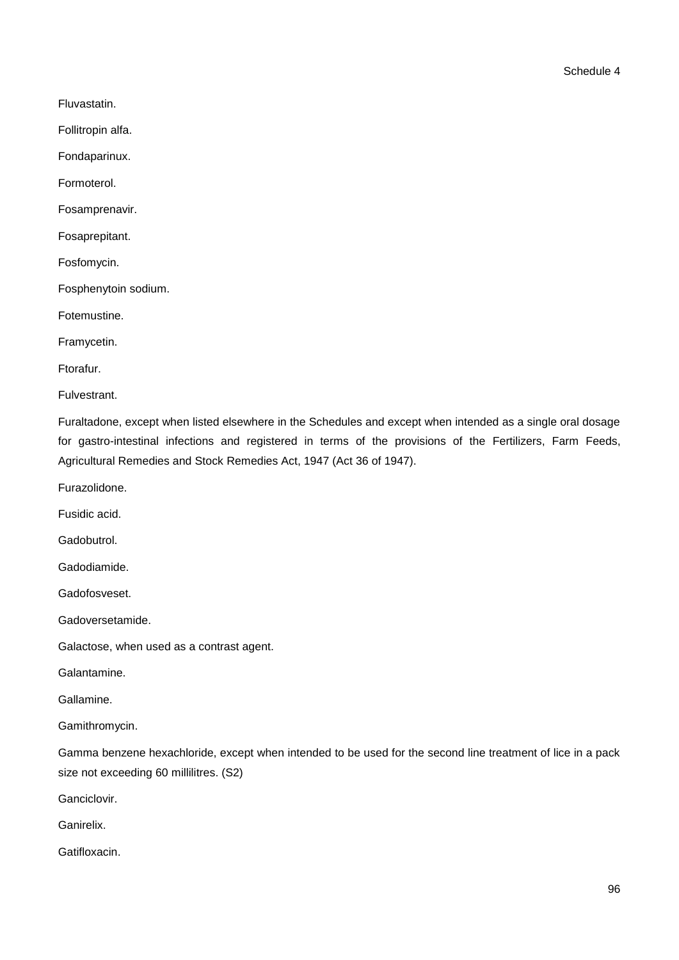Fluvastatin.

Follitropin alfa.

Fondaparinux.

Formoterol.

Fosamprenavir.

Fosaprepitant.

Fosfomycin.

Fosphenytoin sodium.

Fotemustine.

Framycetin.

Ftorafur.

**Fulvestrant** 

Furaltadone, except when listed elsewhere in the Schedules and except when intended as a single oral dosage for gastro-intestinal infections and registered in terms of the provisions of the Fertilizers, Farm Feeds, Agricultural Remedies and Stock Remedies Act, 1947 (Act 36 of 1947).

Furazolidone.

Fusidic acid.

Gadobutrol.

Gadodiamide.

Gadofosveset.

Gadoversetamide.

Galactose, when used as a contrast agent.

Galantamine.

Gallamine.

Gamithromycin.

Gamma benzene hexachloride, except when intended to be used for the second line treatment of lice in a pack size not exceeding 60 millilitres. (S2)

Ganciclovir.

Ganirelix.

Gatifloxacin.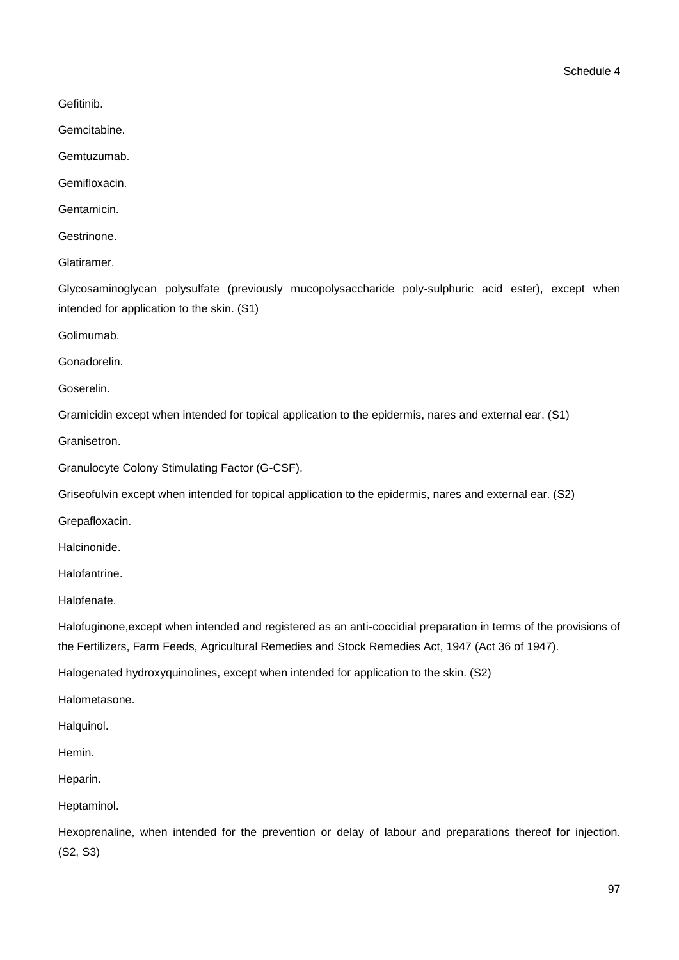Gefitinib.

Gemcitabine.

Gemtuzumab.

Gemifloxacin.

Gentamicin.

Gestrinone.

Glatiramer.

Glycosaminoglycan polysulfate (previously mucopolysaccharide poly-sulphuric acid ester), except when intended for application to the skin. (S1)

Golimumab.

Gonadorelin.

Goserelin.

Gramicidin except when intended for topical application to the epidermis, nares and external ear. (S1)

Granisetron.

Granulocyte Colony Stimulating Factor (G-CSF).

Griseofulvin except when intended for topical application to the epidermis, nares and external ear. (S2)

Grepafloxacin.

Halcinonide.

Halofantrine.

Halofenate.

Halofuginone,except when intended and registered as an anti-coccidial preparation in terms of the provisions of the Fertilizers, Farm Feeds, Agricultural Remedies and Stock Remedies Act, 1947 (Act 36 of 1947).

Halogenated hydroxyquinolines, except when intended for application to the skin. (S2)

Halometasone.

Halquinol.

Hemin.

Heparin.

Heptaminol.

Hexoprenaline, when intended for the prevention or delay of labour and preparations thereof for injection. (S2, S3)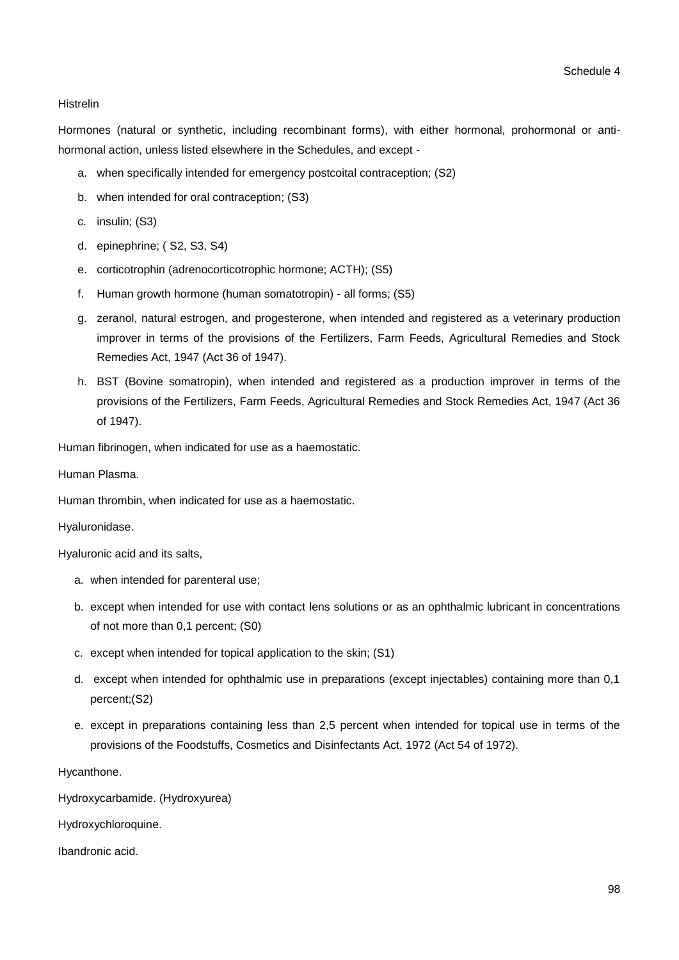### Histrelin

Hormones (natural or synthetic, including recombinant forms), with either hormonal, prohormonal or antihormonal action, unless listed elsewhere in the Schedules, and except -

- a. when specifically intended for emergency postcoital contraception; (S2)
- b. when intended for oral contraception; (S3)
- c. insulin; (S3)
- d. epinephrine; ( S2, S3, S4)
- e. corticotrophin (adrenocorticotrophic hormone; ACTH); (S5)
- f. Human growth hormone (human somatotropin) all forms; (S5)
- g. zeranol, natural estrogen, and progesterone, when intended and registered as a veterinary production improver in terms of the provisions of the Fertilizers, Farm Feeds, Agricultural Remedies and Stock Remedies Act, 1947 (Act 36 of 1947).
- h. BST (Bovine somatropin), when intended and registered as a production improver in terms of the provisions of the Fertilizers, Farm Feeds, Agricultural Remedies and Stock Remedies Act, 1947 (Act 36 of 1947).

Human fibrinogen, when indicated for use as a haemostatic.

Human Plasma.

Human thrombin, when indicated for use as a haemostatic.

Hyaluronidase.

Hyaluronic acid and its salts,

- a. when intended for parenteral use;
- b. except when intended for use with contact lens solutions or as an ophthalmic lubricant in concentrations of not more than 0,1 percent; (S0)
- c. except when intended for topical application to the skin; (S1)
- d. except when intended for ophthalmic use in preparations (except injectables) containing more than 0,1 percent;(S2)
- e. except in preparations containing less than 2,5 percent when intended for topical use in terms of the provisions of the Foodstuffs, Cosmetics and Disinfectants Act, 1972 (Act 54 of 1972).

Hycanthone.

Hydroxycarbamide. (Hydroxyurea)

Hydroxychloroquine.

Ibandronic acid.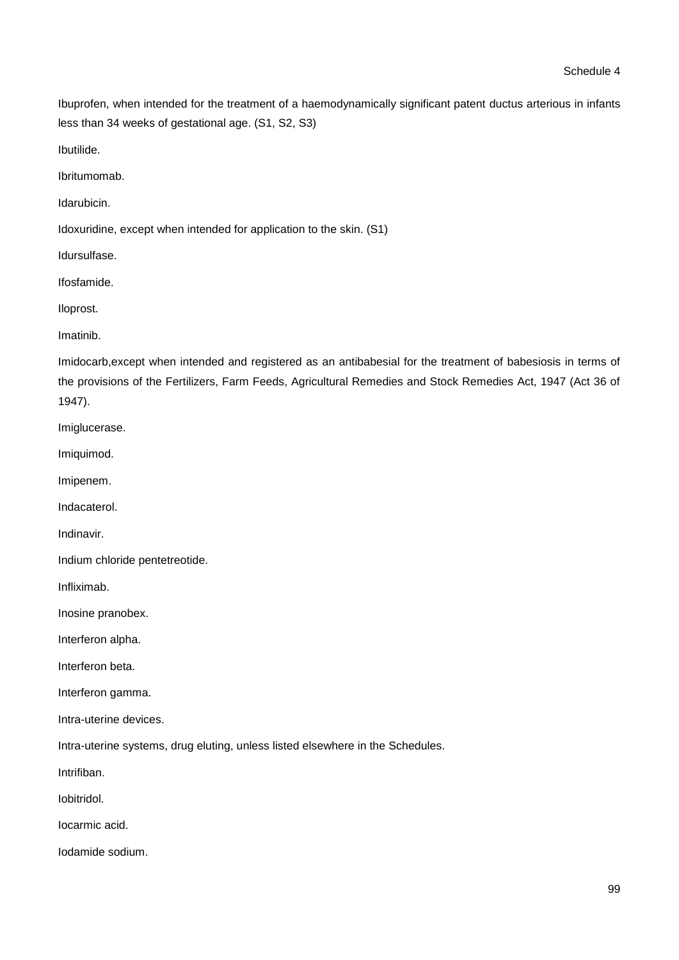Ibuprofen, when intended for the treatment of a haemodynamically significant patent ductus arterious in infants less than 34 weeks of gestational age. (S1, S2, S3)

Ibutilide.

Ibritumomab.

Idarubicin.

Idoxuridine, except when intended for application to the skin. (S1)

Idursulfase.

Ifosfamide.

Iloprost.

Imatinib.

Imidocarb,except when intended and registered as an antibabesial for the treatment of babesiosis in terms of the provisions of the Fertilizers, Farm Feeds, Agricultural Remedies and Stock Remedies Act, 1947 (Act 36 of 1947).

Imiglucerase.

Imiquimod.

Imipenem.

Indacaterol.

Indinavir.

Indium chloride pentetreotide.

Infliximab.

Inosine pranobex.

Interferon alpha.

Interferon beta.

Interferon gamma.

Intra-uterine devices.

Intra-uterine systems, drug eluting, unless listed elsewhere in the Schedules.

Intrifiban.

Iobitridol.

Iocarmic acid.

Iodamide sodium.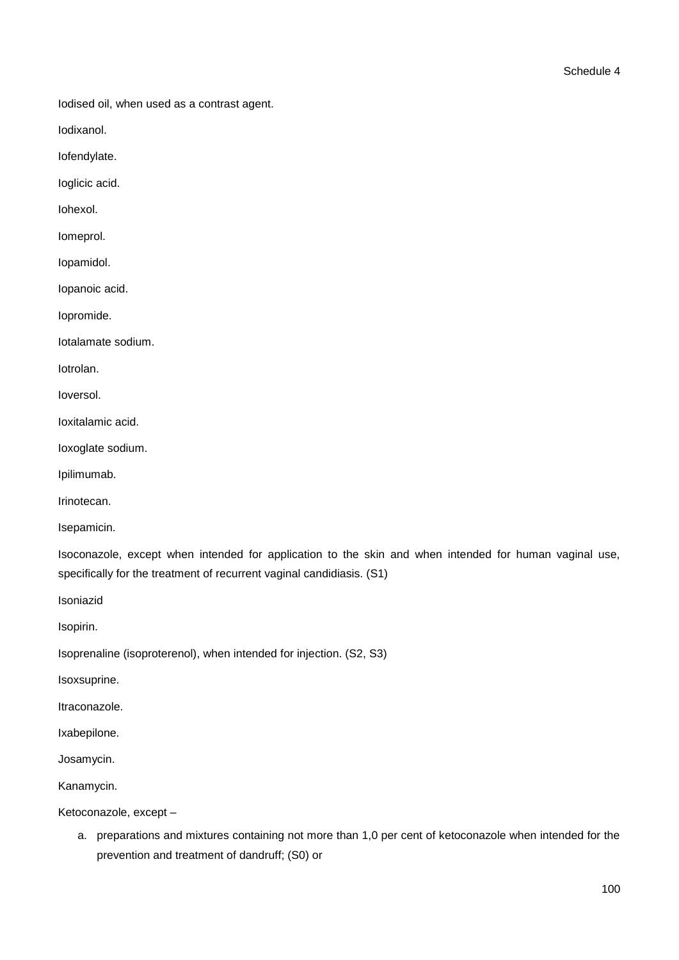Iodised oil, when used as a contrast agent.

Iodixanol.

Iofendylate.

Ioglicic acid.

Iohexol.

Iomeprol.

Iopamidol.

Iopanoic acid.

Iopromide.

Iotalamate sodium.

Iotrolan.

Ioversol.

Ioxitalamic acid.

Ioxoglate sodium.

Ipilimumab.

Irinotecan.

Isepamicin.

Isoconazole, except when intended for application to the skin and when intended for human vaginal use, specifically for the treatment of recurrent vaginal candidiasis. (S1)

Isoniazid

Isopirin.

Isoprenaline (isoproterenol), when intended for injection. (S2, S3)

Isoxsuprine.

Itraconazole.

Ixabepilone.

Josamycin.

Kanamycin.

Ketoconazole, except –

a. preparations and mixtures containing not more than 1,0 per cent of ketoconazole when intended for the prevention and treatment of dandruff; (S0) or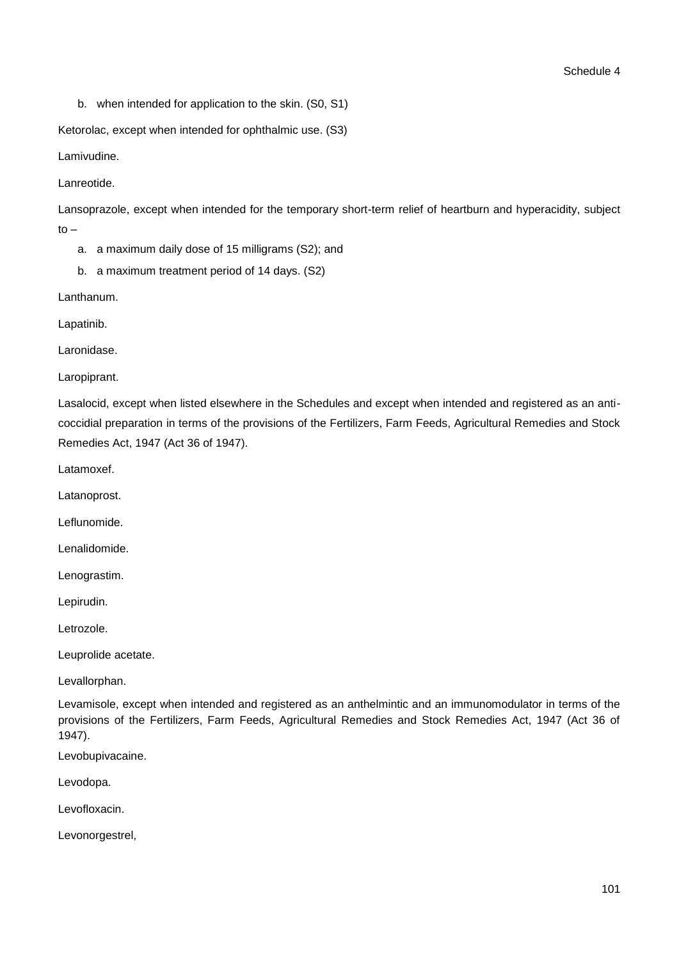b. when intended for application to the skin. (S0, S1)

Ketorolac, except when intended for ophthalmic use. (S3)

Lamivudine.

Lanreotide.

Lansoprazole, except when intended for the temporary short-term relief of heartburn and hyperacidity, subject to –

a. a maximum daily dose of 15 milligrams (S2); and

b. a maximum treatment period of 14 days. (S2)

Lanthanum.

Lapatinib.

Laronidase.

Laropiprant.

Lasalocid, except when listed elsewhere in the Schedules and except when intended and registered as an anticoccidial preparation in terms of the provisions of the Fertilizers, Farm Feeds, Agricultural Remedies and Stock Remedies Act, 1947 (Act 36 of 1947).

Latamoxef.

Latanoprost.

Leflunomide.

Lenalidomide.

Lenograstim.

Lepirudin.

Letrozole.

Leuprolide acetate.

Levallorphan.

Levamisole, except when intended and registered as an anthelmintic and an immunomodulator in terms of the provisions of the Fertilizers, Farm Feeds, Agricultural Remedies and Stock Remedies Act, 1947 (Act 36 of 1947).

Levobupivacaine.

Levodopa.

Levofloxacin.

Levonorgestrel,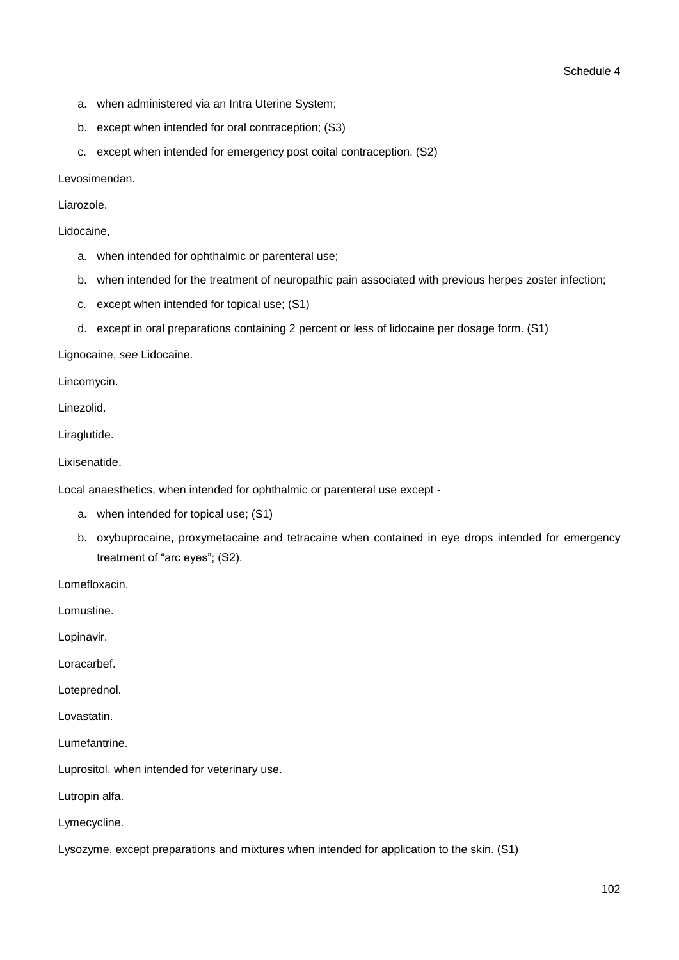- a. when administered via an Intra Uterine System;
- b. except when intended for oral contraception; (S3)
- c. except when intended for emergency post coital contraception. (S2)

Levosimendan.

Liarozole.

Lidocaine,

- a. when intended for ophthalmic or parenteral use;
- b. when intended for the treatment of neuropathic pain associated with previous herpes zoster infection;
- c. except when intended for topical use; (S1)
- d. except in oral preparations containing 2 percent or less of lidocaine per dosage form. (S1)

Lignocaine, *see* Lidocaine.

Lincomycin.

Linezolid.

Liraglutide.

Lixisenatide.

Local anaesthetics, when intended for ophthalmic or parenteral use except -

- a. when intended for topical use; (S1)
- b. oxybuprocaine, proxymetacaine and tetracaine when contained in eye drops intended for emergency treatment of "arc eyes"; (S2).

Lomefloxacin.

Lomustine.

Lopinavir.

Loracarbef.

Loteprednol.

Lovastatin.

Lumefantrine.

Luprositol, when intended for veterinary use.

Lutropin alfa.

Lymecycline.

Lysozyme, except preparations and mixtures when intended for application to the skin. (S1)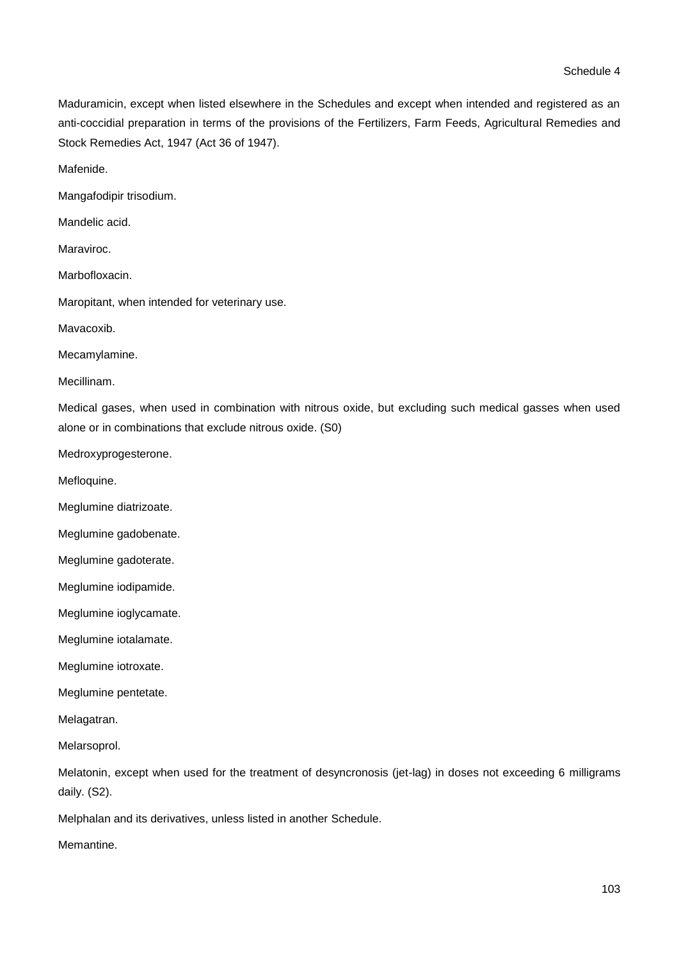Maduramicin, except when listed elsewhere in the Schedules and except when intended and registered as an anti-coccidial preparation in terms of the provisions of the Fertilizers, Farm Feeds, Agricultural Remedies and Stock Remedies Act, 1947 (Act 36 of 1947).

Mafenide.

Mangafodipir trisodium.

Mandelic acid.

Maraviroc.

Marbofloxacin.

Maropitant, when intended for veterinary use.

Mavacoxib.

Mecamylamine.

Mecillinam.

Medical gases, when used in combination with nitrous oxide, but excluding such medical gasses when used alone or in combinations that exclude nitrous oxide. (S0)

Medroxyprogesterone.

Mefloquine.

Meglumine diatrizoate.

Meglumine gadobenate.

Meglumine gadoterate.

Meglumine iodipamide.

Meglumine ioglycamate.

Meglumine iotalamate.

Meglumine iotroxate.

Meglumine pentetate.

Melagatran.

Melarsoprol.

Melatonin, except when used for the treatment of desyncronosis (jet-lag) in doses not exceeding 6 milligrams daily. (S2).

Melphalan and its derivatives, unless listed in another Schedule.

Memantine.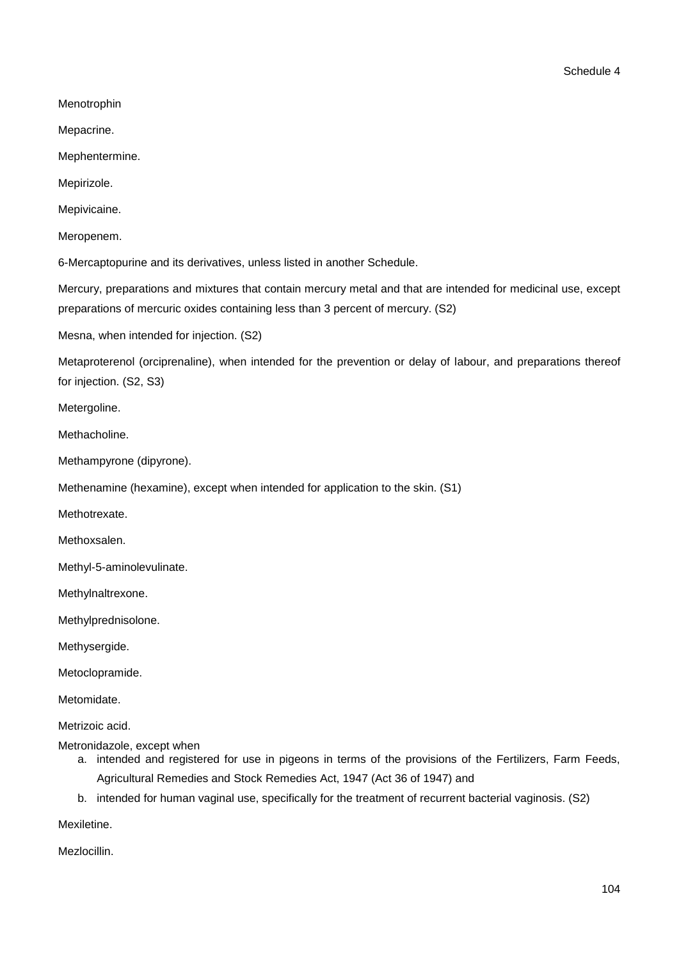Menotrophin

Mepacrine.

Mephentermine.

Mepirizole.

Mepivicaine.

Meropenem.

6-Mercaptopurine and its derivatives, unless listed in another Schedule.

Mercury, preparations and mixtures that contain mercury metal and that are intended for medicinal use, except preparations of mercuric oxides containing less than 3 percent of mercury. (S2)

Mesna, when intended for injection. (S2)

Metaproterenol (orciprenaline), when intended for the prevention or delay of labour, and preparations thereof for injection. (S2, S3)

Metergoline.

Methacholine.

Methampyrone (dipyrone).

Methenamine (hexamine), except when intended for application to the skin. (S1)

Methotrexate.

Methoxsalen.

Methyl-5-aminolevulinate.

Methylnaltrexone.

Methylprednisolone.

Methysergide.

Metoclopramide.

Metomidate.

Metrizoic acid.

Metronidazole, except when

- a. intended and registered for use in pigeons in terms of the provisions of the Fertilizers, Farm Feeds, Agricultural Remedies and Stock Remedies Act, 1947 (Act 36 of 1947) and
- b. intended for human vaginal use, specifically for the treatment of recurrent bacterial vaginosis. (S2)

Mexiletine.

Mezlocillin.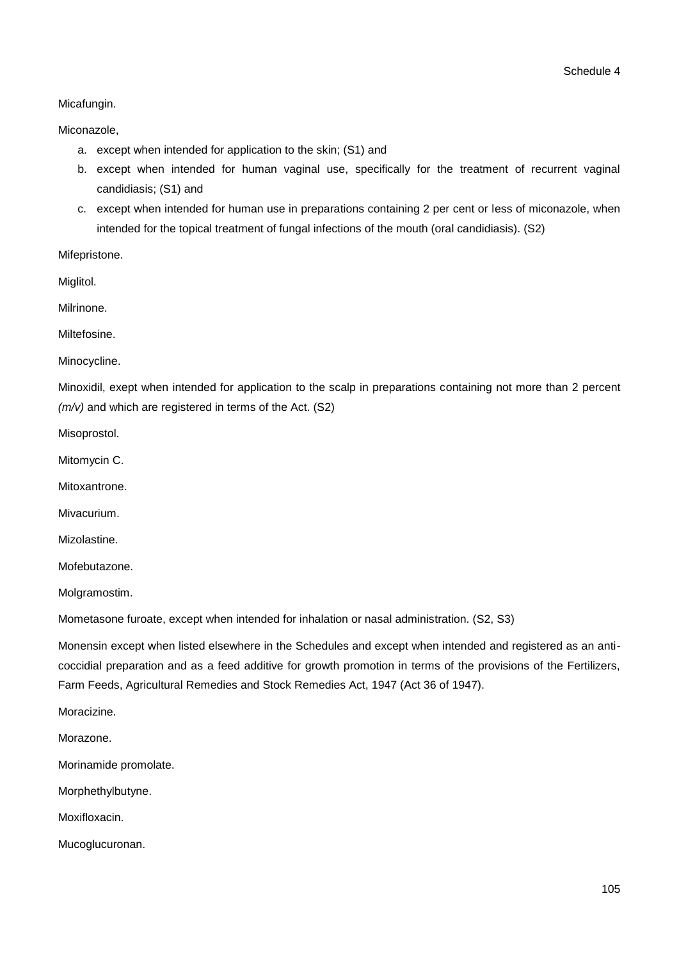## Micafungin.

## Miconazole,

- a. except when intended for application to the skin; (S1) and
- b. except when intended for human vaginal use, specifically for the treatment of recurrent vaginal candidiasis; (S1) and
- c. except when intended for human use in preparations containing 2 per cent or less of miconazole, when intended for the topical treatment of fungal infections of the mouth (oral candidiasis). (S2)

Mifepristone.

Miglitol.

Milrinone.

Miltefosine.

Minocycline.

Minoxidil, exept when intended for application to the scalp in preparations containing not more than 2 percent *(m/v)* and which are registered in terms of the Act. (S2)

Misoprostol.

Mitomycin C.

Mitoxantrone.

Mivacurium.

Mizolastine.

Mofebutazone.

Molgramostim.

Mometasone furoate, except when intended for inhalation or nasal administration. (S2, S3)

Monensin except when listed elsewhere in the Schedules and except when intended and registered as an anticoccidial preparation and as a feed additive for growth promotion in terms of the provisions of the Fertilizers, Farm Feeds, Agricultural Remedies and Stock Remedies Act, 1947 (Act 36 of 1947).

Moracizine.

Morazone.

Morinamide promolate.

Morphethylbutyne.

Moxifloxacin.

Mucoglucuronan.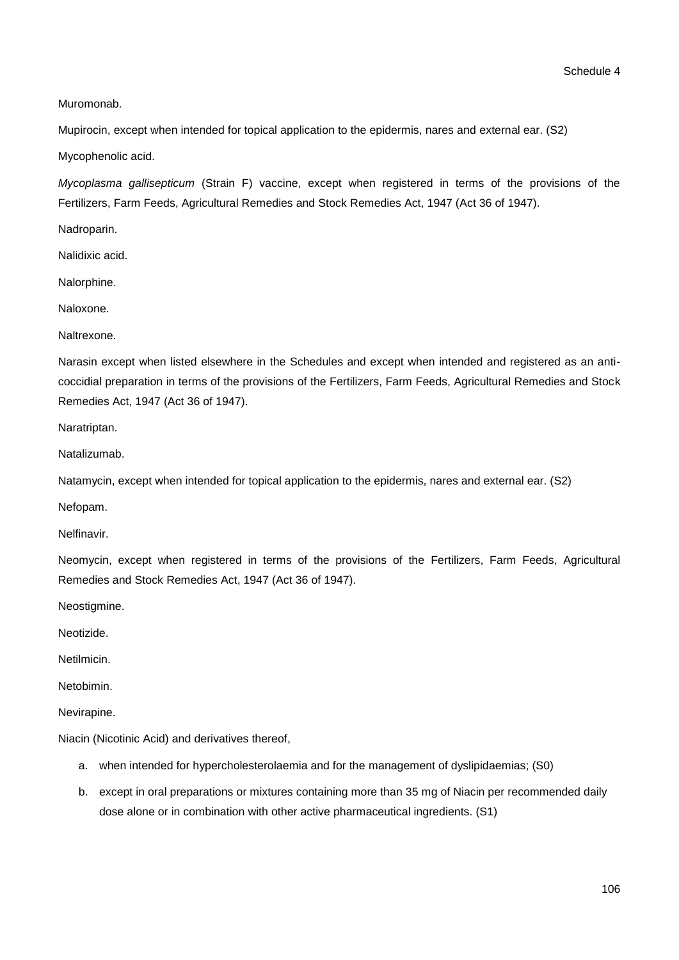Muromonab.

Mupirocin, except when intended for topical application to the epidermis, nares and external ear. (S2)

Mycophenolic acid.

*Mycoplasma gallisepticum* (Strain F) vaccine, except when registered in terms of the provisions of the Fertilizers, Farm Feeds, Agricultural Remedies and Stock Remedies Act, 1947 (Act 36 of 1947).

Nadroparin.

Nalidixic acid.

Nalorphine.

Naloxone.

Naltrexone.

Narasin except when listed elsewhere in the Schedules and except when intended and registered as an anticoccidial preparation in terms of the provisions of the Fertilizers, Farm Feeds, Agricultural Remedies and Stock Remedies Act, 1947 (Act 36 of 1947).

Naratriptan.

Natalizumab.

Natamycin, except when intended for topical application to the epidermis, nares and external ear. (S2)

Nefopam.

Nelfinavir.

Neomycin, except when registered in terms of the provisions of the Fertilizers, Farm Feeds, Agricultural Remedies and Stock Remedies Act, 1947 (Act 36 of 1947).

Neostigmine.

Neotizide.

Netilmicin.

**Netobimin** 

Nevirapine.

Niacin (Nicotinic Acid) and derivatives thereof,

- a. when intended for hypercholesterolaemia and for the management of dyslipidaemias; (S0)
- b. except in oral preparations or mixtures containing more than 35 mg of Niacin per recommended daily dose alone or in combination with other active pharmaceutical ingredients. (S1)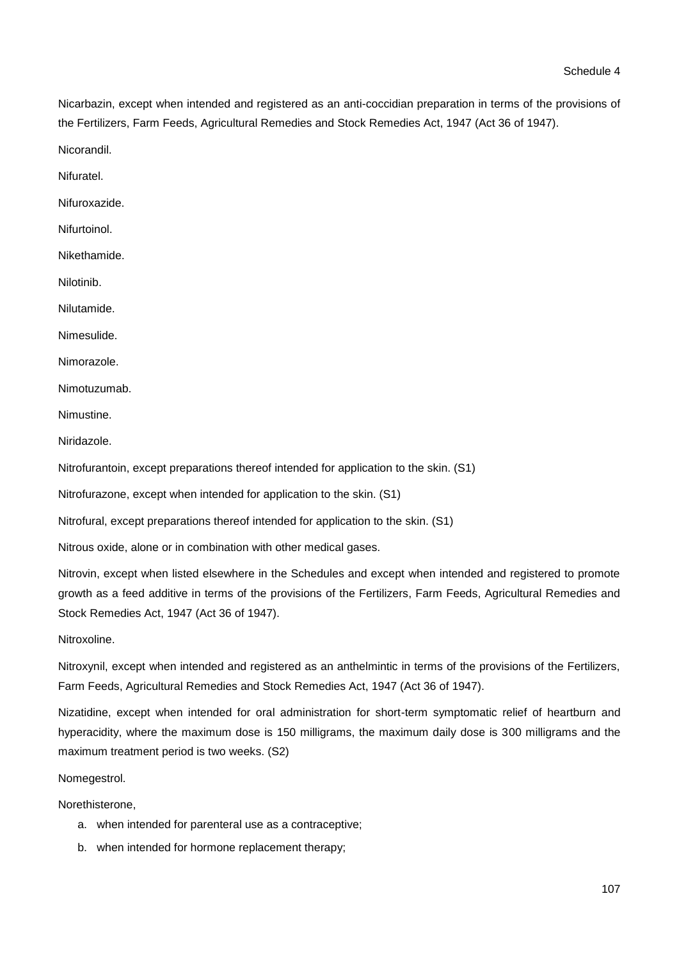Nicarbazin, except when intended and registered as an anti-coccidian preparation in terms of the provisions of the Fertilizers, Farm Feeds, Agricultural Remedies and Stock Remedies Act, 1947 (Act 36 of 1947).

Nicorandil.

Nifuratel.

Nifuroxazide.

Nifurtoinol.

Nikethamide.

Nilotinib.

Nilutamide.

Nimesulide.

Nimorazole.

Nimotuzumab.

Nimustine.

Niridazole.

Nitrofurantoin, except preparations thereof intended for application to the skin. (S1)

Nitrofurazone, except when intended for application to the skin. (S1)

Nitrofural, except preparations thereof intended for application to the skin. (S1)

Nitrous oxide, alone or in combination with other medical gases.

Nitrovin, except when listed elsewhere in the Schedules and except when intended and registered to promote growth as a feed additive in terms of the provisions of the Fertilizers, Farm Feeds, Agricultural Remedies and Stock Remedies Act, 1947 (Act 36 of 1947).

Nitroxoline.

Nitroxynil, except when intended and registered as an anthelmintic in terms of the provisions of the Fertilizers, Farm Feeds, Agricultural Remedies and Stock Remedies Act, 1947 (Act 36 of 1947).

Nizatidine, except when intended for oral administration for short-term symptomatic relief of heartburn and hyperacidity, where the maximum dose is 150 milligrams, the maximum daily dose is 300 milligrams and the maximum treatment period is two weeks. (S2)

## Nomegestrol.

Norethisterone,

- a. when intended for parenteral use as a contraceptive;
- b. when intended for hormone replacement therapy;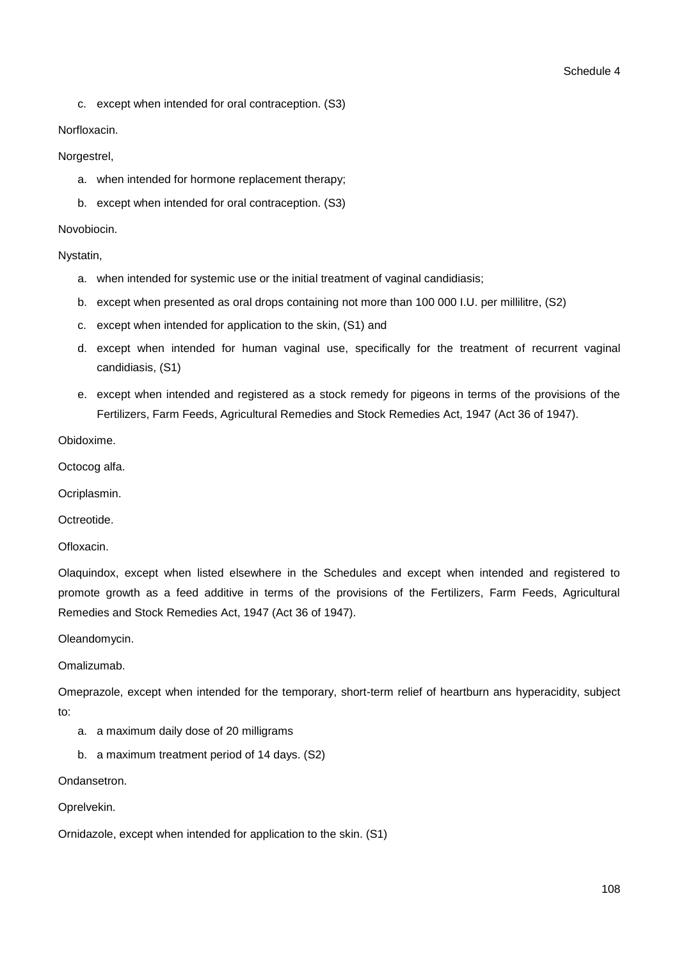c. except when intended for oral contraception. (S3)

#### Norfloxacin.

#### Norgestrel,

- a. when intended for hormone replacement therapy;
- b. except when intended for oral contraception. (S3)

#### Novobiocin.

#### Nystatin,

- a. when intended for systemic use or the initial treatment of vaginal candidiasis;
- b. except when presented as oral drops containing not more than 100 000 I.U. per millilitre, (S2)
- c. except when intended for application to the skin, (S1) and
- d. except when intended for human vaginal use, specifically for the treatment of recurrent vaginal candidiasis, (S1)
- e. except when intended and registered as a stock remedy for pigeons in terms of the provisions of the Fertilizers, Farm Feeds, Agricultural Remedies and Stock Remedies Act, 1947 (Act 36 of 1947).

Obidoxime.

Octocog alfa.

Ocriplasmin.

**Octreotide** 

Ofloxacin.

Olaquindox, except when listed elsewhere in the Schedules and except when intended and registered to promote growth as a feed additive in terms of the provisions of the Fertilizers, Farm Feeds, Agricultural Remedies and Stock Remedies Act, 1947 (Act 36 of 1947).

Oleandomycin.

Omalizumab.

Omeprazole, except when intended for the temporary, short-term relief of heartburn ans hyperacidity, subject to:

- a. a maximum daily dose of 20 milligrams
- b. a maximum treatment period of 14 days. (S2)

Ondansetron.

Oprelvekin.

Ornidazole, except when intended for application to the skin. (S1)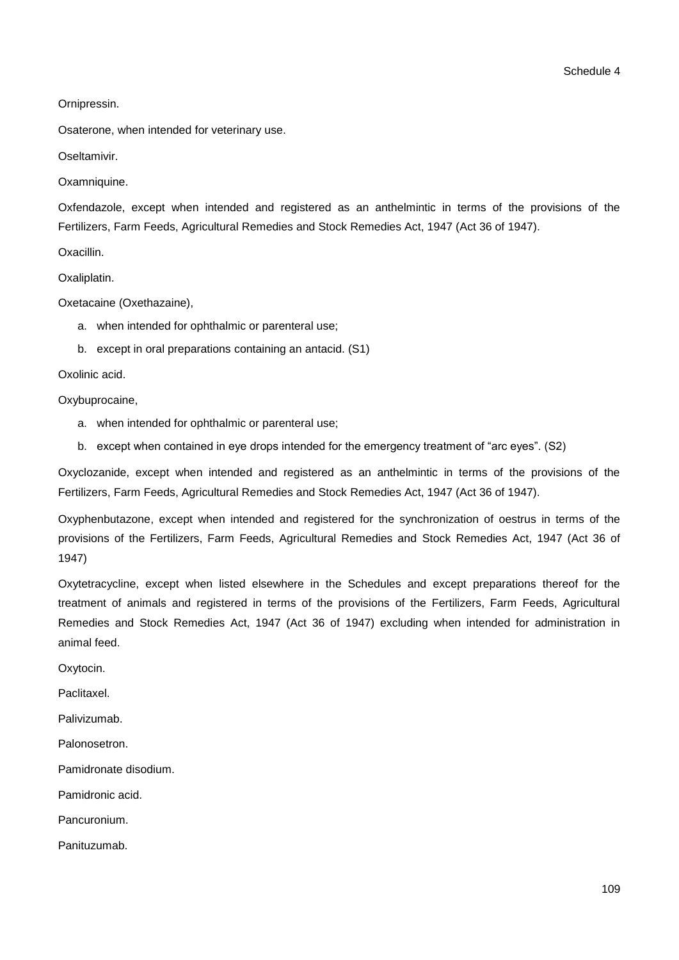Ornipressin.

Osaterone, when intended for veterinary use.

Oseltamivir.

Oxamniquine.

Oxfendazole, except when intended and registered as an anthelmintic in terms of the provisions of the Fertilizers, Farm Feeds, Agricultural Remedies and Stock Remedies Act, 1947 (Act 36 of 1947).

Oxacillin.

Oxaliplatin.

Oxetacaine (Oxethazaine),

- a. when intended for ophthalmic or parenteral use;
- b. except in oral preparations containing an antacid. (S1)

## Oxolinic acid.

Oxybuprocaine,

- a. when intended for ophthalmic or parenteral use;
- b. except when contained in eye drops intended for the emergency treatment of "arc eyes". (S2)

Oxyclozanide, except when intended and registered as an anthelmintic in terms of the provisions of the Fertilizers, Farm Feeds, Agricultural Remedies and Stock Remedies Act, 1947 (Act 36 of 1947).

Oxyphenbutazone, except when intended and registered for the synchronization of oestrus in terms of the provisions of the Fertilizers, Farm Feeds, Agricultural Remedies and Stock Remedies Act, 1947 (Act 36 of 1947)

Oxytetracycline, except when listed elsewhere in the Schedules and except preparations thereof for the treatment of animals and registered in terms of the provisions of the Fertilizers, Farm Feeds, Agricultural Remedies and Stock Remedies Act, 1947 (Act 36 of 1947) excluding when intended for administration in animal feed.

Oxytocin.

Paclitaxel.

Palivizumab.

Palonosetron.

Pamidronate disodium.

Pamidronic acid.

Pancuronium.

Panituzumab.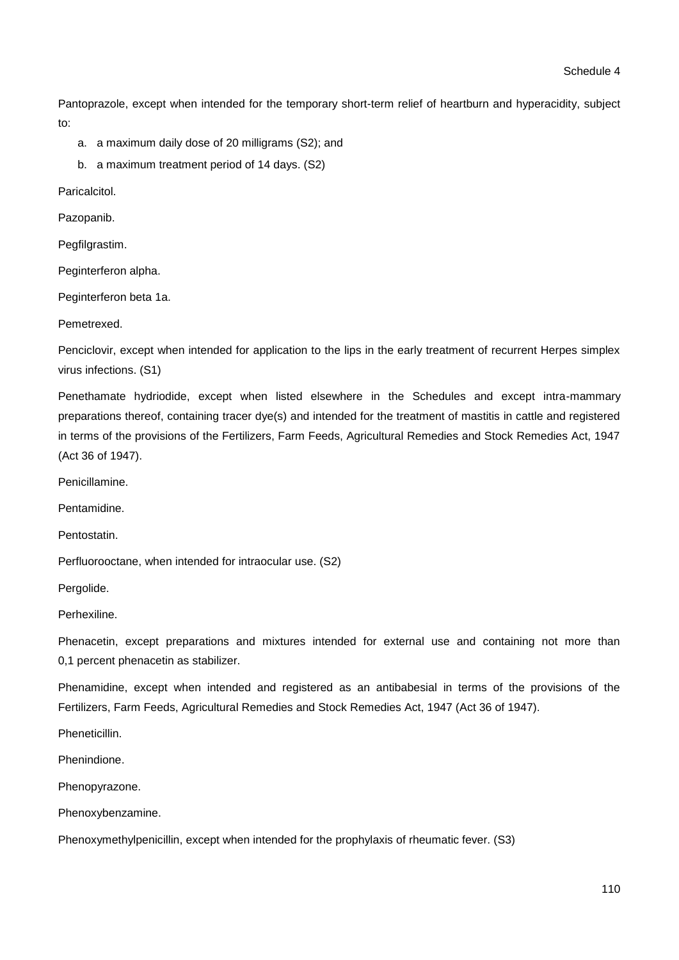Pantoprazole, except when intended for the temporary short-term relief of heartburn and hyperacidity, subject to:

- a. a maximum daily dose of 20 milligrams (S2); and
- b. a maximum treatment period of 14 days. (S2)

Paricalcitol.

Pazopanib.

Pegfilgrastim.

Peginterferon alpha.

Peginterferon beta 1a.

Pemetrexed.

Penciclovir, except when intended for application to the lips in the early treatment of recurrent Herpes simplex virus infections. (S1)

Penethamate hydriodide, except when listed elsewhere in the Schedules and except intra-mammary preparations thereof, containing tracer dye(s) and intended for the treatment of mastitis in cattle and registered in terms of the provisions of the Fertilizers, Farm Feeds, Agricultural Remedies and Stock Remedies Act, 1947 (Act 36 of 1947).

Penicillamine.

Pentamidine.

Pentostatin.

Perfluorooctane, when intended for intraocular use. (S2)

Pergolide.

Perhexiline.

Phenacetin, except preparations and mixtures intended for external use and containing not more than 0,1 percent phenacetin as stabilizer.

Phenamidine, except when intended and registered as an antibabesial in terms of the provisions of the Fertilizers, Farm Feeds, Agricultural Remedies and Stock Remedies Act, 1947 (Act 36 of 1947).

**Pheneticillin** 

Phenindione.

Phenopyrazone.

Phenoxybenzamine.

Phenoxymethylpenicillin, except when intended for the prophylaxis of rheumatic fever. (S3)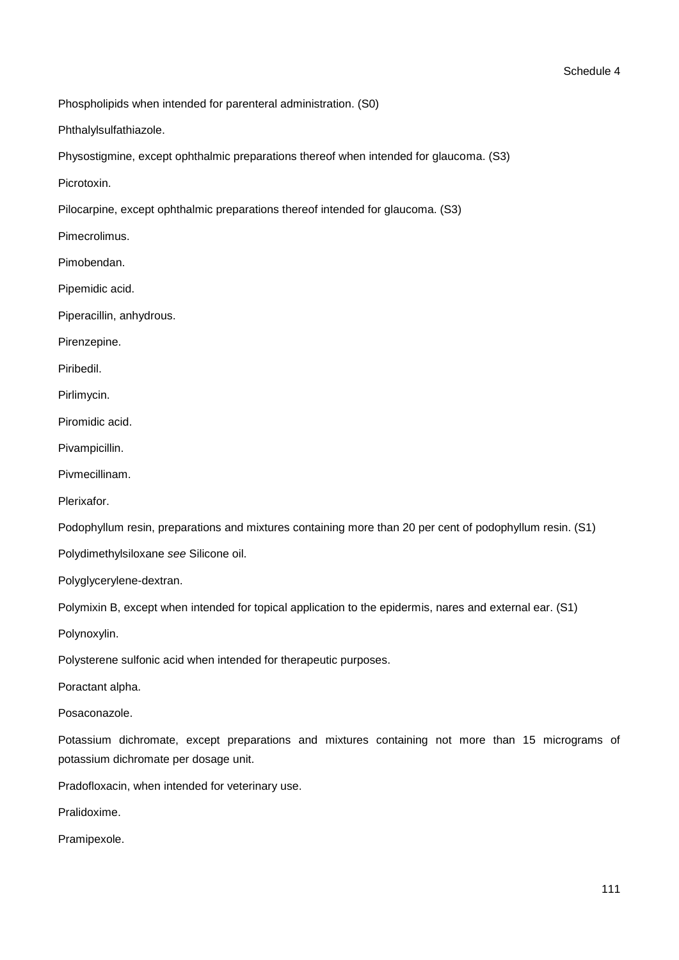Phospholipids when intended for parenteral administration. (S0)

Phthalylsulfathiazole.

Physostigmine, except ophthalmic preparations thereof when intended for glaucoma. (S3)

Picrotoxin.

Pilocarpine, except ophthalmic preparations thereof intended for glaucoma. (S3)

Pimecrolimus.

Pimobendan.

Pipemidic acid.

Piperacillin, anhydrous.

Pirenzepine.

Piribedil.

Pirlimycin.

Piromidic acid.

Pivampicillin.

Pivmecillinam.

Plerixafor.

Podophyllum resin, preparations and mixtures containing more than 20 per cent of podophyllum resin. (S1)

Polydimethylsiloxane *see* Silicone oil.

Polyglycerylene-dextran.

Polymixin B, except when intended for topical application to the epidermis, nares and external ear. (S1)

Polynoxylin.

Polysterene sulfonic acid when intended for therapeutic purposes.

Poractant alpha.

Posaconazole.

Potassium dichromate, except preparations and mixtures containing not more than 15 micrograms of potassium dichromate per dosage unit.

Pradofloxacin, when intended for veterinary use.

Pralidoxime.

Pramipexole.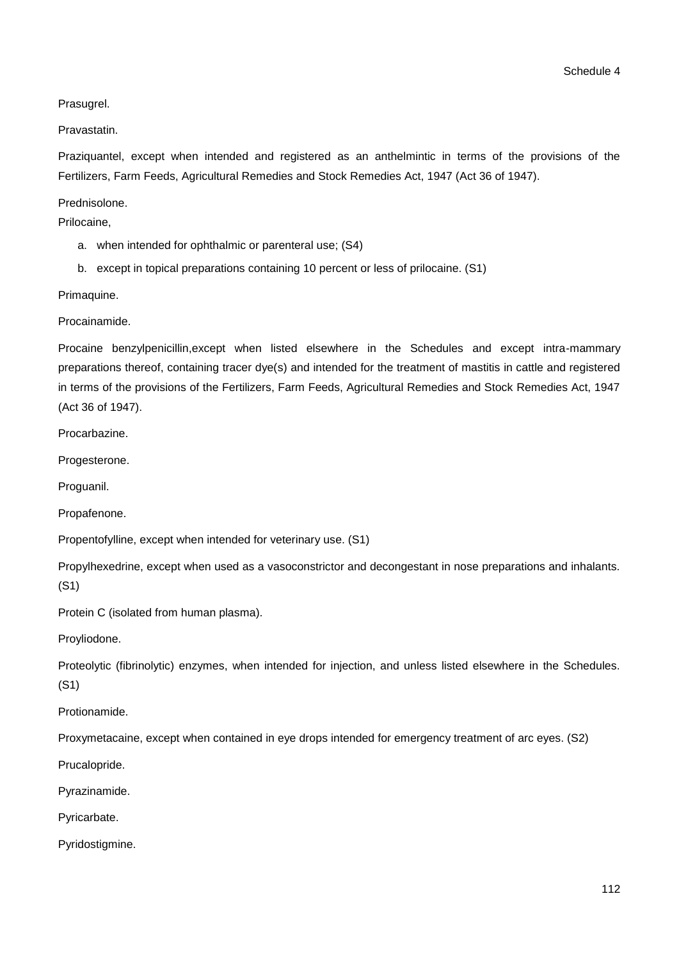Prasugrel.

Pravastatin.

Praziquantel, except when intended and registered as an anthelmintic in terms of the provisions of the Fertilizers, Farm Feeds, Agricultural Remedies and Stock Remedies Act, 1947 (Act 36 of 1947).

Prednisolone.

Prilocaine,

- a. when intended for ophthalmic or parenteral use; (S4)
- b. except in topical preparations containing 10 percent or less of prilocaine. (S1)

Primaquine.

Procainamide.

Procaine benzylpenicillin,except when listed elsewhere in the Schedules and except intra-mammary preparations thereof, containing tracer dye(s) and intended for the treatment of mastitis in cattle and registered in terms of the provisions of the Fertilizers, Farm Feeds, Agricultural Remedies and Stock Remedies Act, 1947 (Act 36 of 1947).

Procarbazine.

Progesterone.

Proguanil.

Propafenone.

Propentofylline, except when intended for veterinary use. (S1)

Propylhexedrine, except when used as a vasoconstrictor and decongestant in nose preparations and inhalants. (S1)

Protein C (isolated from human plasma).

Proyliodone.

Proteolytic (fibrinolytic) enzymes, when intended for injection, and unless listed elsewhere in the Schedules. (S1)

Protionamide.

Proxymetacaine, except when contained in eye drops intended for emergency treatment of arc eyes. (S2)

Prucalopride.

Pyrazinamide.

Pyricarbate.

Pyridostigmine.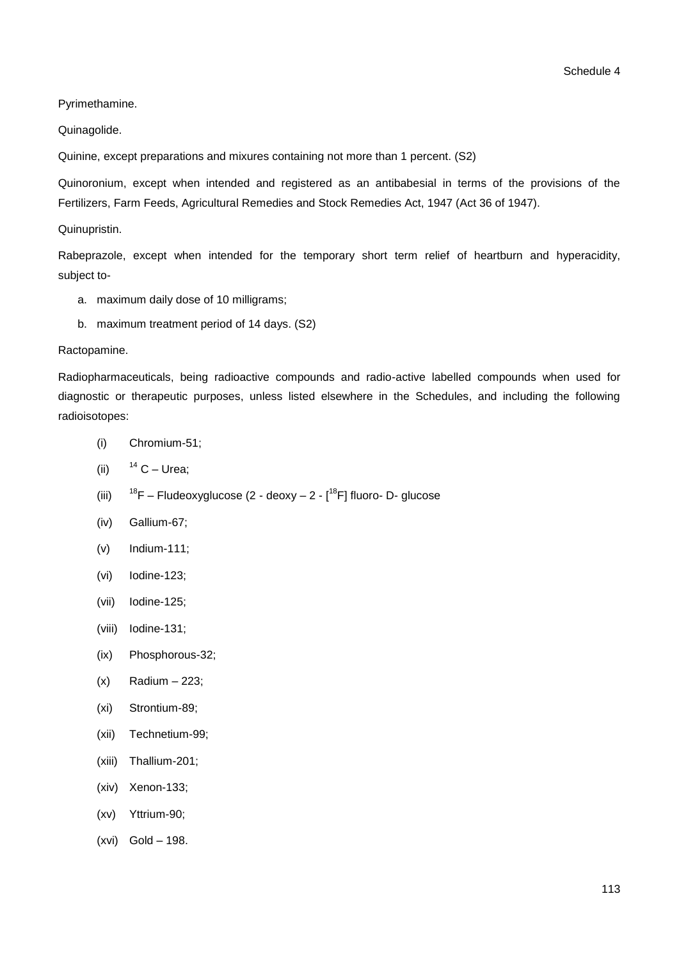Pyrimethamine.

Quinagolide.

Quinine, except preparations and mixures containing not more than 1 percent. (S2)

Quinoronium, except when intended and registered as an antibabesial in terms of the provisions of the Fertilizers, Farm Feeds, Agricultural Remedies and Stock Remedies Act, 1947 (Act 36 of 1947).

Quinupristin.

Rabeprazole, except when intended for the temporary short term relief of heartburn and hyperacidity, subject to-

- a. maximum daily dose of 10 milligrams;
- b. maximum treatment period of 14 days. (S2)

#### Ractopamine.

Radiopharmaceuticals, being radioactive compounds and radio-active labelled compounds when used for diagnostic or therapeutic purposes, unless listed elsewhere in the Schedules, and including the following radioisotopes:

- (i) Chromium-51;
- (ii)  $14$  C Urea;
- (iii)  $18F -$  Fludeoxyglucose (2 deoxy  $2 [18F]$  fluoro- D- glucose
- (iv) Gallium-67;
- (v) Indium-111;
- (vi) Iodine-123;
- (vii) Iodine-125;
- (viii) Iodine-131;
- (ix) Phosphorous-32;
- $(x)$  Radium 223;
- (xi) Strontium-89;
- (xii) Technetium-99;
- (xiii) Thallium-201;
- (xiv) Xenon-133;
- (xv) Yttrium-90;
- (xvi) Gold 198.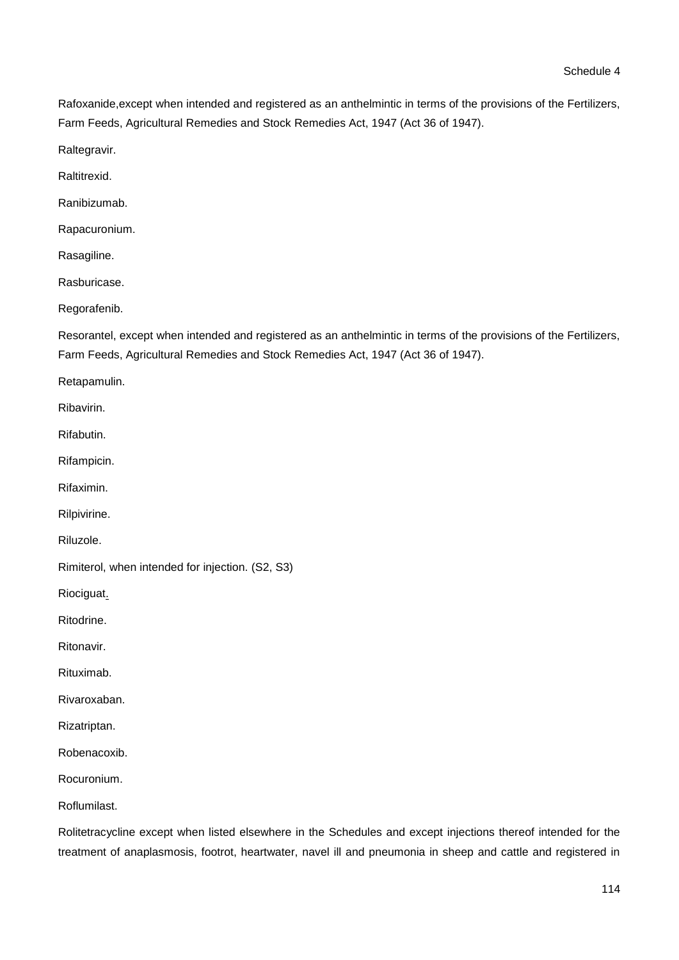Rafoxanide,except when intended and registered as an anthelmintic in terms of the provisions of the Fertilizers, Farm Feeds, Agricultural Remedies and Stock Remedies Act, 1947 (Act 36 of 1947).

Raltegravir.

Raltitrexid.

Ranibizumab.

Rapacuronium.

Rasagiline.

Rasburicase.

Regorafenib.

Resorantel, except when intended and registered as an anthelmintic in terms of the provisions of the Fertilizers, Farm Feeds, Agricultural Remedies and Stock Remedies Act, 1947 (Act 36 of 1947).

Retapamulin.

Ribavirin.

Rifabutin.

Rifampicin.

Rifaximin.

Rilpivirine.

Riluzole.

Rimiterol, when intended for injection. (S2, S3)

Riociguat.

Ritodrine.

Ritonavir.

Rituximab.

Rivaroxaban.

Rizatriptan.

Robenacoxib.

Rocuronium.

Roflumilast.

Rolitetracycline except when listed elsewhere in the Schedules and except injections thereof intended for the treatment of anaplasmosis, footrot, heartwater, navel ill and pneumonia in sheep and cattle and registered in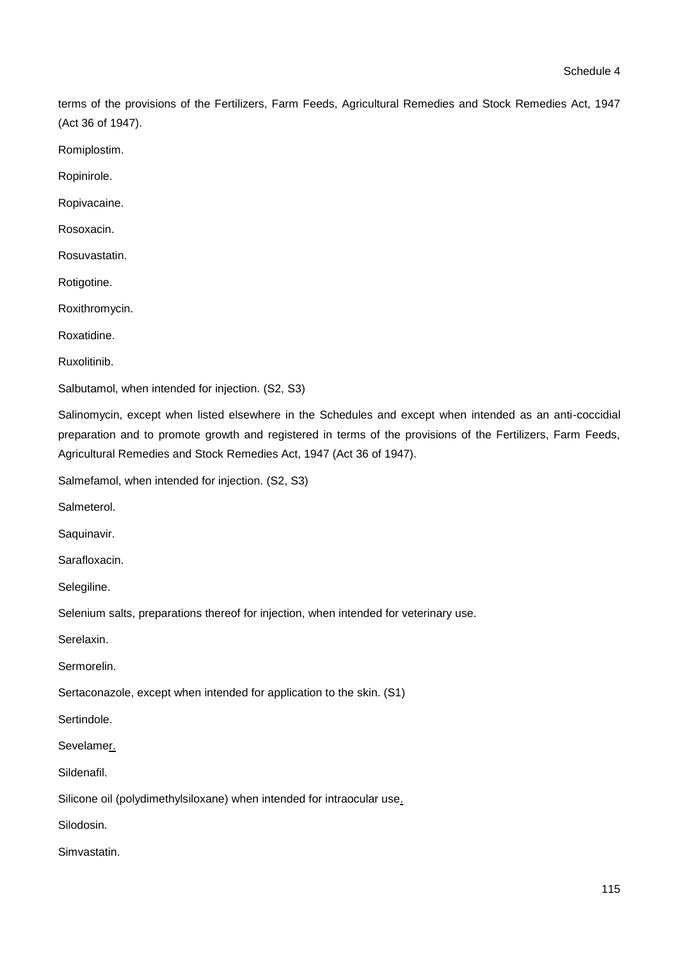terms of the provisions of the Fertilizers, Farm Feeds, Agricultural Remedies and Stock Remedies Act, 1947 (Act 36 of 1947).

Romiplostim.

Ropinirole.

Ropivacaine.

Rosoxacin.

Rosuvastatin.

Rotigotine.

Roxithromycin.

Roxatidine.

Ruxolitinib.

Salbutamol, when intended for injection. (S2, S3)

Salinomycin, except when listed elsewhere in the Schedules and except when intended as an anti-coccidial preparation and to promote growth and registered in terms of the provisions of the Fertilizers, Farm Feeds, Agricultural Remedies and Stock Remedies Act, 1947 (Act 36 of 1947).

Salmefamol, when intended for injection. (S2, S3)

Salmeterol.

Saquinavir.

Sarafloxacin.

Selegiline.

Selenium salts, preparations thereof for injection, when intended for veterinary use.

Serelaxin.

Sermorelin.

Sertaconazole, except when intended for application to the skin. (S1)

Sertindole.

Sevelamer.

Sildenafil.

Silicone oil (polydimethylsiloxane) when intended for intraocular use.

Silodosin.

Simvastatin.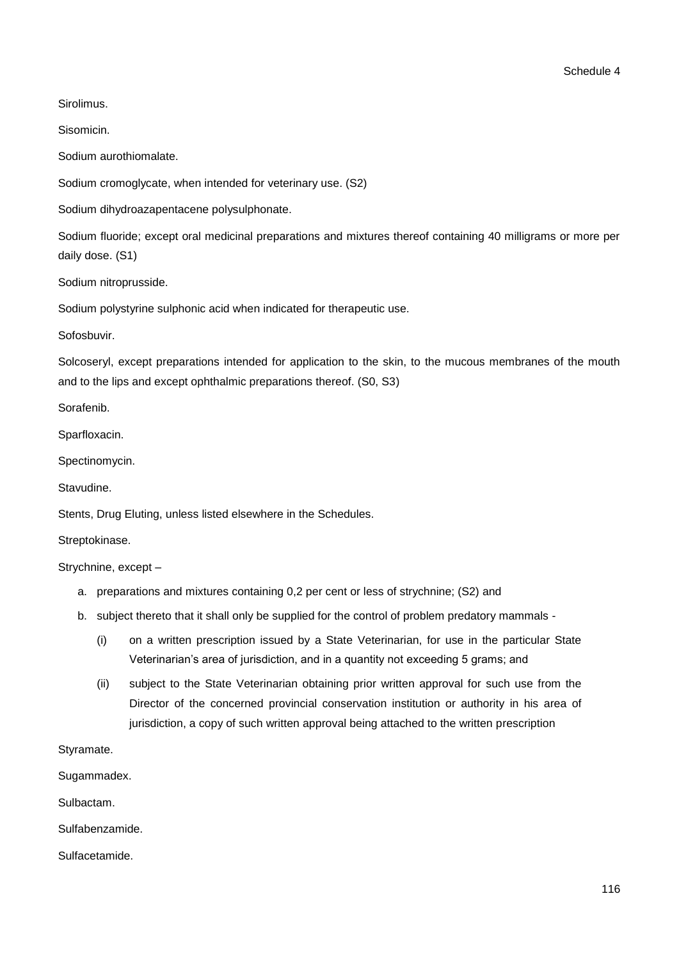**Sirolimus** 

Sisomicin.

Sodium aurothiomalate.

Sodium cromoglycate, when intended for veterinary use. (S2)

Sodium dihydroazapentacene polysulphonate.

Sodium fluoride; except oral medicinal preparations and mixtures thereof containing 40 milligrams or more per daily dose. (S1)

Sodium nitroprusside.

Sodium polystyrine sulphonic acid when indicated for therapeutic use.

Sofosbuvir.

Solcoseryl, except preparations intended for application to the skin, to the mucous membranes of the mouth and to the lips and except ophthalmic preparations thereof. (S0, S3)

Sorafenib.

Sparfloxacin.

Spectinomycin.

Stavudine.

Stents, Drug Eluting, unless listed elsewhere in the Schedules.

Streptokinase.

Strychnine, except –

- a. preparations and mixtures containing 0,2 per cent or less of strychnine; (S2) and
- b. subject thereto that it shall only be supplied for the control of problem predatory mammals
	- (i) on a written prescription issued by a State Veterinarian, for use in the particular State Veterinarian's area of jurisdiction, and in a quantity not exceeding 5 grams; and
	- (ii) subject to the State Veterinarian obtaining prior written approval for such use from the Director of the concerned provincial conservation institution or authority in his area of jurisdiction, a copy of such written approval being attached to the written prescription

Styramate.

Sugammadex.

Sulbactam.

Sulfabenzamide.

Sulfacetamide.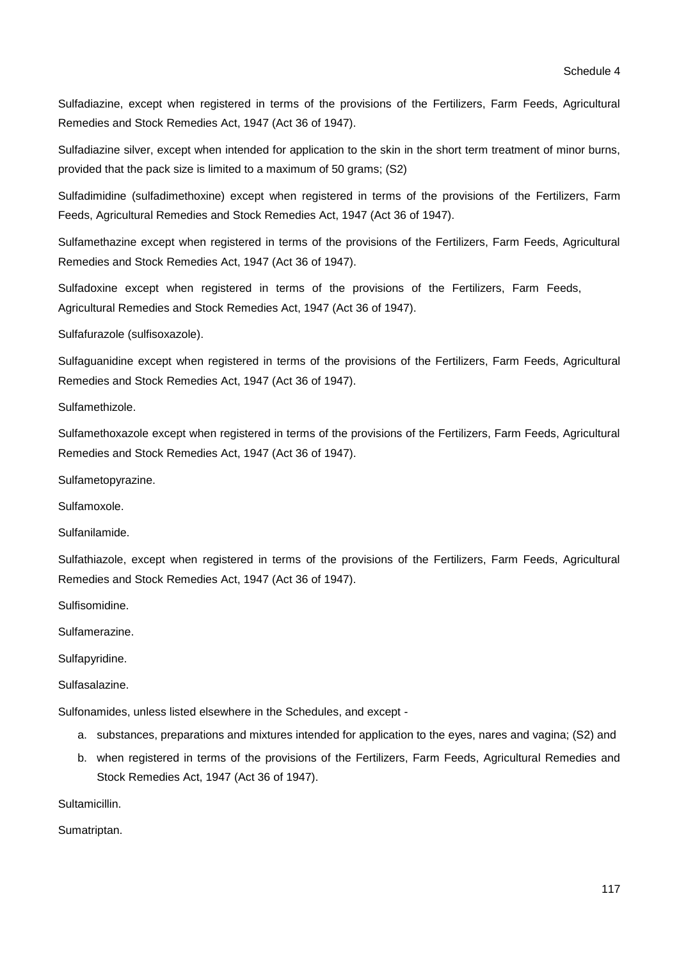Sulfadiazine, except when registered in terms of the provisions of the Fertilizers, Farm Feeds, Agricultural Remedies and Stock Remedies Act, 1947 (Act 36 of 1947).

Sulfadiazine silver, except when intended for application to the skin in the short term treatment of minor burns, provided that the pack size is limited to a maximum of 50 grams; (S2)

Sulfadimidine (sulfadimethoxine) except when registered in terms of the provisions of the Fertilizers, Farm Feeds, Agricultural Remedies and Stock Remedies Act, 1947 (Act 36 of 1947).

Sulfamethazine except when registered in terms of the provisions of the Fertilizers, Farm Feeds, Agricultural Remedies and Stock Remedies Act, 1947 (Act 36 of 1947).

Sulfadoxine except when registered in terms of the provisions of the Fertilizers, Farm Feeds, Agricultural Remedies and Stock Remedies Act, 1947 (Act 36 of 1947).

Sulfafurazole (sulfisoxazole).

Sulfaguanidine except when registered in terms of the provisions of the Fertilizers, Farm Feeds, Agricultural Remedies and Stock Remedies Act, 1947 (Act 36 of 1947).

Sulfamethizole.

Sulfamethoxazole except when registered in terms of the provisions of the Fertilizers, Farm Feeds, Agricultural Remedies and Stock Remedies Act, 1947 (Act 36 of 1947).

Sulfametopyrazine.

Sulfamoxole.

Sulfanilamide.

Sulfathiazole, except when registered in terms of the provisions of the Fertilizers, Farm Feeds, Agricultural Remedies and Stock Remedies Act, 1947 (Act 36 of 1947).

Sulfisomidine.

Sulfamerazine.

Sulfapyridine.

Sulfasalazine.

Sulfonamides, unless listed elsewhere in the Schedules, and except -

- a. substances, preparations and mixtures intended for application to the eyes, nares and vagina; (S2) and
- b. when registered in terms of the provisions of the Fertilizers, Farm Feeds, Agricultural Remedies and Stock Remedies Act, 1947 (Act 36 of 1947).

Sultamicillin.

Sumatriptan.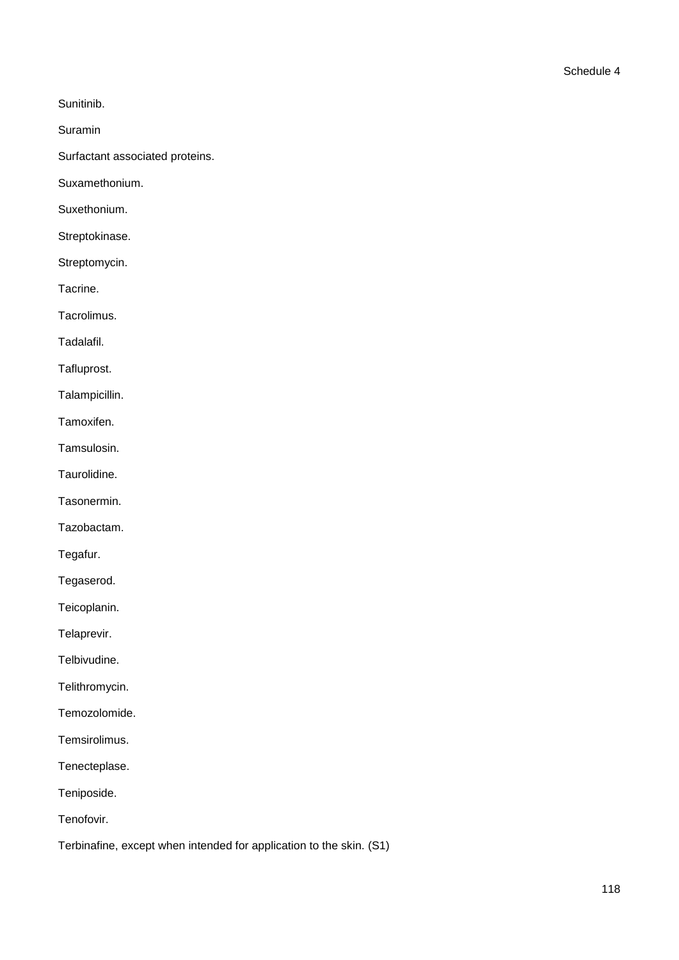Sunitinib.

Suramin

Surfactant associated proteins.

Suxamethonium.

Suxethonium.

Streptokinase.

Streptomycin.

Tacrine.

Tacrolimus.

Tadalafil.

Tafluprost.

Talampicillin.

Tamoxifen.

Tamsulosin.

Taurolidine.

Tasonermin.

Tazobactam.

Tegafur.

Tegaserod.

Teicoplanin.

Telaprevir.

Telbivudine.

Telithromycin.

Temozolomide.

Temsirolimus.

Tenecteplase.

Teniposide.

Tenofovir.

Terbinafine, except when intended for application to the skin. (S1)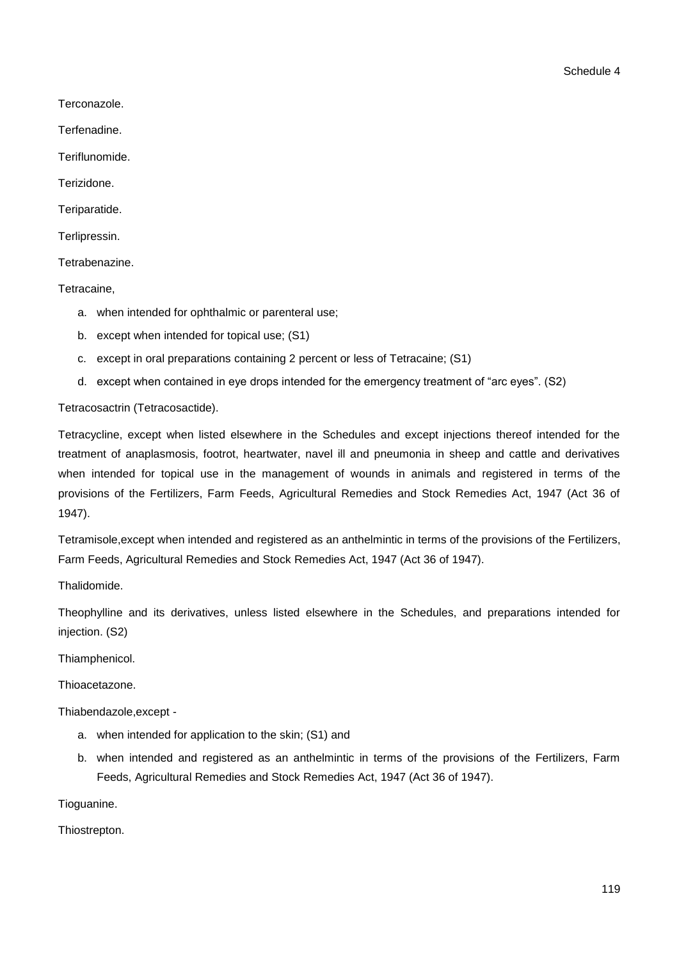Terconazole.

Terfenadine.

Teriflunomide.

Terizidone.

Teriparatide.

Terlipressin.

Tetrabenazine.

Tetracaine,

- a. when intended for ophthalmic or parenteral use;
- b. except when intended for topical use; (S1)
- c. except in oral preparations containing 2 percent or less of Tetracaine; (S1)
- d. except when contained in eye drops intended for the emergency treatment of "arc eyes". (S2)

Tetracosactrin (Tetracosactide).

Tetracycline, except when listed elsewhere in the Schedules and except injections thereof intended for the treatment of anaplasmosis, footrot, heartwater, navel ill and pneumonia in sheep and cattle and derivatives when intended for topical use in the management of wounds in animals and registered in terms of the provisions of the Fertilizers, Farm Feeds, Agricultural Remedies and Stock Remedies Act, 1947 (Act 36 of 1947).

Tetramisole,except when intended and registered as an anthelmintic in terms of the provisions of the Fertilizers, Farm Feeds, Agricultural Remedies and Stock Remedies Act, 1947 (Act 36 of 1947).

**Thalidomide** 

Theophylline and its derivatives, unless listed elsewhere in the Schedules, and preparations intended for injection. (S2)

Thiamphenicol.

Thioacetazone.

Thiabendazole,except -

- a. when intended for application to the skin; (S1) and
- b. when intended and registered as an anthelmintic in terms of the provisions of the Fertilizers, Farm Feeds, Agricultural Remedies and Stock Remedies Act, 1947 (Act 36 of 1947).

Tioguanine.

Thiostrepton.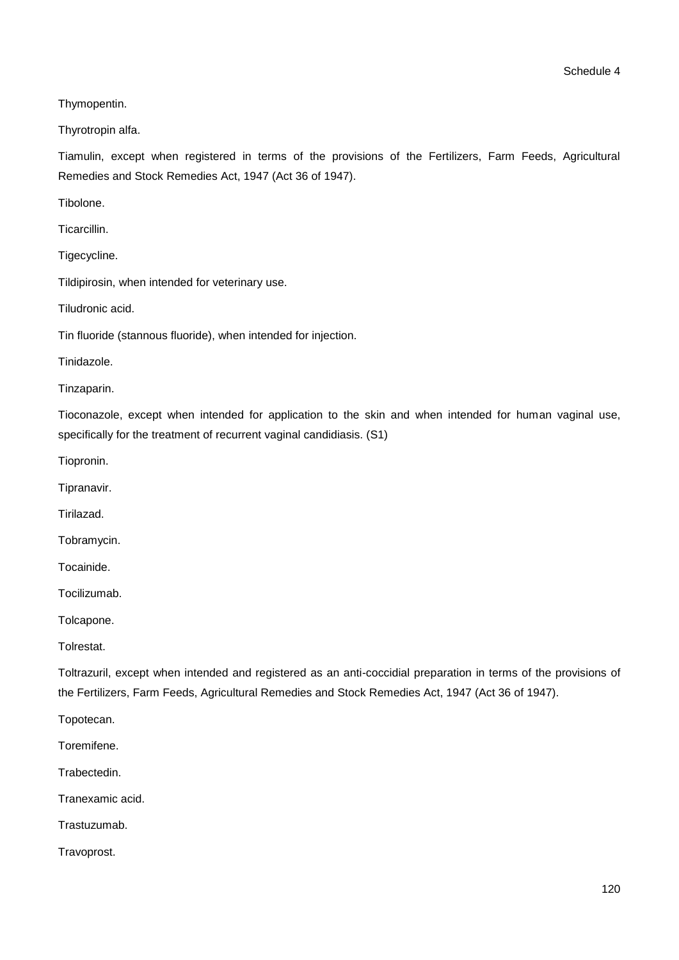Thymopentin.

Thyrotropin alfa.

Tiamulin, except when registered in terms of the provisions of the Fertilizers, Farm Feeds, Agricultural Remedies and Stock Remedies Act, 1947 (Act 36 of 1947).

Tibolone.

Ticarcillin.

Tigecycline.

Tildipirosin, when intended for veterinary use.

Tiludronic acid.

Tin fluoride (stannous fluoride), when intended for injection.

Tinidazole.

Tinzaparin.

Tioconazole, except when intended for application to the skin and when intended for human vaginal use, specifically for the treatment of recurrent vaginal candidiasis. (S1)

Tiopronin.

Tipranavir.

Tirilazad.

Tobramycin.

Tocainide.

Tocilizumab.

Tolcapone.

Tolrestat.

Toltrazuril, except when intended and registered as an anti-coccidial preparation in terms of the provisions of the Fertilizers, Farm Feeds, Agricultural Remedies and Stock Remedies Act, 1947 (Act 36 of 1947).

Topotecan.

Toremifene.

**Trabectedin** 

Tranexamic acid.

Trastuzumab.

Travoprost.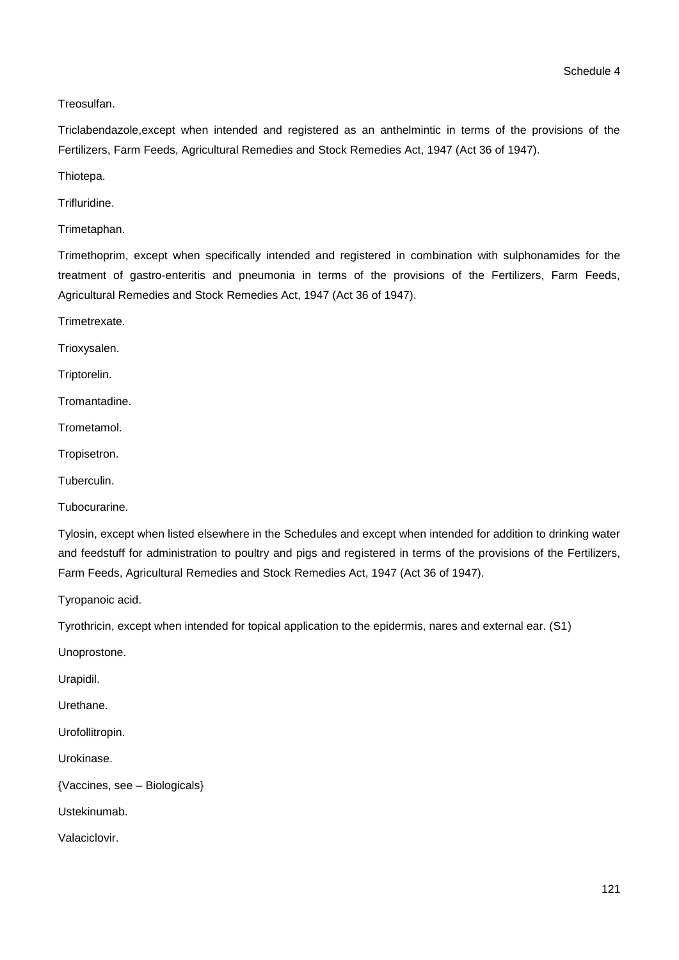Schedule 4

Treosulfan.

Triclabendazole,except when intended and registered as an anthelmintic in terms of the provisions of the Fertilizers, Farm Feeds, Agricultural Remedies and Stock Remedies Act, 1947 (Act 36 of 1947).

Thiotepa.

Trifluridine.

Trimetaphan.

Trimethoprim, except when specifically intended and registered in combination with sulphonamides for the treatment of gastro-enteritis and pneumonia in terms of the provisions of the Fertilizers, Farm Feeds, Agricultural Remedies and Stock Remedies Act, 1947 (Act 36 of 1947).

Trimetrexate.

Trioxysalen.

Triptorelin.

Tromantadine.

Trometamol.

Tropisetron.

Tuberculin.

Tubocurarine.

Tylosin, except when listed elsewhere in the Schedules and except when intended for addition to drinking water and feedstuff for administration to poultry and pigs and registered in terms of the provisions of the Fertilizers, Farm Feeds, Agricultural Remedies and Stock Remedies Act, 1947 (Act 36 of 1947).

Tyropanoic acid.

Tyrothricin, except when intended for topical application to the epidermis, nares and external ear. (S1)

Unoprostone.

Urapidil.

Urethane.

Urofollitropin.

Urokinase.

{Vaccines, see – Biologicals}

Ustekinumab.

Valaciclovir.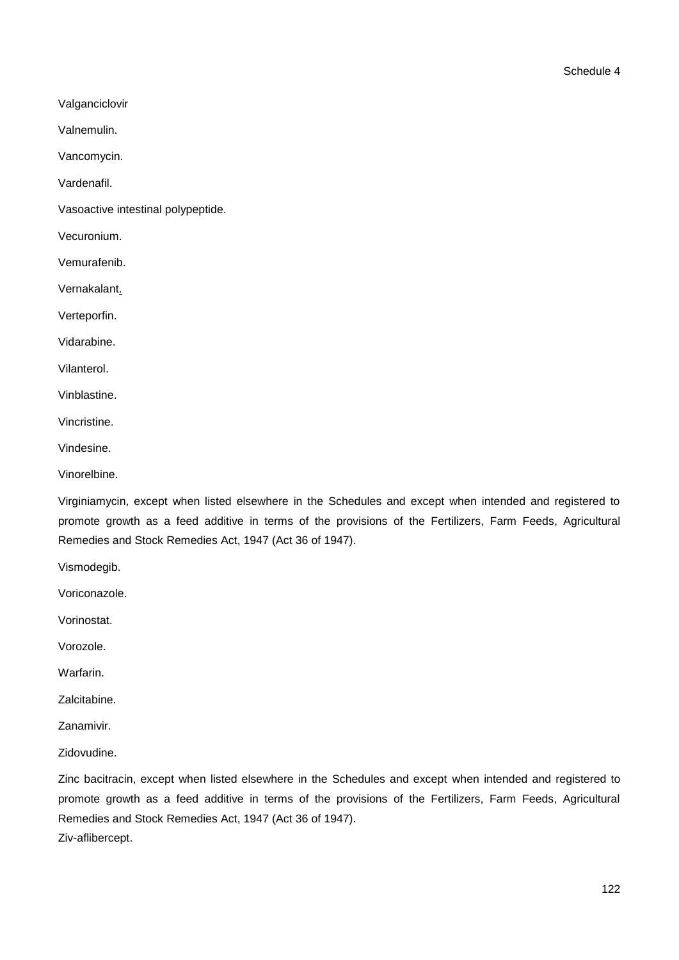Valganciclovir

Valnemulin.

Vancomycin.

Vardenafil.

Vasoactive intestinal polypeptide.

Vecuronium.

Vemurafenib.

Vernakalant.

Verteporfin.

Vidarabine.

Vilanterol.

Vinblastine.

Vincristine.

Vindesine.

Vinorelbine.

Virginiamycin, except when listed elsewhere in the Schedules and except when intended and registered to promote growth as a feed additive in terms of the provisions of the Fertilizers, Farm Feeds, Agricultural Remedies and Stock Remedies Act, 1947 (Act 36 of 1947).

Vismodegib.

Voriconazole.

Vorinostat.

Vorozole.

**Warfarin** 

Zalcitabine.

Zanamivir.

Zidovudine.

Zinc bacitracin, except when listed elsewhere in the Schedules and except when intended and registered to promote growth as a feed additive in terms of the provisions of the Fertilizers, Farm Feeds, Agricultural Remedies and Stock Remedies Act, 1947 (Act 36 of 1947). Ziv-aflibercept.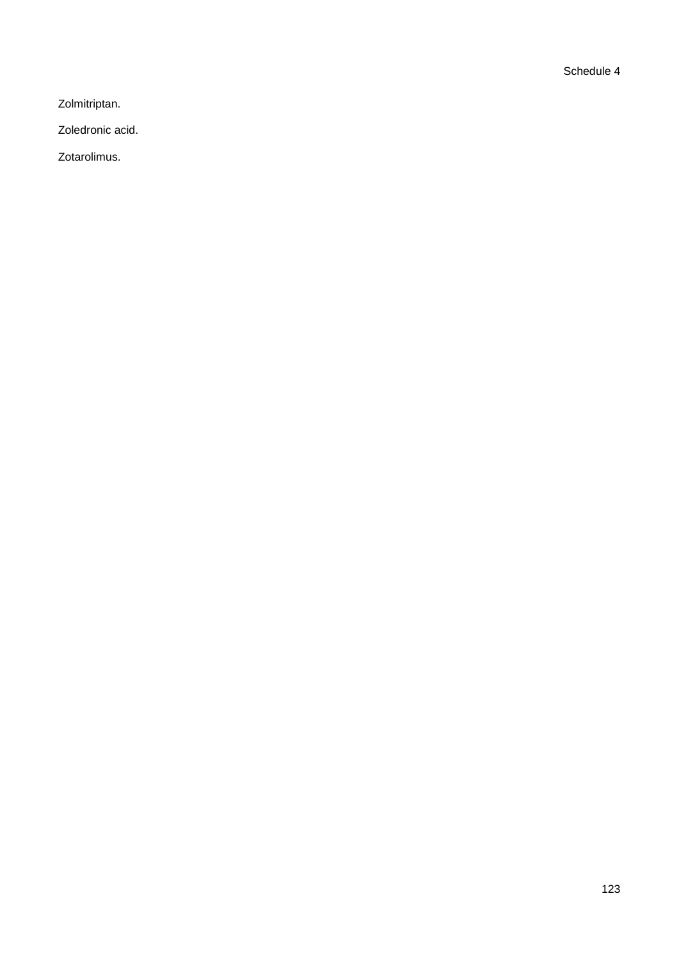Schedule 4

Zolmitriptan.

Zoledronic acid.

Zotarolimus.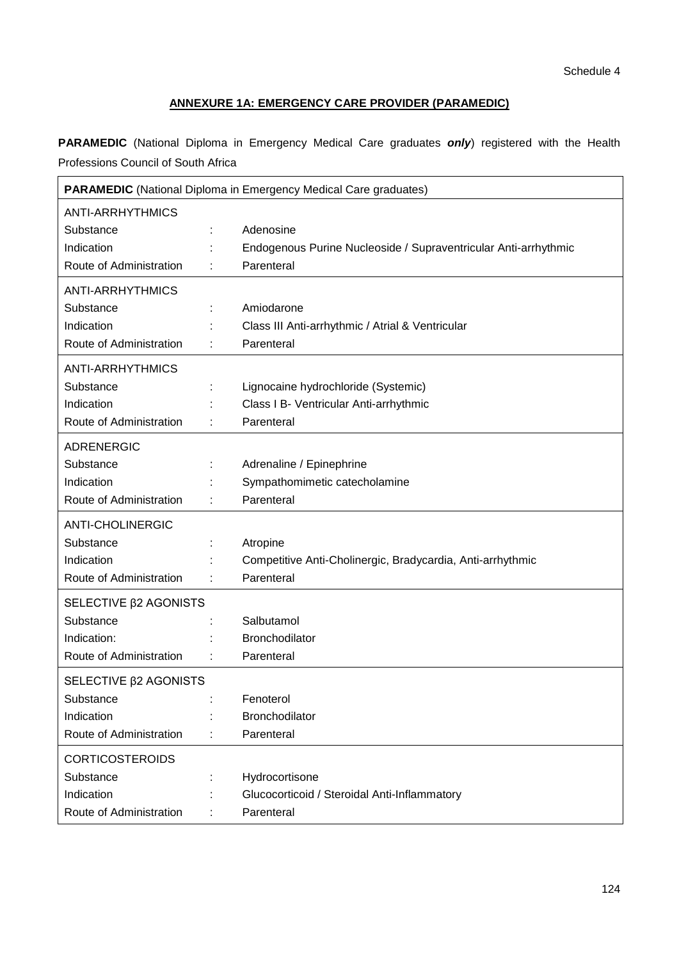# **ANNEXURE 1A: EMERGENCY CARE PROVIDER (PARAMEDIC)**

**PARAMEDIC** (National Diploma in Emergency Medical Care graduates *only*) registered with the Health Professions Council of South Africa

| <b>PARAMEDIC</b> (National Diploma in Emergency Medical Care graduates) |  |                                                                 |  |
|-------------------------------------------------------------------------|--|-----------------------------------------------------------------|--|
| <b>ANTI-ARRHYTHMICS</b>                                                 |  |                                                                 |  |
| Substance                                                               |  | Adenosine                                                       |  |
| Indication                                                              |  | Endogenous Purine Nucleoside / Supraventricular Anti-arrhythmic |  |
| Route of Administration                                                 |  | Parenteral                                                      |  |
| <b>ANTI-ARRHYTHMICS</b>                                                 |  |                                                                 |  |
| Substance                                                               |  | Amiodarone                                                      |  |
| Indication                                                              |  | Class III Anti-arrhythmic / Atrial & Ventricular                |  |
| Route of Administration                                                 |  | Parenteral                                                      |  |
| <b>ANTI-ARRHYTHMICS</b>                                                 |  |                                                                 |  |
| Substance                                                               |  | Lignocaine hydrochloride (Systemic)                             |  |
| Indication                                                              |  | Class I B- Ventricular Anti-arrhythmic                          |  |
| Route of Administration                                                 |  | Parenteral                                                      |  |
| <b>ADRENERGIC</b>                                                       |  |                                                                 |  |
| Substance                                                               |  | Adrenaline / Epinephrine                                        |  |
| Indication                                                              |  | Sympathomimetic catecholamine                                   |  |
| Route of Administration                                                 |  | Parenteral                                                      |  |
| <b>ANTI-CHOLINERGIC</b>                                                 |  |                                                                 |  |
| Substance                                                               |  | Atropine                                                        |  |
| Indication                                                              |  | Competitive Anti-Cholinergic, Bradycardia, Anti-arrhythmic      |  |
| Route of Administration                                                 |  | Parenteral                                                      |  |
| SELECTIVE $\beta$ 2 AGONISTS                                            |  |                                                                 |  |
| Substance                                                               |  | Salbutamol                                                      |  |
| Indication:                                                             |  | Bronchodilator                                                  |  |
| Route of Administration                                                 |  | Parenteral                                                      |  |
| SELECTIVE <b><i>B</i>2 AGONISTS</b>                                     |  |                                                                 |  |
| Substance                                                               |  | Fenoterol                                                       |  |
| Indication                                                              |  | Bronchodilator                                                  |  |
| Route of Administration                                                 |  | Parenteral                                                      |  |
| <b>CORTICOSTEROIDS</b>                                                  |  |                                                                 |  |
| Substance                                                               |  | Hydrocortisone                                                  |  |
| Indication                                                              |  | Glucocorticoid / Steroidal Anti-Inflammatory                    |  |
| Route of Administration                                                 |  | Parenteral                                                      |  |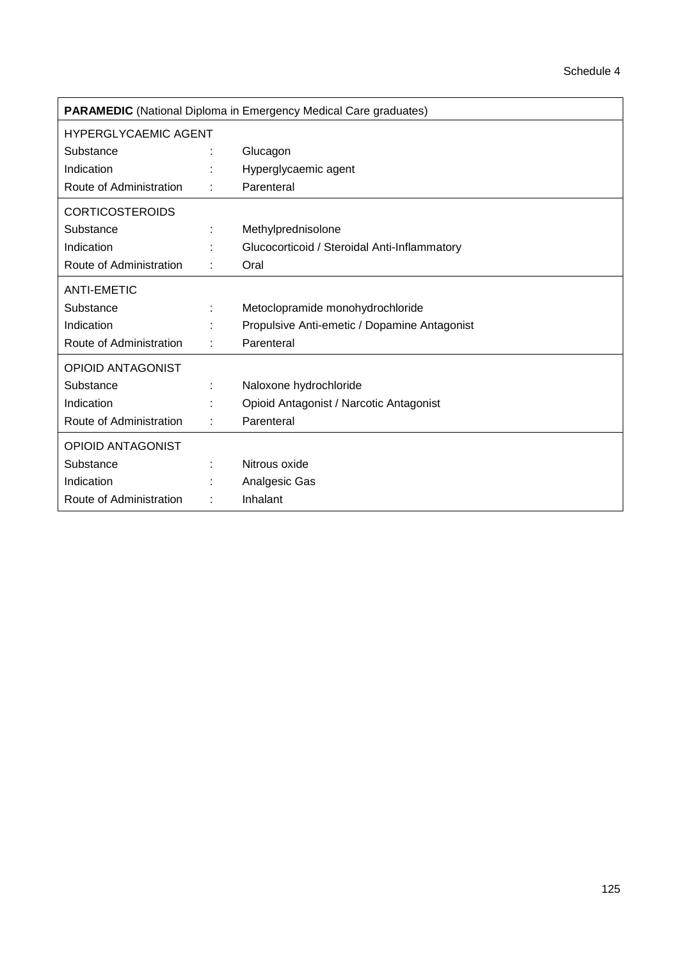| <b>PARAMEDIC</b> (National Diploma in Emergency Medical Care graduates) |  |                                              |  |
|-------------------------------------------------------------------------|--|----------------------------------------------|--|
| <b>HYPERGLYCAEMIC AGENT</b>                                             |  |                                              |  |
| Substance                                                               |  | Glucagon                                     |  |
| Indication                                                              |  | Hyperglycaemic agent                         |  |
| Route of Administration                                                 |  | Parenteral                                   |  |
| <b>CORTICOSTEROIDS</b>                                                  |  |                                              |  |
| Substance                                                               |  | Methylprednisolone                           |  |
| Indication                                                              |  | Glucocorticoid / Steroidal Anti-Inflammatory |  |
| Route of Administration                                                 |  | Oral                                         |  |
| <b>ANTI-EMETIC</b>                                                      |  |                                              |  |
| Substance                                                               |  | Metoclopramide monohydrochloride             |  |
| Indication                                                              |  | Propulsive Anti-emetic / Dopamine Antagonist |  |
| Route of Administration                                                 |  | Parenteral                                   |  |
| <b>OPIOID ANTAGONIST</b>                                                |  |                                              |  |
| Substance                                                               |  | Naloxone hydrochloride                       |  |
| Indication                                                              |  | Opioid Antagonist / Narcotic Antagonist      |  |
| Route of Administration                                                 |  | Parenteral                                   |  |
| <b>OPIOID ANTAGONIST</b>                                                |  |                                              |  |
| Substance                                                               |  | Nitrous oxide                                |  |
| Indication                                                              |  | Analgesic Gas                                |  |
| Route of Administration                                                 |  | Inhalant                                     |  |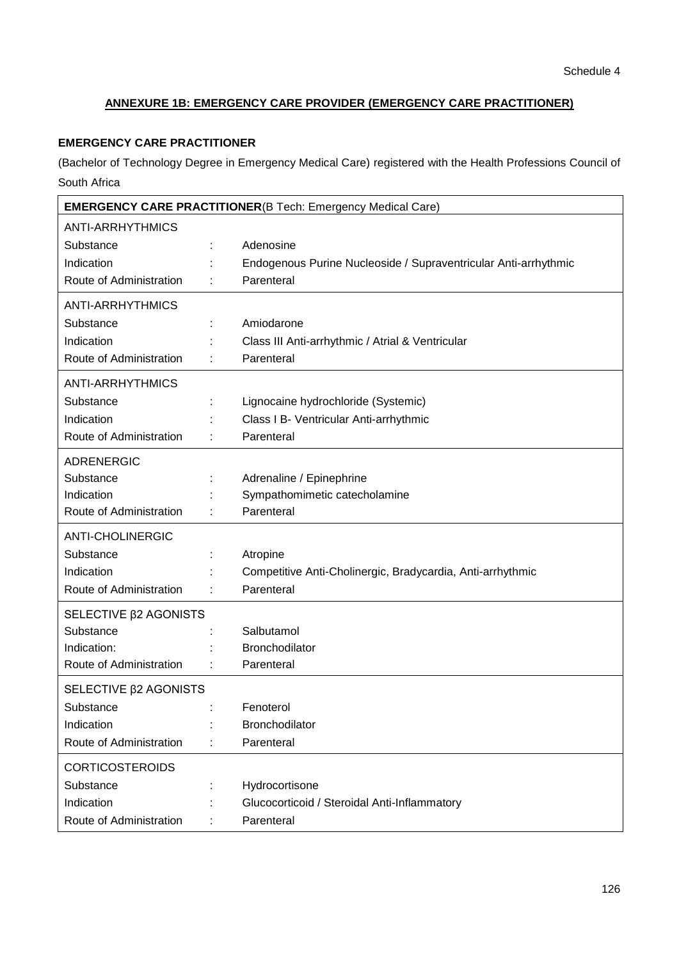# **ANNEXURE 1B: EMERGENCY CARE PROVIDER (EMERGENCY CARE PRACTITIONER)**

# **EMERGENCY CARE PRACTITIONER**

(Bachelor of Technology Degree in Emergency Medical Care) registered with the Health Professions Council of South Africa

| <b>EMERGENCY CARE PRACTITIONER(B Tech: Emergency Medical Care)</b> |  |                                                                 |  |
|--------------------------------------------------------------------|--|-----------------------------------------------------------------|--|
| <b>ANTI-ARRHYTHMICS</b>                                            |  |                                                                 |  |
| Substance                                                          |  | Adenosine                                                       |  |
| Indication                                                         |  | Endogenous Purine Nucleoside / Supraventricular Anti-arrhythmic |  |
| Route of Administration                                            |  | Parenteral                                                      |  |
| <b>ANTI-ARRHYTHMICS</b>                                            |  |                                                                 |  |
| Substance                                                          |  | Amiodarone                                                      |  |
| Indication                                                         |  | Class III Anti-arrhythmic / Atrial & Ventricular                |  |
| Route of Administration                                            |  | Parenteral                                                      |  |
| <b>ANTI-ARRHYTHMICS</b>                                            |  |                                                                 |  |
| Substance                                                          |  | Lignocaine hydrochloride (Systemic)                             |  |
| Indication                                                         |  | Class I B- Ventricular Anti-arrhythmic                          |  |
| Route of Administration                                            |  | Parenteral                                                      |  |
| <b>ADRENERGIC</b>                                                  |  |                                                                 |  |
| Substance                                                          |  | Adrenaline / Epinephrine                                        |  |
| Indication                                                         |  | Sympathomimetic catecholamine                                   |  |
| Route of Administration                                            |  | Parenteral                                                      |  |
| <b>ANTI-CHOLINERGIC</b>                                            |  |                                                                 |  |
| Substance                                                          |  | Atropine                                                        |  |
| Indication                                                         |  | Competitive Anti-Cholinergic, Bradycardia, Anti-arrhythmic      |  |
| Route of Administration                                            |  | Parenteral                                                      |  |
| SELECTIVE $\beta$ 2 AGONISTS                                       |  |                                                                 |  |
| Substance                                                          |  | Salbutamol                                                      |  |
| Indication:                                                        |  | Bronchodilator                                                  |  |
| Route of Administration                                            |  | Parenteral                                                      |  |
| SELECTIVE $\beta$ 2 AGONISTS                                       |  |                                                                 |  |
| Substance                                                          |  | Fenoterol                                                       |  |
| Indication                                                         |  | Bronchodilator                                                  |  |
| Route of Administration                                            |  | Parenteral                                                      |  |
| <b>CORTICOSTEROIDS</b>                                             |  |                                                                 |  |
| Substance                                                          |  | Hydrocortisone                                                  |  |
| Indication                                                         |  | Glucocorticoid / Steroidal Anti-Inflammatory                    |  |
| Route of Administration                                            |  | Parenteral                                                      |  |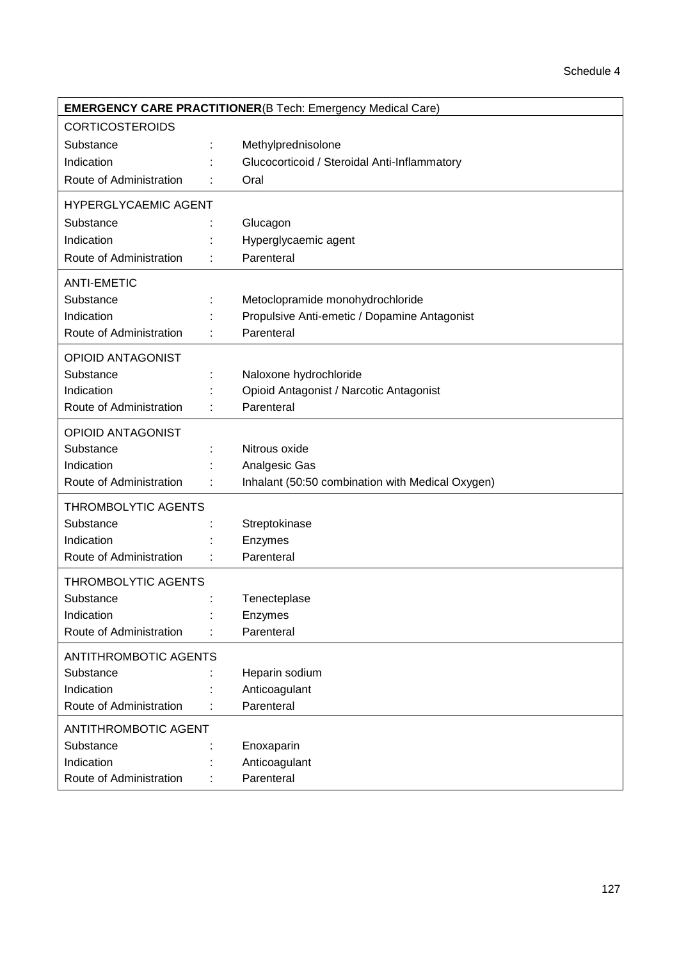| <b>EMERGENCY CARE PRACTITIONER(B Tech: Emergency Medical Care)</b> |  |                                                  |  |
|--------------------------------------------------------------------|--|--------------------------------------------------|--|
| <b>CORTICOSTEROIDS</b>                                             |  |                                                  |  |
| Substance                                                          |  | Methylprednisolone                               |  |
| Indication                                                         |  | Glucocorticoid / Steroidal Anti-Inflammatory     |  |
| Route of Administration                                            |  | Oral                                             |  |
| <b>HYPERGLYCAEMIC AGENT</b>                                        |  |                                                  |  |
| Substance                                                          |  | Glucagon                                         |  |
| Indication                                                         |  | Hyperglycaemic agent                             |  |
| Route of Administration                                            |  | Parenteral                                       |  |
| <b>ANTI-EMETIC</b>                                                 |  |                                                  |  |
| Substance                                                          |  | Metoclopramide monohydrochloride                 |  |
| Indication                                                         |  | Propulsive Anti-emetic / Dopamine Antagonist     |  |
| Route of Administration                                            |  | Parenteral                                       |  |
| <b>OPIOID ANTAGONIST</b>                                           |  |                                                  |  |
| Substance                                                          |  | Naloxone hydrochloride                           |  |
| Indication                                                         |  | Opioid Antagonist / Narcotic Antagonist          |  |
| Route of Administration                                            |  | Parenteral                                       |  |
| <b>OPIOID ANTAGONIST</b>                                           |  |                                                  |  |
| Substance                                                          |  | Nitrous oxide                                    |  |
| Indication                                                         |  | Analgesic Gas                                    |  |
| Route of Administration                                            |  | Inhalant (50:50 combination with Medical Oxygen) |  |
| <b>THROMBOLYTIC AGENTS</b>                                         |  |                                                  |  |
| Substance                                                          |  | Streptokinase                                    |  |
| Indication                                                         |  | Enzymes                                          |  |
| Route of Administration                                            |  | Parenteral                                       |  |
| <b>THROMBOLYTIC AGENTS</b>                                         |  |                                                  |  |
| Substance                                                          |  | Tenecteplase                                     |  |
| Indication                                                         |  | Enzymes                                          |  |
| Route of Administration                                            |  | Parenteral                                       |  |
| <b>ANTITHROMBOTIC AGENTS</b>                                       |  |                                                  |  |
| Substance                                                          |  | Heparin sodium                                   |  |
| Indication                                                         |  | Anticoagulant                                    |  |
| Route of Administration                                            |  | Parenteral                                       |  |
| <b>ANTITHROMBOTIC AGENT</b>                                        |  |                                                  |  |
| Substance                                                          |  | Enoxaparin                                       |  |
| Indication                                                         |  | Anticoagulant                                    |  |
| Route of Administration                                            |  | Parenteral                                       |  |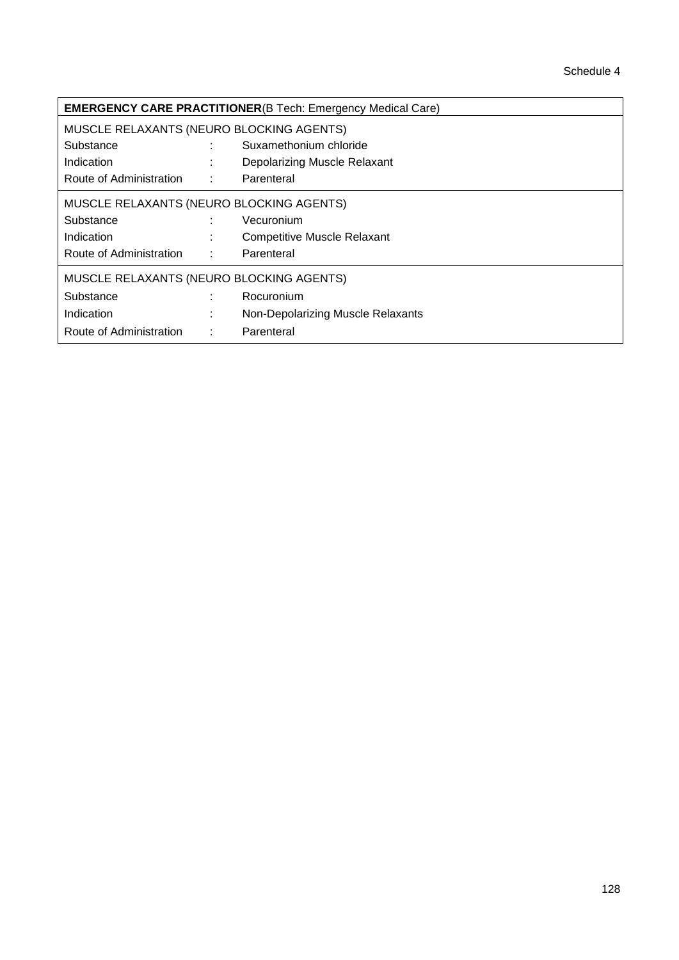| <b>EMERGENCY CARE PRACTITIONER(B Tech: Emergency Medical Care)</b> |         |                                    |  |
|--------------------------------------------------------------------|---------|------------------------------------|--|
| MUSCLE RELAXANTS (NEURO BLOCKING AGENTS)                           |         |                                    |  |
| Substance                                                          | ÷       | Suxamethonium chloride             |  |
| Indication                                                         |         | Depolarizing Muscle Relaxant       |  |
| Route of Administration                                            | 1000000 | Parenteral                         |  |
| MUSCLE RELAXANTS (NEURO BLOCKING AGENTS)                           |         |                                    |  |
| Substance                                                          | ÷       | Vecuronium                         |  |
| Indication                                                         | ÷       | <b>Competitive Muscle Relaxant</b> |  |
| Route of Administration :                                          |         | Parenteral                         |  |
| MUSCLE RELAXANTS (NEURO BLOCKING AGENTS)                           |         |                                    |  |
| Substance                                                          | ÷       | Rocuronium                         |  |
| Indication                                                         | $\sim$  | Non-Depolarizing Muscle Relaxants  |  |
| Route of Administration                                            | ÷       | Parenteral                         |  |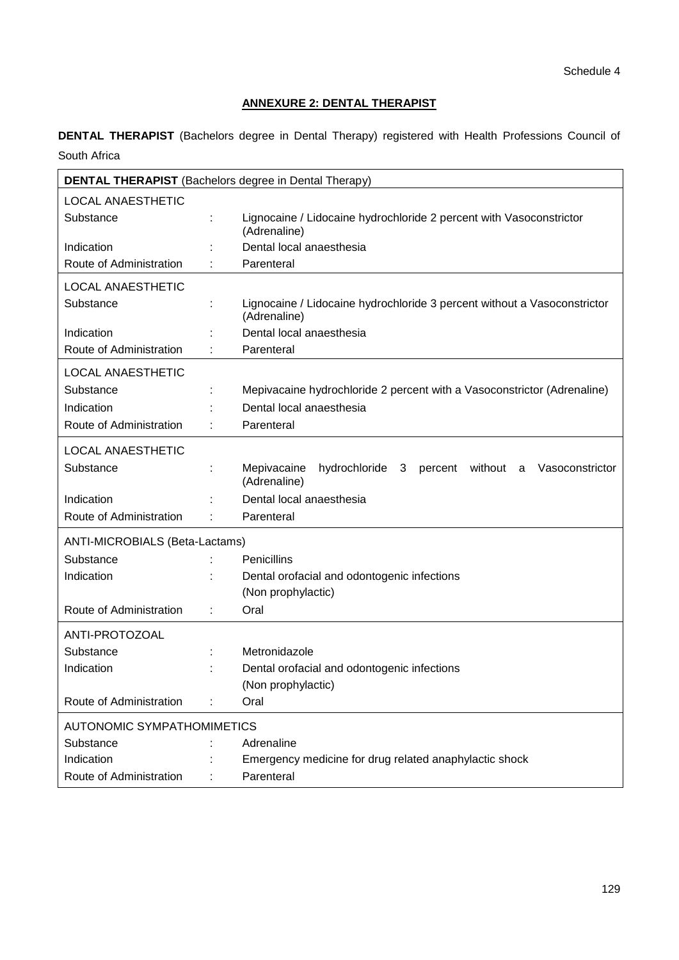# **ANNEXURE 2: DENTAL THERAPIST**

**DENTAL THERAPIST** (Bachelors degree in Dental Therapy) registered with Health Professions Council of South Africa

|                                   |   | <b>DENTAL THERAPIST</b> (Bachelors degree in Dental Therapy)                              |
|-----------------------------------|---|-------------------------------------------------------------------------------------------|
| <b>LOCAL ANAESTHETIC</b>          |   |                                                                                           |
| Substance                         | t | Lignocaine / Lidocaine hydrochloride 2 percent with Vasoconstrictor<br>(Adrenaline)       |
| Indication                        |   | Dental local anaesthesia                                                                  |
| Route of Administration           |   | Parenteral                                                                                |
| <b>LOCAL ANAESTHETIC</b>          |   |                                                                                           |
| Substance                         |   | Lignocaine / Lidocaine hydrochloride 3 percent without a Vasoconstrictor<br>(Adrenaline)  |
| Indication                        |   | Dental local anaesthesia                                                                  |
| Route of Administration           |   | Parenteral                                                                                |
| <b>LOCAL ANAESTHETIC</b>          |   |                                                                                           |
| Substance                         |   | Mepivacaine hydrochloride 2 percent with a Vasoconstrictor (Adrenaline)                   |
| Indication                        |   | Dental local anaesthesia                                                                  |
| Route of Administration           |   | Parenteral                                                                                |
| <b>LOCAL ANAESTHETIC</b>          |   |                                                                                           |
| Substance                         |   | Mepivacaine<br>hydrochloride 3<br>without a<br>Vasoconstrictor<br>percent<br>(Adrenaline) |
| Indication                        |   | Dental local anaesthesia                                                                  |
| Route of Administration           |   | Parenteral                                                                                |
| ANTI-MICROBIALS (Beta-Lactams)    |   |                                                                                           |
| Substance                         |   | Penicillins                                                                               |
| Indication                        | ÷ | Dental orofacial and odontogenic infections                                               |
|                                   |   | (Non prophylactic)                                                                        |
| Route of Administration           | t | Oral                                                                                      |
| ANTI-PROTOZOAL                    |   |                                                                                           |
| Substance                         |   | Metronidazole                                                                             |
| Indication                        |   | Dental orofacial and odontogenic infections                                               |
|                                   |   | (Non prophylactic)                                                                        |
| Route of Administration           |   | Oral                                                                                      |
| <b>AUTONOMIC SYMPATHOMIMETICS</b> |   |                                                                                           |
| Substance                         |   | Adrenaline                                                                                |
| Indication                        |   | Emergency medicine for drug related anaphylactic shock                                    |
| Route of Administration           |   | Parenteral                                                                                |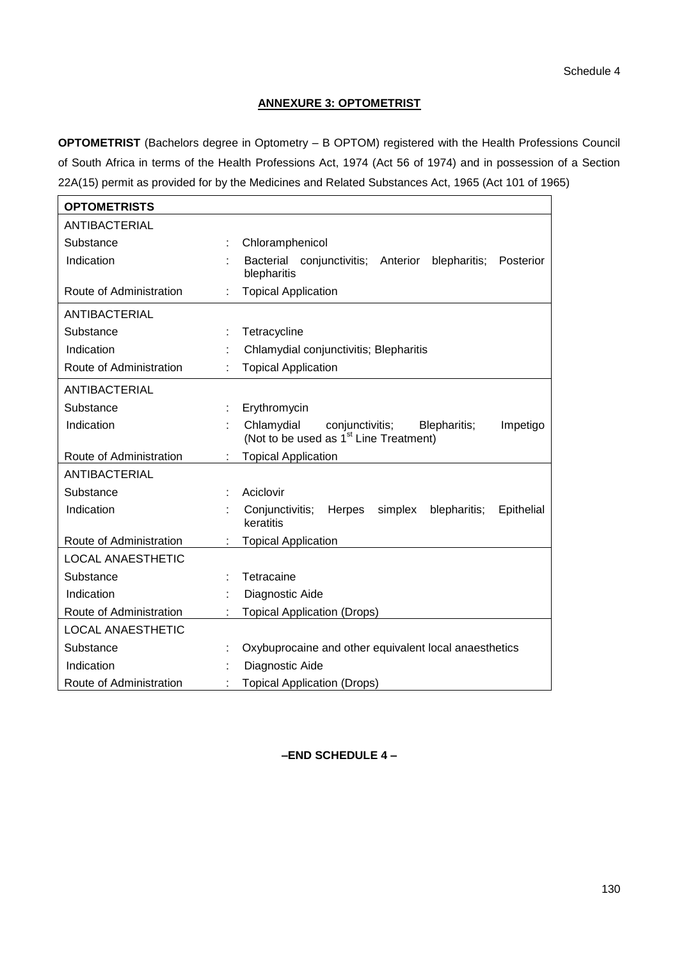## **ANNEXURE 3: OPTOMETRIST**

**OPTOMETRIST** (Bachelors degree in Optometry – B OPTOM) registered with the Health Professions Council of South Africa in terms of the Health Professions Act, 1974 (Act 56 of 1974) and in possession of a Section 22A(15) permit as provided for by the Medicines and Related Substances Act, 1965 (Act 101 of 1965)

| <b>OPTOMETRISTS</b>      |                                                                                                                 |
|--------------------------|-----------------------------------------------------------------------------------------------------------------|
| <b>ANTIBACTERIAL</b>     |                                                                                                                 |
| Substance                | Chloramphenicol                                                                                                 |
| Indication               | Bacterial conjunctivitis; Anterior<br>blepharitis; Posterior<br>blepharitis                                     |
| Route of Administration  | <b>Topical Application</b>                                                                                      |
| ANTIBACTERIAL            |                                                                                                                 |
| Substance                | Tetracycline                                                                                                    |
| Indication               | Chlamydial conjunctivitis; Blepharitis                                                                          |
| Route of Administration  | <b>Topical Application</b>                                                                                      |
| <b>ANTIBACTERIAL</b>     |                                                                                                                 |
| Substance                | Erythromycin                                                                                                    |
| Indication               | Chlamydial<br>conjunctivitis;<br>Blepharitis;<br>Impetigo<br>(Not to be used as 1 <sup>st</sup> Line Treatment) |
| Route of Administration  | <b>Topical Application</b>                                                                                      |
| <b>ANTIBACTERIAL</b>     |                                                                                                                 |
| Substance                | Aciclovir                                                                                                       |
| Indication               | Conjunctivitis;<br><b>Herpes</b><br>simplex<br>blepharitis;<br>Epithelial<br>keratitis                          |
| Route of Administration  | <b>Topical Application</b>                                                                                      |
| <b>LOCAL ANAESTHETIC</b> |                                                                                                                 |
| Substance                | Tetracaine                                                                                                      |
| Indication               | Diagnostic Aide                                                                                                 |
| Route of Administration  | <b>Topical Application (Drops)</b>                                                                              |
| <b>LOCAL ANAESTHETIC</b> |                                                                                                                 |
| Substance                | Oxybuprocaine and other equivalent local anaesthetics                                                           |
| Indication               | Diagnostic Aide                                                                                                 |
| Route of Administration  | <b>Topical Application (Drops)</b>                                                                              |

## **–END SCHEDULE 4 –**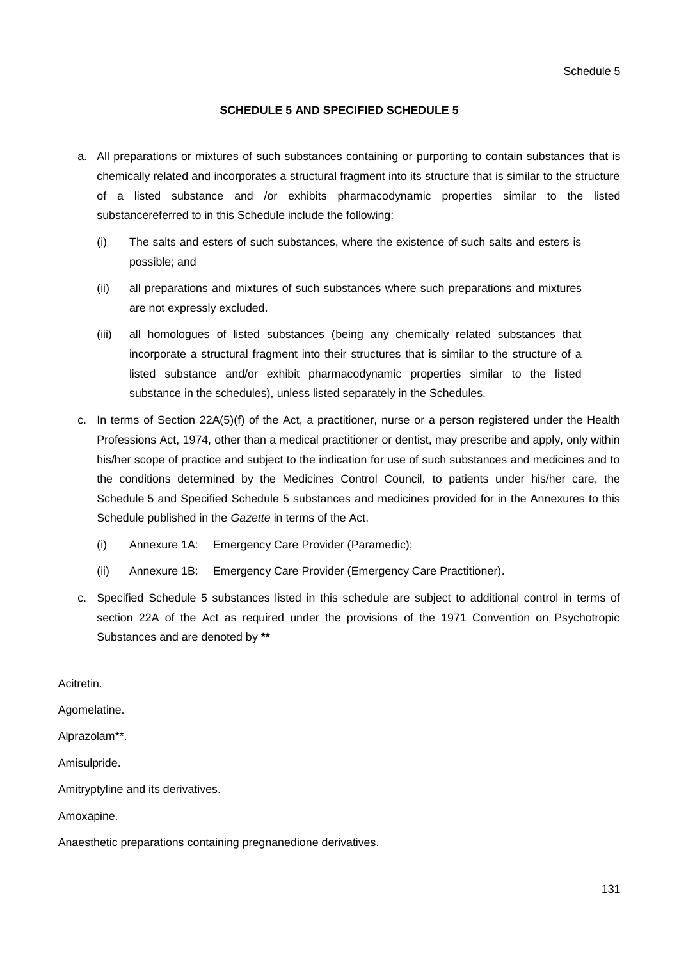### **SCHEDULE 5 AND SPECIFIED SCHEDULE 5**

- a. All preparations or mixtures of such substances containing or purporting to contain substances that is chemically related and incorporates a structural fragment into its structure that is similar to the structure of a listed substance and /or exhibits pharmacodynamic properties similar to the listed substancereferred to in this Schedule include the following:
	- (i) The salts and esters of such substances, where the existence of such salts and esters is possible; and
	- (ii) all preparations and mixtures of such substances where such preparations and mixtures are not expressly excluded.
	- (iii) all homologues of listed substances (being any chemically related substances that incorporate a structural fragment into their structures that is similar to the structure of a listed substance and/or exhibit pharmacodynamic properties similar to the listed substance in the schedules), unless listed separately in the Schedules.
- c. In terms of Section 22A(5)(f) of the Act, a practitioner, nurse or a person registered under the Health Professions Act, 1974, other than a medical practitioner or dentist, may prescribe and apply, only within his/her scope of practice and subject to the indication for use of such substances and medicines and to the conditions determined by the Medicines Control Council, to patients under his/her care, the Schedule 5 and Specified Schedule 5 substances and medicines provided for in the Annexures to this Schedule published in the *Gazette* in terms of the Act.
	- (i) Annexure 1A: Emergency Care Provider (Paramedic);
	- (ii) Annexure 1B: Emergency Care Provider (Emergency Care Practitioner).
- c. Specified Schedule 5 substances listed in this schedule are subject to additional control in terms of section 22A of the Act as required under the provisions of the 1971 Convention on Psychotropic Substances and are denoted by **\*\***

#### Acitretin.

Agomelatine.

Alprazolam\*\*.

Amisulpride.

Amitryptyline and its derivatives.

Amoxapine.

Anaesthetic preparations containing pregnanedione derivatives.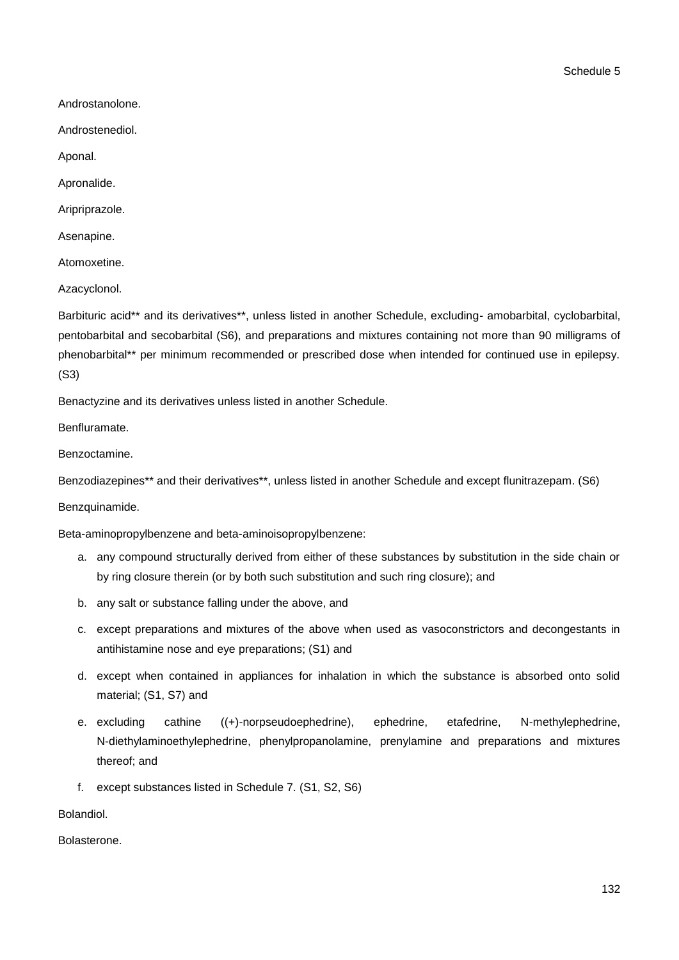Schedule 5

Androstanolone.

Androstenediol.

Aponal.

Apronalide.

Aripriprazole.

Asenapine.

Atomoxetine.

Azacyclonol.

Barbituric acid\*\* and its derivatives\*\*, unless listed in another Schedule, excluding- amobarbital, cyclobarbital, pentobarbital and secobarbital (S6), and preparations and mixtures containing not more than 90 milligrams of phenobarbital\*\* per minimum recommended or prescribed dose when intended for continued use in epilepsy. (S3)

Benactyzine and its derivatives unless listed in another Schedule.

Benfluramate.

Benzoctamine.

Benzodiazepines\*\* and their derivatives\*\*, unless listed in another Schedule and except flunitrazepam. (S6)

Benzquinamide.

Beta-aminopropylbenzene and beta-aminoisopropylbenzene:

- a. any compound structurally derived from either of these substances by substitution in the side chain or by ring closure therein (or by both such substitution and such ring closure); and
- b. any salt or substance falling under the above, and
- c. except preparations and mixtures of the above when used as vasoconstrictors and decongestants in antihistamine nose and eye preparations; (S1) and
- d. except when contained in appliances for inhalation in which the substance is absorbed onto solid material; (S1, S7) and
- e. excluding cathine ((+)-norpseudoephedrine), ephedrine, etafedrine, N-methylephedrine, N-diethylaminoethylephedrine, phenylpropanolamine, prenylamine and preparations and mixtures thereof; and
- f. except substances listed in Schedule 7. (S1, S2, S6)

Bolandiol.

Bolasterone.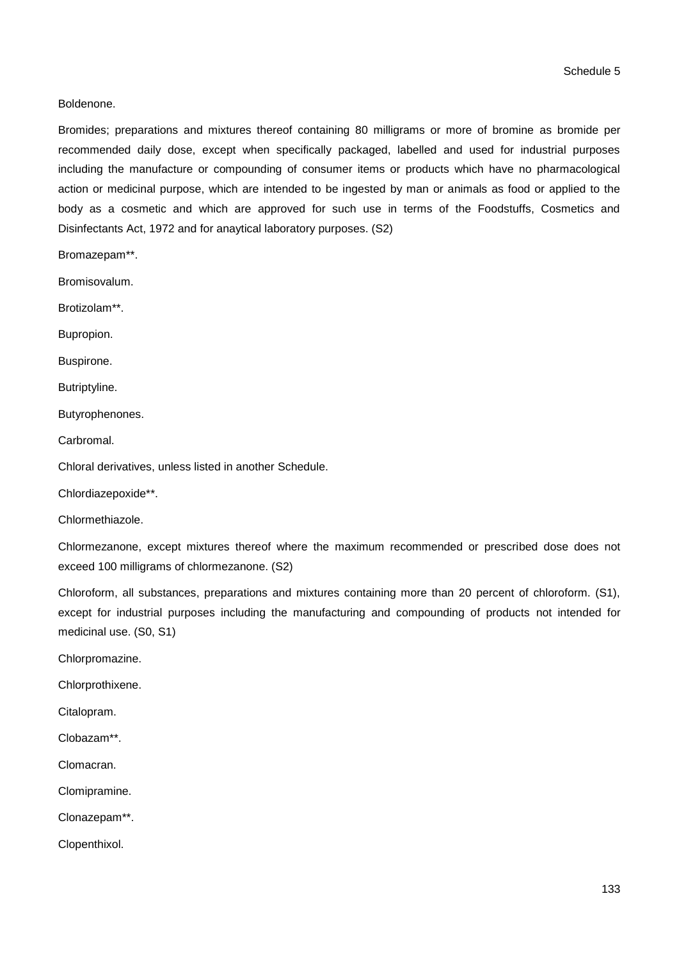Boldenone.

Bromides; preparations and mixtures thereof containing 80 milligrams or more of bromine as bromide per recommended daily dose, except when specifically packaged, labelled and used for industrial purposes including the manufacture or compounding of consumer items or products which have no pharmacological action or medicinal purpose, which are intended to be ingested by man or animals as food or applied to the body as a cosmetic and which are approved for such use in terms of the Foodstuffs, Cosmetics and Disinfectants Act, 1972 and for anaytical laboratory purposes. (S2)

Bromazepam\*\*.

Bromisovalum.

Brotizolam\*\*.

Bupropion.

Buspirone.

Butriptyline.

Butyrophenones.

Carbromal.

Chloral derivatives, unless listed in another Schedule.

Chlordiazepoxide\*\*.

Chlormethiazole.

Chlormezanone, except mixtures thereof where the maximum recommended or prescribed dose does not exceed 100 milligrams of chlormezanone. (S2)

Chloroform, all substances, preparations and mixtures containing more than 20 percent of chloroform. (S1), except for industrial purposes including the manufacturing and compounding of products not intended for medicinal use. (S0, S1)

Chlorpromazine.

Chlorprothixene.

Citalopram.

Clobazam\*\*.

Clomacran.

Clomipramine.

Clonazepam\*\*.

Clopenthixol.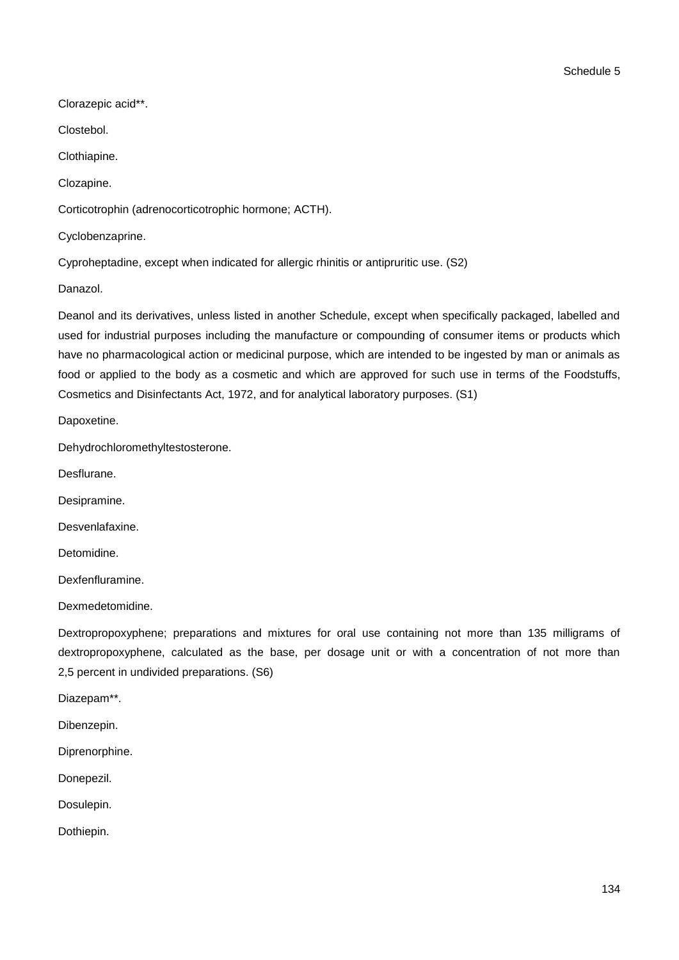Clorazepic acid\*\*.

Clostebol.

Clothiapine.

Clozapine.

Corticotrophin (adrenocorticotrophic hormone; ACTH).

Cyclobenzaprine.

Cyproheptadine, except when indicated for allergic rhinitis or antipruritic use. (S2)

Danazol.

Deanol and its derivatives, unless listed in another Schedule, except when specifically packaged, labelled and used for industrial purposes including the manufacture or compounding of consumer items or products which have no pharmacological action or medicinal purpose, which are intended to be ingested by man or animals as food or applied to the body as a cosmetic and which are approved for such use in terms of the Foodstuffs, Cosmetics and Disinfectants Act, 1972, and for analytical laboratory purposes. (S1)

Dapoxetine.

Dehydrochloromethyltestosterone.

Desflurane.

Desipramine.

Desvenlafaxine.

Detomidine.

Dexfenfluramine.

Dexmedetomidine.

Dextropropoxyphene; preparations and mixtures for oral use containing not more than 135 milligrams of dextropropoxyphene, calculated as the base, per dosage unit or with a concentration of not more than 2,5 percent in undivided preparations. (S6)

Diazepam\*\*.

Dibenzepin.

Diprenorphine.

Donepezil.

Dosulepin.

Dothiepin.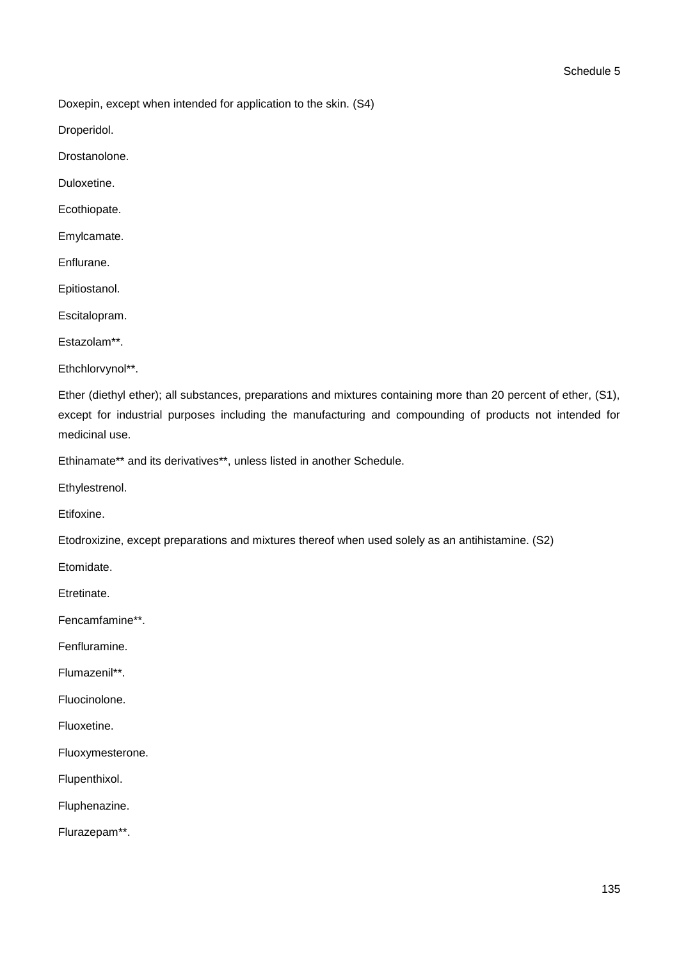Doxepin, except when intended for application to the skin. (S4)

Droperidol.

Drostanolone.

Duloxetine.

Ecothiopate.

Emylcamate.

Enflurane.

Epitiostanol.

Escitalopram.

Estazolam\*\*.

Ethchlorvynol\*\*.

Ether (diethyl ether); all substances, preparations and mixtures containing more than 20 percent of ether, (S1), except for industrial purposes including the manufacturing and compounding of products not intended for medicinal use.

Ethinamate\*\* and its derivatives\*\*, unless listed in another Schedule.

Ethylestrenol.

Etifoxine.

Etodroxizine, except preparations and mixtures thereof when used solely as an antihistamine. (S2)

Etomidate.

Etretinate.

Fencamfamine\*\*.

Fenfluramine.

Flumazenil\*\*.

Fluocinolone.

Fluoxetine.

Fluoxymesterone.

Flupenthixol.

Fluphenazine.

Flurazepam\*\*.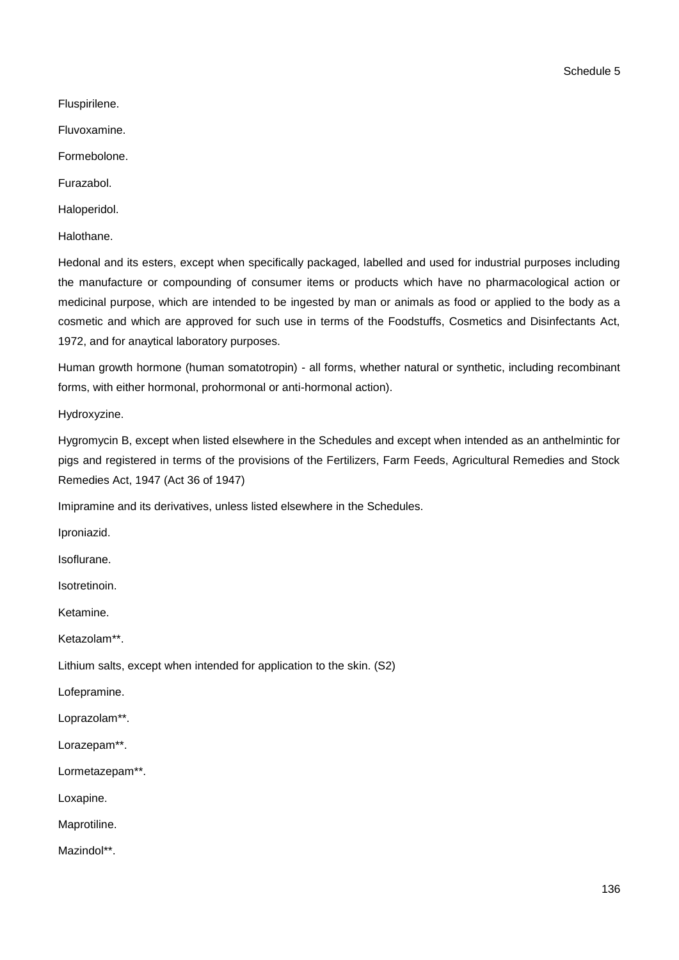Schedule 5

Fluspirilene.

Fluvoxamine.

Formebolone.

Furazabol.

Haloperidol.

Halothane.

Hedonal and its esters, except when specifically packaged, labelled and used for industrial purposes including the manufacture or compounding of consumer items or products which have no pharmacological action or medicinal purpose, which are intended to be ingested by man or animals as food or applied to the body as a cosmetic and which are approved for such use in terms of the Foodstuffs, Cosmetics and Disinfectants Act, 1972, and for anaytical laboratory purposes.

Human growth hormone (human somatotropin) - all forms, whether natural or synthetic, including recombinant forms, with either hormonal, prohormonal or anti-hormonal action).

Hydroxyzine.

Hygromycin B, except when listed elsewhere in the Schedules and except when intended as an anthelmintic for pigs and registered in terms of the provisions of the Fertilizers, Farm Feeds, Agricultural Remedies and Stock Remedies Act, 1947 (Act 36 of 1947)

Imipramine and its derivatives, unless listed elsewhere in the Schedules.

Iproniazid.

Isoflurane.

Isotretinoin.

Ketamine.

Ketazolam\*\*.

Lithium salts, except when intended for application to the skin. (S2)

Lofepramine.

Loprazolam\*\*.

Lorazepam\*\*.

Lormetazepam\*\*.

Loxapine.

Maprotiline.

Mazindol\*\*.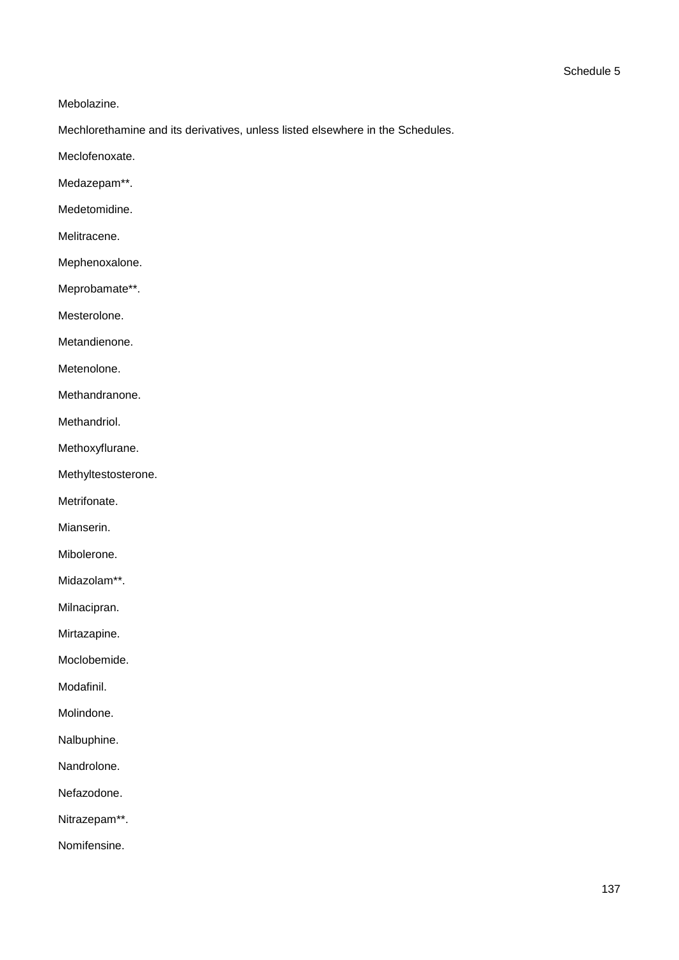Mebolazine.

Mechlorethamine and its derivatives, unless listed elsewhere in the Schedules.

Meclofenoxate.

Medazepam\*\*.

Medetomidine.

Melitracene.

Mephenoxalone.

Meprobamate\*\*.

Mesterolone.

Metandienone.

Metenolone.

Methandranone.

Methandriol.

Methoxyflurane.

Methyltestosterone.

Metrifonate.

Mianserin.

Mibolerone.

Midazolam\*\*.

Milnacipran.

Mirtazapine.

Moclobemide.

Modafinil.

Molindone.

Nalbuphine.

Nandrolone.

Nefazodone.

Nitrazepam\*\*.

Nomifensine.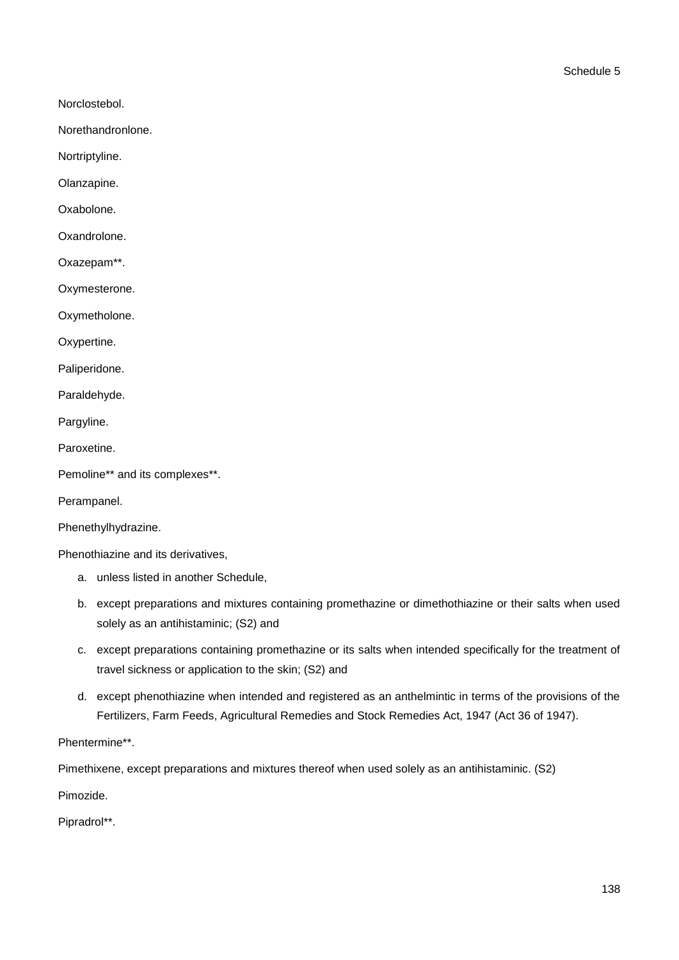- Norclostebol.
- Norethandronlone.
- Nortriptyline.
- Olanzapine.
- Oxabolone.
- Oxandrolone.
- Oxazepam\*\*.
- Oxymesterone.
- Oxymetholone.
- Oxypertine.
- Paliperidone.
- Paraldehyde.
- Pargyline.
- Paroxetine.
- Pemoline\*\* and its complexes\*\*.
- Perampanel.
- Phenethylhydrazine.
- Phenothiazine and its derivatives,
	- a. unless listed in another Schedule,
	- b. except preparations and mixtures containing promethazine or dimethothiazine or their salts when used solely as an antihistaminic; (S2) and
	- c. except preparations containing promethazine or its salts when intended specifically for the treatment of travel sickness or application to the skin; (S2) and
	- d. except phenothiazine when intended and registered as an anthelmintic in terms of the provisions of the Fertilizers, Farm Feeds, Agricultural Remedies and Stock Remedies Act, 1947 (Act 36 of 1947).
- Phentermine\*\*.

Pimethixene, except preparations and mixtures thereof when used solely as an antihistaminic. (S2)

Pimozide.

Pipradrol\*\*.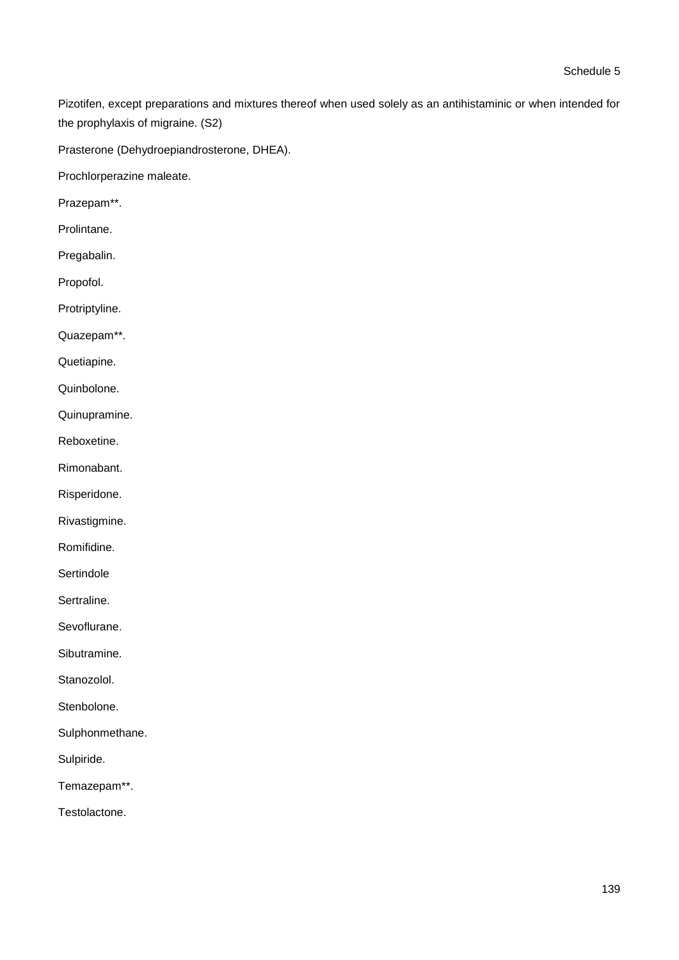Pizotifen, except preparations and mixtures thereof when used solely as an antihistaminic or when intended for the prophylaxis of migraine. (S2)

Prasterone (Dehydroepiandrosterone, DHEA).

Prochlorperazine maleate.

Prazepam\*\*.

Prolintane.

Pregabalin.

Propofol.

Protriptyline.

Quazepam\*\*.

Quetiapine.

Quinbolone.

Quinupramine.

Reboxetine.

Rimonabant.

Risperidone.

Rivastigmine.

Romifidine.

**Sertindole** 

Sertraline.

Sevoflurane.

Sibutramine.

Stanozolol.

Stenbolone.

Sulphonmethane.

Sulpiride.

Temazepam\*\*.

Testolactone.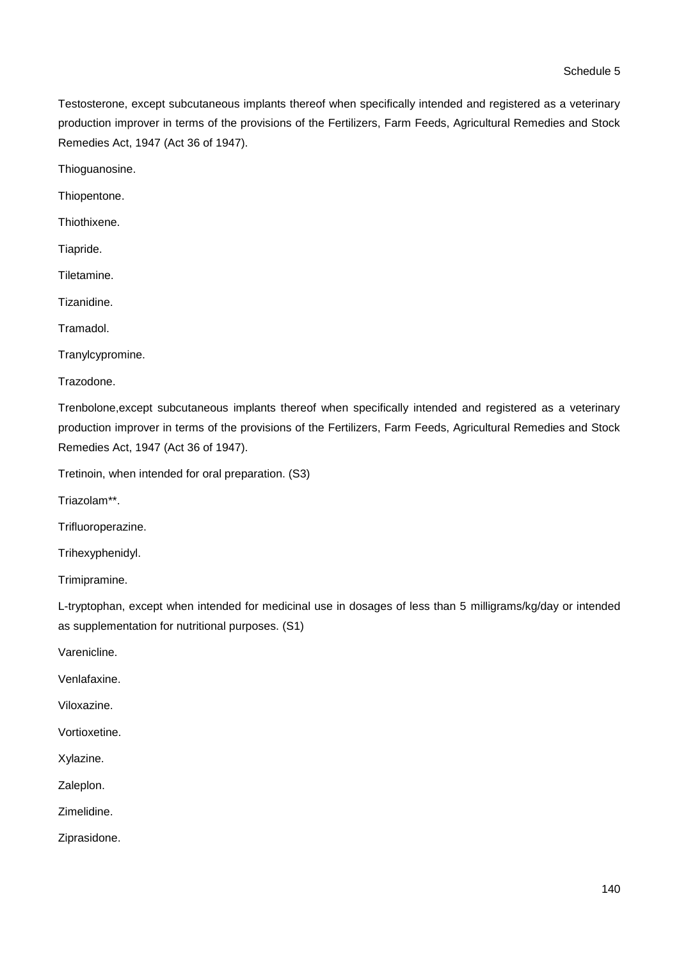Testosterone, except subcutaneous implants thereof when specifically intended and registered as a veterinary production improver in terms of the provisions of the Fertilizers, Farm Feeds, Agricultural Remedies and Stock Remedies Act, 1947 (Act 36 of 1947).

Thioguanosine.

Thiopentone.

Thiothixene.

Tiapride.

Tiletamine.

Tizanidine.

Tramadol.

Tranylcypromine.

Trazodone.

Trenbolone,except subcutaneous implants thereof when specifically intended and registered as a veterinary production improver in terms of the provisions of the Fertilizers, Farm Feeds, Agricultural Remedies and Stock Remedies Act, 1947 (Act 36 of 1947).

Tretinoin, when intended for oral preparation. (S3)

Triazolam\*\*.

Trifluoroperazine.

Trihexyphenidyl.

Trimipramine.

L-tryptophan, except when intended for medicinal use in dosages of less than 5 milligrams/kg/day or intended as supplementation for nutritional purposes. (S1)

Varenicline.

Venlafaxine.

Viloxazine.

Vortioxetine.

Xylazine.

Zaleplon.

Zimelidine.

Ziprasidone.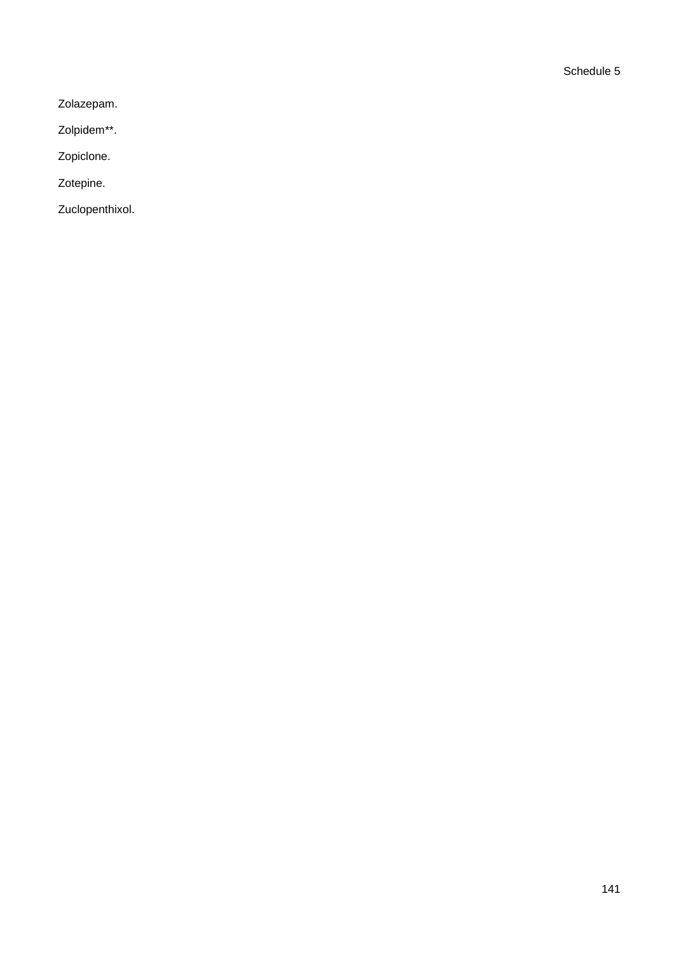Zolazepam.

Zolpidem\*\*.

Zopiclone.

Zotepine.

Zuclopenthixol.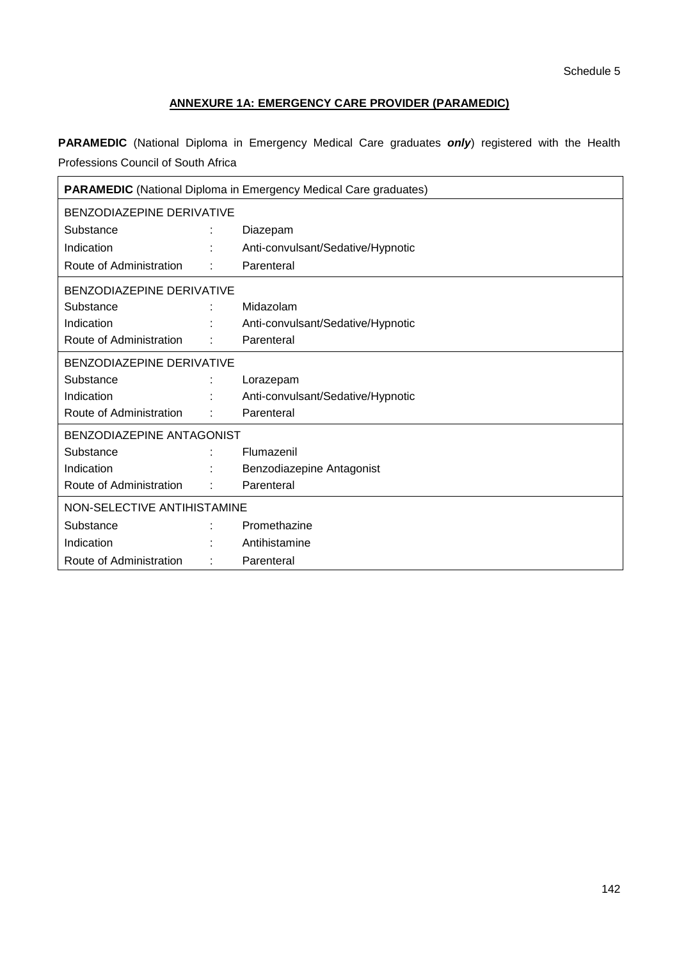# **ANNEXURE 1A: EMERGENCY CARE PROVIDER (PARAMEDIC)**

**PARAMEDIC** (National Diploma in Emergency Medical Care graduates *only*) registered with the Health Professions Council of South Africa

| <b>PARAMEDIC</b> (National Diploma in Emergency Medical Care graduates) |   |                                   |  |
|-------------------------------------------------------------------------|---|-----------------------------------|--|
| BENZODIAZEPINE DERIVATIVE                                               |   |                                   |  |
| Substance                                                               |   | Diazepam                          |  |
| Indication                                                              |   | Anti-convulsant/Sedative/Hypnotic |  |
| Route of Administration                                                 | ÷ | Parenteral                        |  |
| BENZODIAZEPINE DERIVATIVE                                               |   |                                   |  |
| Substance                                                               |   | Midazolam                         |  |
| Indication                                                              |   | Anti-convulsant/Sedative/Hypnotic |  |
| Route of Administration                                                 |   | Parenteral                        |  |
| BENZODIAZEPINE DERIVATIVE                                               |   |                                   |  |
| Substance                                                               |   | Lorazepam                         |  |
| Indication                                                              |   | Anti-convulsant/Sedative/Hypnotic |  |
| Route of Administration                                                 |   | Parenteral                        |  |
| BENZODIAZEPINE ANTAGONIST                                               |   |                                   |  |
| Substance                                                               |   | Flumazenil                        |  |
| Indication                                                              |   | Benzodiazepine Antagonist         |  |
| Route of Administration                                                 |   | Parenteral                        |  |
| NON-SELECTIVE ANTIHISTAMINE                                             |   |                                   |  |
| Substance                                                               |   | Promethazine                      |  |
| Indication                                                              |   | Antihistamine                     |  |
| Route of Administration                                                 |   | Parenteral                        |  |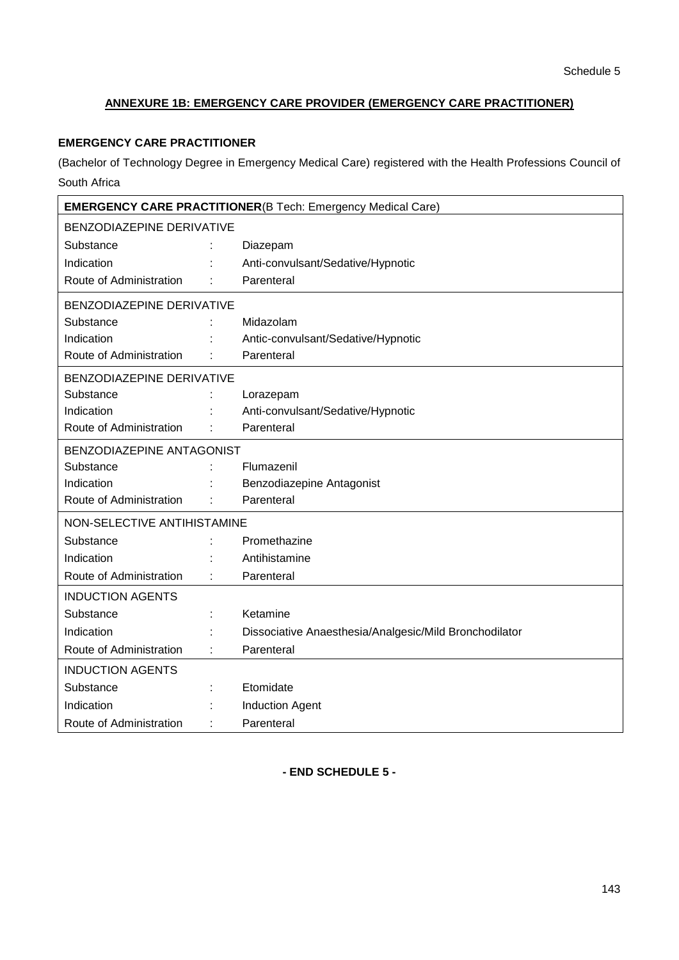## **ANNEXURE 1B: EMERGENCY CARE PROVIDER (EMERGENCY CARE PRACTITIONER)**

# **EMERGENCY CARE PRACTITIONER**

(Bachelor of Technology Degree in Emergency Medical Care) registered with the Health Professions Council of South Africa

| <b>EMERGENCY CARE PRACTITIONER(B Tech: Emergency Medical Care)</b> |                           |                                                        |  |  |
|--------------------------------------------------------------------|---------------------------|--------------------------------------------------------|--|--|
| <b>BENZODIAZEPINE DERIVATIVE</b>                                   |                           |                                                        |  |  |
| Substance                                                          |                           | Diazepam                                               |  |  |
| Indication                                                         |                           | Anti-convulsant/Sedative/Hypnotic                      |  |  |
| Route of Administration                                            |                           | Parenteral                                             |  |  |
| <b>BENZODIAZEPINE DERIVATIVE</b>                                   |                           |                                                        |  |  |
| Substance                                                          |                           | Midazolam                                              |  |  |
| Indication                                                         |                           | Antic-convulsant/Sedative/Hypnotic                     |  |  |
| Route of Administration                                            |                           | Parenteral                                             |  |  |
| BENZODIAZEPINE DERIVATIVE                                          |                           |                                                        |  |  |
| Substance                                                          |                           | Lorazepam                                              |  |  |
| Indication                                                         |                           | Anti-convulsant/Sedative/Hypnotic                      |  |  |
| Route of Administration                                            |                           | Parenteral                                             |  |  |
|                                                                    | BENZODIAZEPINE ANTAGONIST |                                                        |  |  |
| Substance                                                          |                           | Flumazenil                                             |  |  |
| Indication                                                         |                           | Benzodiazepine Antagonist                              |  |  |
| Route of Administration                                            |                           | Parenteral                                             |  |  |
| NON-SELECTIVE ANTIHISTAMINE                                        |                           |                                                        |  |  |
| Substance                                                          |                           | Promethazine                                           |  |  |
| Indication                                                         |                           | Antihistamine                                          |  |  |
| Route of Administration                                            |                           | Parenteral                                             |  |  |
| <b>INDUCTION AGENTS</b>                                            |                           |                                                        |  |  |
| Substance                                                          |                           | Ketamine                                               |  |  |
| Indication                                                         |                           | Dissociative Anaesthesia/Analgesic/Mild Bronchodilator |  |  |
| Route of Administration                                            |                           | Parenteral                                             |  |  |
| <b>INDUCTION AGENTS</b>                                            |                           |                                                        |  |  |
| Substance                                                          |                           | Etomidate                                              |  |  |
| Indication                                                         |                           | <b>Induction Agent</b>                                 |  |  |
| Route of Administration                                            |                           | Parenteral                                             |  |  |

**- END SCHEDULE 5 -**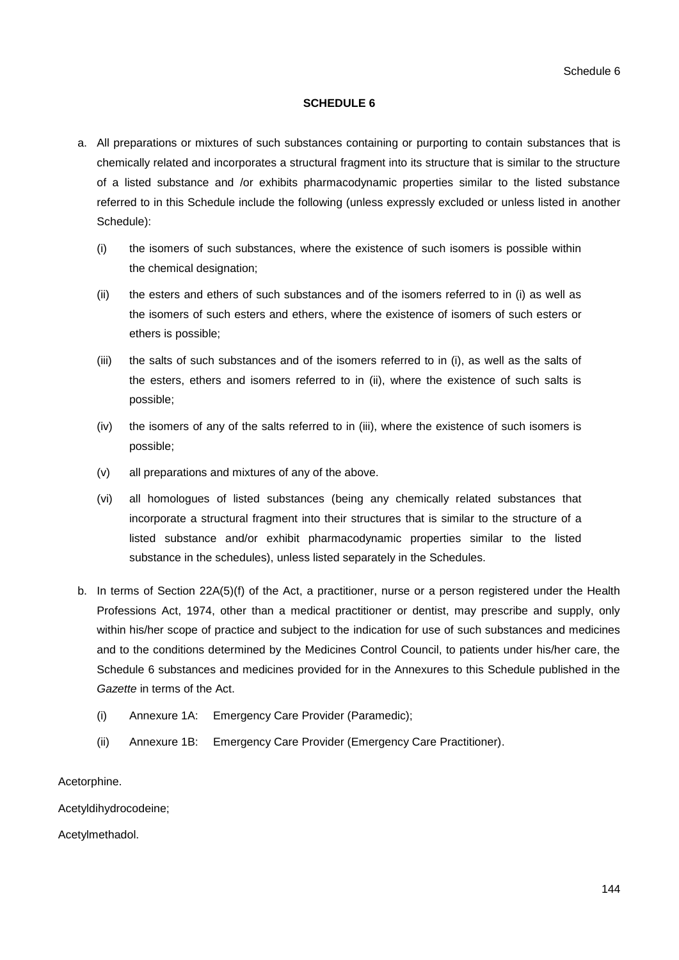### **SCHEDULE 6**

- a. All preparations or mixtures of such substances containing or purporting to contain substances that is chemically related and incorporates a structural fragment into its structure that is similar to the structure of a listed substance and /or exhibits pharmacodynamic properties similar to the listed substance referred to in this Schedule include the following (unless expressly excluded or unless listed in another Schedule):
	- (i) the isomers of such substances, where the existence of such isomers is possible within the chemical designation;
	- (ii) the esters and ethers of such substances and of the isomers referred to in (i) as well as the isomers of such esters and ethers, where the existence of isomers of such esters or ethers is possible;
	- (iii) the salts of such substances and of the isomers referred to in (i), as well as the salts of the esters, ethers and isomers referred to in (ii), where the existence of such salts is possible;
	- (iv) the isomers of any of the salts referred to in (iii), where the existence of such isomers is possible;
	- (v) all preparations and mixtures of any of the above.
	- (vi) all homologues of listed substances (being any chemically related substances that incorporate a structural fragment into their structures that is similar to the structure of a listed substance and/or exhibit pharmacodynamic properties similar to the listed substance in the schedules), unless listed separately in the Schedules.
- b. In terms of Section 22A(5)(f) of the Act, a practitioner, nurse or a person registered under the Health Professions Act, 1974, other than a medical practitioner or dentist, may prescribe and supply, only within his/her scope of practice and subject to the indication for use of such substances and medicines and to the conditions determined by the Medicines Control Council, to patients under his/her care, the Schedule 6 substances and medicines provided for in the Annexures to this Schedule published in the *Gazette* in terms of the Act.
	- (i) Annexure 1A: Emergency Care Provider (Paramedic);
	- (ii) Annexure 1B: Emergency Care Provider (Emergency Care Practitioner).

Acetorphine.

Acetyldihydrocodeine;

Acetylmethadol.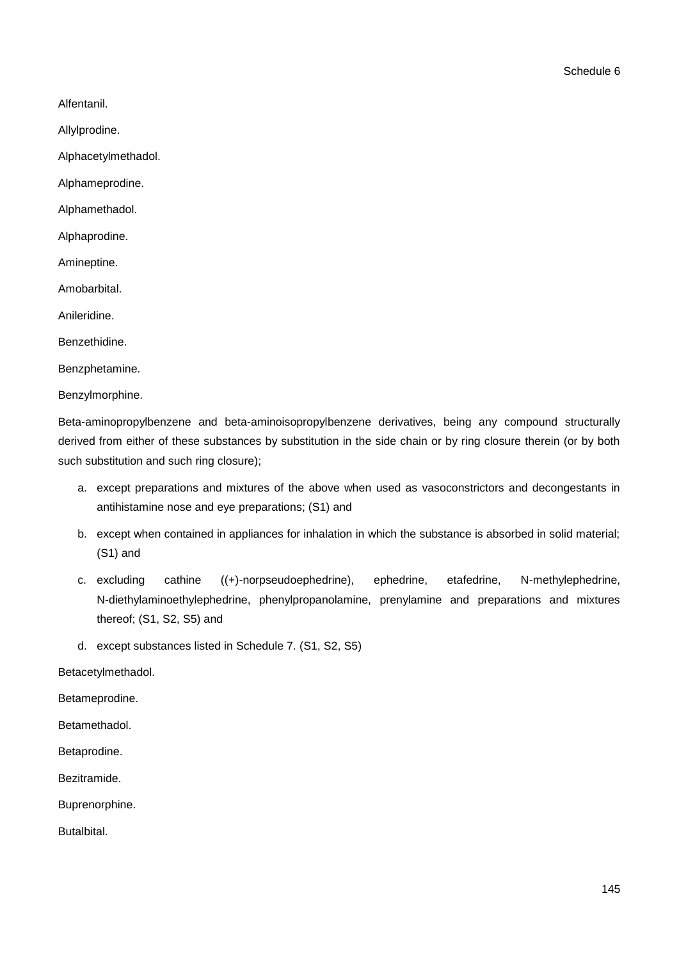Alfentanil.

Allylprodine.

Alphacetylmethadol.

Alphameprodine.

Alphamethadol.

Alphaprodine.

Amineptine.

Amobarbital.

Anileridine.

Benzethidine.

Benzphetamine.

Benzylmorphine.

Beta-aminopropylbenzene and beta-aminoisopropylbenzene derivatives, being any compound structurally derived from either of these substances by substitution in the side chain or by ring closure therein (or by both such substitution and such ring closure);

- a. except preparations and mixtures of the above when used as vasoconstrictors and decongestants in antihistamine nose and eye preparations; (S1) and
- b. except when contained in appliances for inhalation in which the substance is absorbed in solid material; (S1) and
- c. excluding cathine ((+)-norpseudoephedrine), ephedrine, etafedrine, N-methylephedrine, N-diethylaminoethylephedrine, phenylpropanolamine, prenylamine and preparations and mixtures thereof; (S1, S2, S5) and

d. except substances listed in Schedule 7. (S1, S2, S5)

Betacetylmethadol.

Betameprodine.

Betamethadol.

Betaprodine.

Bezitramide.

Buprenorphine.

Butalbital.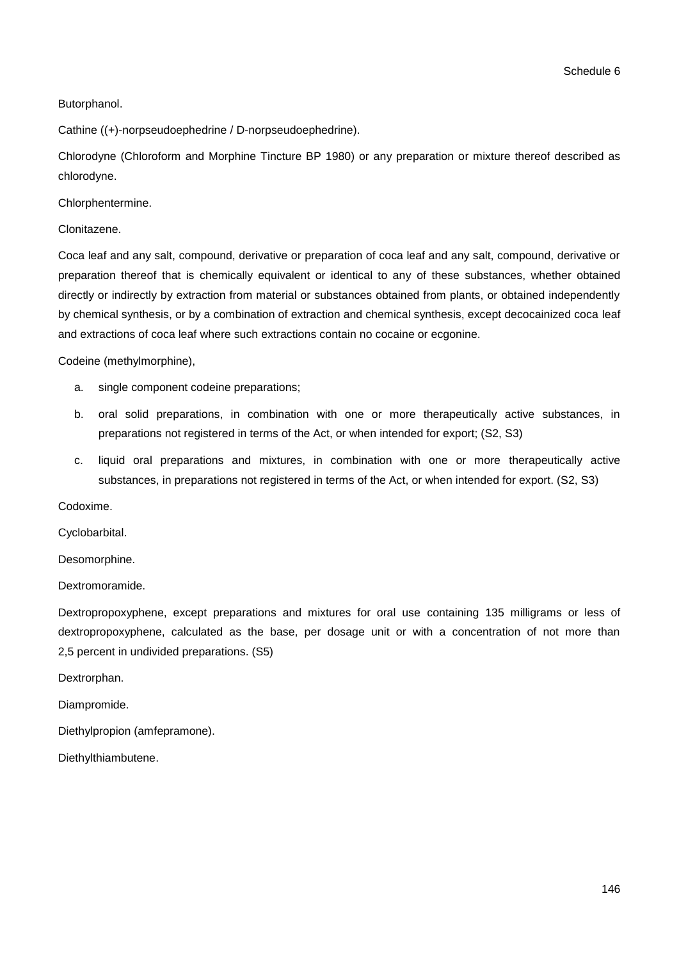### Butorphanol.

Cathine ((+)-norpseudoephedrine / D-norpseudoephedrine).

Chlorodyne (Chloroform and Morphine Tincture BP 1980) or any preparation or mixture thereof described as chlorodyne.

Chlorphentermine.

Clonitazene.

Coca leaf and any salt, compound, derivative or preparation of coca leaf and any salt, compound, derivative or preparation thereof that is chemically equivalent or identical to any of these substances, whether obtained directly or indirectly by extraction from material or substances obtained from plants, or obtained independently by chemical synthesis, or by a combination of extraction and chemical synthesis, except decocainized coca leaf and extractions of coca leaf where such extractions contain no cocaine or ecgonine.

Codeine (methylmorphine),

- a. single component codeine preparations;
- b. oral solid preparations, in combination with one or more therapeutically active substances, in preparations not registered in terms of the Act, or when intended for export; (S2, S3)
- c. liquid oral preparations and mixtures, in combination with one or more therapeutically active substances, in preparations not registered in terms of the Act, or when intended for export. (S2, S3)

Codoxime.

Cyclobarbital.

Desomorphine.

Dextromoramide.

Dextropropoxyphene, except preparations and mixtures for oral use containing 135 milligrams or less of dextropropoxyphene, calculated as the base, per dosage unit or with a concentration of not more than 2,5 percent in undivided preparations. (S5)

Dextrorphan.

Diampromide.

Diethylpropion (amfepramone).

Diethylthiambutene.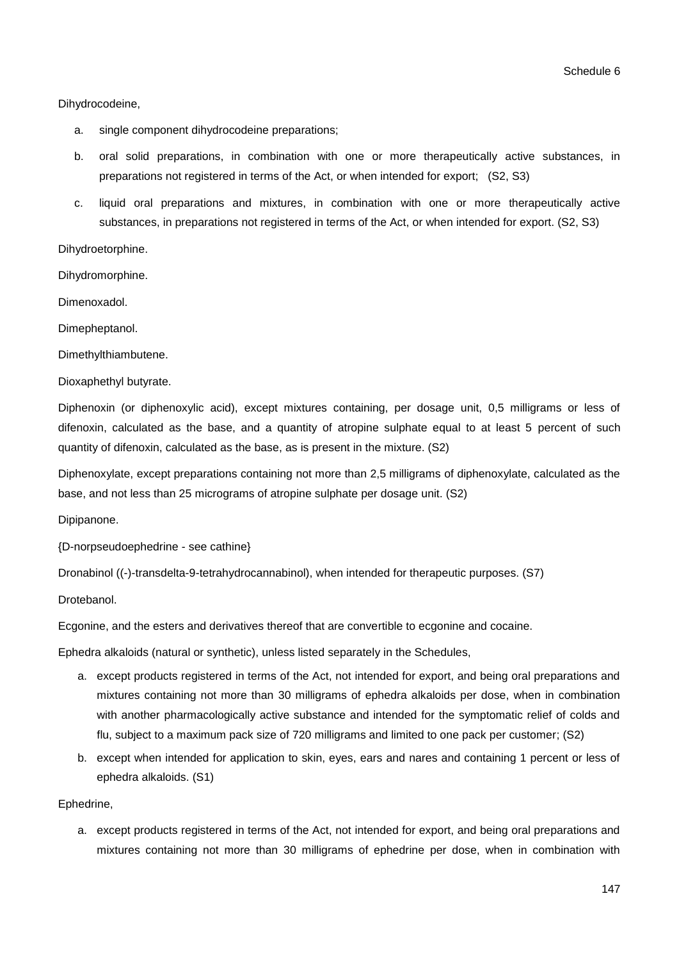#### Dihydrocodeine,

- a. single component dihydrocodeine preparations;
- b. oral solid preparations, in combination with one or more therapeutically active substances, in preparations not registered in terms of the Act, or when intended for export; (S2, S3)
- c. liquid oral preparations and mixtures, in combination with one or more therapeutically active substances, in preparations not registered in terms of the Act, or when intended for export. (S2, S3)

Dihydroetorphine.

Dihydromorphine.

Dimenoxadol.

Dimepheptanol.

Dimethylthiambutene.

Dioxaphethyl butyrate.

Diphenoxin (or diphenoxylic acid), except mixtures containing, per dosage unit, 0,5 milligrams or less of difenoxin, calculated as the base, and a quantity of atropine sulphate equal to at least 5 percent of such quantity of difenoxin, calculated as the base, as is present in the mixture. (S2)

Diphenoxylate, except preparations containing not more than 2,5 milligrams of diphenoxylate, calculated as the base, and not less than 25 micrograms of atropine sulphate per dosage unit. (S2)

Dipipanone.

{D-norpseudoephedrine - see cathine}

Dronabinol ((-)-transdelta-9-tetrahydrocannabinol), when intended for therapeutic purposes. (S7)

Drotebanol.

Ecgonine, and the esters and derivatives thereof that are convertible to ecgonine and cocaine.

Ephedra alkaloids (natural or synthetic), unless listed separately in the Schedules,

- a. except products registered in terms of the Act, not intended for export, and being oral preparations and mixtures containing not more than 30 milligrams of ephedra alkaloids per dose, when in combination with another pharmacologically active substance and intended for the symptomatic relief of colds and flu, subject to a maximum pack size of 720 milligrams and limited to one pack per customer; (S2)
- b. except when intended for application to skin, eyes, ears and nares and containing 1 percent or less of ephedra alkaloids. (S1)

Ephedrine,

a. except products registered in terms of the Act, not intended for export, and being oral preparations and mixtures containing not more than 30 milligrams of ephedrine per dose, when in combination with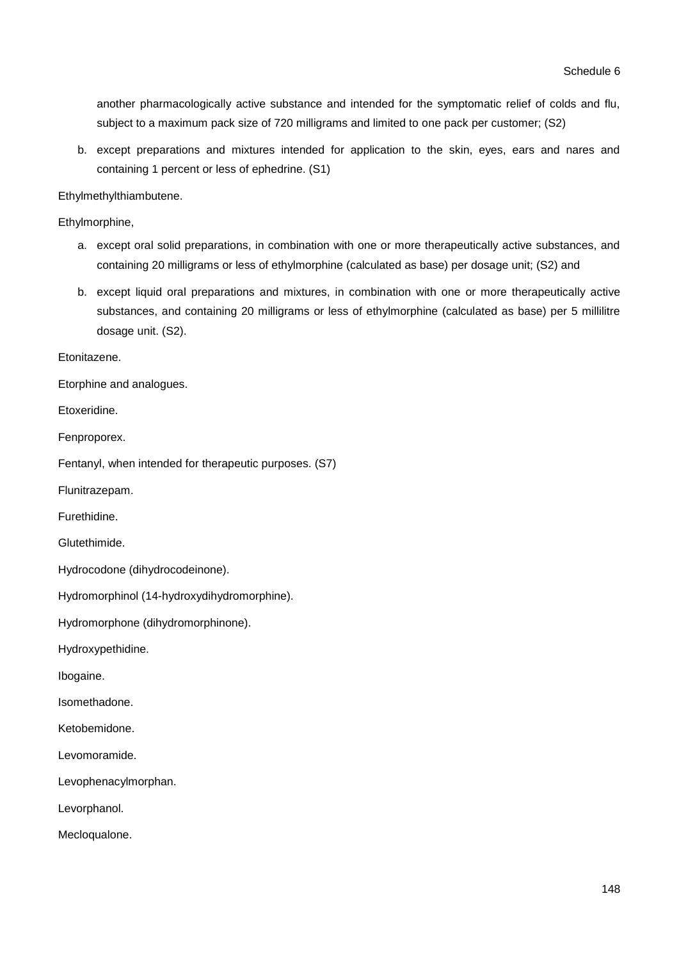another pharmacologically active substance and intended for the symptomatic relief of colds and flu, subject to a maximum pack size of 720 milligrams and limited to one pack per customer; (S2)

b. except preparations and mixtures intended for application to the skin, eyes, ears and nares and containing 1 percent or less of ephedrine. (S1)

Ethylmethylthiambutene.

Ethylmorphine,

- a. except oral solid preparations, in combination with one or more therapeutically active substances, and containing 20 milligrams or less of ethylmorphine (calculated as base) per dosage unit; (S2) and
- b. except liquid oral preparations and mixtures, in combination with one or more therapeutically active substances, and containing 20 milligrams or less of ethylmorphine (calculated as base) per 5 millilitre dosage unit. (S2).

Etonitazene.

Etorphine and analogues.

Etoxeridine.

Fenproporex.

Fentanyl, when intended for therapeutic purposes. (S7)

Flunitrazepam.

Furethidine.

Glutethimide.

Hydrocodone (dihydrocodeinone).

Hydromorphinol (14-hydroxydihydromorphine).

Hydromorphone (dihydromorphinone).

Hydroxypethidine.

Ibogaine.

Isomethadone.

Ketobemidone.

Levomoramide.

Levophenacylmorphan.

Levorphanol.

Mecloqualone.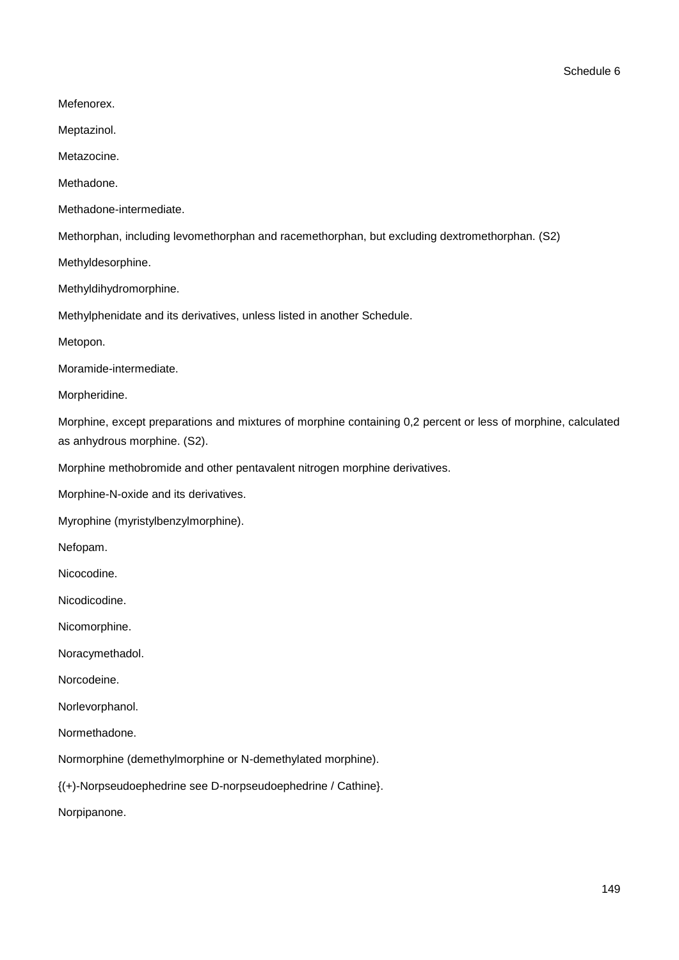Schedule 6

Mefenorex.

Meptazinol.

Metazocine.

Methadone.

Methadone-intermediate.

Methorphan, including levomethorphan and racemethorphan, but excluding dextromethorphan. (S2)

Methyldesorphine.

Methyldihydromorphine.

Methylphenidate and its derivatives, unless listed in another Schedule.

Metopon.

Moramide-intermediate.

Morpheridine.

Morphine, except preparations and mixtures of morphine containing 0,2 percent or less of morphine, calculated as anhydrous morphine. (S2).

Morphine methobromide and other pentavalent nitrogen morphine derivatives.

Morphine-N-oxide and its derivatives.

Myrophine (myristylbenzylmorphine).

Nefopam.

Nicocodine.

Nicodicodine.

Nicomorphine.

Noracymethadol.

Norcodeine.

Norlevorphanol.

Normethadone.

Normorphine (demethylmorphine or N-demethylated morphine).

{(+)-Norpseudoephedrine see D-norpseudoephedrine / Cathine}.

Norpipanone.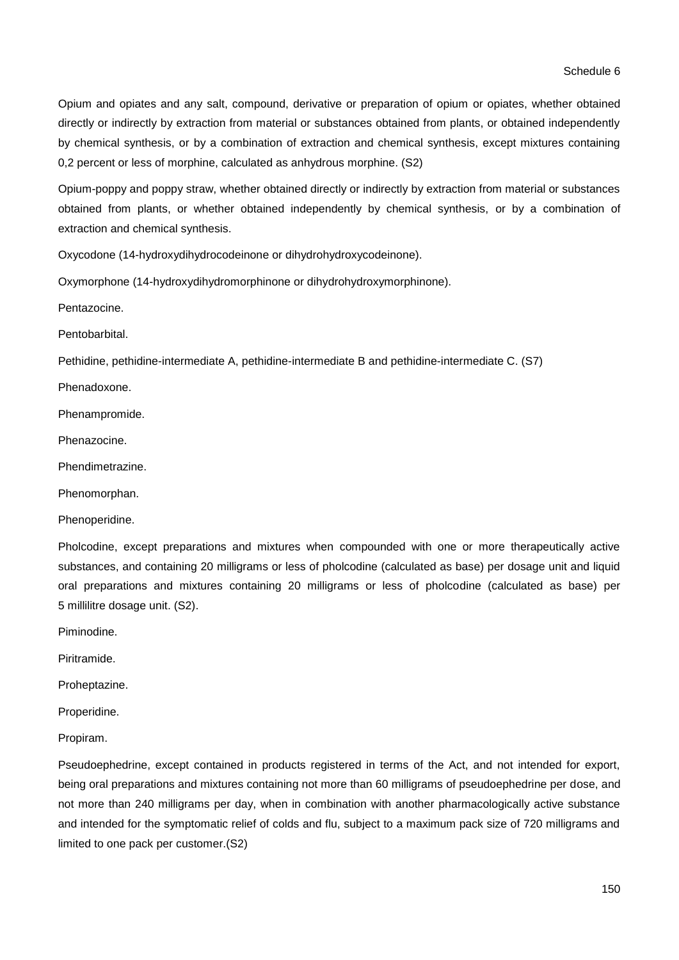Opium and opiates and any salt, compound, derivative or preparation of opium or opiates, whether obtained directly or indirectly by extraction from material or substances obtained from plants, or obtained independently by chemical synthesis, or by a combination of extraction and chemical synthesis, except mixtures containing 0,2 percent or less of morphine, calculated as anhydrous morphine. (S2)

Opium-poppy and poppy straw, whether obtained directly or indirectly by extraction from material or substances obtained from plants, or whether obtained independently by chemical synthesis, or by a combination of extraction and chemical synthesis.

Oxycodone (14-hydroxydihydrocodeinone or dihydrohydroxycodeinone).

Oxymorphone (14-hydroxydihydromorphinone or dihydrohydroxymorphinone).

Pentazocine.

**Pentobarbital** 

Pethidine, pethidine-intermediate A, pethidine-intermediate B and pethidine-intermediate C. (S7)

Phenadoxone.

Phenampromide.

Phenazocine.

Phendimetrazine.

Phenomorphan.

Phenoperidine.

Pholcodine, except preparations and mixtures when compounded with one or more therapeutically active substances, and containing 20 milligrams or less of pholcodine (calculated as base) per dosage unit and liquid oral preparations and mixtures containing 20 milligrams or less of pholcodine (calculated as base) per 5 millilitre dosage unit. (S2).

Piminodine.

Piritramide.

Proheptazine.

Properidine.

Propiram.

Pseudoephedrine, except contained in products registered in terms of the Act, and not intended for export, being oral preparations and mixtures containing not more than 60 milligrams of pseudoephedrine per dose, and not more than 240 milligrams per day, when in combination with another pharmacologically active substance and intended for the symptomatic relief of colds and flu, subject to a maximum pack size of 720 milligrams and limited to one pack per customer.(S2)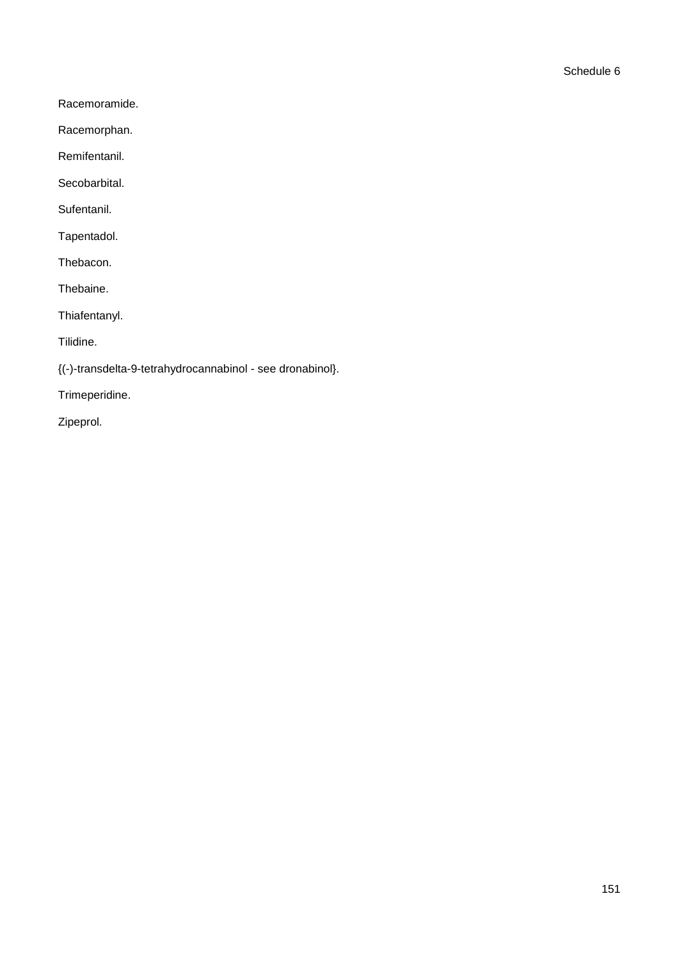Racemoramide.

Racemorphan.

Remifentanil.

Secobarbital.

Sufentanil.

Tapentadol.

Thebacon.

Thebaine.

Thiafentanyl.

Tilidine.

{(-)-transdelta-9-tetrahydrocannabinol - see dronabinol}.

Trimeperidine.

Zipeprol.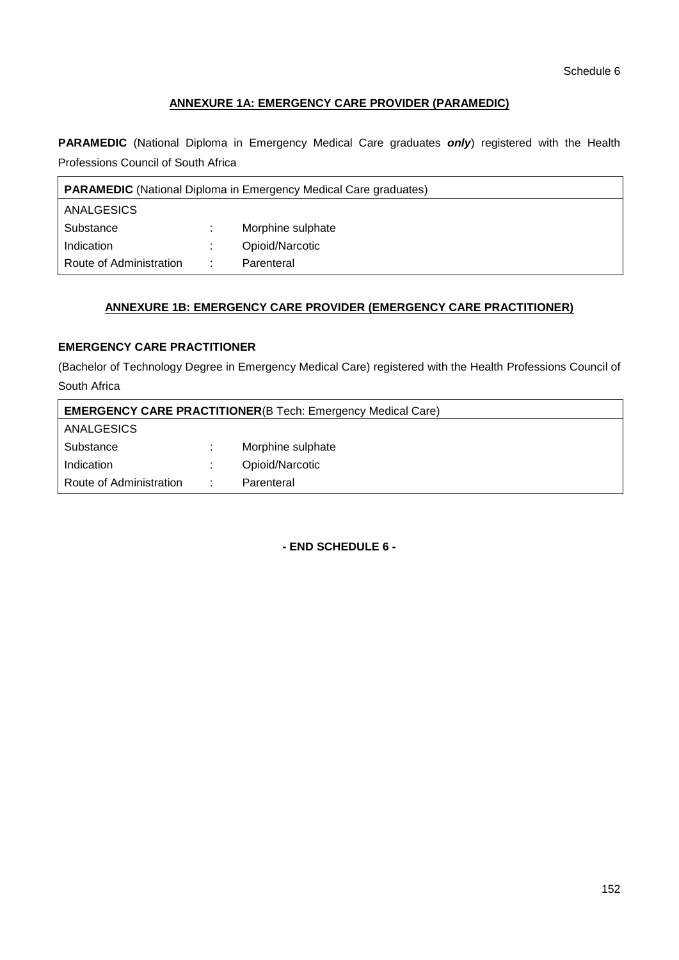# **ANNEXURE 1A: EMERGENCY CARE PROVIDER (PARAMEDIC)**

**PARAMEDIC** (National Diploma in Emergency Medical Care graduates *only*) registered with the Health Professions Council of South Africa

| <b>PARAMEDIC</b> (National Diploma in Emergency Medical Care graduates) |    |                   |
|-------------------------------------------------------------------------|----|-------------------|
| ANALGESICS                                                              |    |                   |
| Substance                                                               | ж. | Morphine sulphate |
| Indication                                                              |    | Opioid/Narcotic   |
| Route of Administration                                                 | ÷  | Parenteral        |

# **ANNEXURE 1B: EMERGENCY CARE PROVIDER (EMERGENCY CARE PRACTITIONER)**

# **EMERGENCY CARE PRACTITIONER**

(Bachelor of Technology Degree in Emergency Medical Care) registered with the Health Professions Council of South Africa

| <b>EMERGENCY CARE PRACTITIONER(B Tech: Emergency Medical Care)</b> |    |                   |  |  |
|--------------------------------------------------------------------|----|-------------------|--|--|
| <b>ANALGESICS</b>                                                  |    |                   |  |  |
| Substance                                                          |    | Morphine sulphate |  |  |
| Indication                                                         |    | Opioid/Narcotic   |  |  |
| Route of Administration                                            | ٠. | Parenteral        |  |  |

**- END SCHEDULE 6 -**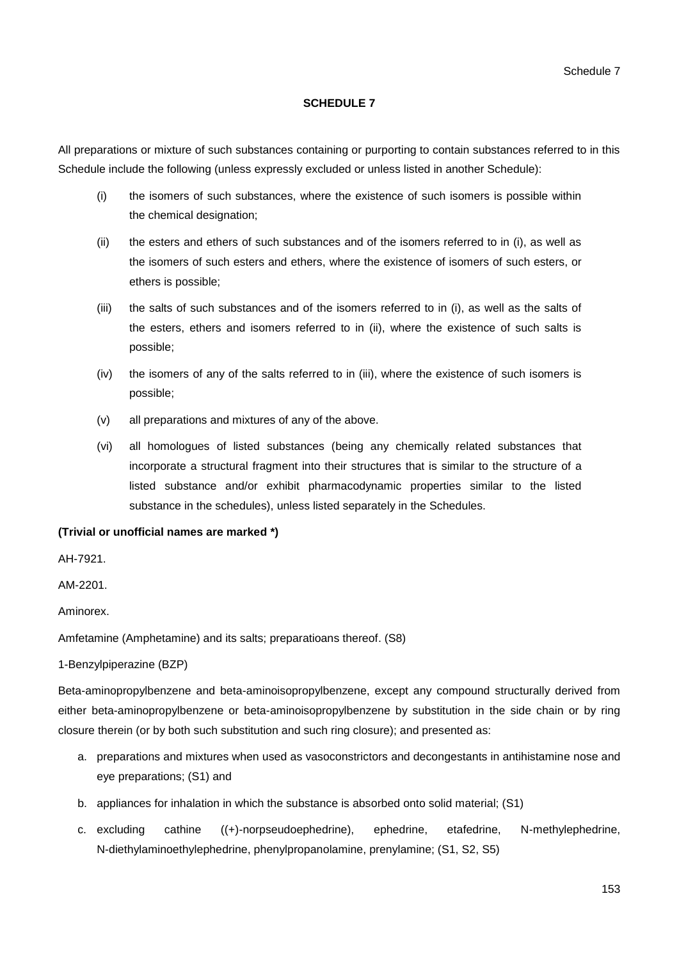### **SCHEDULE 7**

All preparations or mixture of such substances containing or purporting to contain substances referred to in this Schedule include the following (unless expressly excluded or unless listed in another Schedule):

- (i) the isomers of such substances, where the existence of such isomers is possible within the chemical designation;
- (ii) the esters and ethers of such substances and of the isomers referred to in (i), as well as the isomers of such esters and ethers, where the existence of isomers of such esters, or ethers is possible;
- (iii) the salts of such substances and of the isomers referred to in (i), as well as the salts of the esters, ethers and isomers referred to in (ii), where the existence of such salts is possible;
- (iv) the isomers of any of the salts referred to in (iii), where the existence of such isomers is possible;
- (v) all preparations and mixtures of any of the above.
- (vi) all homologues of listed substances (being any chemically related substances that incorporate a structural fragment into their structures that is similar to the structure of a listed substance and/or exhibit pharmacodynamic properties similar to the listed substance in the schedules), unless listed separately in the Schedules.

### **(Trivial or unofficial names are marked \*)**

AH-7921.

AM-2201.

Aminorex.

Amfetamine (Amphetamine) and its salts; preparatioans thereof. (S8)

1-Benzylpiperazine (BZP)

Beta-aminopropylbenzene and beta-aminoisopropylbenzene, except any compound structurally derived from either beta-aminopropylbenzene or beta-aminoisopropylbenzene by substitution in the side chain or by ring closure therein (or by both such substitution and such ring closure); and presented as:

- a. preparations and mixtures when used as vasoconstrictors and decongestants in antihistamine nose and eye preparations; (S1) and
- b. appliances for inhalation in which the substance is absorbed onto solid material; (S1)
- c. excluding cathine ((+)-norpseudoephedrine), ephedrine, etafedrine, N-methylephedrine, N-diethylaminoethylephedrine, phenylpropanolamine, prenylamine; (S1, S2, S5)

153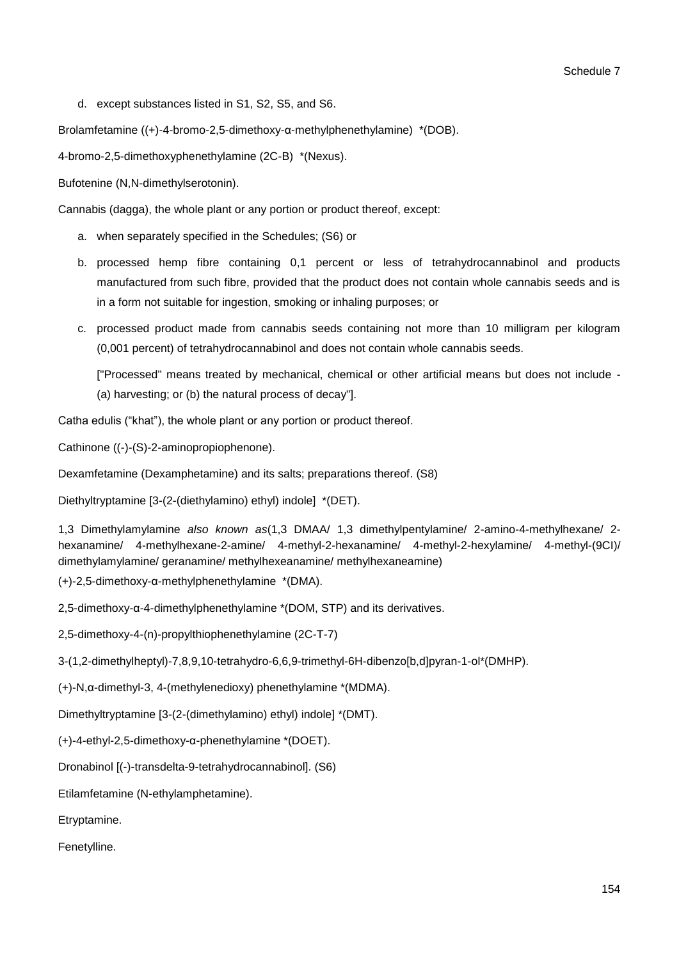d. except substances listed in S1, S2, S5, and S6.

Brolamfetamine ((+)-4-bromo-2,5-dimethoxy-α-methylphenethylamine) \*(DOB).

4-bromo-2,5-dimethoxyphenethylamine (2C-B) \*(Nexus).

Bufotenine (N,N-dimethylserotonin).

Cannabis (dagga), the whole plant or any portion or product thereof, except:

- a. when separately specified in the Schedules; (S6) or
- b. processed hemp fibre containing 0,1 percent or less of tetrahydrocannabinol and products manufactured from such fibre, provided that the product does not contain whole cannabis seeds and is in a form not suitable for ingestion, smoking or inhaling purposes; or
- c. processed product made from cannabis seeds containing not more than 10 milligram per kilogram (0,001 percent) of tetrahydrocannabinol and does not contain whole cannabis seeds.

["Processed" means treated by mechanical, chemical or other artificial means but does not include - (a) harvesting; or (b) the natural process of decay"].

Catha edulis ("khat"), the whole plant or any portion or product thereof.

Cathinone ((-)-(S)-2-aminopropiophenone).

Dexamfetamine (Dexamphetamine) and its salts; preparations thereof. (S8)

Diethyltryptamine [3-(2-(diethylamino) ethyl) indole] \*(DET).

1,3 Dimethylamylamine *also known as*(1,3 DMAA/ 1,3 dimethylpentylamine/ 2-amino-4-methylhexane/ 2 hexanamine/ 4-methylhexane-2-amine/ 4-methyl-2-hexanamine/ 4-methyl-2-hexylamine/ 4-methyl-(9CI)/ dimethylamylamine/ geranamine/ methylhexeanamine/ methylhexaneamine)

(+)-2,5-dimethoxy-α-methylphenethylamine \*(DMA).

2,5-dimethoxy-α-4-dimethylphenethylamine \*(DOM, STP) and its derivatives.

2,5-dimethoxy-4-(n)-propylthiophenethylamine (2C-T-7)

3-(1,2-dimethylheptyl)-7,8,9,10-tetrahydro-6,6,9-trimethyl-6H-dibenzo[b,d]pyran-1-ol\*(DMHP).

(+)-N,α-dimethyl-3, 4-(methylenedioxy) phenethylamine \*(MDMA).

Dimethyltryptamine [3-(2-(dimethylamino) ethyl) indole] \*(DMT).

(+)-4-ethyl-2,5-dimethoxy-α-phenethylamine \*(DOET).

Dronabinol [(-)-transdelta-9-tetrahydrocannabinol]. (S6)

Etilamfetamine (N-ethylamphetamine).

Etryptamine.

Fenetylline.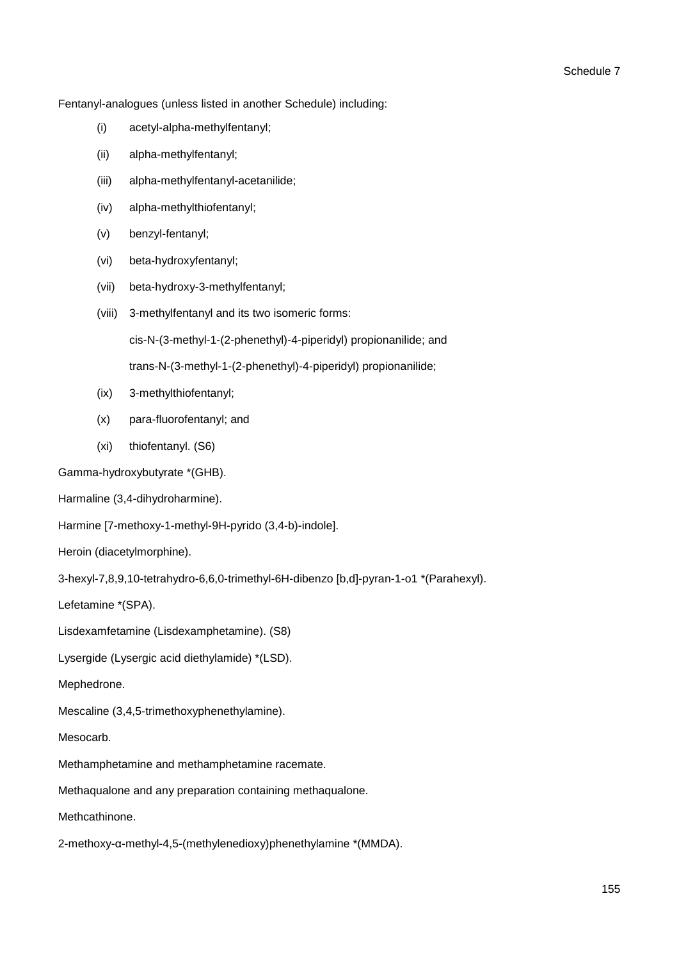Fentanyl-analogues (unless listed in another Schedule) including:

- (i) acetyl-alpha-methylfentanyl;
- (ii) alpha-methylfentanyl;
- (iii) alpha-methylfentanyl-acetanilide;
- (iv) alpha-methylthiofentanyl;
- (v) benzyl-fentanyl;
- (vi) beta-hydroxyfentanyl;
- (vii) beta-hydroxy-3-methylfentanyl;
- (viii) 3-methylfentanyl and its two isomeric forms:

cis-N-(3-methyl-1-(2-phenethyl)-4-piperidyl) propionanilide; and

trans-N-(3-methyl-1-(2-phenethyl)-4-piperidyl) propionanilide;

- (ix) 3-methylthiofentanyl;
- (x) para-fluorofentanyl; and
- (xi) thiofentanyl. (S6)

Gamma-hydroxybutyrate \*(GHB).

Harmaline (3,4-dihydroharmine).

Harmine [7-methoxy-1-methyl-9H-pyrido (3,4-b)-indole].

Heroin (diacetylmorphine).

3-hexyl-7,8,9,10-tetrahydro-6,6,0-trimethyl-6H-dibenzo [b,d]-pyran-1-o1 \*(Parahexyl).

Lefetamine \*(SPA).

Lisdexamfetamine (Lisdexamphetamine). (S8)

Lysergide (Lysergic acid diethylamide) \*(LSD).

Mephedrone.

Mescaline (3,4,5-trimethoxyphenethylamine).

### Mesocarb.

Methamphetamine and methamphetamine racemate.

Methaqualone and any preparation containing methaqualone.

Methcathinone.

2-methoxy-α-methyl-4,5-(methylenedioxy)phenethylamine \*(MMDA).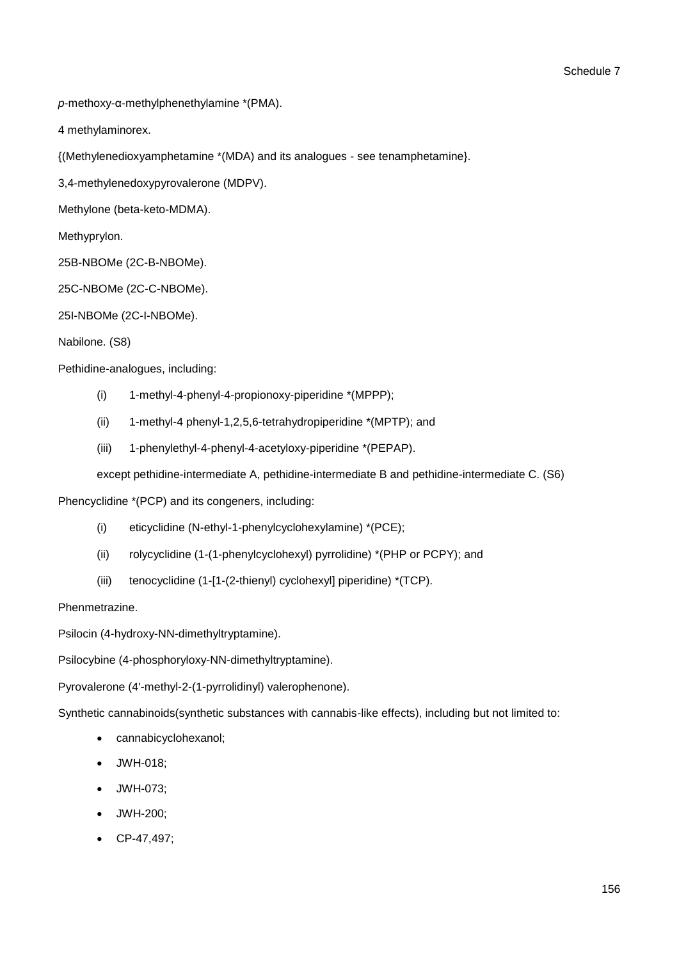*p*-methoxy-α-methylphenethylamine \*(PMA).

4 methylaminorex.

{(Methylenedioxyamphetamine \*(MDA) and its analogues - see tenamphetamine}.

3,4-methylenedoxypyrovalerone (MDPV).

Methylone (beta-keto-MDMA).

Methyprylon.

25B-NBOMe (2C-B-NBOMe).

25C-NBOMe (2C-C-NBOMe).

25I-NBOMe (2C-I-NBOMe).

Nabilone. (S8)

Pethidine-analogues, including:

- (i) 1-methyl-4-phenyl-4-propionoxy-piperidine \*(MPPP);
- (ii) 1-methyl-4 phenyl-1,2,5,6-tetrahydropiperidine \*(MPTP); and
- (iii) 1-phenylethyl-4-phenyl-4-acetyloxy-piperidine \*(PEPAP).

except pethidine-intermediate A, pethidine-intermediate B and pethidine-intermediate C. (S6)

Phencyclidine \*(PCP) and its congeners, including:

- (i) eticyclidine (N-ethyl-1-phenylcyclohexylamine) \*(PCE);
- (ii) rolycyclidine (1-(1-phenylcyclohexyl) pyrrolidine) \*(PHP or PCPY); and
- (iii) tenocyclidine (1-[1-(2-thienyl) cyclohexyl] piperidine) \*(TCP).

### Phenmetrazine.

Psilocin (4-hydroxy-NN-dimethyltryptamine).

Psilocybine (4-phosphoryloxy-NN-dimethyltryptamine).

Pyrovalerone (4'-methyl-2-(1-pyrrolidinyl) valerophenone).

Synthetic cannabinoids(synthetic substances with cannabis-like effects), including but not limited to:

- cannabicyclohexanol;
- JWH-018;
- JWH-073;
- JWH-200;
- CP-47,497;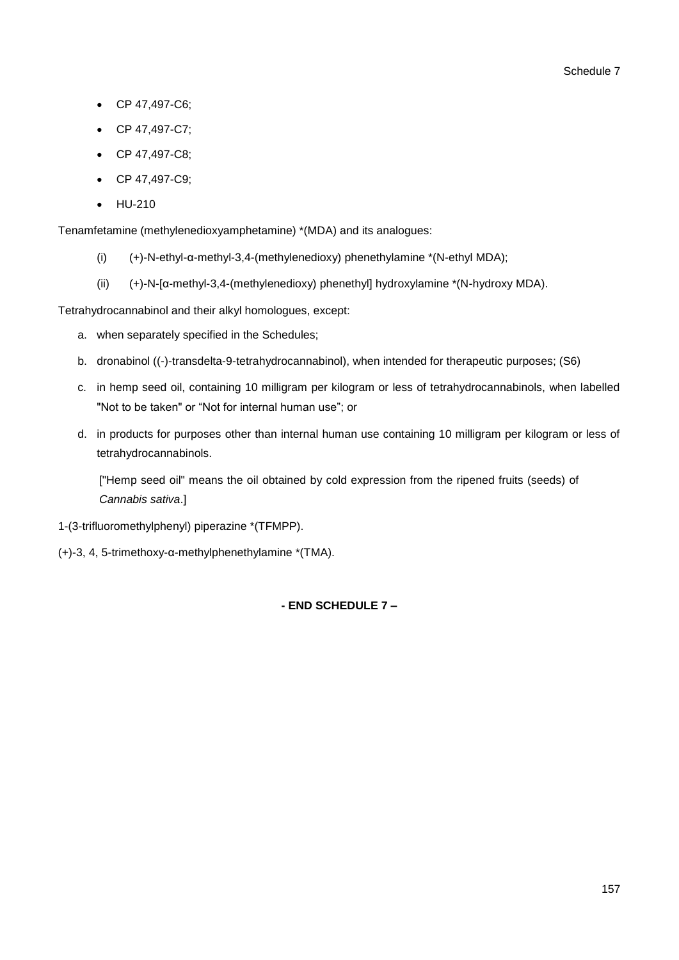- CP 47,497-C6;
- CP 47,497-C7;
- CP 47,497-C8;
- CP 47,497-C9;
- HU-210

Tenamfetamine (methylenedioxyamphetamine) \*(MDA) and its analogues:

- (i) (+)-N-ethyl-α-methyl-3,4-(methylenedioxy) phenethylamine \*(N-ethyl MDA);
- (ii) (+)-N-[α-methyl-3,4-(methylenedioxy) phenethyl] hydroxylamine \*(N-hydroxy MDA).

Tetrahydrocannabinol and their alkyl homologues, except:

- a. when separately specified in the Schedules;
- b. dronabinol ((-)-transdelta-9-tetrahydrocannabinol), when intended for therapeutic purposes; (S6)
- c. in hemp seed oil, containing 10 milligram per kilogram or less of tetrahydrocannabinols, when labelled "Not to be taken" or "Not for internal human use"; or
- d. in products for purposes other than internal human use containing 10 milligram per kilogram or less of tetrahydrocannabinols.

["Hemp seed oil" means the oil obtained by cold expression from the ripened fruits (seeds) of *Cannabis sativa*.]

- 1-(3-trifluoromethylphenyl) piperazine \*(TFMPP).
- (+)-3, 4, 5-trimethoxy-α-methylphenethylamine \*(TMA).

**- END SCHEDULE 7 –**